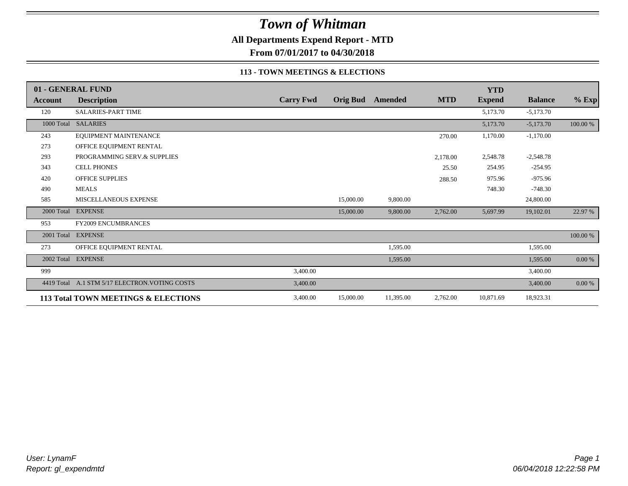**All Departments Expend Report - MTD**

**From 07/01/2017 to 04/30/2018**

#### **113 - TOWN MEETINGS & ELECTIONS**

|            | 01 - GENERAL FUND                              |                  |           |                         |            | <b>YTD</b>    |                |          |
|------------|------------------------------------------------|------------------|-----------|-------------------------|------------|---------------|----------------|----------|
| Account    | <b>Description</b>                             | <b>Carry Fwd</b> |           | <b>Orig Bud</b> Amended | <b>MTD</b> | <b>Expend</b> | <b>Balance</b> | $%$ Exp  |
| 120        | <b>SALARIES-PART TIME</b>                      |                  |           |                         |            | 5,173.70      | $-5,173.70$    |          |
|            | 1000 Total SALARIES                            |                  |           |                         |            | 5,173.70      | $-5,173.70$    | 100.00 % |
| 243        | EQUIPMENT MAINTENANCE                          |                  |           |                         | 270.00     | 1,170.00      | $-1,170.00$    |          |
| 273        | OFFICE EQUIPMENT RENTAL                        |                  |           |                         |            |               |                |          |
| 293        | PROGRAMMING SERV.& SUPPLIES                    |                  |           |                         | 2,178.00   | 2,548.78      | $-2,548.78$    |          |
| 343        | <b>CELL PHONES</b>                             |                  |           |                         | 25.50      | 254.95        | $-254.95$      |          |
| 420        | <b>OFFICE SUPPLIES</b>                         |                  |           |                         | 288.50     | 975.96        | $-975.96$      |          |
| 490        | <b>MEALS</b>                                   |                  |           |                         |            | 748.30        | $-748.30$      |          |
| 585        | MISCELLANEOUS EXPENSE                          |                  | 15,000.00 | 9,800.00                |            |               | 24,800.00      |          |
| 2000 Total | <b>EXPENSE</b>                                 |                  | 15,000.00 | 9,800.00                | 2,762.00   | 5,697.99      | 19,102.01      | 22.97 %  |
| 953        | <b>FY2009 ENCUMBRANCES</b>                     |                  |           |                         |            |               |                |          |
| 2001 Total | <b>EXPENSE</b>                                 |                  |           |                         |            |               |                | 100.00 % |
| 273        | OFFICE EQUIPMENT RENTAL                        |                  |           | 1,595.00                |            |               | 1,595.00       |          |
| 2002 Total | <b>EXPENSE</b>                                 |                  |           | 1,595.00                |            |               | 1,595.00       | $0.00\%$ |
| 999        |                                                | 3,400.00         |           |                         |            |               | 3,400.00       |          |
|            | 4419 Total A.1 STM 5/17 ELECTRON. VOTING COSTS | 3,400.00         |           |                         |            |               | 3,400.00       | 0.00 %   |
|            | 113 Total TOWN MEETINGS & ELECTIONS            | 3,400.00         | 15,000.00 | 11,395.00               | 2,762.00   | 10,871.69     | 18,923.31      |          |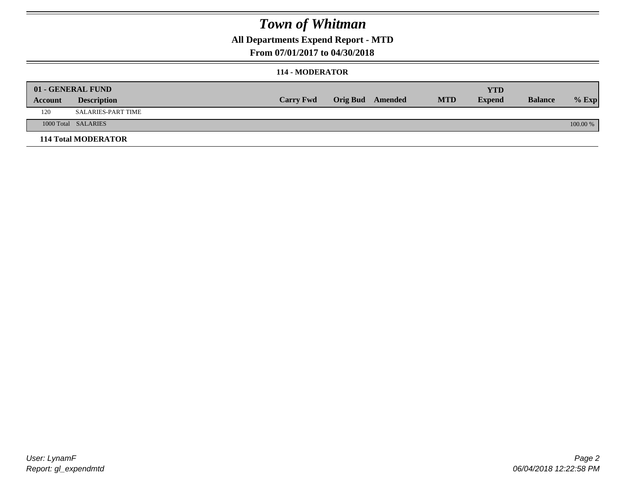### **All Departments Expend Report - MTD**

### **From 07/01/2017 to 04/30/2018**

#### **114 - MODERATOR**

|         | 01 - GENERAL FUND<br><b>Description</b> | <b>Carry Fwd</b> | <b>Orig Bud</b> Amended | <b>MTD</b> | <b>YTD</b><br><b>Expend</b> | <b>Balance</b> | $%$ Exp  |
|---------|-----------------------------------------|------------------|-------------------------|------------|-----------------------------|----------------|----------|
| Account |                                         |                  |                         |            |                             |                |          |
| 120     | SALARIES-PART TIME                      |                  |                         |            |                             |                |          |
|         | 1000 Total SALARIES                     |                  |                         |            |                             |                | 100.00 % |
|         | <b>114 Total MODERATOR</b>              |                  |                         |            |                             |                |          |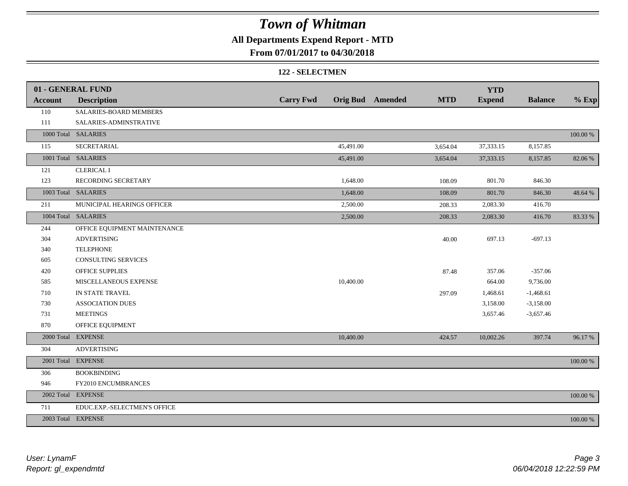### **All Departments Expend Report - MTD**

### **From 07/01/2017 to 04/30/2018**

#### **122 - SELECTMEN**

|                | 01 - GENERAL FUND            |                  |           |                         |            | <b>YTD</b>    |                |             |
|----------------|------------------------------|------------------|-----------|-------------------------|------------|---------------|----------------|-------------|
| <b>Account</b> | <b>Description</b>           | <b>Carry Fwd</b> |           | <b>Orig Bud</b> Amended | <b>MTD</b> | <b>Expend</b> | <b>Balance</b> | $%$ Exp     |
| 110            | SALARIES-BOARD MEMBERS       |                  |           |                         |            |               |                |             |
| 111            | SALARIES-ADMINSTRATIVE       |                  |           |                         |            |               |                |             |
|                | 1000 Total SALARIES          |                  |           |                         |            |               |                | $100.00~\%$ |
| 115            | SECRETARIAL                  |                  | 45,491.00 |                         | 3,654.04   | 37, 333. 15   | 8,157.85       |             |
|                | 1001 Total SALARIES          |                  | 45,491.00 |                         | 3,654.04   | 37, 333. 15   | 8,157.85       | 82.06 %     |
| 121            | <b>CLERICAL I</b>            |                  |           |                         |            |               |                |             |
| 123            | RECORDING SECRETARY          |                  | 1,648.00  |                         | 108.09     | 801.70        | 846.30         |             |
|                | 1003 Total SALARIES          |                  | 1,648.00  |                         | 108.09     | 801.70        | 846.30         | 48.64 %     |
| 211            | MUNICIPAL HEARINGS OFFICER   |                  | 2,500.00  |                         | 208.33     | 2,083.30      | 416.70         |             |
|                | 1004 Total SALARIES          |                  | 2,500.00  |                         | 208.33     | 2,083.30      | 416.70         | 83.33 %     |
| 244            | OFFICE EQUIPMENT MAINTENANCE |                  |           |                         |            |               |                |             |
| 304            | <b>ADVERTISING</b>           |                  |           |                         | 40.00      | 697.13        | $-697.13$      |             |
| 340            | <b>TELEPHONE</b>             |                  |           |                         |            |               |                |             |
| 605            | <b>CONSULTING SERVICES</b>   |                  |           |                         |            |               |                |             |
| 420            | OFFICE SUPPLIES              |                  |           |                         | 87.48      | 357.06        | $-357.06$      |             |
| 585            | MISCELLANEOUS EXPENSE        |                  | 10,400.00 |                         |            | 664.00        | 9,736.00       |             |
| 710            | IN STATE TRAVEL              |                  |           |                         | 297.09     | 1,468.61      | $-1,468.61$    |             |
| 730            | <b>ASSOCIATION DUES</b>      |                  |           |                         |            | 3,158.00      | $-3,158.00$    |             |
| 731            | <b>MEETINGS</b>              |                  |           |                         |            | 3,657.46      | $-3,657.46$    |             |
| 870            | OFFICE EQUIPMENT             |                  |           |                         |            |               |                |             |
|                | 2000 Total EXPENSE           |                  | 10,400.00 |                         | 424.57     | 10,002.26     | 397.74         | 96.17%      |
| 304            | <b>ADVERTISING</b>           |                  |           |                         |            |               |                |             |
|                | 2001 Total EXPENSE           |                  |           |                         |            |               |                | 100.00 %    |
| 306            | <b>BOOKBINDING</b>           |                  |           |                         |            |               |                |             |
| 946            | FY2010 ENCUMBRANCES          |                  |           |                         |            |               |                |             |
|                | 2002 Total EXPENSE           |                  |           |                         |            |               |                | 100.00 %    |
| 711            | EDUC.EXP.-SELECTMEN'S OFFICE |                  |           |                         |            |               |                |             |
|                | 2003 Total EXPENSE           |                  |           |                         |            |               |                | 100.00 %    |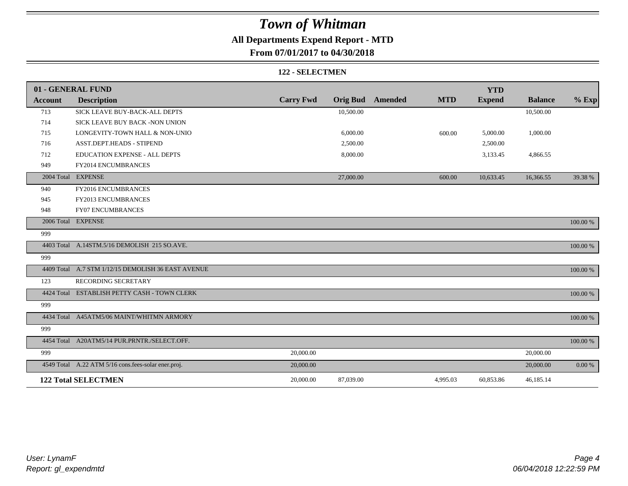## **All Departments Expend Report - MTD**

### **From 07/01/2017 to 04/30/2018**

#### **122 - SELECTMEN**

|                | 01 - GENERAL FUND                                   |                  |                 |                |            | <b>YTD</b>    |                |          |
|----------------|-----------------------------------------------------|------------------|-----------------|----------------|------------|---------------|----------------|----------|
| <b>Account</b> | <b>Description</b>                                  | <b>Carry Fwd</b> | <b>Orig Bud</b> | <b>Amended</b> | <b>MTD</b> | <b>Expend</b> | <b>Balance</b> | $%$ Exp  |
| 713            | SICK LEAVE BUY-BACK-ALL DEPTS                       |                  | 10,500.00       |                |            |               | 10,500.00      |          |
| 714            | SICK LEAVE BUY BACK -NON UNION                      |                  |                 |                |            |               |                |          |
| 715            | LONGEVITY-TOWN HALL & NON-UNIO                      |                  | 6,000.00        |                | 600.00     | 5,000.00      | 1,000.00       |          |
| 716            | ASST.DEPT.HEADS - STIPEND                           |                  | 2,500.00        |                |            | 2,500.00      |                |          |
| 712            | <b>EDUCATION EXPENSE - ALL DEPTS</b>                |                  | 8,000.00        |                |            | 3,133.45      | 4,866.55       |          |
| 949            | FY2014 ENCUMBRANCES                                 |                  |                 |                |            |               |                |          |
|                | 2004 Total EXPENSE                                  |                  | 27,000.00       |                | 600.00     | 10,633.45     | 16,366.55      | 39.38 %  |
| 940            | FY2016 ENCUMBRANCES                                 |                  |                 |                |            |               |                |          |
| 945            | FY2013 ENCUMBRANCES                                 |                  |                 |                |            |               |                |          |
| 948            | <b>FY07 ENCUMBRANCES</b>                            |                  |                 |                |            |               |                |          |
|                | 2006 Total EXPENSE                                  |                  |                 |                |            |               |                | 100.00 % |
| 999            |                                                     |                  |                 |                |            |               |                |          |
|                | 4403 Total A.14STM.5/16 DEMOLISH 215 SO.AVE.        |                  |                 |                |            |               |                | 100.00 % |
| 999            |                                                     |                  |                 |                |            |               |                |          |
|                | 4409 Total A.7 STM 1/12/15 DEMOLISH 36 EAST AVENUE  |                  |                 |                |            |               |                | 100.00 % |
| 123            | RECORDING SECRETARY                                 |                  |                 |                |            |               |                |          |
|                | 4424 Total ESTABLISH PETTY CASH - TOWN CLERK        |                  |                 |                |            |               |                | 100.00 % |
| 999            |                                                     |                  |                 |                |            |               |                |          |
|                | 4434 Total A45ATM5/06 MAINT/WHITMN ARMORY           |                  |                 |                |            |               |                | 100.00 % |
| 999            |                                                     |                  |                 |                |            |               |                |          |
|                | 4454 Total A20ATM5/14 PUR.PRNTR./SELECT.OFF.        |                  |                 |                |            |               |                | 100.00 % |
| 999            |                                                     | 20,000.00        |                 |                |            |               | 20,000.00      |          |
|                | 4549 Total A.22 ATM 5/16 cons.fees-solar ener.proj. | 20,000.00        |                 |                |            |               | 20,000.00      | 0.00 %   |
|                | <b>122 Total SELECTMEN</b>                          | 20,000.00        | 87,039.00       |                | 4,995.03   | 60,853.86     | 46,185.14      |          |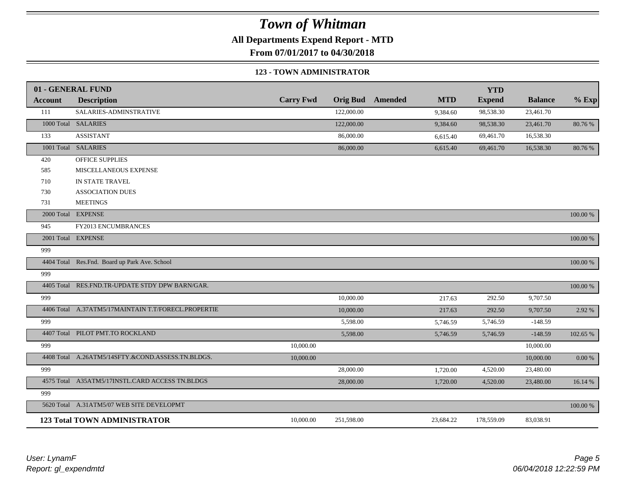**All Departments Expend Report - MTD**

**From 07/01/2017 to 04/30/2018**

#### **123 - TOWN ADMINISTRATOR**

|                | 01 - GENERAL FUND                                   |                  |            |                         |            | <b>YTD</b>    |                |             |
|----------------|-----------------------------------------------------|------------------|------------|-------------------------|------------|---------------|----------------|-------------|
| <b>Account</b> | <b>Description</b>                                  | <b>Carry Fwd</b> |            | <b>Orig Bud</b> Amended | <b>MTD</b> | <b>Expend</b> | <b>Balance</b> | $%$ Exp     |
| 111            | SALARIES-ADMINSTRATIVE                              |                  | 122,000.00 |                         | 9,384.60   | 98,538.30     | 23,461.70      |             |
|                | 1000 Total SALARIES                                 |                  | 122,000.00 |                         | 9,384.60   | 98,538.30     | 23,461.70      | 80.76 %     |
| 133            | <b>ASSISTANT</b>                                    |                  | 86,000.00  |                         | 6,615.40   | 69,461.70     | 16,538.30      |             |
|                | 1001 Total SALARIES                                 |                  | 86,000.00  |                         | 6,615.40   | 69,461.70     | 16,538.30      | 80.76%      |
| 420            | OFFICE SUPPLIES                                     |                  |            |                         |            |               |                |             |
| 585            | MISCELLANEOUS EXPENSE                               |                  |            |                         |            |               |                |             |
| 710            | IN STATE TRAVEL                                     |                  |            |                         |            |               |                |             |
| 730            | <b>ASSOCIATION DUES</b>                             |                  |            |                         |            |               |                |             |
| 731            | <b>MEETINGS</b>                                     |                  |            |                         |            |               |                |             |
|                | 2000 Total EXPENSE                                  |                  |            |                         |            |               |                | 100.00 %    |
| 945            | FY2013 ENCUMBRANCES                                 |                  |            |                         |            |               |                |             |
|                | 2001 Total EXPENSE                                  |                  |            |                         |            |               |                | 100.00 %    |
| 999            |                                                     |                  |            |                         |            |               |                |             |
|                | 4404 Total Res.Fnd. Board up Park Ave. School       |                  |            |                         |            |               |                | 100.00 %    |
| 999            |                                                     |                  |            |                         |            |               |                |             |
|                | 4405 Total RES.FND.TR-UPDATE STDY DPW BARN/GAR.     |                  |            |                         |            |               |                | $100.00~\%$ |
| 999            |                                                     |                  | 10,000.00  |                         | 217.63     | 292.50        | 9,707.50       |             |
|                | 4406 Total A.37ATM5/17MAINTAIN T.T/FORECL.PROPERTIE |                  | 10,000.00  |                         | 217.63     | 292.50        | 9,707.50       | 2.92 %      |
| 999            |                                                     |                  | 5,598.00   |                         | 5,746.59   | 5,746.59      | $-148.59$      |             |
|                | 4407 Total PILOT PMT.TO ROCKLAND                    |                  | 5,598.00   |                         | 5,746.59   | 5,746.59      | $-148.59$      | 102.65 %    |
| 999            |                                                     | 10,000.00        |            |                         |            |               | 10,000.00      |             |
|                | 4408 Total A.26ATM5/14SFTY.&COND.ASSESS.TN.BLDGS.   | 10,000.00        |            |                         |            |               | 10,000.00      | 0.00 %      |
| 999            |                                                     |                  | 28,000.00  |                         | 1,720.00   | 4,520.00      | 23,480.00      |             |
|                | 4575 Total A35ATM5/17INSTL.CARD ACCESS TN.BLDGS     |                  | 28,000.00  |                         | 1,720.00   | 4,520.00      | 23,480.00      | 16.14 %     |
| 999            |                                                     |                  |            |                         |            |               |                |             |
|                | 5620 Total A.31ATM5/07 WEB SITE DEVELOPMT           |                  |            |                         |            |               |                | 100.00 %    |
|                | <b>123 Total TOWN ADMINISTRATOR</b>                 | 10,000.00        | 251,598.00 |                         | 23,684.22  | 178,559.09    | 83,038.91      |             |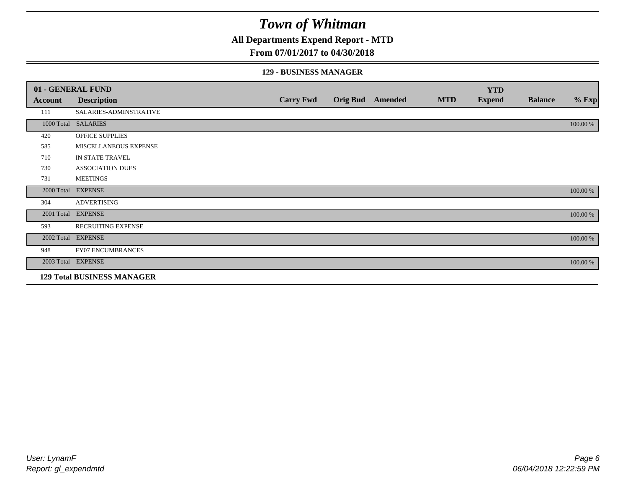**All Departments Expend Report - MTD**

### **From 07/01/2017 to 04/30/2018**

### **129 - BUSINESS MANAGER**

|            | 01 - GENERAL FUND                 |                  |                 |         |            | <b>YTD</b>    |                |          |
|------------|-----------------------------------|------------------|-----------------|---------|------------|---------------|----------------|----------|
| Account    | <b>Description</b>                | <b>Carry Fwd</b> | <b>Orig Bud</b> | Amended | <b>MTD</b> | <b>Expend</b> | <b>Balance</b> | $%$ Exp  |
| 111        | SALARIES-ADMINSTRATIVE            |                  |                 |         |            |               |                |          |
|            | 1000 Total SALARIES               |                  |                 |         |            |               |                | 100.00 % |
| 420        | OFFICE SUPPLIES                   |                  |                 |         |            |               |                |          |
| 585        | MISCELLANEOUS EXPENSE             |                  |                 |         |            |               |                |          |
| 710        | IN STATE TRAVEL                   |                  |                 |         |            |               |                |          |
| 730        | <b>ASSOCIATION DUES</b>           |                  |                 |         |            |               |                |          |
| 731        | <b>MEETINGS</b>                   |                  |                 |         |            |               |                |          |
| 2000 Total | <b>EXPENSE</b>                    |                  |                 |         |            |               |                | 100.00 % |
| 304        | <b>ADVERTISING</b>                |                  |                 |         |            |               |                |          |
| 2001 Total | <b>EXPENSE</b>                    |                  |                 |         |            |               |                | 100.00 % |
| 593        | <b>RECRUITING EXPENSE</b>         |                  |                 |         |            |               |                |          |
|            | 2002 Total EXPENSE                |                  |                 |         |            |               |                | 100.00 % |
| 948        | <b>FY07 ENCUMBRANCES</b>          |                  |                 |         |            |               |                |          |
|            | 2003 Total EXPENSE                |                  |                 |         |            |               |                | 100.00 % |
|            | <b>129 Total BUSINESS MANAGER</b> |                  |                 |         |            |               |                |          |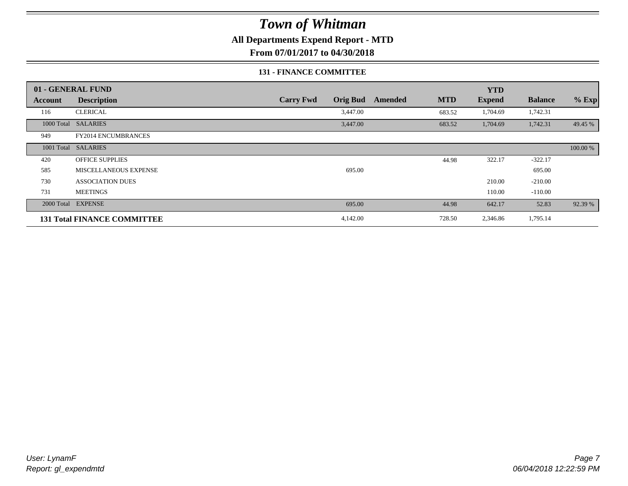**All Departments Expend Report - MTD**

**From 07/01/2017 to 04/30/2018**

#### **131 - FINANCE COMMITTEE**

|            | 01 - GENERAL FUND                  |                                     |                       | <b>YTD</b>    |                |          |
|------------|------------------------------------|-------------------------------------|-----------------------|---------------|----------------|----------|
| Account    | <b>Description</b>                 | <b>Carry Fwd</b><br><b>Orig Bud</b> | <b>MTD</b><br>Amended | <b>Expend</b> | <b>Balance</b> | $%$ Exp  |
| 116        | <b>CLERICAL</b>                    | 3,447.00                            | 683.52                | 1,704.69      | 1,742.31       |          |
| 1000 Total | <b>SALARIES</b>                    | 3,447.00                            | 683.52                | 1,704.69      | 1,742.31       | 49.45 %  |
| 949        | <b>FY2014 ENCUMBRANCES</b>         |                                     |                       |               |                |          |
|            | 1001 Total SALARIES                |                                     |                       |               |                | 100.00 % |
| 420        | <b>OFFICE SUPPLIES</b>             |                                     | 44.98                 | 322.17        | $-322.17$      |          |
| 585        | MISCELLANEOUS EXPENSE              | 695.00                              |                       |               | 695.00         |          |
| 730        | <b>ASSOCIATION DUES</b>            |                                     |                       | 210.00        | $-210.00$      |          |
| 731        | <b>MEETINGS</b>                    |                                     |                       | 110.00        | $-110.00$      |          |
| 2000 Total | <b>EXPENSE</b>                     | 695.00                              | 44.98                 | 642.17        | 52.83          | 92.39 %  |
|            | <b>131 Total FINANCE COMMITTEE</b> | 4,142.00                            | 728.50                | 2,346.86      | 1,795.14       |          |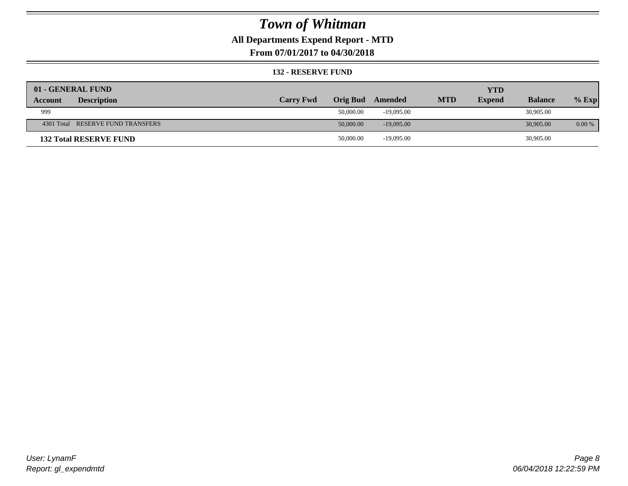### **All Departments Expend Report - MTD**

**From 07/01/2017 to 04/30/2018**

#### **132 - RESERVE FUND**

| 01 - GENERAL FUND                 |                  |           |              |            | <b>YTD</b>    |                |           |
|-----------------------------------|------------------|-----------|--------------|------------|---------------|----------------|-----------|
| <b>Description</b><br>Account     | <b>Carry Fwd</b> | Orig Bud  | Amended      | <b>MTD</b> | <b>Expend</b> | <b>Balance</b> | $%$ Exp   |
| 999                               |                  | 50,000.00 | $-19.095.00$ |            |               | 30,905.00      |           |
| 4301 Total RESERVE FUND TRANSFERS |                  | 50,000.00 | $-19,095,00$ |            |               | 30,905.00      | $0.00 \%$ |
| <b>132 Total RESERVE FUND</b>     |                  | 50,000.00 | $-19,095.00$ |            |               | 30,905.00      |           |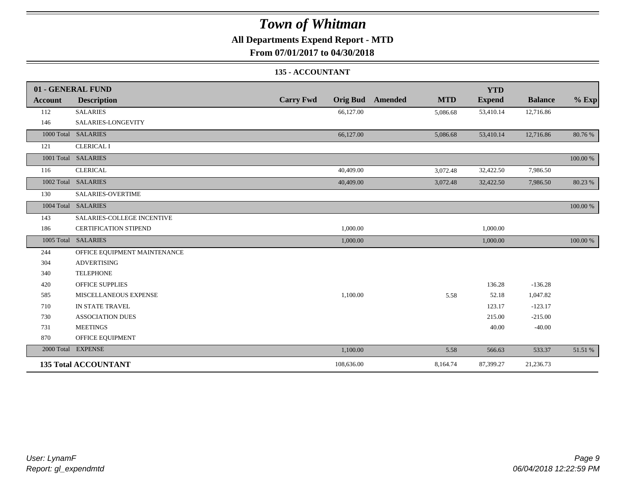### **All Departments Expend Report - MTD**

**From 07/01/2017 to 04/30/2018**

### **135 - ACCOUNTANT**

|                | 01 - GENERAL FUND            |                                     |                       | <b>YTD</b>    |                |          |
|----------------|------------------------------|-------------------------------------|-----------------------|---------------|----------------|----------|
| <b>Account</b> | <b>Description</b>           | <b>Carry Fwd</b><br><b>Orig Bud</b> | <b>MTD</b><br>Amended | <b>Expend</b> | <b>Balance</b> | $%$ Exp  |
| 112            | <b>SALARIES</b>              | 66,127.00                           | 5,086.68              | 53,410.14     | 12,716.86      |          |
| 146            | SALARIES-LONGEVITY           |                                     |                       |               |                |          |
|                | 1000 Total SALARIES          | 66,127.00                           | 5,086.68              | 53,410.14     | 12,716.86      | 80.76%   |
| 121            | <b>CLERICAL I</b>            |                                     |                       |               |                |          |
|                | 1001 Total SALARIES          |                                     |                       |               |                | 100.00 % |
| 116            | <b>CLERICAL</b>              | 40,409.00                           | 3,072.48              | 32,422.50     | 7,986.50       |          |
|                | 1002 Total SALARIES          | 40,409.00                           | 3,072.48              | 32,422.50     | 7,986.50       | 80.23 %  |
| 130            | SALARIES-OVERTIME            |                                     |                       |               |                |          |
|                | 1004 Total SALARIES          |                                     |                       |               |                | 100.00 % |
| 143            | SALARIES-COLLEGE INCENTIVE   |                                     |                       |               |                |          |
| 186            | <b>CERTIFICATION STIPEND</b> | 1,000.00                            |                       | 1,000.00      |                |          |
|                | 1005 Total SALARIES          | 1,000.00                            |                       | 1,000.00      |                | 100.00 % |
| 244            | OFFICE EQUIPMENT MAINTENANCE |                                     |                       |               |                |          |
| 304            | <b>ADVERTISING</b>           |                                     |                       |               |                |          |
| 340            | <b>TELEPHONE</b>             |                                     |                       |               |                |          |
| 420            | <b>OFFICE SUPPLIES</b>       |                                     |                       | 136.28        | $-136.28$      |          |
| 585            | MISCELLANEOUS EXPENSE        | 1,100.00                            | 5.58                  | 52.18         | 1,047.82       |          |
| 710            | IN STATE TRAVEL              |                                     |                       | 123.17        | $-123.17$      |          |
| 730            | <b>ASSOCIATION DUES</b>      |                                     |                       | 215.00        | $-215.00$      |          |
| 731            | <b>MEETINGS</b>              |                                     |                       | 40.00         | $-40.00$       |          |
| 870            | OFFICE EQUIPMENT             |                                     |                       |               |                |          |
|                | 2000 Total EXPENSE           | 1,100.00                            | 5.58                  | 566.63        | 533.37         | 51.51 %  |
|                | <b>135 Total ACCOUNTANT</b>  | 108,636.00                          | 8,164.74              | 87,399.27     | 21,236.73      |          |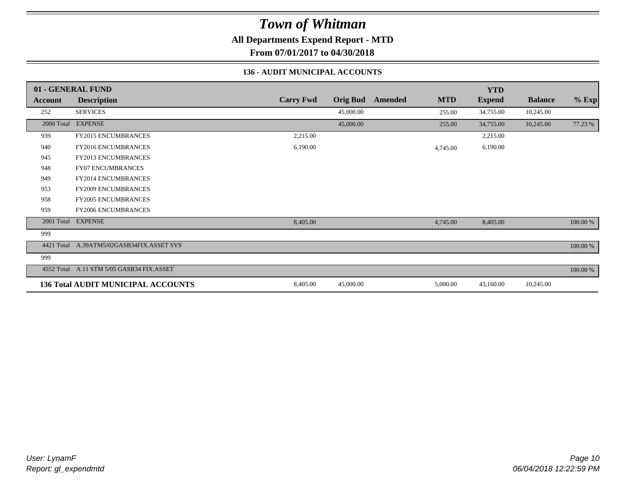**All Departments Expend Report - MTD**

**From 07/01/2017 to 04/30/2018**

### **136 - AUDIT MUNICIPAL ACCOUNTS**

|            | 01 - GENERAL FUND                         |                  |                 |                |            | <b>YTD</b>    |                |          |
|------------|-------------------------------------------|------------------|-----------------|----------------|------------|---------------|----------------|----------|
| Account    | <b>Description</b>                        | <b>Carry Fwd</b> | <b>Orig Bud</b> | <b>Amended</b> | <b>MTD</b> | <b>Expend</b> | <b>Balance</b> | $%$ Exp  |
| 252        | <b>SERVICES</b>                           |                  | 45,000.00       |                | 255.00     | 34,755.00     | 10,245.00      |          |
|            | 2000 Total EXPENSE                        |                  | 45,000.00       |                | 255.00     | 34,755.00     | 10,245.00      | 77.23 %  |
| 939        | <b>FY2015 ENCUMBRANCES</b>                | 2,215.00         |                 |                |            | 2,215.00      |                |          |
| 940        | <b>FY2016 ENCUMBRANCES</b>                | 6,190.00         |                 |                | 4,745.00   | 6,190.00      |                |          |
| 945        | FY2013 ENCUMBRANCES                       |                  |                 |                |            |               |                |          |
| 948        | <b>FY07 ENCUMBRANCES</b>                  |                  |                 |                |            |               |                |          |
| 949        | <b>FY2014 ENCUMBRANCES</b>                |                  |                 |                |            |               |                |          |
| 953        | <b>FY2009 ENCUMBRANCES</b>                |                  |                 |                |            |               |                |          |
| 958        | <b>FY2005 ENCUMBRANCES</b>                |                  |                 |                |            |               |                |          |
| 959        | <b>FY2006 ENCUMBRANCES</b>                |                  |                 |                |            |               |                |          |
|            | 2001 Total EXPENSE                        | 8,405.00         |                 |                | 4,745.00   | 8,405.00      |                | 100.00 % |
| 999        |                                           |                  |                 |                |            |               |                |          |
| 4421 Total | A.39ATM5/02GASB34FIX.ASSET SYS            |                  |                 |                |            |               |                | 100.00 % |
| 999        |                                           |                  |                 |                |            |               |                |          |
|            | 4552 Total A.11 STM 5/05 GASB34 FIX.ASSET |                  |                 |                |            |               |                | 100.00 % |
|            | <b>136 Total AUDIT MUNICIPAL ACCOUNTS</b> | 8,405.00         | 45,000.00       |                | 5,000.00   | 43,160.00     | 10,245.00      |          |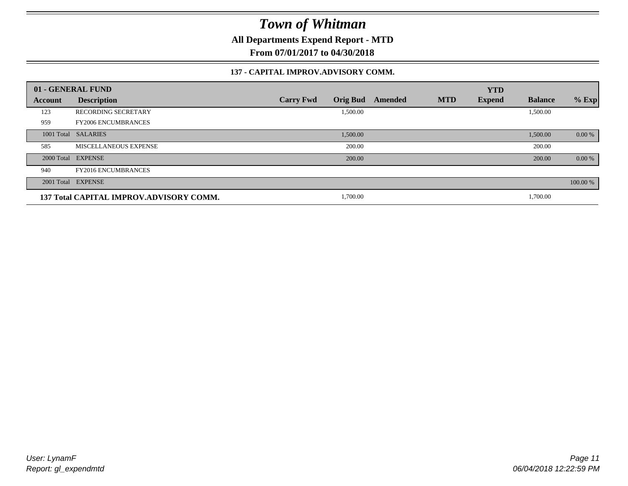**All Departments Expend Report - MTD**

**From 07/01/2017 to 04/30/2018**

#### **137 - CAPITAL IMPROV.ADVISORY COMM.**

|            | 01 - GENERAL FUND                       |                                     |         |            | <b>YTD</b>    |                |          |
|------------|-----------------------------------------|-------------------------------------|---------|------------|---------------|----------------|----------|
| Account    | <b>Description</b>                      | <b>Orig Bud</b><br><b>Carry Fwd</b> | Amended | <b>MTD</b> | <b>Expend</b> | <b>Balance</b> | $%$ Exp  |
| 123        | <b>RECORDING SECRETARY</b>              | 1,500.00                            |         |            |               | 1,500.00       |          |
| 959        | <b>FY2006 ENCUMBRANCES</b>              |                                     |         |            |               |                |          |
| 1001 Total | <b>SALARIES</b>                         | 1,500.00                            |         |            |               | 1,500.00       | $0.00\%$ |
| 585        | MISCELLANEOUS EXPENSE                   | 200.00                              |         |            |               | 200.00         |          |
|            | 2000 Total EXPENSE                      | 200.00                              |         |            |               | 200.00         | 0.00 %   |
| 940        | <b>FY2016 ENCUMBRANCES</b>              |                                     |         |            |               |                |          |
|            | 2001 Total EXPENSE                      |                                     |         |            |               |                | 100.00 % |
|            | 137 Total CAPITAL IMPROV.ADVISORY COMM. | 1,700.00                            |         |            |               | 1,700.00       |          |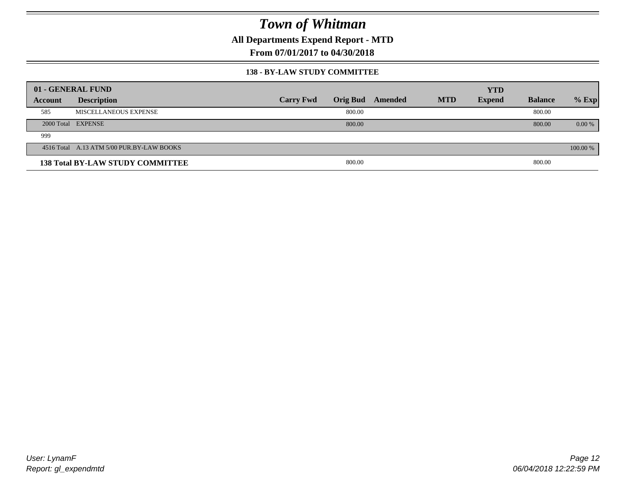**All Departments Expend Report - MTD**

**From 07/01/2017 to 04/30/2018**

#### **138 - BY-LAW STUDY COMMITTEE**

|         | 01 - GENERAL FUND                         |                  |        |                  |            | <b>YTD</b>    |                |          |
|---------|-------------------------------------------|------------------|--------|------------------|------------|---------------|----------------|----------|
| Account | <b>Description</b>                        | <b>Carry Fwd</b> |        | Orig Bud Amended | <b>MTD</b> | <b>Expend</b> | <b>Balance</b> | $%$ Exp  |
| 585     | MISCELLANEOUS EXPENSE                     |                  | 800.00 |                  |            |               | 800.00         |          |
|         | 2000 Total EXPENSE                        |                  | 800.00 |                  |            |               | 800.00         | $0.00\%$ |
| 999     |                                           |                  |        |                  |            |               |                |          |
|         | 4516 Total A.13 ATM 5/00 PUR.BY-LAW BOOKS |                  |        |                  |            |               |                | 100.00 % |
|         | <b>138 Total BY-LAW STUDY COMMITTEE</b>   |                  | 800.00 |                  |            |               | 800.00         |          |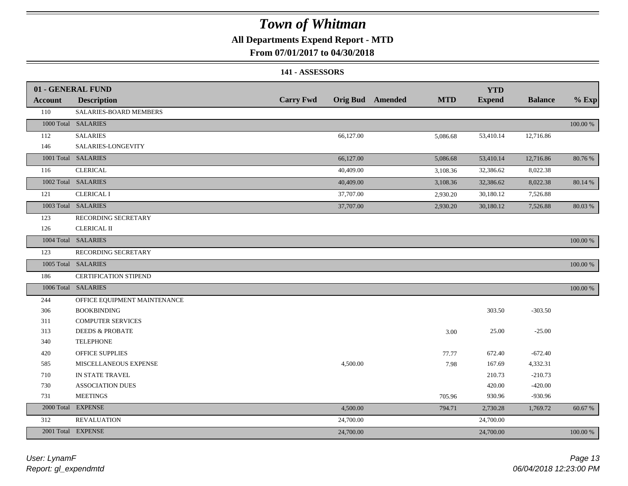### **All Departments Expend Report - MTD**

### **From 07/01/2017 to 04/30/2018**

#### **141 - ASSESSORS**

|                | 01 - GENERAL FUND            |                  |           |                         |            | <b>YTD</b>    |                |             |
|----------------|------------------------------|------------------|-----------|-------------------------|------------|---------------|----------------|-------------|
| <b>Account</b> | <b>Description</b>           | <b>Carry Fwd</b> |           | <b>Orig Bud</b> Amended | <b>MTD</b> | <b>Expend</b> | <b>Balance</b> | $%$ Exp     |
| 110            | SALARIES-BOARD MEMBERS       |                  |           |                         |            |               |                |             |
|                | 1000 Total SALARIES          |                  |           |                         |            |               |                | 100.00 %    |
| 112            | <b>SALARIES</b>              |                  | 66,127.00 |                         | 5,086.68   | 53,410.14     | 12,716.86      |             |
| 146            | SALARIES-LONGEVITY           |                  |           |                         |            |               |                |             |
|                | 1001 Total SALARIES          |                  | 66,127.00 |                         | 5,086.68   | 53,410.14     | 12,716.86      | 80.76 %     |
| 116            | <b>CLERICAL</b>              |                  | 40,409.00 |                         | 3,108.36   | 32,386.62     | 8,022.38       |             |
|                | 1002 Total SALARIES          |                  | 40,409.00 |                         | 3,108.36   | 32,386.62     | 8,022.38       | 80.14 %     |
| 121            | <b>CLERICAL I</b>            |                  | 37,707.00 |                         | 2,930.20   | 30,180.12     | 7,526.88       |             |
|                | 1003 Total SALARIES          |                  | 37,707.00 |                         | 2,930.20   | 30,180.12     | 7,526.88       | 80.03%      |
| 123            | RECORDING SECRETARY          |                  |           |                         |            |               |                |             |
| 126            | <b>CLERICAL II</b>           |                  |           |                         |            |               |                |             |
|                | 1004 Total SALARIES          |                  |           |                         |            |               |                | 100.00 %    |
| 123            | RECORDING SECRETARY          |                  |           |                         |            |               |                |             |
|                | 1005 Total SALARIES          |                  |           |                         |            |               |                | $100.00~\%$ |
| 186            | <b>CERTIFICATION STIPEND</b> |                  |           |                         |            |               |                |             |
|                | 1006 Total SALARIES          |                  |           |                         |            |               |                | 100.00 %    |
| 244            | OFFICE EQUIPMENT MAINTENANCE |                  |           |                         |            |               |                |             |
| 306            | <b>BOOKBINDING</b>           |                  |           |                         |            | 303.50        | $-303.50$      |             |
| 311            | <b>COMPUTER SERVICES</b>     |                  |           |                         |            |               |                |             |
| 313            | <b>DEEDS &amp; PROBATE</b>   |                  |           |                         | 3.00       | 25.00         | $-25.00$       |             |
| 340            | <b>TELEPHONE</b>             |                  |           |                         |            |               |                |             |
| 420            | OFFICE SUPPLIES              |                  |           |                         | 77.77      | 672.40        | $-672.40$      |             |
| 585            | MISCELLANEOUS EXPENSE        |                  | 4,500.00  |                         | 7.98       | 167.69        | 4,332.31       |             |
| 710            | IN STATE TRAVEL              |                  |           |                         |            | 210.73        | $-210.73$      |             |
| 730            | <b>ASSOCIATION DUES</b>      |                  |           |                         |            | 420.00        | $-420.00$      |             |
| 731            | <b>MEETINGS</b>              |                  |           |                         | 705.96     | 930.96        | -930.96        |             |
|                | 2000 Total EXPENSE           |                  | 4,500.00  |                         | 794.71     | 2,730.28      | 1,769.72       | 60.67 %     |
| 312            | <b>REVALUATION</b>           |                  | 24,700.00 |                         |            | 24,700.00     |                |             |
|                | 2001 Total EXPENSE           |                  | 24,700.00 |                         |            | 24,700.00     |                | 100.00 %    |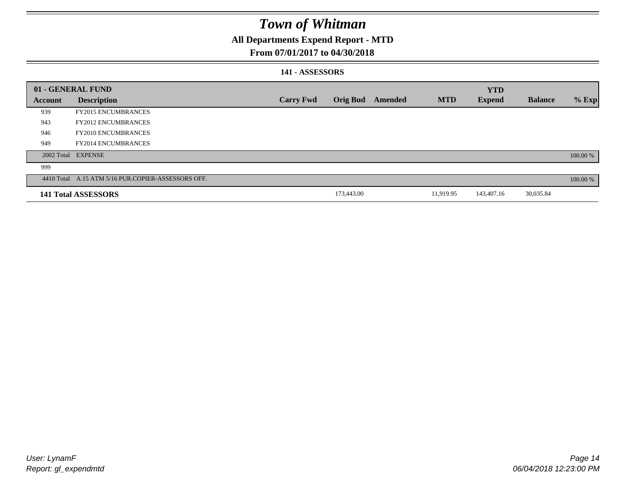### **All Departments Expend Report - MTD**

### **From 07/01/2017 to 04/30/2018**

### **141 - ASSESSORS**

|         | 01 - GENERAL FUND                                  |                  |                 |         |            | <b>YTD</b>    |                |          |
|---------|----------------------------------------------------|------------------|-----------------|---------|------------|---------------|----------------|----------|
| Account | <b>Description</b>                                 | <b>Carry Fwd</b> | <b>Orig Bud</b> | Amended | <b>MTD</b> | <b>Expend</b> | <b>Balance</b> | $%$ Exp  |
| 939     | <b>FY2015 ENCUMBRANCES</b>                         |                  |                 |         |            |               |                |          |
| 943     | <b>FY2012 ENCUMBRANCES</b>                         |                  |                 |         |            |               |                |          |
| 946     | <b>FY2010 ENCUMBRANCES</b>                         |                  |                 |         |            |               |                |          |
| 949     | <b>FY2014 ENCUMBRANCES</b>                         |                  |                 |         |            |               |                |          |
|         | 2002 Total EXPENSE                                 |                  |                 |         |            |               |                | 100.00 % |
| 999     |                                                    |                  |                 |         |            |               |                |          |
|         | 4410 Total A.15 ATM 5/16 PUR.COPIER-ASSESSORS OFF. |                  |                 |         |            |               |                | 100.00 % |
|         | 141 Total ASSESSORS                                |                  | 173,443.00      |         | 11,919.95  | 143,407.16    | 30,035.84      |          |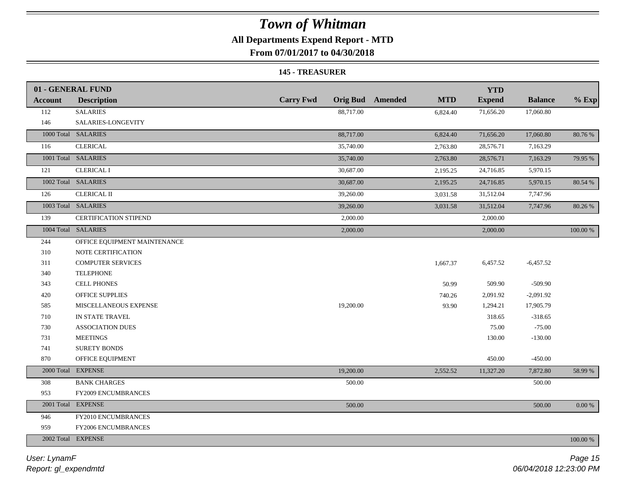### **All Departments Expend Report - MTD**

**From 07/01/2017 to 04/30/2018**

#### **145 - TREASURER**

|                | 01 - GENERAL FUND            |                  |                                       | <b>YTD</b>    |                |           |
|----------------|------------------------------|------------------|---------------------------------------|---------------|----------------|-----------|
| <b>Account</b> | <b>Description</b>           | <b>Carry Fwd</b> | <b>MTD</b><br><b>Orig Bud</b> Amended | <b>Expend</b> | <b>Balance</b> | $%$ Exp   |
| 112            | <b>SALARIES</b>              | 88,717.00        | 6,824.40                              | 71,656.20     | 17,060.80      |           |
| 146            | SALARIES-LONGEVITY           |                  |                                       |               |                |           |
|                | 1000 Total SALARIES          | 88,717.00        | 6,824.40                              | 71,656.20     | 17,060.80      | 80.76 %   |
| 116            | <b>CLERICAL</b>              | 35,740.00        | 2,763.80                              | 28,576.71     | 7,163.29       |           |
|                | 1001 Total SALARIES          | 35,740.00        | 2,763.80                              | 28,576.71     | 7,163.29       | 79.95 %   |
| 121            | <b>CLERICAL I</b>            | 30,687.00        | 2,195.25                              | 24,716.85     | 5,970.15       |           |
|                | 1002 Total SALARIES          | 30,687.00        | 2,195.25                              | 24,716.85     | 5,970.15       | 80.54 %   |
| 126            | <b>CLERICAL II</b>           | 39,260.00        | 3,031.58                              | 31,512.04     | 7,747.96       |           |
|                | 1003 Total SALARIES          | 39,260.00        | 3,031.58                              | 31,512.04     | 7,747.96       | 80.26 %   |
| 139            | CERTIFICATION STIPEND        | 2,000.00         |                                       | 2,000.00      |                |           |
|                | 1004 Total SALARIES          | 2,000.00         |                                       | 2,000.00      |                | 100.00 %  |
| 244            | OFFICE EQUIPMENT MAINTENANCE |                  |                                       |               |                |           |
| 310            | NOTE CERTIFICATION           |                  |                                       |               |                |           |
| 311            | <b>COMPUTER SERVICES</b>     |                  | 1,667.37                              | 6,457.52      | $-6,457.52$    |           |
| 340            | <b>TELEPHONE</b>             |                  |                                       |               |                |           |
| 343            | <b>CELL PHONES</b>           |                  | 50.99                                 | 509.90        | $-509.90$      |           |
| 420            | OFFICE SUPPLIES              |                  | 740.26                                | 2,091.92      | $-2,091.92$    |           |
| 585            | MISCELLANEOUS EXPENSE        | 19,200.00        | 93.90                                 | 1,294.21      | 17,905.79      |           |
| 710            | IN STATE TRAVEL              |                  |                                       | 318.65        | $-318.65$      |           |
| 730            | <b>ASSOCIATION DUES</b>      |                  |                                       | 75.00         | $-75.00$       |           |
| 731            | <b>MEETINGS</b>              |                  |                                       | 130.00        | $-130.00$      |           |
| 741            | <b>SURETY BONDS</b>          |                  |                                       |               |                |           |
| 870            | OFFICE EQUIPMENT             |                  |                                       | 450.00        | $-450.00$      |           |
|                | 2000 Total EXPENSE           | 19,200.00        | 2,552.52                              | 11,327.20     | 7,872.80       | 58.99%    |
| 308            | <b>BANK CHARGES</b>          | 500.00           |                                       |               | 500.00         |           |
| 953            | FY2009 ENCUMBRANCES          |                  |                                       |               |                |           |
|                | 2001 Total EXPENSE           | 500.00           |                                       |               | 500.00         | $0.00 \%$ |
| 946            | FY2010 ENCUMBRANCES          |                  |                                       |               |                |           |
| 959            | FY2006 ENCUMBRANCES          |                  |                                       |               |                |           |
|                | 2002 Total EXPENSE           |                  |                                       |               |                | 100.00 %  |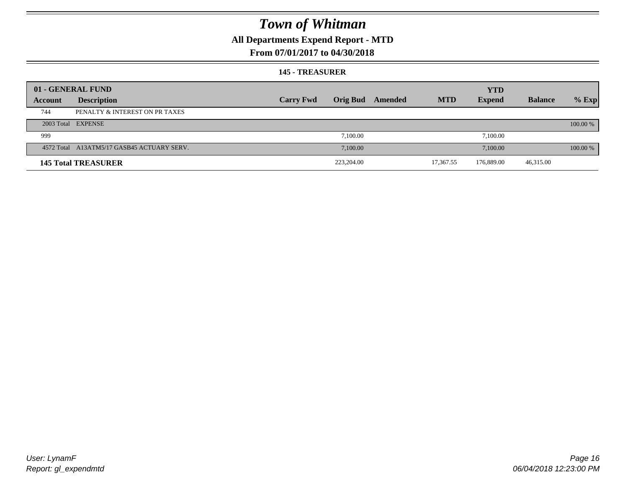### **All Departments Expend Report - MTD**

### **From 07/01/2017 to 04/30/2018**

#### **145 - TREASURER**

|         | 01 - GENERAL FUND                          |                  |                 |         |            | <b>YTD</b>    |                |          |
|---------|--------------------------------------------|------------------|-----------------|---------|------------|---------------|----------------|----------|
| Account | <b>Description</b>                         | <b>Carry Fwd</b> | <b>Orig Bud</b> | Amended | <b>MTD</b> | <b>Expend</b> | <b>Balance</b> | $%$ Exp  |
| 744     | PENALTY & INTEREST ON PR TAXES             |                  |                 |         |            |               |                |          |
|         | 2003 Total EXPENSE                         |                  |                 |         |            |               |                | 100.00 % |
| 999     |                                            |                  | 7,100.00        |         |            | 7,100.00      |                |          |
|         | 4572 Total A13ATM5/17 GASB45 ACTUARY SERV. |                  | 7,100.00        |         |            | 7.100.00      |                | 100.00 % |
|         | <b>145 Total TREASURER</b>                 |                  | 223,204.00      |         | 17,367.55  | 176,889.00    | 46,315.00      |          |
|         |                                            |                  |                 |         |            |               |                |          |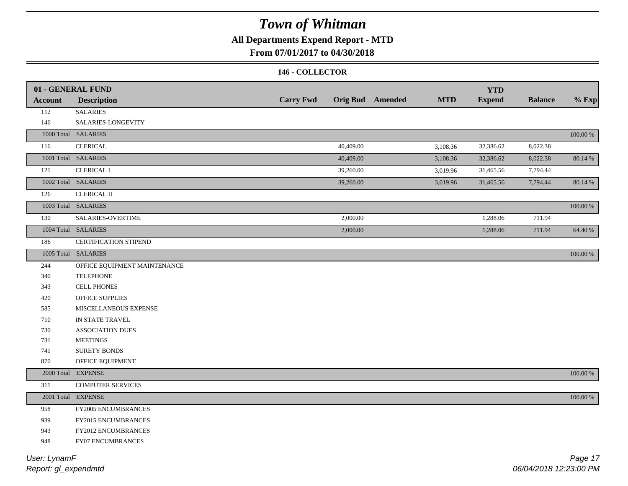### **All Departments Expend Report - MTD**

### **From 07/01/2017 to 04/30/2018**

#### **146 - COLLECTOR**

|                | 01 - GENERAL FUND            |                  |                         |            | <b>YTD</b>    |                |          |
|----------------|------------------------------|------------------|-------------------------|------------|---------------|----------------|----------|
| <b>Account</b> | <b>Description</b>           | <b>Carry Fwd</b> | <b>Orig Bud</b> Amended | <b>MTD</b> | <b>Expend</b> | <b>Balance</b> | $%$ Exp  |
| 112            | <b>SALARIES</b>              |                  |                         |            |               |                |          |
| 146            | SALARIES-LONGEVITY           |                  |                         |            |               |                |          |
|                | 1000 Total SALARIES          |                  |                         |            |               |                | 100.00 % |
| 116            | <b>CLERICAL</b>              | 40,409.00        |                         | 3,108.36   | 32,386.62     | 8,022.38       |          |
|                | 1001 Total SALARIES          | 40,409.00        |                         | 3,108.36   | 32,386.62     | 8,022.38       | 80.14 %  |
| 121            | <b>CLERICAL I</b>            | 39,260.00        |                         | 3,019.96   | 31,465.56     | 7,794.44       |          |
|                | 1002 Total SALARIES          | 39,260.00        |                         | 3,019.96   | 31,465.56     | 7,794.44       | 80.14 %  |
| 126            | <b>CLERICAL II</b>           |                  |                         |            |               |                |          |
|                | 1003 Total SALARIES          |                  |                         |            |               |                | 100.00 % |
| 130            | SALARIES-OVERTIME            | 2,000.00         |                         |            | 1,288.06      | 711.94         |          |
|                | 1004 Total SALARIES          | 2,000.00         |                         |            | 1,288.06      | 711.94         | 64.40 %  |
| 186            | CERTIFICATION STIPEND        |                  |                         |            |               |                |          |
|                | 1005 Total SALARIES          |                  |                         |            |               |                | 100.00 % |
| 244            | OFFICE EQUIPMENT MAINTENANCE |                  |                         |            |               |                |          |
| 340            | <b>TELEPHONE</b>             |                  |                         |            |               |                |          |
| 343            | <b>CELL PHONES</b>           |                  |                         |            |               |                |          |
| 420            | OFFICE SUPPLIES              |                  |                         |            |               |                |          |
| 585            | MISCELLANEOUS EXPENSE        |                  |                         |            |               |                |          |
| 710            | IN STATE TRAVEL              |                  |                         |            |               |                |          |
| 730            | <b>ASSOCIATION DUES</b>      |                  |                         |            |               |                |          |
| 731            | <b>MEETINGS</b>              |                  |                         |            |               |                |          |
| 741            | <b>SURETY BONDS</b>          |                  |                         |            |               |                |          |
| 870            | OFFICE EQUIPMENT             |                  |                         |            |               |                |          |
|                | 2000 Total EXPENSE           |                  |                         |            |               |                | 100.00 % |
| 311            | <b>COMPUTER SERVICES</b>     |                  |                         |            |               |                |          |
|                | 2001 Total EXPENSE           |                  |                         |            |               |                | 100.00 % |
| 958            | FY2005 ENCUMBRANCES          |                  |                         |            |               |                |          |
| 939            | FY2015 ENCUMBRANCES          |                  |                         |            |               |                |          |
| 943            | FY2012 ENCUMBRANCES          |                  |                         |            |               |                |          |
| 948            | FY07 ENCUMBRANCES            |                  |                         |            |               |                |          |
|                |                              |                  |                         |            |               |                |          |

*Report: gl\_expendmtd User: LynamF*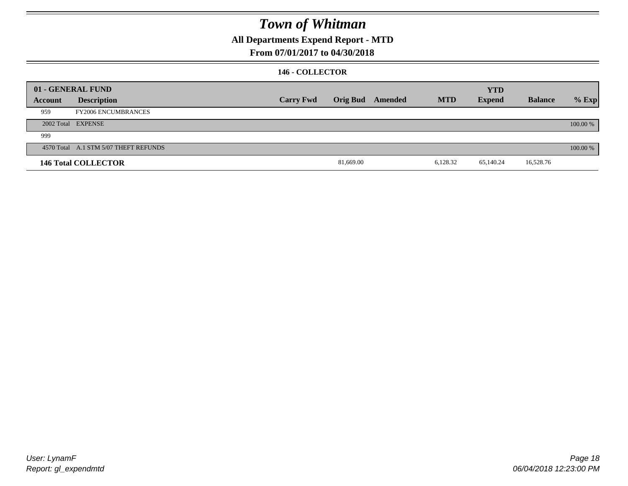### **All Departments Expend Report - MTD**

### **From 07/01/2017 to 04/30/2018**

### **146 - COLLECTOR**

|         | 01 - GENERAL FUND                     |                  |           |                  |            | <b>YTD</b>    |                |          |
|---------|---------------------------------------|------------------|-----------|------------------|------------|---------------|----------------|----------|
| Account | <b>Description</b>                    | <b>Carry Fwd</b> |           | Orig Bud Amended | <b>MTD</b> | <b>Expend</b> | <b>Balance</b> | $%$ Exp  |
| 959     | <b>FY2006 ENCUMBRANCES</b>            |                  |           |                  |            |               |                |          |
|         | 2002 Total EXPENSE                    |                  |           |                  |            |               |                | 100.00 % |
| 999     |                                       |                  |           |                  |            |               |                |          |
|         | 4570 Total A.1 STM 5/07 THEFT REFUNDS |                  |           |                  |            |               |                | 100.00 % |
|         | <b>146 Total COLLECTOR</b>            |                  | 81,669.00 |                  | 6,128.32   | 65,140.24     | 16,528.76      |          |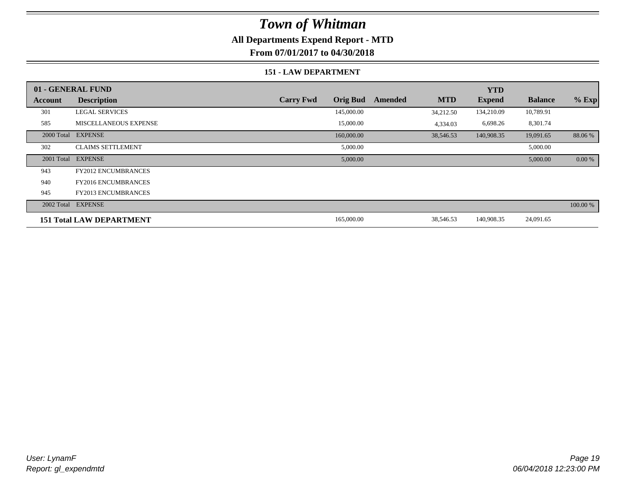### **All Departments Expend Report - MTD**

**From 07/01/2017 to 04/30/2018**

#### **151 - LAW DEPARTMENT**

|         | 01 - GENERAL FUND               |                                     |                       | <b>YTD</b>    |                |          |
|---------|---------------------------------|-------------------------------------|-----------------------|---------------|----------------|----------|
| Account | <b>Description</b>              | <b>Orig Bud</b><br><b>Carry Fwd</b> | <b>MTD</b><br>Amended | <b>Expend</b> | <b>Balance</b> | $%$ Exp  |
| 301     | <b>LEGAL SERVICES</b>           | 145,000.00                          | 34,212.50             | 134,210.09    | 10,789.91      |          |
| 585     | <b>MISCELLANEOUS EXPENSE</b>    | 15,000.00                           | 4,334.03              | 6,698.26      | 8,301.74       |          |
|         | 2000 Total EXPENSE              | 160,000.00                          | 38,546.53             | 140,908.35    | 19,091.65      | 88.06%   |
| 302     | <b>CLAIMS SETTLEMENT</b>        | 5,000.00                            |                       |               | 5,000.00       |          |
|         | 2001 Total EXPENSE              | 5,000.00                            |                       |               | 5,000.00       | 0.00 %   |
| 943     | <b>FY2012 ENCUMBRANCES</b>      |                                     |                       |               |                |          |
| 940     | <b>FY2016 ENCUMBRANCES</b>      |                                     |                       |               |                |          |
| 945     | <b>FY2013 ENCUMBRANCES</b>      |                                     |                       |               |                |          |
|         | 2002 Total EXPENSE              |                                     |                       |               |                | 100.00 % |
|         | <b>151 Total LAW DEPARTMENT</b> | 165,000.00                          | 38,546.53             | 140,908.35    | 24,091.65      |          |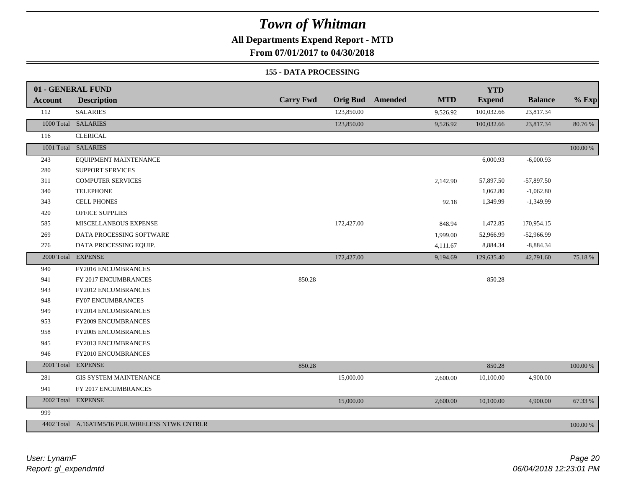**All Departments Expend Report - MTD**

**From 07/01/2017 to 04/30/2018**

#### **155 - DATA PROCESSING**

|                | 01 - GENERAL FUND                                |                  |                 |                |            | <b>YTD</b>    |                |             |
|----------------|--------------------------------------------------|------------------|-----------------|----------------|------------|---------------|----------------|-------------|
| <b>Account</b> | <b>Description</b>                               | <b>Carry Fwd</b> | <b>Orig Bud</b> | <b>Amended</b> | <b>MTD</b> | <b>Expend</b> | <b>Balance</b> | $%$ Exp     |
| 112            | <b>SALARIES</b>                                  |                  | 123,850.00      |                | 9,526.92   | 100,032.66    | 23,817.34      |             |
|                | 1000 Total SALARIES                              |                  | 123,850.00      |                | 9,526.92   | 100,032.66    | 23,817.34      | 80.76 %     |
| 116            | <b>CLERICAL</b>                                  |                  |                 |                |            |               |                |             |
|                | 1001 Total SALARIES                              |                  |                 |                |            |               |                | $100.00~\%$ |
| 243            | EQUIPMENT MAINTENANCE                            |                  |                 |                |            | 6,000.93      | $-6,000.93$    |             |
| 280            | SUPPORT SERVICES                                 |                  |                 |                |            |               |                |             |
| 311            | <b>COMPUTER SERVICES</b>                         |                  |                 |                | 2,142.90   | 57,897.50     | $-57,897.50$   |             |
| 340            | <b>TELEPHONE</b>                                 |                  |                 |                |            | 1,062.80      | $-1,062.80$    |             |
| 343            | <b>CELL PHONES</b>                               |                  |                 |                | 92.18      | 1,349.99      | $-1,349.99$    |             |
| 420            | <b>OFFICE SUPPLIES</b>                           |                  |                 |                |            |               |                |             |
| 585            | MISCELLANEOUS EXPENSE                            |                  | 172,427.00      |                | 848.94     | 1,472.85      | 170,954.15     |             |
| 269            | DATA PROCESSING SOFTWARE                         |                  |                 |                | 1,999.00   | 52,966.99     | $-52,966.99$   |             |
| 276            | DATA PROCESSING EQUIP.                           |                  |                 |                | 4,111.67   | 8,884.34      | $-8,884.34$    |             |
|                | 2000 Total EXPENSE                               |                  | 172,427.00      |                | 9,194.69   | 129,635.40    | 42,791.60      | 75.18%      |
| 940            | FY2016 ENCUMBRANCES                              |                  |                 |                |            |               |                |             |
| 941            | FY 2017 ENCUMBRANCES                             | 850.28           |                 |                |            | 850.28        |                |             |
| 943            | FY2012 ENCUMBRANCES                              |                  |                 |                |            |               |                |             |
| 948            | FY07 ENCUMBRANCES                                |                  |                 |                |            |               |                |             |
| 949            | FY2014 ENCUMBRANCES                              |                  |                 |                |            |               |                |             |
| 953            | FY2009 ENCUMBRANCES                              |                  |                 |                |            |               |                |             |
| 958            | <b>FY2005 ENCUMBRANCES</b>                       |                  |                 |                |            |               |                |             |
| 945            | FY2013 ENCUMBRANCES                              |                  |                 |                |            |               |                |             |
| 946            | FY2010 ENCUMBRANCES                              |                  |                 |                |            |               |                |             |
|                | 2001 Total EXPENSE                               | 850.28           |                 |                |            | 850.28        |                | $100.00~\%$ |
| 281            | <b>GIS SYSTEM MAINTENANCE</b>                    |                  | 15,000.00       |                | 2,600.00   | 10,100.00     | 4,900.00       |             |
| 941            | FY 2017 ENCUMBRANCES                             |                  |                 |                |            |               |                |             |
|                | 2002 Total EXPENSE                               |                  | 15,000.00       |                | 2,600.00   | 10,100.00     | 4,900.00       | 67.33 %     |
| 999            |                                                  |                  |                 |                |            |               |                |             |
|                | 4402 Total A.16ATM5/16 PUR. WIRELESS NTWK CNTRLR |                  |                 |                |            |               |                | 100.00 %    |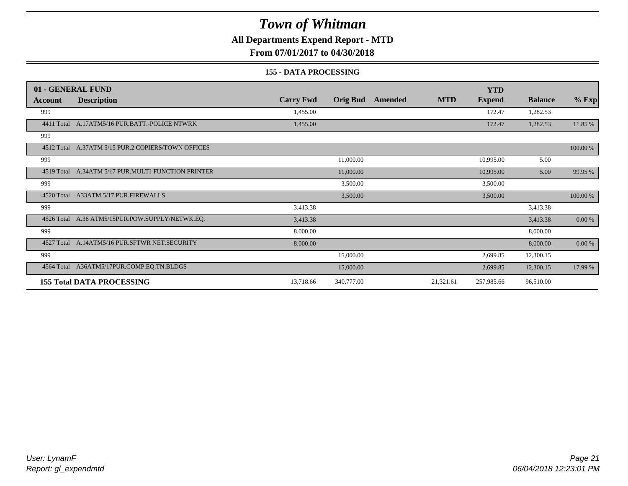**All Departments Expend Report - MTD**

**From 07/01/2017 to 04/30/2018**

#### **155 - DATA PROCESSING**

|            | 01 - GENERAL FUND                                  |                  |                 |         |            | <b>YTD</b>    |                |           |
|------------|----------------------------------------------------|------------------|-----------------|---------|------------|---------------|----------------|-----------|
| Account    | <b>Description</b>                                 | <b>Carry Fwd</b> | <b>Orig Bud</b> | Amended | <b>MTD</b> | <b>Expend</b> | <b>Balance</b> | $%$ Exp   |
| 999        |                                                    | 1,455.00         |                 |         |            | 172.47        | 1,282.53       |           |
|            | 4411 Total A.17ATM5/16 PUR.BATT.-POLICE NTWRK      | 1,455.00         |                 |         |            | 172.47        | 1,282.53       | 11.85 %   |
| 999        |                                                    |                  |                 |         |            |               |                |           |
|            | 4512 Total A.37ATM 5/15 PUR.2 COPIERS/TOWN OFFICES |                  |                 |         |            |               |                | 100.00 %  |
| 999        |                                                    |                  | 11,000.00       |         |            | 10,995.00     | 5.00           |           |
| 4519 Total | A.34ATM 5/17 PUR.MULTI-FUNCTION PRINTER            |                  | 11,000.00       |         |            | 10,995.00     | 5.00           | 99.95 %   |
| 999        |                                                    |                  | 3,500.00        |         |            | 3,500.00      |                |           |
|            | 4520 Total A33ATM 5/17 PUR.FIREWALLS               |                  | 3,500.00        |         |            | 3,500.00      |                | 100.00 %  |
| 999        |                                                    | 3,413.38         |                 |         |            |               | 3,413.38       |           |
|            | 4526 Total A.36 ATM5/15PUR.POW.SUPPLY/NETWK.EQ.    | 3,413.38         |                 |         |            |               | 3,413.38       | $0.00 \%$ |
| 999        |                                                    | 8,000.00         |                 |         |            |               | 8,000.00       |           |
|            | 4527 Total A.14ATM5/16 PUR.SFTWR NET.SECURITY      | 8,000.00         |                 |         |            |               | 8,000.00       | 0.00 %    |
| 999        |                                                    |                  | 15,000.00       |         |            | 2,699.85      | 12,300.15      |           |
| 4564 Total | A36ATM5/17PUR.COMP.EQ.TN.BLDGS                     |                  | 15,000.00       |         |            | 2,699.85      | 12,300.15      | 17.99 %   |
|            | <b>155 Total DATA PROCESSING</b>                   | 13,718.66        | 340,777.00      |         | 21,321.61  | 257,985.66    | 96,510.00      |           |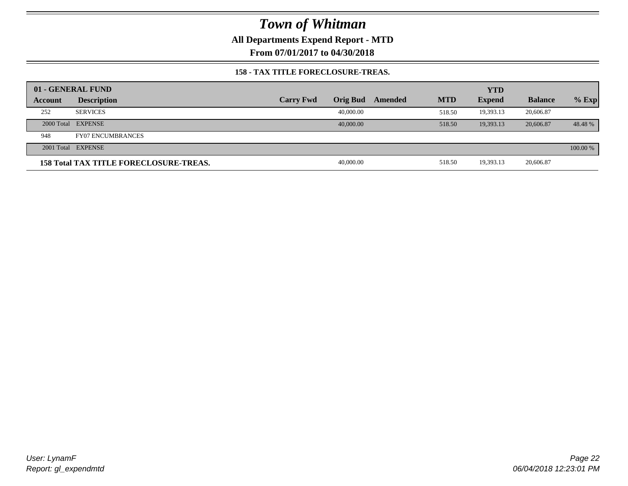**All Departments Expend Report - MTD**

**From 07/01/2017 to 04/30/2018**

#### **158 - TAX TITLE FORECLOSURE-TREAS.**

|         | 01 - GENERAL FUND                             |                  |                 |         |            | <b>YTD</b>    |                |          |
|---------|-----------------------------------------------|------------------|-----------------|---------|------------|---------------|----------------|----------|
| Account | <b>Description</b>                            | <b>Carry Fwd</b> | <b>Orig Bud</b> | Amended | <b>MTD</b> | <b>Expend</b> | <b>Balance</b> | $%$ Exp  |
| 252     | <b>SERVICES</b>                               |                  | 40,000.00       |         | 518.50     | 19,393.13     | 20,606.87      |          |
|         | 2000 Total EXPENSE                            |                  | 40,000,00       |         | 518.50     | 19.393.13     | 20,606.87      | 48.48%   |
| 948     | <b>FY07 ENCUMBRANCES</b>                      |                  |                 |         |            |               |                |          |
|         | 2001 Total EXPENSE                            |                  |                 |         |            |               |                | 100.00 % |
|         | <b>158 Total TAX TITLE FORECLOSURE-TREAS.</b> |                  | 40,000.00       |         | 518.50     | 19,393.13     | 20,606.87      |          |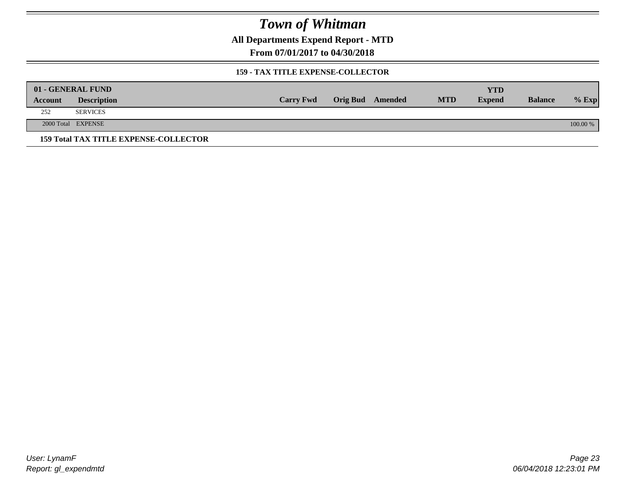**All Departments Expend Report - MTD**

**From 07/01/2017 to 04/30/2018**

### **159 - TAX TITLE EXPENSE-COLLECTOR**

|         | 01 - GENERAL FUND                            |                  |                         |            | YTD           |                |          |
|---------|----------------------------------------------|------------------|-------------------------|------------|---------------|----------------|----------|
| Account | <b>Description</b>                           | <b>Carry Fwd</b> | <b>Orig Bud</b> Amended | <b>MTD</b> | <b>Expend</b> | <b>Balance</b> | $%$ Exp  |
| 252     | <b>SERVICES</b>                              |                  |                         |            |               |                |          |
|         | 2000 Total EXPENSE                           |                  |                         |            |               |                | 100.00 % |
|         | <b>159 Total TAX TITLE EXPENSE-COLLECTOR</b> |                  |                         |            |               |                |          |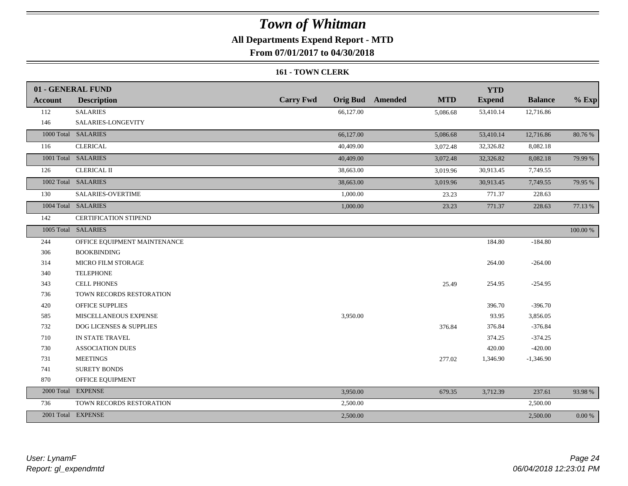### **All Departments Expend Report - MTD**

**From 07/01/2017 to 04/30/2018**

#### **161 - TOWN CLERK**

|                | 01 - GENERAL FUND            |                  |                                       | <b>YTD</b>    |                |           |
|----------------|------------------------------|------------------|---------------------------------------|---------------|----------------|-----------|
| <b>Account</b> | <b>Description</b>           | <b>Carry Fwd</b> | <b>Orig Bud</b> Amended<br><b>MTD</b> | <b>Expend</b> | <b>Balance</b> | $%$ Exp   |
| 112            | <b>SALARIES</b>              | 66,127.00        | 5,086.68                              | 53,410.14     | 12,716.86      |           |
| 146            | SALARIES-LONGEVITY           |                  |                                       |               |                |           |
|                | 1000 Total SALARIES          | 66,127.00        | 5,086.68                              | 53,410.14     | 12,716.86      | 80.76 %   |
| 116            | <b>CLERICAL</b>              | 40,409.00        | 3,072.48                              | 32,326.82     | 8,082.18       |           |
|                | 1001 Total SALARIES          | 40,409.00        | 3,072.48                              | 32,326.82     | 8,082.18       | 79.99 %   |
| 126            | <b>CLERICAL II</b>           | 38,663.00        | 3,019.96                              | 30,913.45     | 7,749.55       |           |
|                | 1002 Total SALARIES          | 38,663.00        | 3,019.96                              | 30,913.45     | 7,749.55       | 79.95 %   |
| 130            | SALARIES-OVERTIME            | 1,000.00         | 23.23                                 | 771.37        | 228.63         |           |
|                | 1004 Total SALARIES          | 1,000.00         | 23.23                                 | 771.37        | 228.63         | 77.13 %   |
| 142            | <b>CERTIFICATION STIPEND</b> |                  |                                       |               |                |           |
|                | 1005 Total SALARIES          |                  |                                       |               |                | 100.00 %  |
| 244            | OFFICE EQUIPMENT MAINTENANCE |                  |                                       | 184.80        | $-184.80$      |           |
| 306            | <b>BOOKBINDING</b>           |                  |                                       |               |                |           |
| 314            | <b>MICRO FILM STORAGE</b>    |                  |                                       | 264.00        | $-264.00$      |           |
| 340            | <b>TELEPHONE</b>             |                  |                                       |               |                |           |
| 343            | <b>CELL PHONES</b>           |                  | 25.49                                 | 254.95        | $-254.95$      |           |
| 736            | TOWN RECORDS RESTORATION     |                  |                                       |               |                |           |
| 420            | OFFICE SUPPLIES              |                  |                                       | 396.70        | $-396.70$      |           |
| 585            | MISCELLANEOUS EXPENSE        | 3,950.00         |                                       | 93.95         | 3,856.05       |           |
| 732            | DOG LICENSES & SUPPLIES      |                  | 376.84                                | 376.84        | $-376.84$      |           |
| 710            | IN STATE TRAVEL              |                  |                                       | 374.25        | $-374.25$      |           |
| 730            | <b>ASSOCIATION DUES</b>      |                  |                                       | 420.00        | $-420.00$      |           |
| 731            | <b>MEETINGS</b>              |                  | 277.02                                | 1,346.90      | $-1,346.90$    |           |
| 741            | <b>SURETY BONDS</b>          |                  |                                       |               |                |           |
| 870            | OFFICE EQUIPMENT             |                  |                                       |               |                |           |
|                | 2000 Total EXPENSE           | 3,950.00         | 679.35                                | 3,712.39      | 237.61         | 93.98%    |
| 736            | TOWN RECORDS RESTORATION     | 2,500.00         |                                       |               | 2,500.00       |           |
|                | 2001 Total EXPENSE           | 2,500.00         |                                       |               | 2,500.00       | $0.00 \%$ |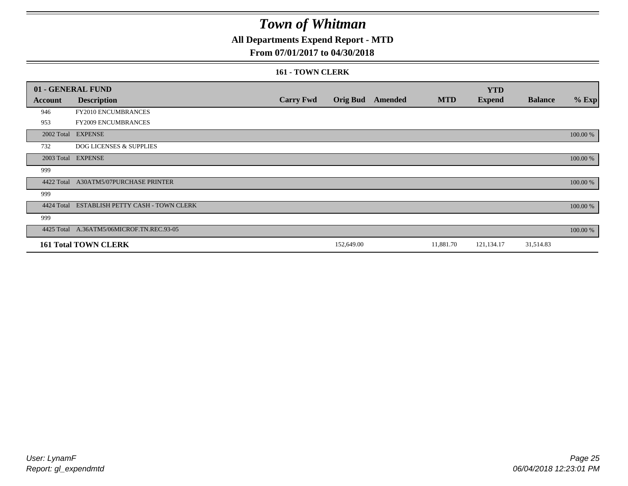### **All Departments Expend Report - MTD**

### **From 07/01/2017 to 04/30/2018**

#### **161 - TOWN CLERK**

|            | 01 - GENERAL FUND                         |                  |                 |         |            | <b>YTD</b>    |                |          |
|------------|-------------------------------------------|------------------|-----------------|---------|------------|---------------|----------------|----------|
| Account    | <b>Description</b>                        | <b>Carry Fwd</b> | <b>Orig Bud</b> | Amended | <b>MTD</b> | <b>Expend</b> | <b>Balance</b> | $%$ Exp  |
| 946        | FY2010 ENCUMBRANCES                       |                  |                 |         |            |               |                |          |
| 953        | FY2009 ENCUMBRANCES                       |                  |                 |         |            |               |                |          |
|            | 2002 Total EXPENSE                        |                  |                 |         |            |               |                | 100.00 % |
| 732        | <b>DOG LICENSES &amp; SUPPLIES</b>        |                  |                 |         |            |               |                |          |
|            | 2003 Total EXPENSE                        |                  |                 |         |            |               |                | 100.00 % |
| 999        |                                           |                  |                 |         |            |               |                |          |
| 4422 Total | A30ATM5/07PURCHASE PRINTER                |                  |                 |         |            |               |                | 100.00 % |
| 999        |                                           |                  |                 |         |            |               |                |          |
| 4424 Total | ESTABLISH PETTY CASH - TOWN CLERK         |                  |                 |         |            |               |                | 100.00 % |
| 999        |                                           |                  |                 |         |            |               |                |          |
|            | 4425 Total A.36ATM5/06MICROF.TN.REC.93-05 |                  |                 |         |            |               |                | 100.00 % |
|            | <b>161 Total TOWN CLERK</b>               |                  | 152,649.00      |         | 11,881.70  | 121,134.17    | 31,514.83      |          |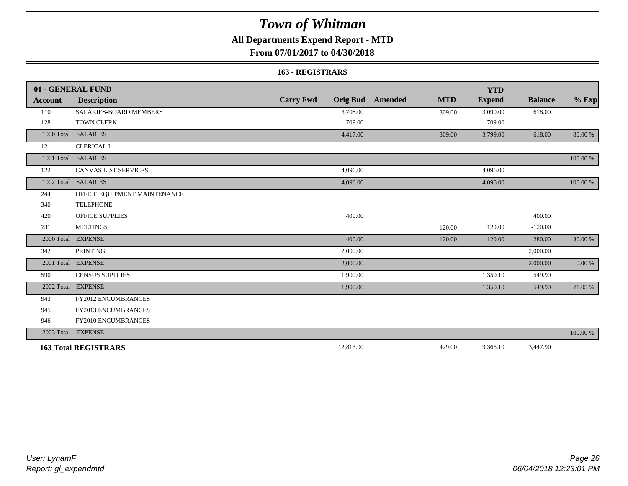### **All Departments Expend Report - MTD**

**From 07/01/2017 to 04/30/2018**

#### **163 - REGISTRARS**

|                | 01 - GENERAL FUND            |                                     |                              | <b>YTD</b>    |                |            |
|----------------|------------------------------|-------------------------------------|------------------------------|---------------|----------------|------------|
| <b>Account</b> | <b>Description</b>           | <b>Carry Fwd</b><br><b>Orig Bud</b> | <b>MTD</b><br><b>Amended</b> | <b>Expend</b> | <b>Balance</b> | $%$ Exp    |
| 110            | SALARIES-BOARD MEMBERS       | 3,708.00                            | 309.00                       | 3,090.00      | 618.00         |            |
| 128            | <b>TOWN CLERK</b>            | 709.00                              |                              | 709.00        |                |            |
|                | 1000 Total SALARIES          | 4,417.00                            | 309.00                       | 3,799.00      | 618.00         | 86.00 %    |
| 121            | <b>CLERICAL I</b>            |                                     |                              |               |                |            |
|                | 1001 Total SALARIES          |                                     |                              |               |                | 100.00 %   |
| 122            | <b>CANVAS LIST SERVICES</b>  | 4,096.00                            |                              | 4,096.00      |                |            |
|                | 1002 Total SALARIES          | 4,096.00                            |                              | 4,096.00      |                | 100.00 %   |
| 244            | OFFICE EQUIPMENT MAINTENANCE |                                     |                              |               |                |            |
| 340            | <b>TELEPHONE</b>             |                                     |                              |               |                |            |
| 420            | <b>OFFICE SUPPLIES</b>       | 400.00                              |                              |               | 400.00         |            |
| 731            | <b>MEETINGS</b>              |                                     | 120.00                       | 120.00        | $-120.00$      |            |
| 2000 Total     | <b>EXPENSE</b>               | 400.00                              | 120.00                       | 120.00        | 280.00         | 30.00 %    |
| 342            | <b>PRINTING</b>              | 2,000.00                            |                              |               | 2,000.00       |            |
|                | 2001 Total EXPENSE           | 2,000.00                            |                              |               | 2,000.00       | $0.00\ \%$ |
| 590            | <b>CENSUS SUPPLIES</b>       | 1,900.00                            |                              | 1,350.10      | 549.90         |            |
| 2002 Total     | <b>EXPENSE</b>               | 1,900.00                            |                              | 1,350.10      | 549.90         | 71.05 %    |
| 943            | <b>FY2012 ENCUMBRANCES</b>   |                                     |                              |               |                |            |
| 945            | <b>FY2013 ENCUMBRANCES</b>   |                                     |                              |               |                |            |
| 946            | FY2010 ENCUMBRANCES          |                                     |                              |               |                |            |
|                | 2003 Total EXPENSE           |                                     |                              |               |                | 100.00 %   |
|                | <b>163 Total REGISTRARS</b>  | 12,813.00                           | 429.00                       | 9,365.10      | 3,447.90       |            |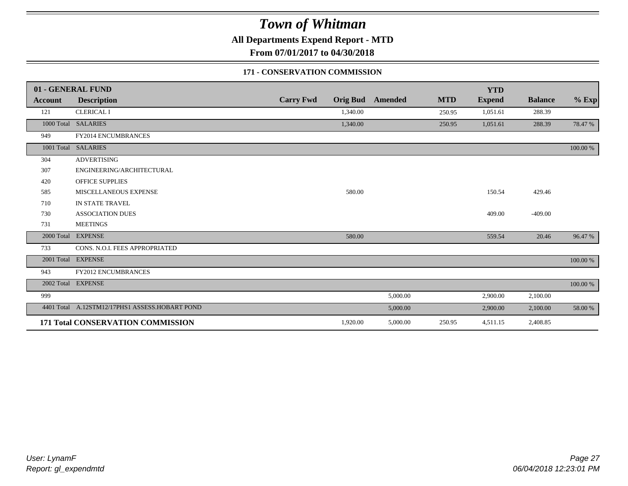**All Departments Expend Report - MTD**

**From 07/01/2017 to 04/30/2018**

### **171 - CONSERVATION COMMISSION**

|                | 01 - GENERAL FUND                              |                  |          |                         |            | <b>YTD</b>    |                |          |
|----------------|------------------------------------------------|------------------|----------|-------------------------|------------|---------------|----------------|----------|
| <b>Account</b> | <b>Description</b>                             | <b>Carry Fwd</b> |          | <b>Orig Bud</b> Amended | <b>MTD</b> | <b>Expend</b> | <b>Balance</b> | $%$ Exp  |
| 121            | <b>CLERICAL I</b>                              |                  | 1,340.00 |                         | 250.95     | 1,051.61      | 288.39         |          |
|                | 1000 Total SALARIES                            |                  | 1,340.00 |                         | 250.95     | 1,051.61      | 288.39         | 78.47 %  |
| 949            | FY2014 ENCUMBRANCES                            |                  |          |                         |            |               |                |          |
| 1001 Total     | <b>SALARIES</b>                                |                  |          |                         |            |               |                | 100.00 % |
| 304            | <b>ADVERTISING</b>                             |                  |          |                         |            |               |                |          |
| 307            | ENGINEERING/ARCHITECTURAL                      |                  |          |                         |            |               |                |          |
| 420            | <b>OFFICE SUPPLIES</b>                         |                  |          |                         |            |               |                |          |
| 585            | MISCELLANEOUS EXPENSE                          |                  | 580.00   |                         |            | 150.54        | 429.46         |          |
| 710            | <b>IN STATE TRAVEL</b>                         |                  |          |                         |            |               |                |          |
| 730            | <b>ASSOCIATION DUES</b>                        |                  |          |                         |            | 409.00        | $-409.00$      |          |
| 731            | <b>MEETINGS</b>                                |                  |          |                         |            |               |                |          |
| 2000 Total     | <b>EXPENSE</b>                                 |                  | 580.00   |                         |            | 559.54        | 20.46          | 96.47 %  |
| 733            | CONS. N.O.I. FEES APPROPRIATED                 |                  |          |                         |            |               |                |          |
| 2001 Total     | <b>EXPENSE</b>                                 |                  |          |                         |            |               |                | 100.00 % |
| 943            | <b>FY2012 ENCUMBRANCES</b>                     |                  |          |                         |            |               |                |          |
|                | 2002 Total EXPENSE                             |                  |          |                         |            |               |                | 100.00 % |
| 999            |                                                |                  |          | 5,000.00                |            | 2,900.00      | 2,100.00       |          |
|                | 4401 Total A.12STM12/17PHS1 ASSESS.HOBART POND |                  |          | 5,000.00                |            | 2,900.00      | 2,100.00       | 58.00 %  |
|                | 171 Total CONSERVATION COMMISSION              |                  | 1,920.00 | 5,000.00                | 250.95     | 4,511.15      | 2,408.85       |          |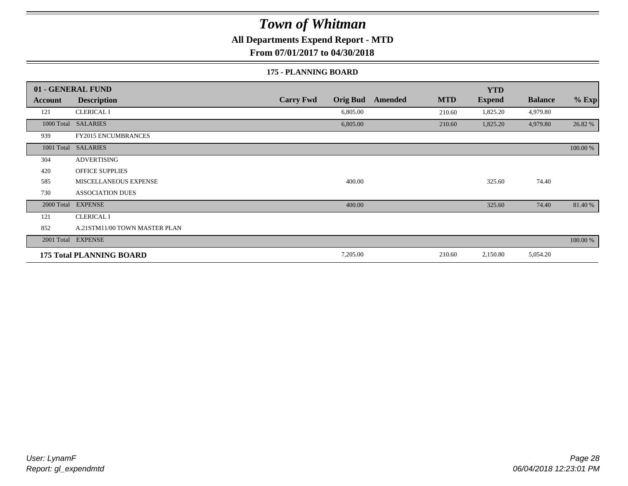**All Departments Expend Report - MTD**

**From 07/01/2017 to 04/30/2018**

#### **175 - PLANNING BOARD**

|                | 01 - GENERAL FUND               |                                     |                       | <b>YTD</b>    |                |          |
|----------------|---------------------------------|-------------------------------------|-----------------------|---------------|----------------|----------|
| <b>Account</b> | <b>Description</b>              | <b>Carry Fwd</b><br><b>Orig Bud</b> | <b>MTD</b><br>Amended | <b>Expend</b> | <b>Balance</b> | $%$ Exp  |
| 121            | <b>CLERICAL I</b>               | 6,805.00                            | 210.60                | 1,825.20      | 4,979.80       |          |
| 1000 Total     | <b>SALARIES</b>                 | 6,805.00                            | 210.60                | 1,825.20      | 4,979.80       | 26.82 %  |
| 939            | <b>FY2015 ENCUMBRANCES</b>      |                                     |                       |               |                |          |
| 1001 Total     | <b>SALARIES</b>                 |                                     |                       |               |                | 100.00 % |
| 304            | <b>ADVERTISING</b>              |                                     |                       |               |                |          |
| 420            | <b>OFFICE SUPPLIES</b>          |                                     |                       |               |                |          |
| 585            | MISCELLANEOUS EXPENSE           | 400.00                              |                       | 325.60        | 74.40          |          |
| 730            | <b>ASSOCIATION DUES</b>         |                                     |                       |               |                |          |
| 2000 Total     | <b>EXPENSE</b>                  | 400.00                              |                       | 325.60        | 74.40          | 81.40 %  |
| 121            | <b>CLERICAL I</b>               |                                     |                       |               |                |          |
| 852            | A.21STM11/00 TOWN MASTER PLAN   |                                     |                       |               |                |          |
|                | 2001 Total EXPENSE              |                                     |                       |               |                | 100.00 % |
|                | <b>175 Total PLANNING BOARD</b> | 7,205.00                            | 210.60                | 2,150.80      | 5,054.20       |          |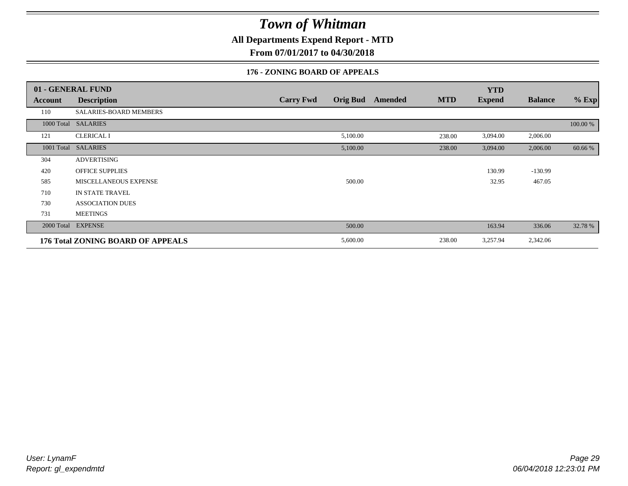**All Departments Expend Report - MTD**

**From 07/01/2017 to 04/30/2018**

### **176 - ZONING BOARD OF APPEALS**

|            | 01 - GENERAL FUND                 |                                     |                              | <b>YTD</b>    |                |          |
|------------|-----------------------------------|-------------------------------------|------------------------------|---------------|----------------|----------|
| Account    | <b>Description</b>                | <b>Carry Fwd</b><br><b>Orig Bud</b> | <b>MTD</b><br><b>Amended</b> | <b>Expend</b> | <b>Balance</b> | $%$ Exp  |
| 110        | SALARIES-BOARD MEMBERS            |                                     |                              |               |                |          |
|            | 1000 Total SALARIES               |                                     |                              |               |                | 100.00 % |
| 121        | <b>CLERICAL I</b>                 | 5,100.00                            | 238.00                       | 3,094.00      | 2,006.00       |          |
| 1001 Total | <b>SALARIES</b>                   | 5,100.00                            | 238.00                       | 3,094.00      | 2,006.00       | 60.66 %  |
| 304        | <b>ADVERTISING</b>                |                                     |                              |               |                |          |
| 420        | <b>OFFICE SUPPLIES</b>            |                                     |                              | 130.99        | $-130.99$      |          |
| 585        | MISCELLANEOUS EXPENSE             | 500.00                              |                              | 32.95         | 467.05         |          |
| 710        | IN STATE TRAVEL                   |                                     |                              |               |                |          |
| 730        | <b>ASSOCIATION DUES</b>           |                                     |                              |               |                |          |
| 731        | <b>MEETINGS</b>                   |                                     |                              |               |                |          |
| 2000 Total | <b>EXPENSE</b>                    | 500.00                              |                              | 163.94        | 336.06         | 32.78 %  |
|            | 176 Total ZONING BOARD OF APPEALS | 5,600.00                            | 238.00                       | 3,257.94      | 2,342.06       |          |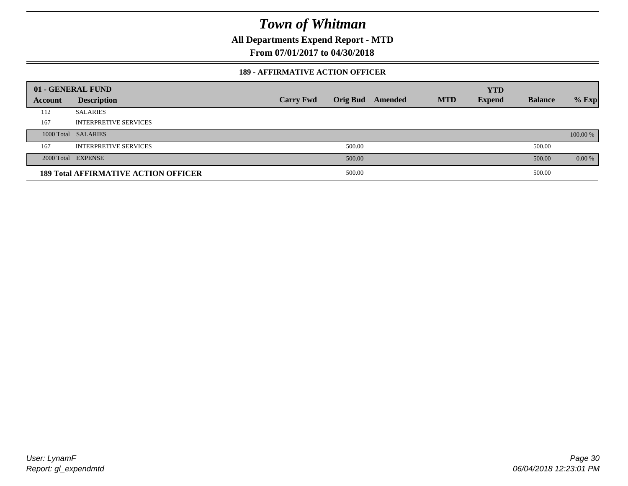**All Departments Expend Report - MTD**

**From 07/01/2017 to 04/30/2018**

#### **189 - AFFIRMATIVE ACTION OFFICER**

|         | 01 - GENERAL FUND                           |                  |        |                         |            | <b>YTD</b>    |                |          |
|---------|---------------------------------------------|------------------|--------|-------------------------|------------|---------------|----------------|----------|
| Account | <b>Description</b>                          | <b>Carry Fwd</b> |        | <b>Orig Bud</b> Amended | <b>MTD</b> | <b>Expend</b> | <b>Balance</b> | $%$ Exp  |
| 112     | <b>SALARIES</b>                             |                  |        |                         |            |               |                |          |
| 167     | <b>INTERPRETIVE SERVICES</b>                |                  |        |                         |            |               |                |          |
|         | 1000 Total SALARIES                         |                  |        |                         |            |               |                | 100.00 % |
| 167     | <b>INTERPRETIVE SERVICES</b>                |                  | 500.00 |                         |            |               | 500.00         |          |
|         | 2000 Total EXPENSE                          |                  | 500.00 |                         |            |               | 500.00         | $0.00\%$ |
|         | <b>189 Total AFFIRMATIVE ACTION OFFICER</b> |                  | 500.00 |                         |            |               | 500.00         |          |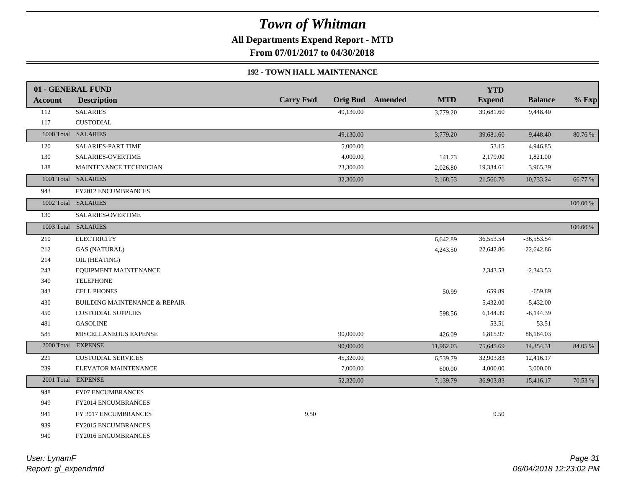**All Departments Expend Report - MTD**

**From 07/01/2017 to 04/30/2018**

### **192 - TOWN HALL MAINTENANCE**

|                | 01 - GENERAL FUND                        |                  |           |                         |            | <b>YTD</b>    |                |             |
|----------------|------------------------------------------|------------------|-----------|-------------------------|------------|---------------|----------------|-------------|
| <b>Account</b> | <b>Description</b>                       | <b>Carry Fwd</b> |           | <b>Orig Bud</b> Amended | <b>MTD</b> | <b>Expend</b> | <b>Balance</b> | $%$ Exp     |
| 112            | <b>SALARIES</b>                          |                  | 49,130.00 |                         | 3,779.20   | 39,681.60     | 9,448.40       |             |
| 117            | <b>CUSTODIAL</b>                         |                  |           |                         |            |               |                |             |
|                | 1000 Total SALARIES                      |                  | 49,130.00 |                         | 3,779.20   | 39,681.60     | 9,448.40       | 80.76%      |
| 120            | SALARIES-PART TIME                       |                  | 5,000.00  |                         |            | 53.15         | 4,946.85       |             |
| 130            | SALARIES-OVERTIME                        |                  | 4,000.00  |                         | 141.73     | 2,179.00      | 1,821.00       |             |
| 188            | MAINTENANCE TECHNICIAN                   |                  | 23,300.00 |                         | 2,026.80   | 19,334.61     | 3,965.39       |             |
|                | 1001 Total SALARIES                      |                  | 32,300.00 |                         | 2,168.53   | 21,566.76     | 10,733.24      | 66.77 %     |
| 943            | <b>FY2012 ENCUMBRANCES</b>               |                  |           |                         |            |               |                |             |
|                | 1002 Total SALARIES                      |                  |           |                         |            |               |                | 100.00 %    |
| 130            | SALARIES-OVERTIME                        |                  |           |                         |            |               |                |             |
|                | 1003 Total SALARIES                      |                  |           |                         |            |               |                | $100.00~\%$ |
| 210            | <b>ELECTRICITY</b>                       |                  |           |                         | 6,642.89   | 36,553.54     | $-36,553.54$   |             |
| 212            | <b>GAS (NATURAL)</b>                     |                  |           |                         | 4,243.50   | 22,642.86     | $-22,642.86$   |             |
| 214            | OIL (HEATING)                            |                  |           |                         |            |               |                |             |
| 243            | EQUIPMENT MAINTENANCE                    |                  |           |                         |            | 2,343.53      | $-2,343.53$    |             |
| 340            | <b>TELEPHONE</b>                         |                  |           |                         |            |               |                |             |
| 343            | <b>CELL PHONES</b>                       |                  |           |                         | 50.99      | 659.89        | $-659.89$      |             |
| 430            | <b>BUILDING MAINTENANCE &amp; REPAIR</b> |                  |           |                         |            | 5,432.00      | $-5,432.00$    |             |
| 450            | <b>CUSTODIAL SUPPLIES</b>                |                  |           |                         | 598.56     | 6,144.39      | $-6,144.39$    |             |
| 481            | <b>GASOLINE</b>                          |                  |           |                         |            | 53.51         | $-53.51$       |             |
| 585            | MISCELLANEOUS EXPENSE                    |                  | 90,000.00 |                         | 426.09     | 1,815.97      | 88,184.03      |             |
|                | 2000 Total EXPENSE                       |                  | 90,000.00 |                         | 11,962.03  | 75,645.69     | 14,354.31      | 84.05 %     |
| 221            | <b>CUSTODIAL SERVICES</b>                |                  | 45,320.00 |                         | 6,539.79   | 32,903.83     | 12,416.17      |             |
| 239            | ELEVATOR MAINTENANCE                     |                  | 7,000.00  |                         | 600.00     | 4,000.00      | 3,000.00       |             |
|                | 2001 Total EXPENSE                       |                  | 52,320.00 |                         | 7,139.79   | 36,903.83     | 15,416.17      | 70.53 %     |
| 948            | <b>FY07 ENCUMBRANCES</b>                 |                  |           |                         |            |               |                |             |
| 949            | <b>FY2014 ENCUMBRANCES</b>               |                  |           |                         |            |               |                |             |
| 941            | FY 2017 ENCUMBRANCES                     | 9.50             |           |                         |            | 9.50          |                |             |
| 939            | <b>FY2015 ENCUMBRANCES</b>               |                  |           |                         |            |               |                |             |
| 940            | FY2016 ENCUMBRANCES                      |                  |           |                         |            |               |                |             |
|                |                                          |                  |           |                         |            |               |                |             |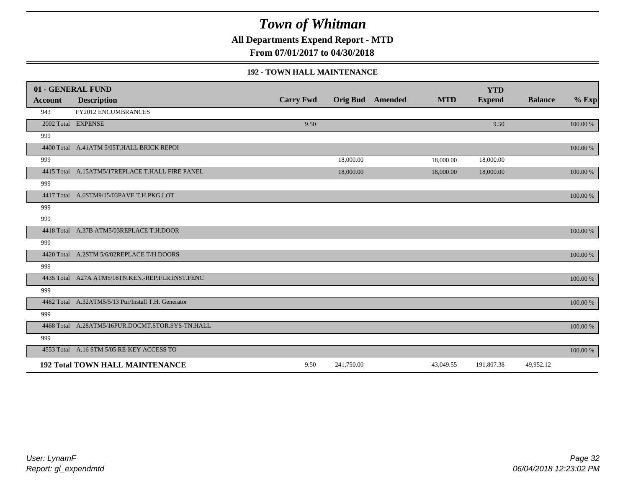**All Departments Expend Report - MTD**

**From 07/01/2017 to 04/30/2018**

#### **192 - TOWN HALL MAINTENANCE**

|         | 01 - GENERAL FUND                                   |                  |            |                         |            | <b>YTD</b>    |                |             |
|---------|-----------------------------------------------------|------------------|------------|-------------------------|------------|---------------|----------------|-------------|
| Account | <b>Description</b>                                  | <b>Carry Fwd</b> |            | <b>Orig Bud</b> Amended | <b>MTD</b> | <b>Expend</b> | <b>Balance</b> | $%$ Exp     |
| 943     | <b>FY2012 ENCUMBRANCES</b>                          |                  |            |                         |            |               |                |             |
|         | 2002 Total EXPENSE                                  | 9.50             |            |                         |            | 9.50          |                | 100.00 %    |
| 999     |                                                     |                  |            |                         |            |               |                |             |
|         | 4400 Total A.41ATM 5/05T.HALL BRICK REPOI           |                  |            |                         |            |               |                | $100.00~\%$ |
| 999     |                                                     |                  | 18,000.00  |                         | 18,000.00  | 18,000.00     |                |             |
|         | 4415 Total A.15ATM5/17REPLACE T.HALL FIRE PANEL     |                  | 18,000.00  |                         | 18,000.00  | 18,000.00     |                | 100.00 %    |
| 999     |                                                     |                  |            |                         |            |               |                |             |
|         | 4417 Total A.6STM9/15/03PAVE T.H.PKG.LOT            |                  |            |                         |            |               |                | $100.00~\%$ |
| 999     |                                                     |                  |            |                         |            |               |                |             |
| 999     |                                                     |                  |            |                         |            |               |                |             |
|         | 4418 Total A.37B ATM5/03REPLACE T.H.DOOR            |                  |            |                         |            |               |                | 100.00 %    |
| 999     |                                                     |                  |            |                         |            |               |                |             |
|         | 4420 Total A.2STM 5/6/02REPLACE T/H DOORS           |                  |            |                         |            |               |                | $100.00~\%$ |
| 999     |                                                     |                  |            |                         |            |               |                |             |
|         | 4435 Total A27A ATM5/16TN.KEN.-REP.FLR.INST.FENC    |                  |            |                         |            |               |                | 100.00 %    |
| 999     |                                                     |                  |            |                         |            |               |                |             |
|         | 4462 Total A.32ATM5/5/13 Pur/Install T.H. Generator |                  |            |                         |            |               |                | $100.00~\%$ |
| 999     |                                                     |                  |            |                         |            |               |                |             |
|         | 4468 Total A.28ATM5/16PUR.DOCMT.STOR.SYS-TN.HALL    |                  |            |                         |            |               |                | 100.00 %    |
| 999     |                                                     |                  |            |                         |            |               |                |             |
|         | 4553 Total A.16 STM 5/05 RE-KEY ACCESS TO           |                  |            |                         |            |               |                | 100.00 %    |
|         | <b>192 Total TOWN HALL MAINTENANCE</b>              | 9.50             | 241,750.00 |                         | 43,049.55  | 191,807.38    | 49,952.12      |             |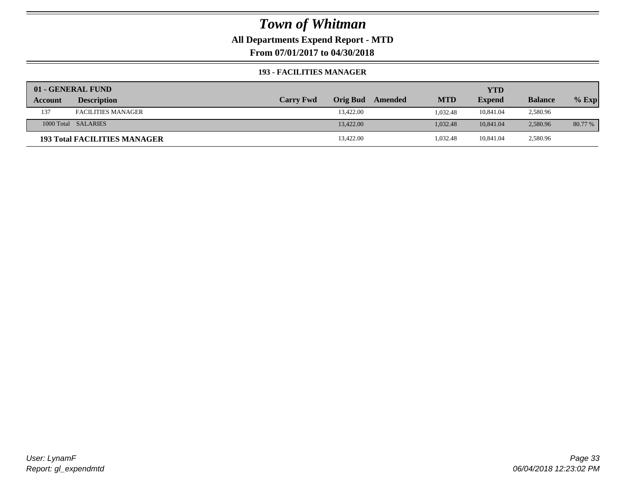**All Departments Expend Report - MTD**

**From 07/01/2017 to 04/30/2018**

#### **193 - FACILITIES MANAGER**

|         | 01 - GENERAL FUND                   |                  |                 |         |            | YTD           |                |         |
|---------|-------------------------------------|------------------|-----------------|---------|------------|---------------|----------------|---------|
| Account | <b>Description</b>                  | <b>Carry Fwd</b> | <b>Orig Bud</b> | Amended | <b>MTD</b> | <b>Expend</b> | <b>Balance</b> | $%$ Exp |
| 137     | <b>FACILITIES MANAGER</b>           |                  | 13.422.00       |         | 1.032.48   | 10.841.04     | 2,580.96       |         |
|         | 1000 Total SALARIES                 |                  | 13,422.00       |         | 1.032.48   | 10.841.04     | 2,580.96       | 80.77 % |
|         | <b>193 Total FACILITIES MANAGER</b> |                  | 13,422.00       |         | 1,032.48   | 10.841.04     | 2,580.96       |         |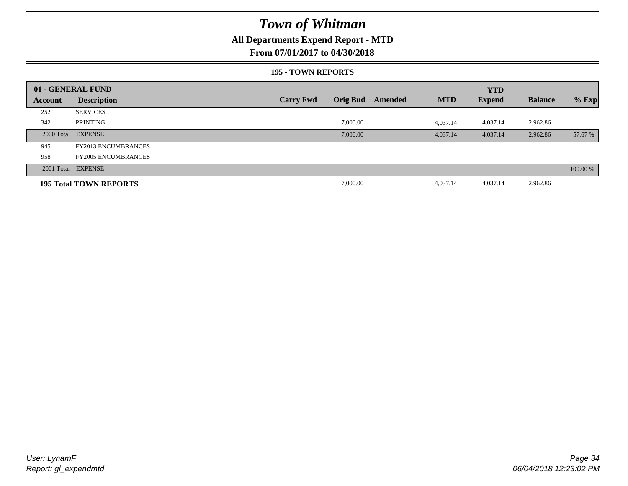### **All Departments Expend Report - MTD**

### **From 07/01/2017 to 04/30/2018**

#### **195 - TOWN REPORTS**

|         | 01 - GENERAL FUND             |                  |                 |         |            | <b>YTD</b>    |                |          |
|---------|-------------------------------|------------------|-----------------|---------|------------|---------------|----------------|----------|
| Account | <b>Description</b>            | <b>Carry Fwd</b> | <b>Orig Bud</b> | Amended | <b>MTD</b> | <b>Expend</b> | <b>Balance</b> | $%$ Exp  |
| 252     | <b>SERVICES</b>               |                  |                 |         |            |               |                |          |
| 342     | PRINTING                      |                  | 7,000.00        |         | 4,037.14   | 4,037.14      | 2,962.86       |          |
|         | 2000 Total EXPENSE            |                  | 7,000.00        |         | 4,037.14   | 4,037.14      | 2,962.86       | 57.67 %  |
| 945     | <b>FY2013 ENCUMBRANCES</b>    |                  |                 |         |            |               |                |          |
| 958     | <b>FY2005 ENCUMBRANCES</b>    |                  |                 |         |            |               |                |          |
|         | 2001 Total EXPENSE            |                  |                 |         |            |               |                | 100.00 % |
|         | <b>195 Total TOWN REPORTS</b> |                  | 7,000.00        |         | 4,037.14   | 4,037.14      | 2,962.86       |          |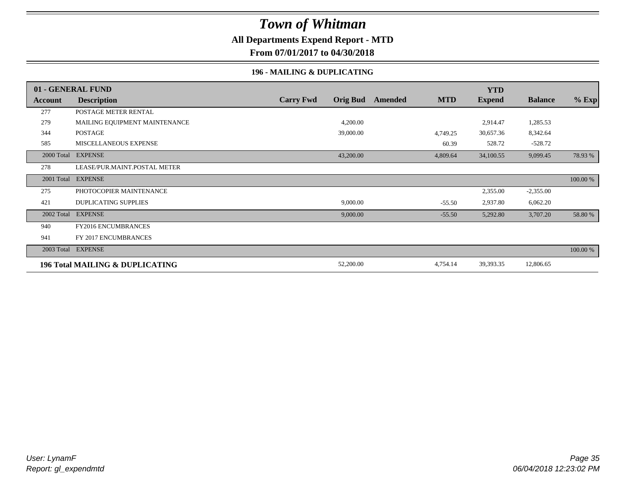### **All Departments Expend Report - MTD**

**From 07/01/2017 to 04/30/2018**

### **196 - MAILING & DUPLICATING**

|            | 01 - GENERAL FUND                          |                  |                 |         |            | <b>YTD</b>    |                |          |
|------------|--------------------------------------------|------------------|-----------------|---------|------------|---------------|----------------|----------|
| Account    | <b>Description</b>                         | <b>Carry Fwd</b> | <b>Orig Bud</b> | Amended | <b>MTD</b> | <b>Expend</b> | <b>Balance</b> | % Exp    |
| 277        | POSTAGE METER RENTAL                       |                  |                 |         |            |               |                |          |
| 279        | MAILING EQUIPMENT MAINTENANCE              |                  | 4,200.00        |         |            | 2,914.47      | 1,285.53       |          |
| 344        | POSTAGE                                    |                  | 39,000.00       |         | 4,749.25   | 30,657.36     | 8,342.64       |          |
| 585        | MISCELLANEOUS EXPENSE                      |                  |                 |         | 60.39      | 528.72        | $-528.72$      |          |
| 2000 Total | <b>EXPENSE</b>                             |                  | 43,200.00       |         | 4,809.64   | 34,100.55     | 9,099.45       | 78.93 %  |
| 278        | LEASE/PUR.MAINT.POSTAL METER               |                  |                 |         |            |               |                |          |
| 2001 Total | <b>EXPENSE</b>                             |                  |                 |         |            |               |                | 100.00 % |
| 275        | PHOTOCOPIER MAINTENANCE                    |                  |                 |         |            | 2,355.00      | $-2,355.00$    |          |
| 421        | <b>DUPLICATING SUPPLIES</b>                |                  | 9,000.00        |         | $-55.50$   | 2,937.80      | 6,062.20       |          |
| 2002 Total | <b>EXPENSE</b>                             |                  | 9,000.00        |         | $-55.50$   | 5,292.80      | 3,707.20       | 58.80 %  |
| 940        | FY2016 ENCUMBRANCES                        |                  |                 |         |            |               |                |          |
| 941        | FY 2017 ENCUMBRANCES                       |                  |                 |         |            |               |                |          |
|            | 2003 Total EXPENSE                         |                  |                 |         |            |               |                | 100.00 % |
|            | <b>196 Total MAILING &amp; DUPLICATING</b> |                  | 52,200.00       |         | 4,754.14   | 39,393.35     | 12,806.65      |          |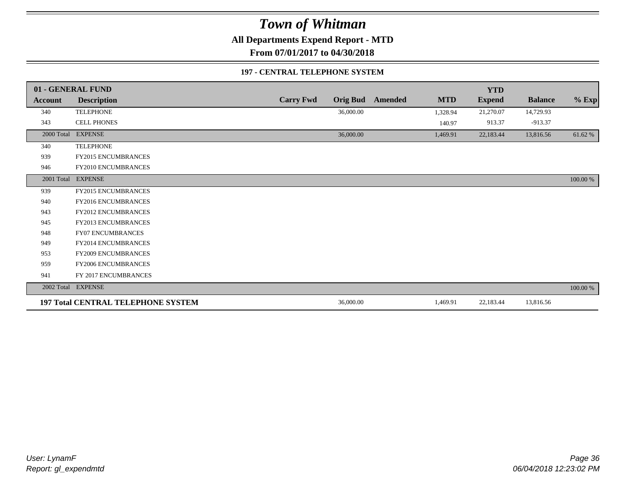**All Departments Expend Report - MTD**

**From 07/01/2017 to 04/30/2018**

### **197 - CENTRAL TELEPHONE SYSTEM**

|            | 01 - GENERAL FUND                         |                  |                 |         |            | <b>YTD</b>    |                |          |
|------------|-------------------------------------------|------------------|-----------------|---------|------------|---------------|----------------|----------|
| Account    | <b>Description</b>                        | <b>Carry Fwd</b> | <b>Orig Bud</b> | Amended | <b>MTD</b> | <b>Expend</b> | <b>Balance</b> | $%$ Exp  |
| 340        | <b>TELEPHONE</b>                          |                  | 36,000.00       |         | 1,328.94   | 21,270.07     | 14,729.93      |          |
| 343        | CELL PHONES                               |                  |                 |         | 140.97     | 913.37        | $-913.37$      |          |
| 2000 Total | <b>EXPENSE</b>                            |                  | 36,000.00       |         | 1,469.91   | 22,183.44     | 13,816.56      | 61.62%   |
| 340        | <b>TELEPHONE</b>                          |                  |                 |         |            |               |                |          |
| 939        | FY2015 ENCUMBRANCES                       |                  |                 |         |            |               |                |          |
| 946        | FY2010 ENCUMBRANCES                       |                  |                 |         |            |               |                |          |
|            | 2001 Total EXPENSE                        |                  |                 |         |            |               |                | 100.00 % |
| 939        | FY2015 ENCUMBRANCES                       |                  |                 |         |            |               |                |          |
| 940        | <b>FY2016 ENCUMBRANCES</b>                |                  |                 |         |            |               |                |          |
| 943        | <b>FY2012 ENCUMBRANCES</b>                |                  |                 |         |            |               |                |          |
| 945        | <b>FY2013 ENCUMBRANCES</b>                |                  |                 |         |            |               |                |          |
| 948        | FY07 ENCUMBRANCES                         |                  |                 |         |            |               |                |          |
| 949        | FY2014 ENCUMBRANCES                       |                  |                 |         |            |               |                |          |
| 953        | <b>FY2009 ENCUMBRANCES</b>                |                  |                 |         |            |               |                |          |
| 959        | FY2006 ENCUMBRANCES                       |                  |                 |         |            |               |                |          |
| 941        | FY 2017 ENCUMBRANCES                      |                  |                 |         |            |               |                |          |
|            | 2002 Total EXPENSE                        |                  |                 |         |            |               |                | 100.00 % |
|            | <b>197 Total CENTRAL TELEPHONE SYSTEM</b> |                  | 36,000.00       |         | 1,469.91   | 22,183.44     | 13,816.56      |          |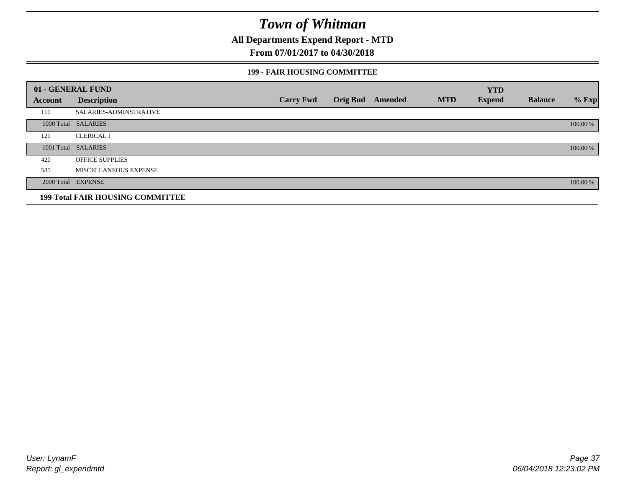**All Departments Expend Report - MTD**

### **From 07/01/2017 to 04/30/2018**

### **199 - FAIR HOUSING COMMITTEE**

|         | 01 - GENERAL FUND                       |                  |                         |            | <b>YTD</b>    |                |          |
|---------|-----------------------------------------|------------------|-------------------------|------------|---------------|----------------|----------|
| Account | <b>Description</b>                      | <b>Carry Fwd</b> | <b>Orig Bud</b> Amended | <b>MTD</b> | <b>Expend</b> | <b>Balance</b> | $%$ Exp  |
| 111     | SALARIES-ADMINSTRATIVE                  |                  |                         |            |               |                |          |
|         | 1000 Total SALARIES                     |                  |                         |            |               |                | 100.00 % |
| 121     | <b>CLERICAL I</b>                       |                  |                         |            |               |                |          |
|         | 1001 Total SALARIES                     |                  |                         |            |               |                | 100.00 % |
| 420     | <b>OFFICE SUPPLIES</b>                  |                  |                         |            |               |                |          |
| 585     | MISCELLANEOUS EXPENSE                   |                  |                         |            |               |                |          |
|         | 2000 Total EXPENSE                      |                  |                         |            |               |                | 100.00 % |
|         | <b>199 Total FAIR HOUSING COMMITTEE</b> |                  |                         |            |               |                |          |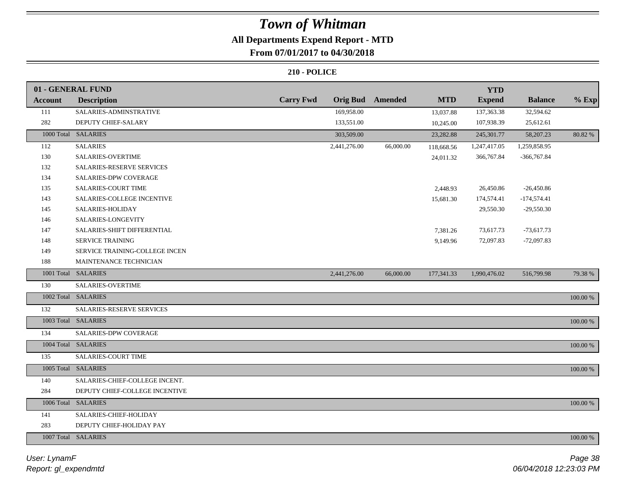### **All Departments Expend Report - MTD**

### **From 07/01/2017 to 04/30/2018**

|                | 01 - GENERAL FUND              |                  |                 |                |            | <b>YTD</b>    |                |             |
|----------------|--------------------------------|------------------|-----------------|----------------|------------|---------------|----------------|-------------|
| <b>Account</b> | <b>Description</b>             | <b>Carry Fwd</b> | <b>Orig Bud</b> | <b>Amended</b> | <b>MTD</b> | <b>Expend</b> | <b>Balance</b> | $%$ Exp     |
| 111            | SALARIES-ADMINSTRATIVE         |                  | 169,958.00      |                | 13,037.88  | 137,363.38    | 32,594.62      |             |
| 282            | DEPUTY CHIEF-SALARY            |                  | 133,551.00      |                | 10,245.00  | 107,938.39    | 25,612.61      |             |
|                | 1000 Total SALARIES            |                  | 303,509.00      |                | 23,282.88  | 245,301.77    | 58,207.23      | 80.82 %     |
| 112            | <b>SALARIES</b>                |                  | 2,441,276.00    | 66,000.00      | 118,668.56 | 1,247,417.05  | 1,259,858.95   |             |
| 130            | SALARIES-OVERTIME              |                  |                 |                | 24,011.32  | 366,767.84    | $-366,767.84$  |             |
| 132            | SALARIES-RESERVE SERVICES      |                  |                 |                |            |               |                |             |
| 134            | <b>SALARIES-DPW COVERAGE</b>   |                  |                 |                |            |               |                |             |
| 135            | SALARIES-COURT TIME            |                  |                 |                | 2,448.93   | 26,450.86     | $-26,450.86$   |             |
| 143            | SALARIES-COLLEGE INCENTIVE     |                  |                 |                | 15,681.30  | 174,574.41    | $-174,574.41$  |             |
| 145            | SALARIES-HOLIDAY               |                  |                 |                |            | 29,550.30     | $-29,550.30$   |             |
| 146            | SALARIES-LONGEVITY             |                  |                 |                |            |               |                |             |
| 147            | SALARIES-SHIFT DIFFERENTIAL    |                  |                 |                | 7,381.26   | 73,617.73     | $-73,617.73$   |             |
| 148            | SERVICE TRAINING               |                  |                 |                | 9,149.96   | 72,097.83     | $-72,097.83$   |             |
| 149            | SERVICE TRAINING-COLLEGE INCEN |                  |                 |                |            |               |                |             |
| 188            | MAINTENANCE TECHNICIAN         |                  |                 |                |            |               |                |             |
|                | 1001 Total SALARIES            |                  | 2,441,276.00    | 66,000.00      | 177,341.33 | 1,990,476.02  | 516,799.98     | 79.38%      |
| 130            | SALARIES-OVERTIME              |                  |                 |                |            |               |                |             |
|                | 1002 Total SALARIES            |                  |                 |                |            |               |                | $100.00~\%$ |
| 132            | SALARIES-RESERVE SERVICES      |                  |                 |                |            |               |                |             |
|                | 1003 Total SALARIES            |                  |                 |                |            |               |                | 100.00 %    |
| 134            | <b>SALARIES-DPW COVERAGE</b>   |                  |                 |                |            |               |                |             |
|                | 1004 Total SALARIES            |                  |                 |                |            |               |                | 100.00 %    |
| 135            | <b>SALARIES-COURT TIME</b>     |                  |                 |                |            |               |                |             |
|                | 1005 Total SALARIES            |                  |                 |                |            |               |                | 100.00 %    |
| 140            | SALARIES-CHIEF-COLLEGE INCENT. |                  |                 |                |            |               |                |             |
| 284            | DEPUTY CHIEF-COLLEGE INCENTIVE |                  |                 |                |            |               |                |             |
|                | 1006 Total SALARIES            |                  |                 |                |            |               |                | $100.00~\%$ |
| 141            | SALARIES-CHIEF-HOLIDAY         |                  |                 |                |            |               |                |             |
| 283            | DEPUTY CHIEF-HOLIDAY PAY       |                  |                 |                |            |               |                |             |
|                | 1007 Total SALARIES            |                  |                 |                |            |               |                | $100.00~\%$ |
|                |                                |                  |                 |                |            |               |                |             |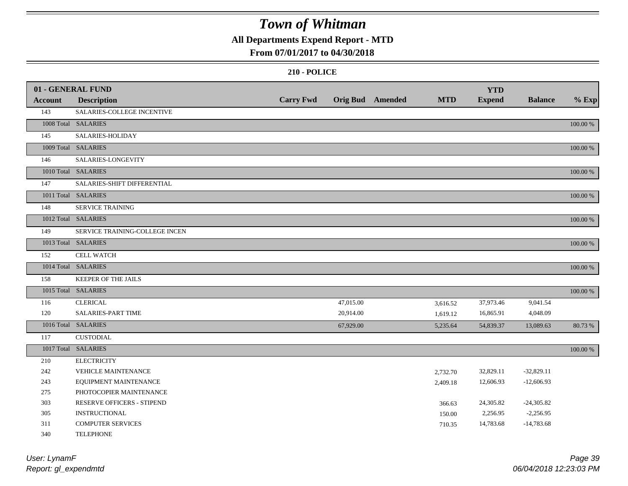### **All Departments Expend Report - MTD**

### **From 07/01/2017 to 04/30/2018**

|                | 01 - GENERAL FUND              |                  |           |                         |            | <b>YTD</b>    |                |          |
|----------------|--------------------------------|------------------|-----------|-------------------------|------------|---------------|----------------|----------|
| <b>Account</b> | <b>Description</b>             | <b>Carry Fwd</b> |           | <b>Orig Bud</b> Amended | <b>MTD</b> | <b>Expend</b> | <b>Balance</b> | $%$ Exp  |
| 143            | SALARIES-COLLEGE INCENTIVE     |                  |           |                         |            |               |                |          |
|                | 1008 Total SALARIES            |                  |           |                         |            |               |                | 100.00 % |
| 145            | SALARIES-HOLIDAY               |                  |           |                         |            |               |                |          |
|                | 1009 Total SALARIES            |                  |           |                         |            |               |                | 100.00 % |
| 146            | SALARIES-LONGEVITY             |                  |           |                         |            |               |                |          |
|                | 1010 Total SALARIES            |                  |           |                         |            |               |                | 100.00 % |
| 147            | SALARIES-SHIFT DIFFERENTIAL    |                  |           |                         |            |               |                |          |
|                | 1011 Total SALARIES            |                  |           |                         |            |               |                | 100.00 % |
| 148            | SERVICE TRAINING               |                  |           |                         |            |               |                |          |
|                | 1012 Total SALARIES            |                  |           |                         |            |               |                | 100.00 % |
| 149            | SERVICE TRAINING-COLLEGE INCEN |                  |           |                         |            |               |                |          |
|                | 1013 Total SALARIES            |                  |           |                         |            |               |                | 100.00 % |
| 152            | <b>CELL WATCH</b>              |                  |           |                         |            |               |                |          |
|                | 1014 Total SALARIES            |                  |           |                         |            |               |                | 100.00 % |
| 158            | KEEPER OF THE JAILS            |                  |           |                         |            |               |                |          |
|                | 1015 Total SALARIES            |                  |           |                         |            |               |                | 100.00 % |
| 116            | <b>CLERICAL</b>                |                  | 47,015.00 |                         | 3,616.52   | 37,973.46     | 9,041.54       |          |
| 120            | <b>SALARIES-PART TIME</b>      |                  | 20,914.00 |                         | 1,619.12   | 16,865.91     | 4,048.09       |          |
|                | 1016 Total SALARIES            |                  | 67,929.00 |                         | 5,235.64   | 54,839.37     | 13,089.63      | 80.73 %  |
| 117            | <b>CUSTODIAL</b>               |                  |           |                         |            |               |                |          |
|                | 1017 Total SALARIES            |                  |           |                         |            |               |                | 100.00 % |
| 210            | <b>ELECTRICITY</b>             |                  |           |                         |            |               |                |          |
| 242            | <b>VEHICLE MAINTENANCE</b>     |                  |           |                         | 2,732.70   | 32,829.11     | $-32,829.11$   |          |
| 243            | EQUIPMENT MAINTENANCE          |                  |           |                         | 2,409.18   | 12,606.93     | $-12,606.93$   |          |
| 275            | PHOTOCOPIER MAINTENANCE        |                  |           |                         |            |               |                |          |
| 303            | RESERVE OFFICERS - STIPEND     |                  |           |                         | 366.63     | 24,305.82     | $-24,305.82$   |          |
| 305            | <b>INSTRUCTIONAL</b>           |                  |           |                         | 150.00     | 2,256.95      | $-2,256.95$    |          |
| 311            | <b>COMPUTER SERVICES</b>       |                  |           |                         | 710.35     | 14,783.68     | $-14,783.68$   |          |
| 340            | <b>TELEPHONE</b>               |                  |           |                         |            |               |                |          |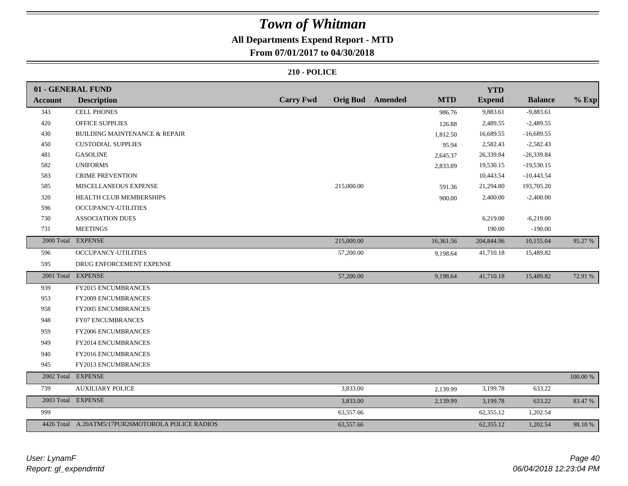### **All Departments Expend Report - MTD**

### **From 07/01/2017 to 04/30/2018**

|                | 01 - GENERAL FUND                                 |                  |            |                         |            | <b>YTD</b>    |                |          |
|----------------|---------------------------------------------------|------------------|------------|-------------------------|------------|---------------|----------------|----------|
| <b>Account</b> | <b>Description</b>                                | <b>Carry Fwd</b> |            | <b>Orig Bud</b> Amended | <b>MTD</b> | <b>Expend</b> | <b>Balance</b> | $%$ Exp  |
| 343            | <b>CELL PHONES</b>                                |                  |            |                         | 986.76     | 9,883.61      | $-9,883.61$    |          |
| 420            | <b>OFFICE SUPPLIES</b>                            |                  |            |                         | 126.88     | 2,489.55      | $-2,489.55$    |          |
| 430            | <b>BUILDING MAINTENANCE &amp; REPAIR</b>          |                  |            |                         | 1,812.50   | 16,689.55     | $-16,689.55$   |          |
| 450            | <b>CUSTODIAL SUPPLIES</b>                         |                  |            |                         | 95.94      | 2,582.43      | $-2,582.43$    |          |
| 481            | <b>GASOLINE</b>                                   |                  |            |                         | 2,645.37   | 26,339.84     | $-26,339.84$   |          |
| 582            | <b>UNIFORMS</b>                                   |                  |            |                         | 2,833.89   | 19,530.15     | $-19,530.15$   |          |
| 583            | <b>CRIME PREVENTION</b>                           |                  |            |                         |            | 10,443.54     | $-10,443.54$   |          |
| 585            | MISCELLANEOUS EXPENSE                             |                  | 215,000.00 |                         | 591.36     | 21,294.80     | 193,705.20     |          |
| 320            | HEALTH CLUB MEMBERSHIPS                           |                  |            |                         | 900.00     | 2,400.00      | $-2,400.00$    |          |
| 596            | <b>OCCUPANCY-UTILITIES</b>                        |                  |            |                         |            |               |                |          |
| 730            | <b>ASSOCIATION DUES</b>                           |                  |            |                         |            | 6,219.00      | $-6,219.00$    |          |
| 731            | <b>MEETINGS</b>                                   |                  |            |                         |            | 190.00        | $-190.00$      |          |
| 2000 Total     | <b>EXPENSE</b>                                    |                  | 215,000.00 |                         | 16,361.56  | 204,844.96    | 10,155.04      | 95.27 %  |
| 596            | OCCUPANCY-UTILITIES                               |                  | 57,200.00  |                         | 9,198.64   | 41,710.18     | 15,489.82      |          |
| 595            | DRUG ENFORCEMENT EXPENSE                          |                  |            |                         |            |               |                |          |
|                | 2001 Total EXPENSE                                |                  | 57,200.00  |                         | 9,198.64   | 41,710.18     | 15,489.82      | 72.91 %  |
| 939            | <b>FY2015 ENCUMBRANCES</b>                        |                  |            |                         |            |               |                |          |
| 953            | FY2009 ENCUMBRANCES                               |                  |            |                         |            |               |                |          |
| 958            | FY2005 ENCUMBRANCES                               |                  |            |                         |            |               |                |          |
| 948            | <b>FY07 ENCUMBRANCES</b>                          |                  |            |                         |            |               |                |          |
| 959            | <b>FY2006 ENCUMBRANCES</b>                        |                  |            |                         |            |               |                |          |
| 949            | FY2014 ENCUMBRANCES                               |                  |            |                         |            |               |                |          |
| 940            | FY2016 ENCUMBRANCES                               |                  |            |                         |            |               |                |          |
| 945            | FY2013 ENCUMBRANCES                               |                  |            |                         |            |               |                |          |
|                | 2002 Total EXPENSE                                |                  |            |                         |            |               |                | 100.00 % |
| 739            | <b>AUXILIARY POLICE</b>                           |                  | 3,833.00   |                         | 2,139.99   | 3,199.78      | 633.22         |          |
|                | 2003 Total EXPENSE                                |                  | 3,833.00   |                         | 2,139.99   | 3,199.78      | 633.22         | 83.47 %  |
| 999            |                                                   |                  | 63,557.66  |                         |            | 62,355.12     | 1,202.54       |          |
|                | 4426 Total A.20ATM5/17PUR26MOTOROLA POLICE RADIOS |                  | 63,557.66  |                         |            | 62,355.12     | 1,202.54       | 98.10%   |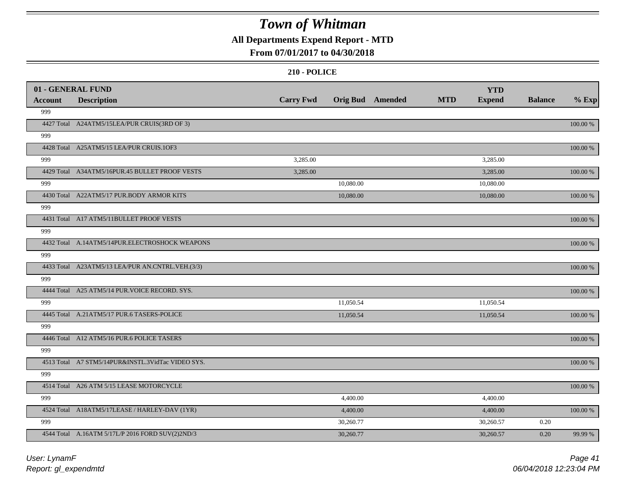### **All Departments Expend Report - MTD**

### **From 07/01/2017 to 04/30/2018**

|                | 01 - GENERAL FUND                                 |                  |                         |            | <b>YTD</b>    |                |             |
|----------------|---------------------------------------------------|------------------|-------------------------|------------|---------------|----------------|-------------|
| <b>Account</b> | <b>Description</b>                                | <b>Carry Fwd</b> | <b>Orig Bud</b> Amended | <b>MTD</b> | <b>Expend</b> | <b>Balance</b> | $%$ Exp     |
| 999            |                                                   |                  |                         |            |               |                |             |
|                | 4427 Total A24ATM5/15LEA/PUR CRUIS(3RD OF 3)      |                  |                         |            |               |                | 100.00 %    |
| 999            |                                                   |                  |                         |            |               |                |             |
|                | 4428 Total A25ATM5/15 LEA/PUR CRUIS.1OF3          |                  |                         |            |               |                | 100.00 %    |
| 999            |                                                   | 3,285.00         |                         |            | 3,285.00      |                |             |
|                | 4429 Total A34ATM5/16PUR.45 BULLET PROOF VESTS    | 3,285.00         |                         |            | 3,285.00      |                | 100.00 %    |
| 999            |                                                   |                  | 10,080.00               |            | 10,080.00     |                |             |
|                | 4430 Total A22ATM5/17 PUR.BODY ARMOR KITS         |                  | 10,080.00               |            | 10,080.00     |                | 100.00 %    |
| 999            |                                                   |                  |                         |            |               |                |             |
|                | 4431 Total A17 ATM5/11BULLET PROOF VESTS          |                  |                         |            |               |                | 100.00 %    |
| 999            |                                                   |                  |                         |            |               |                |             |
|                | 4432 Total A.14ATM5/14PUR.ELECTROSHOCK WEAPONS    |                  |                         |            |               |                | $100.00~\%$ |
| 999            |                                                   |                  |                         |            |               |                |             |
|                | 4433 Total A23ATM5/13 LEA/PUR AN.CNTRL.VEH.(3/3)  |                  |                         |            |               |                | 100.00 %    |
| 999            |                                                   |                  |                         |            |               |                |             |
|                | 4444 Total A25 ATM5/14 PUR. VOICE RECORD. SYS.    |                  |                         |            |               |                | 100.00 %    |
| 999            |                                                   |                  | 11,050.54               |            | 11,050.54     |                |             |
|                | 4445 Total A.21ATM5/17 PUR.6 TASERS-POLICE        |                  | 11,050.54               |            | 11,050.54     |                | 100.00 %    |
| 999            |                                                   |                  |                         |            |               |                |             |
|                | 4446 Total A12 ATM5/16 PUR.6 POLICE TASERS        |                  |                         |            |               |                | 100.00 %    |
| 999            |                                                   |                  |                         |            |               |                |             |
|                | 4513 Total A7 STM5/14PUR&INSTL.3VidTac VIDEO SYS. |                  |                         |            |               |                | 100.00 %    |
| 999            |                                                   |                  |                         |            |               |                |             |
|                | 4514 Total A26 ATM 5/15 LEASE MOTORCYCLE          |                  |                         |            |               |                | 100.00 %    |
| 999            |                                                   |                  | 4,400.00                |            | 4,400.00      |                |             |
|                | 4524 Total A18ATM5/17LEASE / HARLEY-DAV (1YR)     |                  | 4,400.00                |            | 4,400.00      |                | 100.00 %    |
| 999            |                                                   |                  | 30,260.77               |            | 30,260.57     | 0.20           |             |
|                | 4544 Total A.16ATM 5/17L/P 2016 FORD SUV(2)2ND/3  |                  | 30,260.77               |            | 30,260.57     | 0.20           | 99.99 %     |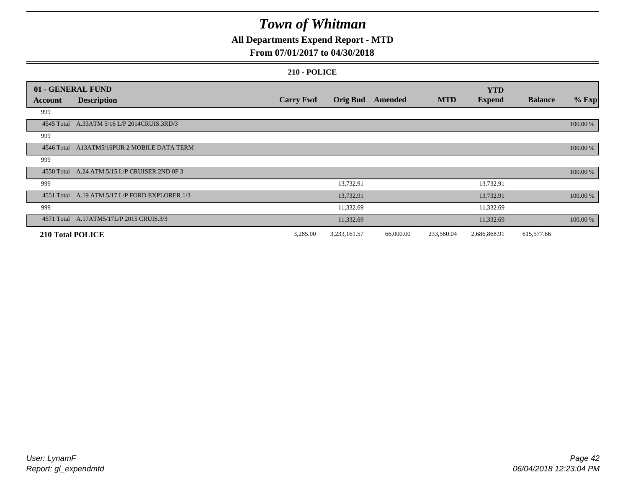### **All Departments Expend Report - MTD**

### **From 07/01/2017 to 04/30/2018**

|         | 01 - GENERAL FUND                              |                  |                 |           |            | <b>YTD</b>    |                |          |
|---------|------------------------------------------------|------------------|-----------------|-----------|------------|---------------|----------------|----------|
| Account | <b>Description</b>                             | <b>Carry Fwd</b> | <b>Orig Bud</b> | Amended   | <b>MTD</b> | <b>Expend</b> | <b>Balance</b> | $%$ Exp  |
| 999     |                                                |                  |                 |           |            |               |                |          |
|         | 4545 Total A.33ATM 5/16 L/P 2014CRUIS.3RD/3    |                  |                 |           |            |               |                | 100.00 % |
| 999     |                                                |                  |                 |           |            |               |                |          |
|         | 4546 Total A13ATM5/16PUR 2 MOBILE DATA TERM    |                  |                 |           |            |               |                | 100.00 % |
| 999     |                                                |                  |                 |           |            |               |                |          |
|         | 4550 Total A.24 ATM 5/15 L/P CRUISER 2ND 0F 3  |                  |                 |           |            |               |                | 100.00 % |
| 999     |                                                |                  | 13,732.91       |           |            | 13,732.91     |                |          |
|         | 4551 Total A.19 ATM 5/17 L/P FORD EXPLORER 1/3 |                  | 13,732.91       |           |            | 13,732.91     |                | 100.00 % |
| 999     |                                                |                  | 11,332.69       |           |            | 11,332.69     |                |          |
|         | 4571 Total A.17ATM5/17L/P 2015 CRUIS.3/3       |                  | 11,332.69       |           |            | 11,332.69     |                | 100.00 % |
|         | <b>210 Total POLICE</b>                        | 3,285.00         | 3,233,161.57    | 66,000.00 | 233,560.04 | 2,686,868.91  | 615,577.66     |          |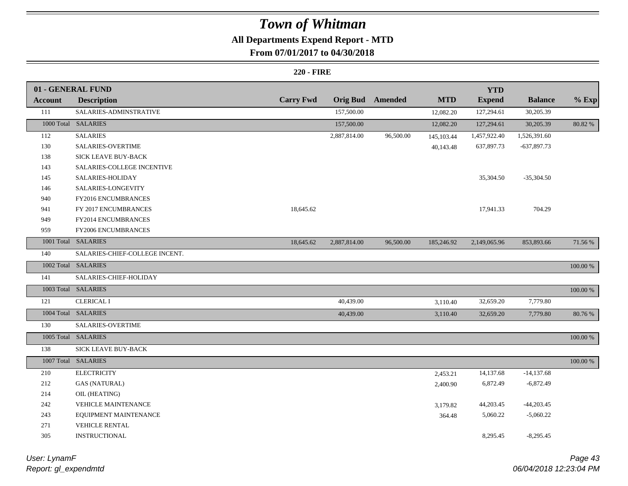### **All Departments Expend Report - MTD**

### **From 07/01/2017 to 04/30/2018**

|                | 01 - GENERAL FUND              |                  |              |                  |            | <b>YTD</b>    |                |             |
|----------------|--------------------------------|------------------|--------------|------------------|------------|---------------|----------------|-------------|
| <b>Account</b> | <b>Description</b>             | <b>Carry Fwd</b> |              | Orig Bud Amended | <b>MTD</b> | <b>Expend</b> | <b>Balance</b> | $%$ Exp     |
| $111\,$        | SALARIES-ADMINSTRATIVE         |                  | 157,500.00   |                  | 12,082.20  | 127,294.61    | 30,205.39      |             |
|                | 1000 Total SALARIES            |                  | 157,500.00   |                  | 12,082.20  | 127,294.61    | 30,205.39      | 80.82 %     |
| 112            | <b>SALARIES</b>                |                  | 2,887,814.00 | 96,500.00        | 145,103.44 | 1,457,922.40  | 1,526,391.60   |             |
| 130            | SALARIES-OVERTIME              |                  |              |                  | 40,143.48  | 637,897.73    | $-637,897.73$  |             |
| 138            | SICK LEAVE BUY-BACK            |                  |              |                  |            |               |                |             |
| 143            | SALARIES-COLLEGE INCENTIVE     |                  |              |                  |            |               |                |             |
| 145            | SALARIES-HOLIDAY               |                  |              |                  |            | 35,304.50     | $-35,304.50$   |             |
| 146            | SALARIES-LONGEVITY             |                  |              |                  |            |               |                |             |
| 940            | FY2016 ENCUMBRANCES            |                  |              |                  |            |               |                |             |
| 941            | FY 2017 ENCUMBRANCES           | 18,645.62        |              |                  |            | 17,941.33     | 704.29         |             |
| 949            | FY2014 ENCUMBRANCES            |                  |              |                  |            |               |                |             |
| 959            | FY2006 ENCUMBRANCES            |                  |              |                  |            |               |                |             |
|                | 1001 Total SALARIES            | 18,645.62        | 2,887,814.00 | 96,500.00        | 185,246.92 | 2,149,065.96  | 853,893.66     | 71.56 %     |
| 140            | SALARIES-CHIEF-COLLEGE INCENT. |                  |              |                  |            |               |                |             |
|                | 1002 Total SALARIES            |                  |              |                  |            |               |                | $100.00~\%$ |
| 141            | SALARIES-CHIEF-HOLIDAY         |                  |              |                  |            |               |                |             |
|                | 1003 Total SALARIES            |                  |              |                  |            |               |                | $100.00~\%$ |
| 121            | <b>CLERICAL I</b>              |                  | 40,439.00    |                  | 3,110.40   | 32,659.20     | 7,779.80       |             |
|                | 1004 Total SALARIES            |                  | 40,439.00    |                  | 3,110.40   | 32,659.20     | 7,779.80       | 80.76 %     |
| 130            | SALARIES-OVERTIME              |                  |              |                  |            |               |                |             |
|                | 1005 Total SALARIES            |                  |              |                  |            |               |                | 100.00 %    |
| 138            | SICK LEAVE BUY-BACK            |                  |              |                  |            |               |                |             |
|                | 1007 Total SALARIES            |                  |              |                  |            |               |                | 100.00 %    |
| 210            | <b>ELECTRICITY</b>             |                  |              |                  | 2,453.21   | 14,137.68     | $-14,137.68$   |             |
| 212            | <b>GAS (NATURAL)</b>           |                  |              |                  | 2,400.90   | 6,872.49      | $-6,872.49$    |             |
| 214            | OIL (HEATING)                  |                  |              |                  |            |               |                |             |
| 242            | <b>VEHICLE MAINTENANCE</b>     |                  |              |                  | 3,179.82   | 44,203.45     | $-44,203.45$   |             |
| 243            | EQUIPMENT MAINTENANCE          |                  |              |                  | 364.48     | 5,060.22      | $-5,060.22$    |             |
| 271            | <b>VEHICLE RENTAL</b>          |                  |              |                  |            |               |                |             |
| 305            | <b>INSTRUCTIONAL</b>           |                  |              |                  |            | 8,295.45      | $-8,295.45$    |             |

| User: LynamF         |  |
|----------------------|--|
| Report: gl_expendmtd |  |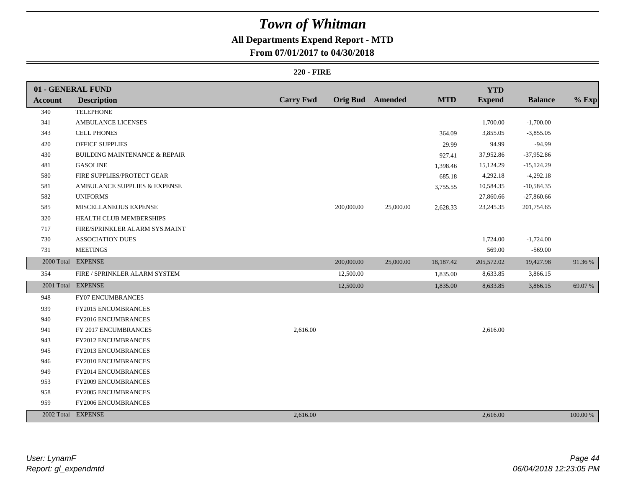### **All Departments Expend Report - MTD**

### **From 07/01/2017 to 04/30/2018**

|                | 01 - GENERAL FUND                        |                  |            |                         |            | <b>YTD</b>    |                |          |
|----------------|------------------------------------------|------------------|------------|-------------------------|------------|---------------|----------------|----------|
| <b>Account</b> | <b>Description</b>                       | <b>Carry Fwd</b> |            | <b>Orig Bud</b> Amended | <b>MTD</b> | <b>Expend</b> | <b>Balance</b> | $%$ Exp  |
| 340            | <b>TELEPHONE</b>                         |                  |            |                         |            |               |                |          |
| 341            | AMBULANCE LICENSES                       |                  |            |                         |            | 1,700.00      | $-1,700.00$    |          |
| 343            | <b>CELL PHONES</b>                       |                  |            |                         | 364.09     | 3,855.05      | $-3,855.05$    |          |
| 420            | OFFICE SUPPLIES                          |                  |            |                         | 29.99      | 94.99         | $-94.99$       |          |
| 430            | <b>BUILDING MAINTENANCE &amp; REPAIR</b> |                  |            |                         | 927.41     | 37,952.86     | $-37,952.86$   |          |
| 481            | <b>GASOLINE</b>                          |                  |            |                         | 1,398.46   | 15,124.29     | $-15,124.29$   |          |
| 580            | FIRE SUPPLIES/PROTECT GEAR               |                  |            |                         | 685.18     | 4,292.18      | $-4,292.18$    |          |
| 581            | AMBULANCE SUPPLIES & EXPENSE             |                  |            |                         | 3,755.55   | 10,584.35     | $-10,584.35$   |          |
| 582            | <b>UNIFORMS</b>                          |                  |            |                         |            | 27,860.66     | $-27,860.66$   |          |
| 585            | MISCELLANEOUS EXPENSE                    |                  | 200,000.00 | 25,000.00               | 2,628.33   | 23, 245. 35   | 201,754.65     |          |
| 320            | HEALTH CLUB MEMBERSHIPS                  |                  |            |                         |            |               |                |          |
| 717            | FIRE/SPRINKLER ALARM SYS.MAINT           |                  |            |                         |            |               |                |          |
| 730            | <b>ASSOCIATION DUES</b>                  |                  |            |                         |            | 1,724.00      | $-1,724.00$    |          |
| 731            | <b>MEETINGS</b>                          |                  |            |                         |            | 569.00        | $-569.00$      |          |
|                | 2000 Total EXPENSE                       |                  | 200,000.00 | 25,000.00               | 18,187.42  | 205,572.02    | 19,427.98      | 91.36%   |
| 354            | FIRE / SPRINKLER ALARM SYSTEM            |                  | 12,500.00  |                         | 1,835.00   | 8,633.85      | 3,866.15       |          |
|                | 2001 Total EXPENSE                       |                  | 12,500.00  |                         | 1,835.00   | 8,633.85      | 3,866.15       | 69.07 %  |
| 948            | <b>FY07 ENCUMBRANCES</b>                 |                  |            |                         |            |               |                |          |
| 939            | FY2015 ENCUMBRANCES                      |                  |            |                         |            |               |                |          |
| 940            | FY2016 ENCUMBRANCES                      |                  |            |                         |            |               |                |          |
| 941            | FY 2017 ENCUMBRANCES                     | 2,616.00         |            |                         |            | 2,616.00      |                |          |
| 943            | FY2012 ENCUMBRANCES                      |                  |            |                         |            |               |                |          |
| 945            | FY2013 ENCUMBRANCES                      |                  |            |                         |            |               |                |          |
| 946            | FY2010 ENCUMBRANCES                      |                  |            |                         |            |               |                |          |
| 949            | FY2014 ENCUMBRANCES                      |                  |            |                         |            |               |                |          |
| 953            | FY2009 ENCUMBRANCES                      |                  |            |                         |            |               |                |          |
| 958            | <b>FY2005 ENCUMBRANCES</b>               |                  |            |                         |            |               |                |          |
| 959            | FY2006 ENCUMBRANCES                      |                  |            |                         |            |               |                |          |
|                | 2002 Total EXPENSE                       | 2,616.00         |            |                         |            | 2,616.00      |                | 100.00 % |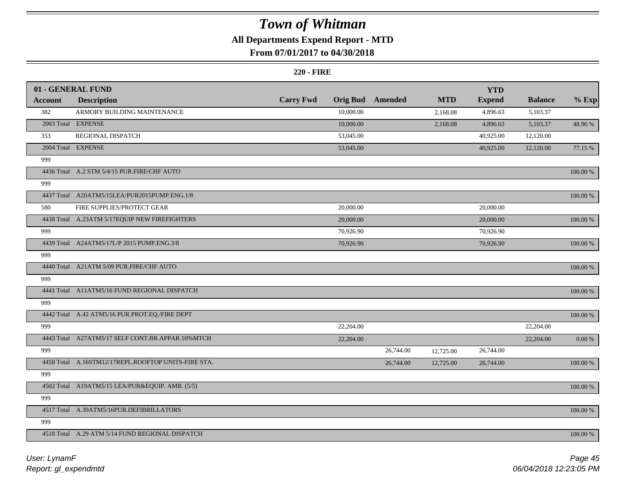### **All Departments Expend Report - MTD**

### **From 07/01/2017 to 04/30/2018**

|                | 01 - GENERAL FUND                                   |                  |                 |           |            | <b>YTD</b>    |                |             |
|----------------|-----------------------------------------------------|------------------|-----------------|-----------|------------|---------------|----------------|-------------|
| <b>Account</b> | <b>Description</b>                                  | <b>Carry Fwd</b> | <b>Orig Bud</b> | Amended   | <b>MTD</b> | <b>Expend</b> | <b>Balance</b> | $%$ Exp     |
| 382            | ARMORY BUILDING MAINTENANCE                         |                  | 10,000.00       |           | 2,168.08   | 4,896.63      | 5,103.37       |             |
|                | 2003 Total EXPENSE                                  |                  | 10,000.00       |           | 2,168.08   | 4,896.63      | 5,103.37       | 48.96 %     |
| 353            | REGIONAL DISPATCH                                   |                  | 53,045.00       |           |            | 40,925.00     | 12,120.00      |             |
|                | 2004 Total EXPENSE                                  |                  | 53,045.00       |           |            | 40,925.00     | 12,120.00      | 77.15 %     |
| 999            |                                                     |                  |                 |           |            |               |                |             |
|                | 4436 Total A.2 STM 5/4/15 PUR.FIRE/CHF AUTO         |                  |                 |           |            |               |                | 100.00 %    |
| 999            |                                                     |                  |                 |           |            |               |                |             |
|                | 4437 Total A20ATM5/15LEA/PUR2015PUMP.ENG.1/8        |                  |                 |           |            |               |                | $100.00~\%$ |
| 580            | FIRE SUPPLIES/PROTECT GEAR                          |                  | 20,000.00       |           |            | 20,000.00     |                |             |
|                | 4438 Total A.23ATM 5/17EQUIP NEW FIREFIGHTERS       |                  | 20,000.00       |           |            | 20,000.00     |                | 100.00 %    |
| 999            |                                                     |                  | 70,926.90       |           |            | 70,926.90     |                |             |
|                | 4439 Total A24ATM5/17L/P 2015 PUMP.ENG.3/8          |                  | 70,926.90       |           |            | 70,926.90     |                | 100.00 %    |
| 999            |                                                     |                  |                 |           |            |               |                |             |
|                | 4440 Total A21ATM 5/09 PUR.FIRE/CHF AUTO            |                  |                 |           |            |               |                | 100.00 %    |
| 999            |                                                     |                  |                 |           |            |               |                |             |
|                | 4441 Total A11ATM5/16 FUND REGIONAL DISPATCH        |                  |                 |           |            |               |                | $100.00~\%$ |
| 999            |                                                     |                  |                 |           |            |               |                |             |
|                | 4442 Total A.42 ATM5/16 PUR.PROT.EQ./FIRE DEPT      |                  |                 |           |            |               |                | 100.00 %    |
| 999            |                                                     |                  | 22,204.00       |           |            |               | 22,204.00      |             |
|                | 4443 Total A27ATM5/17 SELF CONT.BR.APPAR.10%MTCH    |                  | 22,204.00       |           |            |               | 22,204.00      | $0.00~\%$   |
| 999            |                                                     |                  |                 | 26,744.00 | 12,725.00  | 26,744.00     |                |             |
|                | 4458 Total A.16STM12/17REPL.ROOFTOP UNITS-FIRE STA. |                  |                 | 26,744.00 | 12,725.00  | 26,744.00     |                | $100.00~\%$ |
| 999            |                                                     |                  |                 |           |            |               |                |             |
|                | 4502 Total A19ATM5/15 LEA/PUR&EQUIP. AMB. (5/5)     |                  |                 |           |            |               |                | 100.00 %    |
| 999            |                                                     |                  |                 |           |            |               |                |             |
|                | 4517 Total A.39ATM5/16PUR.DEFIBRILLATORS            |                  |                 |           |            |               |                | 100.00 %    |
| 999            |                                                     |                  |                 |           |            |               |                |             |
|                | 4518 Total A.29 ATM 5/14 FUND REGIONAL DISPATCH     |                  |                 |           |            |               |                | 100.00 %    |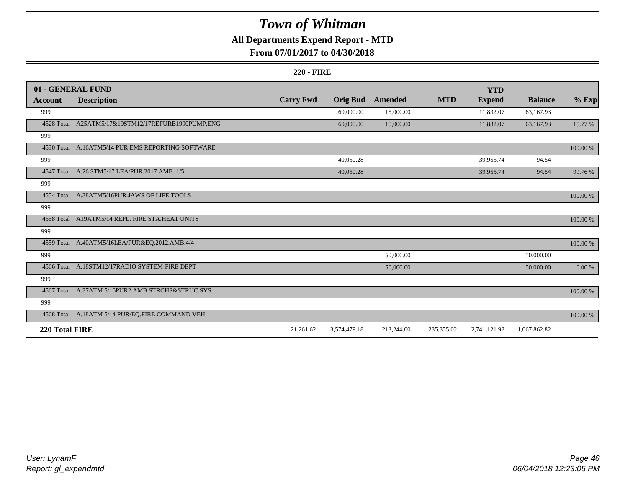### **All Departments Expend Report - MTD**

### **From 07/01/2017 to 04/30/2018**

|                | 01 - GENERAL FUND                                  |                  |                 |            |            | <b>YTD</b>    |                |            |
|----------------|----------------------------------------------------|------------------|-----------------|------------|------------|---------------|----------------|------------|
| Account        | <b>Description</b>                                 | <b>Carry Fwd</b> | <b>Orig Bud</b> | Amended    | <b>MTD</b> | <b>Expend</b> | <b>Balance</b> | $%$ Exp    |
| 999            |                                                    |                  | 60,000.00       | 15,000.00  |            | 11,832.07     | 63,167.93      |            |
|                | 4528 Total A25ATM5/17&19STM12/17REFURB1990PUMP.ENG |                  | 60,000.00       | 15,000.00  |            | 11,832.07     | 63,167.93      | 15.77 %    |
| 999            |                                                    |                  |                 |            |            |               |                |            |
|                | 4530 Total A.16ATM5/14 PUR EMS REPORTING SOFTWARE  |                  |                 |            |            |               |                | 100.00 %   |
| 999            |                                                    |                  | 40,050.28       |            |            | 39,955.74     | 94.54          |            |
|                | 4547 Total A.26 STM5/17 LEA/PUR.2017 AMB. 1/5      |                  | 40,050.28       |            |            | 39,955.74     | 94.54          | 99.76 %    |
| 999            |                                                    |                  |                 |            |            |               |                |            |
|                | 4554 Total A.38ATM5/16PUR.JAWS OF LIFE TOOLS       |                  |                 |            |            |               |                | 100.00 %   |
| 999            |                                                    |                  |                 |            |            |               |                |            |
|                | 4558 Total A19ATM5/14 REPL. FIRE STA.HEAT UNITS    |                  |                 |            |            |               |                | 100.00 %   |
| 999            |                                                    |                  |                 |            |            |               |                |            |
|                | 4559 Total A.40ATM5/16LEA/PUR&EQ.2012.AMB.4/4      |                  |                 |            |            |               |                | 100.00 %   |
| 999            |                                                    |                  |                 | 50,000.00  |            |               | 50,000.00      |            |
|                | 4566 Total A.18STM12/17RADIO SYSTEM-FIRE DEPT      |                  |                 | 50,000.00  |            |               | 50,000.00      | $0.00\,\%$ |
| 999            |                                                    |                  |                 |            |            |               |                |            |
|                | 4567 Total A.37ATM 5/16PUR2.AMB.STRCHS&STRUC.SYS   |                  |                 |            |            |               |                | 100.00 %   |
| 999            |                                                    |                  |                 |            |            |               |                |            |
|                | 4568 Total A.18ATM 5/14 PUR/EQ.FIRE COMMAND VEH.   |                  |                 |            |            |               |                | 100.00 %   |
| 220 Total FIRE |                                                    | 21,261.62        | 3,574,479.18    | 213,244.00 | 235,355.02 | 2,741,121.98  | 1,067,862.82   |            |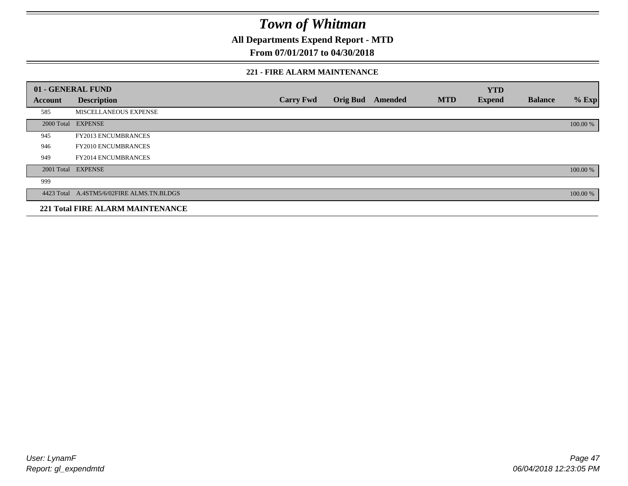**All Departments Expend Report - MTD**

### **From 07/01/2017 to 04/30/2018**

#### **221 - FIRE ALARM MAINTENANCE**

|         | 01 - GENERAL FUND                         |                  |                 |         |            | <b>YTD</b>    |                |          |
|---------|-------------------------------------------|------------------|-----------------|---------|------------|---------------|----------------|----------|
| Account | <b>Description</b>                        | <b>Carry Fwd</b> | <b>Orig Bud</b> | Amended | <b>MTD</b> | <b>Expend</b> | <b>Balance</b> | $%$ Exp  |
| 585     | MISCELLANEOUS EXPENSE                     |                  |                 |         |            |               |                |          |
|         | 2000 Total EXPENSE                        |                  |                 |         |            |               |                | 100.00 % |
| 945     | <b>FY2013 ENCUMBRANCES</b>                |                  |                 |         |            |               |                |          |
| 946     | <b>FY2010 ENCUMBRANCES</b>                |                  |                 |         |            |               |                |          |
| 949     | <b>FY2014 ENCUMBRANCES</b>                |                  |                 |         |            |               |                |          |
|         | 2001 Total EXPENSE                        |                  |                 |         |            |               |                | 100.00 % |
| 999     |                                           |                  |                 |         |            |               |                |          |
|         | 4423 Total A.4STM5/6/02FIRE ALMS.TN.BLDGS |                  |                 |         |            |               |                | 100.00 % |
|         | <b>221 Total FIRE ALARM MAINTENANCE</b>   |                  |                 |         |            |               |                |          |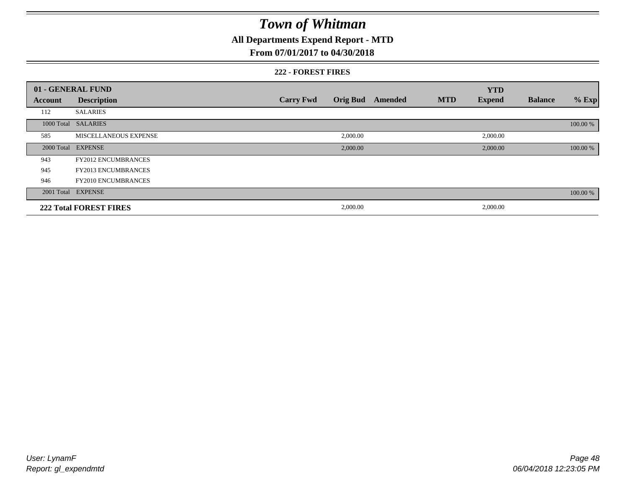### **All Departments Expend Report - MTD**

### **From 07/01/2017 to 04/30/2018**

#### **222 - FOREST FIRES**

|         | 01 - GENERAL FUND             |                  |                 |         |            | <b>YTD</b>    |                |          |
|---------|-------------------------------|------------------|-----------------|---------|------------|---------------|----------------|----------|
| Account | <b>Description</b>            | <b>Carry Fwd</b> | <b>Orig Bud</b> | Amended | <b>MTD</b> | <b>Expend</b> | <b>Balance</b> | $%$ Exp  |
| 112     | <b>SALARIES</b>               |                  |                 |         |            |               |                |          |
|         | 1000 Total SALARIES           |                  |                 |         |            |               |                | 100.00 % |
| 585     | MISCELLANEOUS EXPENSE         |                  | 2,000.00        |         |            | 2,000.00      |                |          |
|         | 2000 Total EXPENSE            |                  | 2,000.00        |         |            | 2,000.00      |                | 100.00 % |
| 943     | <b>FY2012 ENCUMBRANCES</b>    |                  |                 |         |            |               |                |          |
| 945     | <b>FY2013 ENCUMBRANCES</b>    |                  |                 |         |            |               |                |          |
| 946     | <b>FY2010 ENCUMBRANCES</b>    |                  |                 |         |            |               |                |          |
|         | 2001 Total EXPENSE            |                  |                 |         |            |               |                | 100.00 % |
|         | <b>222 Total FOREST FIRES</b> |                  | 2,000.00        |         |            | 2,000.00      |                |          |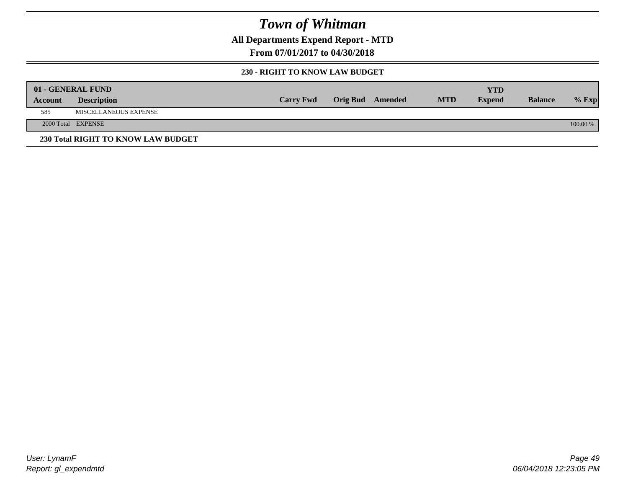**All Departments Expend Report - MTD**

**From 07/01/2017 to 04/30/2018**

#### **230 - RIGHT TO KNOW LAW BUDGET**

|         | 01 - GENERAL FUND                  |                  |                  |            | <b>YTD</b>    |                |          |
|---------|------------------------------------|------------------|------------------|------------|---------------|----------------|----------|
| Account | <b>Description</b>                 | <b>Carry Fwd</b> | Orig Bud Amended | <b>MTD</b> | <b>Expend</b> | <b>Balance</b> | $%$ Exp  |
| 585     | MISCELLANEOUS EXPENSE              |                  |                  |            |               |                |          |
|         | 2000 Total EXPENSE                 |                  |                  |            |               |                | 100.00 % |
|         | 230 Total RIGHT TO KNOW LAW BUDGET |                  |                  |            |               |                |          |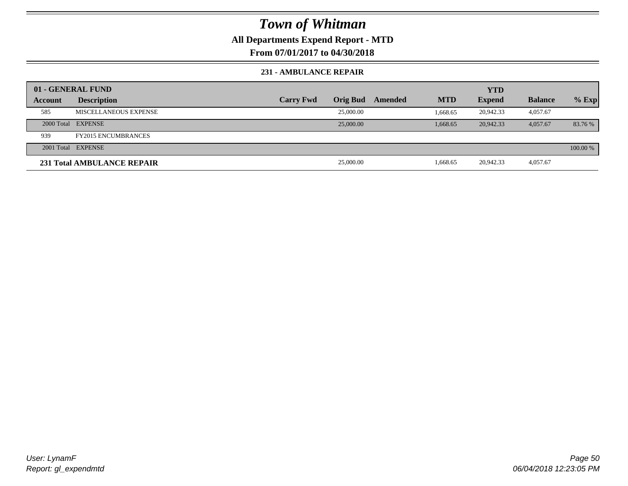**All Departments Expend Report - MTD**

**From 07/01/2017 to 04/30/2018**

#### **231 - AMBULANCE REPAIR**

|         | 01 - GENERAL FUND          |                  |                 |         |            | <b>YTD</b>    |                |          |
|---------|----------------------------|------------------|-----------------|---------|------------|---------------|----------------|----------|
| Account | <b>Description</b>         | <b>Carry Fwd</b> | <b>Orig Bud</b> | Amended | <b>MTD</b> | <b>Expend</b> | <b>Balance</b> | $%$ Exp  |
| 585     | MISCELLANEOUS EXPENSE      |                  | 25,000.00       |         | 1.668.65   | 20.942.33     | 4,057.67       |          |
|         | 2000 Total EXPENSE         |                  | 25,000.00       |         | 1.668.65   | 20,942.33     | 4.057.67       | 83.76 %  |
| 939     | <b>FY2015 ENCUMBRANCES</b> |                  |                 |         |            |               |                |          |
|         | 2001 Total EXPENSE         |                  |                 |         |            |               |                | 100.00 % |
|         | 231 Total AMBULANCE REPAIR |                  | 25,000.00       |         | 1,668.65   | 20,942.33     | 4,057.67       |          |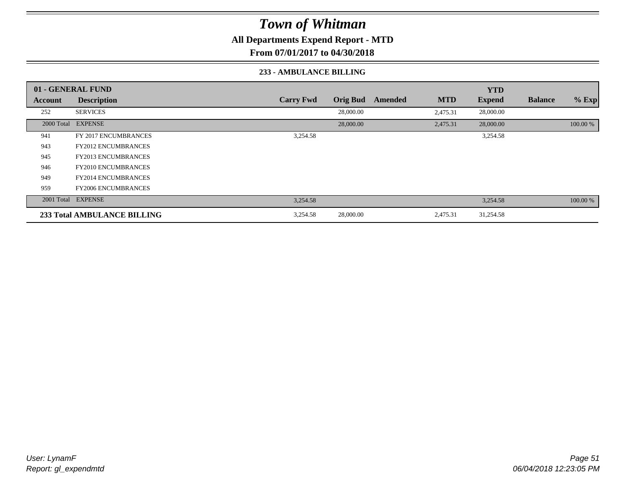**All Departments Expend Report - MTD**

**From 07/01/2017 to 04/30/2018**

#### **233 - AMBULANCE BILLING**

|         | 01 - GENERAL FUND           |                  |                 |         |            | <b>YTD</b>    |                |          |
|---------|-----------------------------|------------------|-----------------|---------|------------|---------------|----------------|----------|
| Account | <b>Description</b>          | <b>Carry Fwd</b> | <b>Orig Bud</b> | Amended | <b>MTD</b> | <b>Expend</b> | <b>Balance</b> | $%$ Exp  |
| 252     | <b>SERVICES</b>             |                  | 28,000.00       |         | 2,475.31   | 28,000.00     |                |          |
|         | 2000 Total EXPENSE          |                  | 28,000.00       |         | 2,475.31   | 28,000.00     |                | 100.00 % |
| 941     | FY 2017 ENCUMBRANCES        | 3,254.58         |                 |         |            | 3,254.58      |                |          |
| 943     | <b>FY2012 ENCUMBRANCES</b>  |                  |                 |         |            |               |                |          |
| 945     | <b>FY2013 ENCUMBRANCES</b>  |                  |                 |         |            |               |                |          |
| 946     | <b>FY2010 ENCUMBRANCES</b>  |                  |                 |         |            |               |                |          |
| 949     | <b>FY2014 ENCUMBRANCES</b>  |                  |                 |         |            |               |                |          |
| 959     | <b>FY2006 ENCUMBRANCES</b>  |                  |                 |         |            |               |                |          |
|         | 2001 Total EXPENSE          | 3,254.58         |                 |         |            | 3,254.58      |                | 100.00 % |
|         | 233 Total AMBULANCE BILLING | 3,254.58         | 28,000.00       |         | 2,475.31   | 31,254.58     |                |          |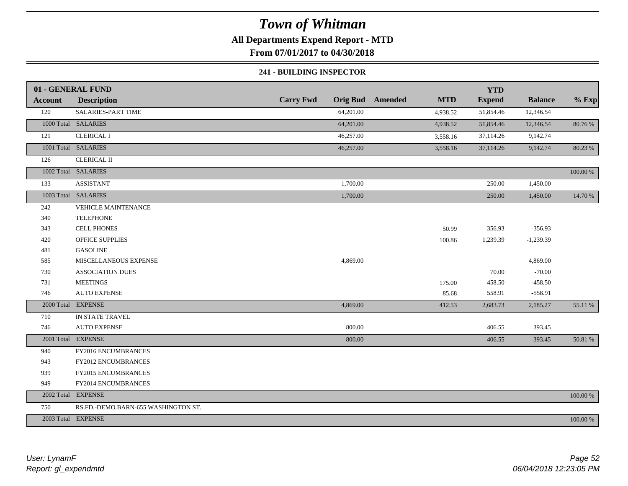### **All Departments Expend Report - MTD**

**From 07/01/2017 to 04/30/2018**

#### **241 - BUILDING INSPECTOR**

|                | 01 - GENERAL FUND                   |                  |                                       | <b>YTD</b>    |                |          |
|----------------|-------------------------------------|------------------|---------------------------------------|---------------|----------------|----------|
| <b>Account</b> | <b>Description</b>                  | <b>Carry Fwd</b> | <b>Orig Bud</b> Amended<br><b>MTD</b> | <b>Expend</b> | <b>Balance</b> | $%$ Exp  |
| 120            | SALARIES-PART TIME                  | 64,201.00        | 4,938.52                              | 51,854.46     | 12,346.54      |          |
|                | 1000 Total SALARIES                 | 64,201.00        | 4,938.52                              | 51,854.46     | 12,346.54      | 80.76 %  |
| 121            | <b>CLERICAL I</b>                   | 46,257.00        | 3,558.16                              | 37,114.26     | 9,142.74       |          |
|                | 1001 Total SALARIES                 | 46,257.00        | 3,558.16                              | 37,114.26     | 9,142.74       | 80.23 %  |
| 126            | <b>CLERICAL II</b>                  |                  |                                       |               |                |          |
|                | 1002 Total SALARIES                 |                  |                                       |               |                | 100.00 % |
| 133            | <b>ASSISTANT</b>                    | 1,700.00         |                                       | 250.00        | 1,450.00       |          |
|                | 1003 Total SALARIES                 | 1,700.00         |                                       | 250.00        | 1,450.00       | 14.70 %  |
| 242            | VEHICLE MAINTENANCE                 |                  |                                       |               |                |          |
| 340            | <b>TELEPHONE</b>                    |                  |                                       |               |                |          |
| 343            | <b>CELL PHONES</b>                  |                  | 50.99                                 | 356.93        | $-356.93$      |          |
| 420            | <b>OFFICE SUPPLIES</b>              |                  | 100.86                                | 1,239.39      | $-1,239.39$    |          |
| 481            | <b>GASOLINE</b>                     |                  |                                       |               |                |          |
| 585            | MISCELLANEOUS EXPENSE               | 4,869.00         |                                       |               | 4,869.00       |          |
| 730            | <b>ASSOCIATION DUES</b>             |                  |                                       | 70.00         | $-70.00$       |          |
| 731            | <b>MEETINGS</b>                     |                  | 175.00                                | 458.50        | $-458.50$      |          |
| 746            | <b>AUTO EXPENSE</b>                 |                  | 85.68                                 | 558.91        | $-558.91$      |          |
|                | 2000 Total EXPENSE                  | 4,869.00         | 412.53                                | 2,683.73      | 2,185.27       | 55.11 %  |
| 710            | IN STATE TRAVEL                     |                  |                                       |               |                |          |
| 746            | <b>AUTO EXPENSE</b>                 | 800.00           |                                       | 406.55        | 393.45         |          |
|                | 2001 Total EXPENSE                  | 800.00           |                                       | 406.55        | 393.45         | 50.81 %  |
| 940            | FY2016 ENCUMBRANCES                 |                  |                                       |               |                |          |
| 943            | FY2012 ENCUMBRANCES                 |                  |                                       |               |                |          |
| 939            | FY2015 ENCUMBRANCES                 |                  |                                       |               |                |          |
| 949            | FY2014 ENCUMBRANCES                 |                  |                                       |               |                |          |
|                | 2002 Total EXPENSE                  |                  |                                       |               |                | 100.00 % |
| 750            | RS.FD.-DEMO.BARN-655 WASHINGTON ST. |                  |                                       |               |                |          |
|                | 2003 Total EXPENSE                  |                  |                                       |               |                | 100.00 % |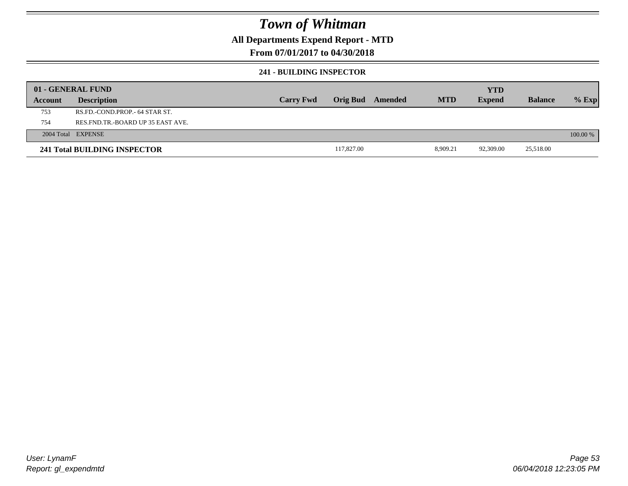### **All Departments Expend Report - MTD**

### **From 07/01/2017 to 04/30/2018**

#### **241 - BUILDING INSPECTOR**

|         | 01 - GENERAL FUND                     |                  |            |         |            | <b>YTD</b>    |                |            |
|---------|---------------------------------------|------------------|------------|---------|------------|---------------|----------------|------------|
| Account | <b>Description</b>                    | <b>Carry Fwd</b> | Orig Bud   | Amended | <b>MTD</b> | <b>Expend</b> | <b>Balance</b> | $%$ Exp    |
| 753     | RS.FD.-COND.PROP.- 64 STAR ST.        |                  |            |         |            |               |                |            |
| 754     | RES. FND. TR. - BOARD UP 35 EAST AVE. |                  |            |         |            |               |                |            |
|         | 2004 Total EXPENSE                    |                  |            |         |            |               |                | $100.00\%$ |
|         | 241 Total BUILDING INSPECTOR          |                  | 117,827.00 |         | 8,909.21   | 92,309.00     | 25,518.00      |            |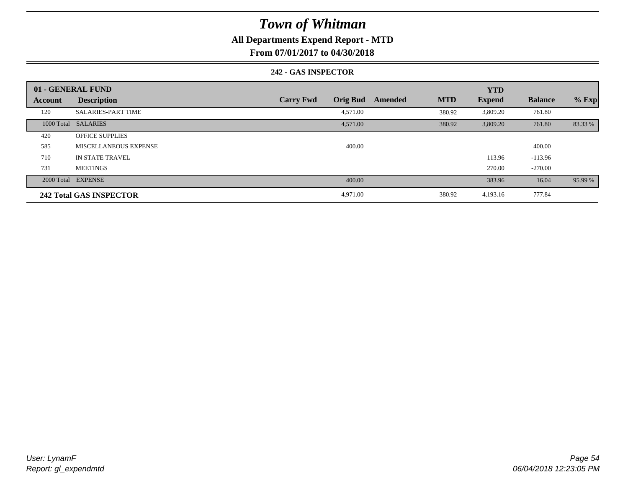### **All Departments Expend Report - MTD**

**From 07/01/2017 to 04/30/2018**

#### **242 - GAS INSPECTOR**

|                | 01 - GENERAL FUND              |                                     |                       | <b>YTD</b>    |                |         |
|----------------|--------------------------------|-------------------------------------|-----------------------|---------------|----------------|---------|
| <b>Account</b> | <b>Description</b>             | <b>Orig Bud</b><br><b>Carry Fwd</b> | <b>MTD</b><br>Amended | <b>Expend</b> | <b>Balance</b> | $%$ Exp |
| 120            | <b>SALARIES-PART TIME</b>      | 4,571.00                            | 380.92                | 3,809.20      | 761.80         |         |
|                | 1000 Total SALARIES            | 4,571.00                            | 380.92                | 3,809.20      | 761.80         | 83.33 % |
| 420            | <b>OFFICE SUPPLIES</b>         |                                     |                       |               |                |         |
| 585            | MISCELLANEOUS EXPENSE          | 400.00                              |                       |               | 400.00         |         |
| 710            | <b>IN STATE TRAVEL</b>         |                                     |                       | 113.96        | $-113.96$      |         |
| 731            | <b>MEETINGS</b>                |                                     |                       | 270.00        | $-270.00$      |         |
|                | 2000 Total EXPENSE             | 400.00                              |                       | 383.96        | 16.04          | 95.99 % |
|                | <b>242 Total GAS INSPECTOR</b> | 4,971.00                            | 380.92                | 4,193.16      | 777.84         |         |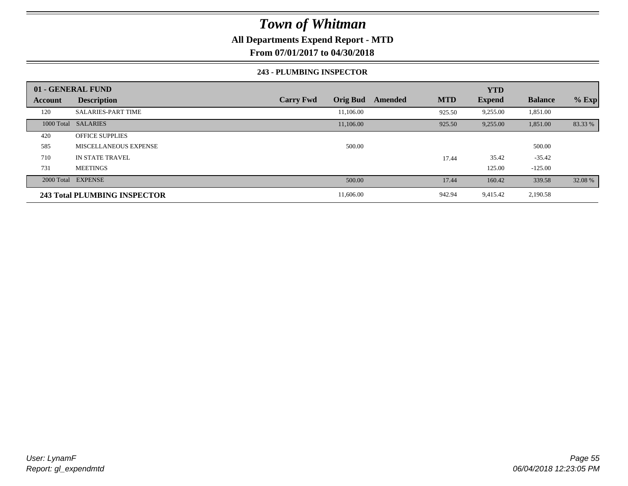### **All Departments Expend Report - MTD**

**From 07/01/2017 to 04/30/2018**

#### **243 - PLUMBING INSPECTOR**

|         | 01 - GENERAL FUND            |                                     |                       | <b>YTD</b>    |                |         |
|---------|------------------------------|-------------------------------------|-----------------------|---------------|----------------|---------|
| Account | <b>Description</b>           | <b>Orig Bud</b><br><b>Carry Fwd</b> | <b>MTD</b><br>Amended | <b>Expend</b> | <b>Balance</b> | $%$ Exp |
| 120     | <b>SALARIES-PART TIME</b>    | 11.106.00                           | 925.50                | 9,255.00      | 1,851.00       |         |
|         | 1000 Total SALARIES          | 11,106.00                           | 925.50                | 9,255.00      | 1,851.00       | 83.33 % |
| 420     | <b>OFFICE SUPPLIES</b>       |                                     |                       |               |                |         |
| 585     | MISCELLANEOUS EXPENSE        | 500.00                              |                       |               | 500.00         |         |
| 710     | IN STATE TRAVEL              |                                     | 17.44                 | 35.42         | $-35.42$       |         |
| 731     | <b>MEETINGS</b>              |                                     |                       | 125.00        | $-125.00$      |         |
|         | 2000 Total EXPENSE           | 500.00                              | 17.44                 | 160.42        | 339.58         | 32.08 % |
|         | 243 Total PLUMBING INSPECTOR | 11,606.00                           | 942.94                | 9,415.42      | 2,190.58       |         |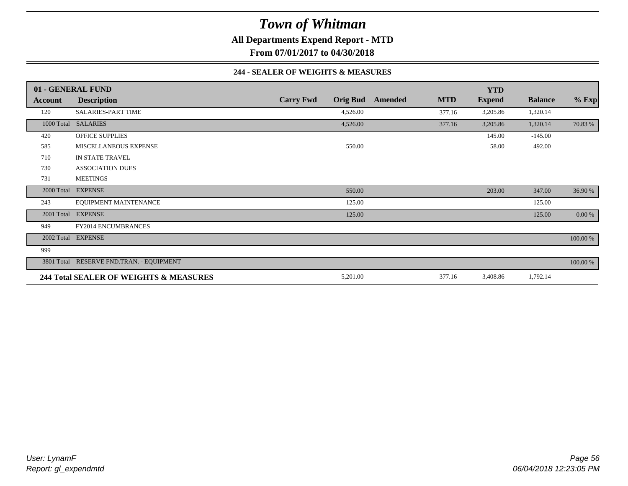**All Departments Expend Report - MTD**

**From 07/01/2017 to 04/30/2018**

#### **244 - SEALER OF WEIGHTS & MEASURES**

|                | 01 - GENERAL FUND                        |                  |                 |         |            | <b>YTD</b>    |                |             |
|----------------|------------------------------------------|------------------|-----------------|---------|------------|---------------|----------------|-------------|
| <b>Account</b> | <b>Description</b>                       | <b>Carry Fwd</b> | <b>Orig Bud</b> | Amended | <b>MTD</b> | <b>Expend</b> | <b>Balance</b> | $%$ Exp     |
| 120            | <b>SALARIES-PART TIME</b>                |                  | 4,526.00        |         | 377.16     | 3,205.86      | 1,320.14       |             |
|                | 1000 Total SALARIES                      |                  | 4,526.00        |         | 377.16     | 3,205.86      | 1,320.14       | 70.83 %     |
| 420            | <b>OFFICE SUPPLIES</b>                   |                  |                 |         |            | 145.00        | $-145.00$      |             |
| 585            | MISCELLANEOUS EXPENSE                    |                  | 550.00          |         |            | 58.00         | 492.00         |             |
| 710            | IN STATE TRAVEL                          |                  |                 |         |            |               |                |             |
| 730            | <b>ASSOCIATION DUES</b>                  |                  |                 |         |            |               |                |             |
| 731            | <b>MEETINGS</b>                          |                  |                 |         |            |               |                |             |
|                | 2000 Total EXPENSE                       |                  | 550.00          |         |            | 203.00        | 347.00         | 36.90 %     |
| 243            | EQUIPMENT MAINTENANCE                    |                  | 125.00          |         |            |               | 125.00         |             |
|                | 2001 Total EXPENSE                       |                  | 125.00          |         |            |               | 125.00         | 0.00 %      |
| 949            | FY2014 ENCUMBRANCES                      |                  |                 |         |            |               |                |             |
|                | 2002 Total EXPENSE                       |                  |                 |         |            |               |                | 100.00 %    |
| 999            |                                          |                  |                 |         |            |               |                |             |
|                | 3801 Total RESERVE FND.TRAN. - EQUIPMENT |                  |                 |         |            |               |                | $100.00~\%$ |
|                | 244 Total SEALER OF WEIGHTS & MEASURES   |                  | 5,201.00        |         | 377.16     | 3,408.86      | 1,792.14       |             |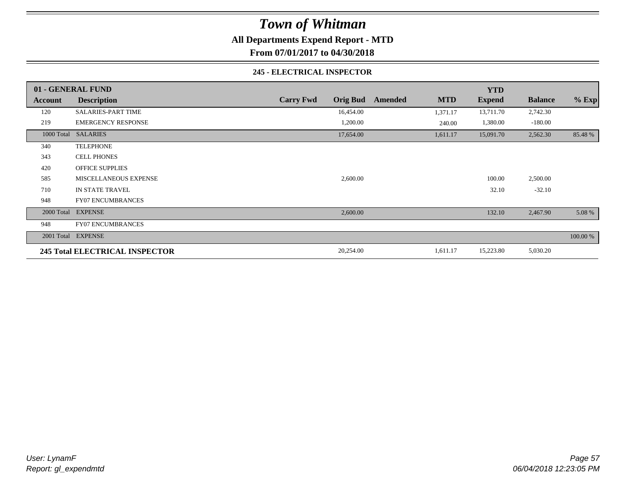**All Departments Expend Report - MTD**

**From 07/01/2017 to 04/30/2018**

#### **245 - ELECTRICAL INSPECTOR**

|         | 01 - GENERAL FUND              |                                     |                       | <b>YTD</b>    |                |          |
|---------|--------------------------------|-------------------------------------|-----------------------|---------------|----------------|----------|
| Account | <b>Description</b>             | <b>Orig Bud</b><br><b>Carry Fwd</b> | <b>MTD</b><br>Amended | <b>Expend</b> | <b>Balance</b> | $%$ Exp  |
| 120     | <b>SALARIES-PART TIME</b>      | 16,454.00                           | 1,371.17              | 13,711.70     | 2,742.30       |          |
| 219     | <b>EMERGENCY RESPONSE</b>      | 1,200.00                            | 240.00                | 1,380.00      | $-180.00$      |          |
|         | 1000 Total SALARIES            | 17,654.00                           | 1,611.17              | 15,091.70     | 2,562.30       | 85.48%   |
| 340     | <b>TELEPHONE</b>               |                                     |                       |               |                |          |
| 343     | <b>CELL PHONES</b>             |                                     |                       |               |                |          |
| 420     | <b>OFFICE SUPPLIES</b>         |                                     |                       |               |                |          |
| 585     | MISCELLANEOUS EXPENSE          | 2,600.00                            |                       | 100.00        | 2,500.00       |          |
| 710     | IN STATE TRAVEL                |                                     |                       | 32.10         | $-32.10$       |          |
| 948     | <b>FY07 ENCUMBRANCES</b>       |                                     |                       |               |                |          |
|         | 2000 Total EXPENSE             | 2,600.00                            |                       | 132.10        | 2,467.90       | 5.08 %   |
| 948     | <b>FY07 ENCUMBRANCES</b>       |                                     |                       |               |                |          |
|         | 2001 Total EXPENSE             |                                     |                       |               |                | 100.00 % |
|         | 245 Total ELECTRICAL INSPECTOR | 20,254.00                           | 1,611.17              | 15,223.80     | 5,030.20       |          |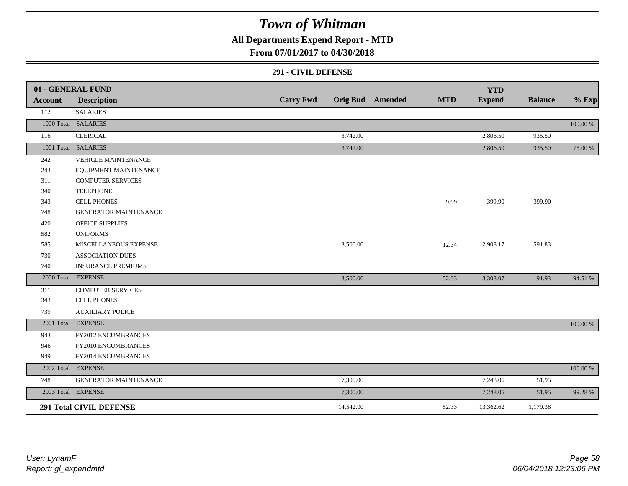**All Departments Expend Report - MTD**

### **From 07/01/2017 to 04/30/2018**

#### **291 - CIVIL DEFENSE**

|                | 01 - GENERAL FUND              |                  |           |                         |            | <b>YTD</b>    |                |          |
|----------------|--------------------------------|------------------|-----------|-------------------------|------------|---------------|----------------|----------|
| <b>Account</b> | <b>Description</b>             | <b>Carry Fwd</b> |           | <b>Orig Bud</b> Amended | <b>MTD</b> | <b>Expend</b> | <b>Balance</b> | $%$ Exp  |
| 112            | <b>SALARIES</b>                |                  |           |                         |            |               |                |          |
|                | 1000 Total SALARIES            |                  |           |                         |            |               |                | 100.00 % |
| 116            | <b>CLERICAL</b>                |                  | 3,742.00  |                         |            | 2,806.50      | 935.50         |          |
|                | 1001 Total SALARIES            |                  | 3,742.00  |                         |            | 2,806.50      | 935.50         | 75.00 %  |
| 242            | <b>VEHICLE MAINTENANCE</b>     |                  |           |                         |            |               |                |          |
| 243            | EQUIPMENT MAINTENANCE          |                  |           |                         |            |               |                |          |
| 311            | <b>COMPUTER SERVICES</b>       |                  |           |                         |            |               |                |          |
| 340            | <b>TELEPHONE</b>               |                  |           |                         |            |               |                |          |
| 343            | <b>CELL PHONES</b>             |                  |           |                         | 39.99      | 399.90        | $-399.90$      |          |
| 748            | <b>GENERATOR MAINTENANCE</b>   |                  |           |                         |            |               |                |          |
| 420            | <b>OFFICE SUPPLIES</b>         |                  |           |                         |            |               |                |          |
| 582            | <b>UNIFORMS</b>                |                  |           |                         |            |               |                |          |
| 585            | MISCELLANEOUS EXPENSE          |                  | 3,500.00  |                         | 12.34      | 2,908.17      | 591.83         |          |
| 730            | <b>ASSOCIATION DUES</b>        |                  |           |                         |            |               |                |          |
| 740            | <b>INSURANCE PREMIUMS</b>      |                  |           |                         |            |               |                |          |
|                | 2000 Total EXPENSE             |                  | 3,500.00  |                         | 52.33      | 3,308.07      | 191.93         | 94.51 %  |
| 311            | <b>COMPUTER SERVICES</b>       |                  |           |                         |            |               |                |          |
| 343            | <b>CELL PHONES</b>             |                  |           |                         |            |               |                |          |
| 739            | <b>AUXILIARY POLICE</b>        |                  |           |                         |            |               |                |          |
|                | 2001 Total EXPENSE             |                  |           |                         |            |               |                | 100.00 % |
| 943            | FY2012 ENCUMBRANCES            |                  |           |                         |            |               |                |          |
| 946            | FY2010 ENCUMBRANCES            |                  |           |                         |            |               |                |          |
| 949            | FY2014 ENCUMBRANCES            |                  |           |                         |            |               |                |          |
|                | 2002 Total EXPENSE             |                  |           |                         |            |               |                | 100.00 % |
| 748            | <b>GENERATOR MAINTENANCE</b>   |                  | 7,300.00  |                         |            | 7,248.05      | 51.95          |          |
|                | 2003 Total EXPENSE             |                  | 7,300.00  |                         |            | 7,248.05      | 51.95          | 99.28 %  |
|                | <b>291 Total CIVIL DEFENSE</b> |                  | 14,542.00 |                         | 52.33      | 13,362.62     | 1,179.38       |          |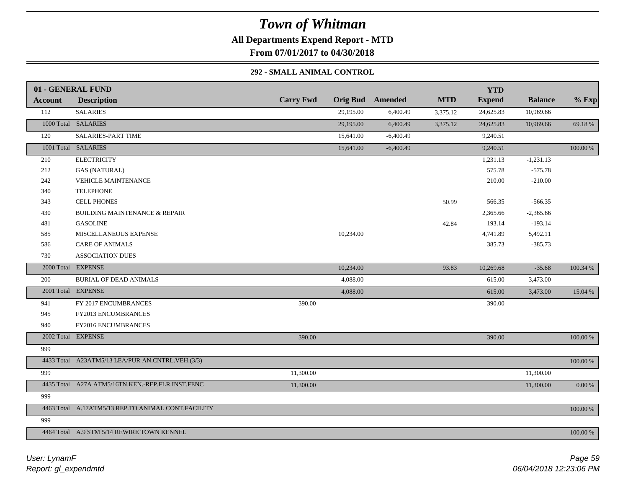### *Town of Whitman* **All Departments Expend Report - MTD**

**From 07/01/2017 to 04/30/2018**

### **292 - SMALL ANIMAL CONTROL**

|         | 01 - GENERAL FUND                                  |                  |           |                         |            | <b>YTD</b>    |                |          |
|---------|----------------------------------------------------|------------------|-----------|-------------------------|------------|---------------|----------------|----------|
| Account | <b>Description</b>                                 | <b>Carry Fwd</b> |           | <b>Orig Bud</b> Amended | <b>MTD</b> | <b>Expend</b> | <b>Balance</b> | $%$ Exp  |
| 112     | <b>SALARIES</b>                                    |                  | 29,195.00 | 6,400.49                | 3,375.12   | 24,625.83     | 10,969.66      |          |
|         | 1000 Total SALARIES                                |                  | 29,195.00 | 6,400.49                | 3,375.12   | 24,625.83     | 10,969.66      | 69.18%   |
| 120     | <b>SALARIES-PART TIME</b>                          |                  | 15,641.00 | $-6,400.49$             |            | 9,240.51      |                |          |
|         | 1001 Total SALARIES                                |                  | 15,641.00 | $-6,400.49$             |            | 9,240.51      |                | 100.00 % |
| 210     | <b>ELECTRICITY</b>                                 |                  |           |                         |            | 1,231.13      | $-1,231.13$    |          |
| 212     | <b>GAS (NATURAL)</b>                               |                  |           |                         |            | 575.78        | $-575.78$      |          |
| 242     | <b>VEHICLE MAINTENANCE</b>                         |                  |           |                         |            | 210.00        | $-210.00$      |          |
| 340     | <b>TELEPHONE</b>                                   |                  |           |                         |            |               |                |          |
| 343     | CELL PHONES                                        |                  |           |                         | 50.99      | 566.35        | $-566.35$      |          |
| 430     | <b>BUILDING MAINTENANCE &amp; REPAIR</b>           |                  |           |                         |            | 2,365.66      | $-2,365.66$    |          |
| 481     | <b>GASOLINE</b>                                    |                  |           |                         | 42.84      | 193.14        | $-193.14$      |          |
| 585     | MISCELLANEOUS EXPENSE                              |                  | 10,234.00 |                         |            | 4,741.89      | 5,492.11       |          |
| 586     | <b>CARE OF ANIMALS</b>                             |                  |           |                         |            | 385.73        | $-385.73$      |          |
| 730     | <b>ASSOCIATION DUES</b>                            |                  |           |                         |            |               |                |          |
|         | 2000 Total EXPENSE                                 |                  | 10,234.00 |                         | 93.83      | 10,269.68     | $-35.68$       | 100.34 % |
| 200     | <b>BURIAL OF DEAD ANIMALS</b>                      |                  | 4,088.00  |                         |            | 615.00        | 3,473.00       |          |
|         | 2001 Total EXPENSE                                 |                  | 4,088.00  |                         |            | 615.00        | 3,473.00       | 15.04 %  |
| 941     | FY 2017 ENCUMBRANCES                               | 390.00           |           |                         |            | 390.00        |                |          |
| 945     | FY2013 ENCUMBRANCES                                |                  |           |                         |            |               |                |          |
| 940     | FY2016 ENCUMBRANCES                                |                  |           |                         |            |               |                |          |
|         | 2002 Total EXPENSE                                 | 390.00           |           |                         |            | 390.00        |                | 100.00 % |
| 999     |                                                    |                  |           |                         |            |               |                |          |
|         | 4433 Total A23ATM5/13 LEA/PUR AN.CNTRL.VEH.(3/3)   |                  |           |                         |            |               |                | 100.00 % |
| 999     |                                                    | 11,300.00        |           |                         |            |               | 11,300.00      |          |
|         | 4435 Total A27A ATM5/16TN.KEN.-REP.FLR.INST.FENC   | 11,300.00        |           |                         |            |               | 11,300.00      | 0.00 %   |
| 999     |                                                    |                  |           |                         |            |               |                |          |
|         | 4463 Total A.17ATM5/13 REP.TO ANIMAL CONT.FACILITY |                  |           |                         |            |               |                | 100.00 % |
| 999     |                                                    |                  |           |                         |            |               |                |          |
|         | 4464 Total A.9 STM 5/14 REWIRE TOWN KENNEL         |                  |           |                         |            |               |                | 100.00 % |
|         |                                                    |                  |           |                         |            |               |                |          |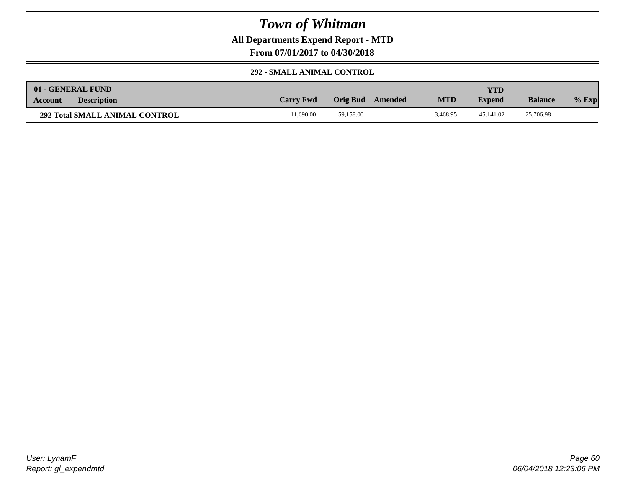**All Departments Expend Report - MTD**

**From 07/01/2017 to 04/30/2018**

#### **292 - SMALL ANIMAL CONTROL**

| 01 - GENERAL FUND                     |                  |                     |            | YTD           |                |         |
|---------------------------------------|------------------|---------------------|------------|---------------|----------------|---------|
| <b>Description</b><br><b>Account</b>  | <b>Carry Fwd</b> | Orig Bud<br>Amended | <b>MTD</b> | <b>Expend</b> | <b>Balance</b> | $%$ Exp |
| <b>292 Total SMALL ANIMAL CONTROL</b> | 1.690.00         | 59.158.00           | 3.468.95   | 45,141.02     | 25,706.98      |         |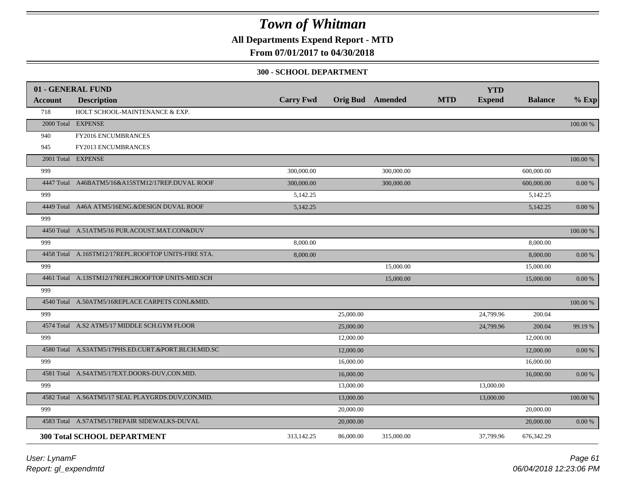**All Departments Expend Report - MTD**

### **From 07/01/2017 to 04/30/2018**

#### **300 - SCHOOL DEPARTMENT**

|                | 01 - GENERAL FUND                                   |                  |                         |            |            | <b>YTD</b>    |                |            |
|----------------|-----------------------------------------------------|------------------|-------------------------|------------|------------|---------------|----------------|------------|
| <b>Account</b> | <b>Description</b>                                  | <b>Carry Fwd</b> | <b>Orig Bud</b> Amended |            | <b>MTD</b> | <b>Expend</b> | <b>Balance</b> | $%$ Exp    |
| 718            | HOLT SCHOOL-MAINTENANCE & EXP.                      |                  |                         |            |            |               |                |            |
|                | 2000 Total EXPENSE                                  |                  |                         |            |            |               |                | 100.00 %   |
| 940            | FY2016 ENCUMBRANCES                                 |                  |                         |            |            |               |                |            |
| 945            | FY2013 ENCUMBRANCES                                 |                  |                         |            |            |               |                |            |
|                | 2001 Total EXPENSE                                  |                  |                         |            |            |               |                | 100.00 %   |
| 999            |                                                     | 300,000.00       |                         | 300,000.00 |            |               | 600,000.00     |            |
|                | 4447 Total A46BATM5/16&A15STM12/17REP.DUVAL ROOF    | 300,000.00       |                         | 300,000.00 |            |               | 600,000.00     | 0.00 %     |
| 999            |                                                     | 5,142.25         |                         |            |            |               | 5,142.25       |            |
|                | 4449 Total A46A ATM5/16ENG.&DESIGN DUVAL ROOF       | 5,142.25         |                         |            |            |               | 5,142.25       | 0.00 %     |
| 999            |                                                     |                  |                         |            |            |               |                |            |
|                | 4450 Total A.51ATM5/16 PUR.ACOUST.MAT.CON&DUV       |                  |                         |            |            |               |                | 100.00 %   |
| 999            |                                                     | 8,000.00         |                         |            |            |               | 8,000.00       |            |
|                | 4458 Total A.16STM12/17REPL.ROOFTOP UNITS-FIRE STA. | 8,000.00         |                         |            |            |               | 8,000.00       | 0.00 %     |
| 999            |                                                     |                  |                         | 15,000.00  |            |               | 15,000.00      |            |
|                | 4461 Total A.13STM12/17REPL2ROOFTOP UNITS-MID.SCH   |                  |                         | 15,000.00  |            |               | 15,000.00      | 0.00 %     |
| 999            |                                                     |                  |                         |            |            |               |                |            |
|                | 4540 Total A.50ATM5/16REPLACE CARPETS CONL&MID.     |                  |                         |            |            |               |                | 100.00 %   |
| 999            |                                                     |                  | 25,000.00               |            |            | 24,799.96     | 200.04         |            |
|                | 4574 Total A.S2 ATM5/17 MIDDLE SCH.GYM FLOOR        |                  | 25,000.00               |            |            | 24,799.96     | 200.04         | 99.19 %    |
| 999            |                                                     |                  | 12,000.00               |            |            |               | 12,000.00      |            |
|                | 4580 Total A.S3ATM5/17PHS.ED.CURT.&PORT.BLCH.MID.SC |                  | 12,000.00               |            |            |               | 12,000.00      | $0.00\:\%$ |
| 999            |                                                     |                  | 16,000.00               |            |            |               | 16,000.00      |            |
|                | 4581 Total A.S4ATM5/17EXT.DOORS-DUV,CON.MID.        |                  | 16,000.00               |            |            |               | 16,000.00      | 0.00 %     |
| 999            |                                                     |                  | 13,000.00               |            |            | 13,000.00     |                |            |
|                | 4582 Total A.S6ATM5/17 SEAL PLAYGRDS.DUV,CON,MID.   |                  | 13,000.00               |            |            | 13,000.00     |                | 100.00 %   |
| 999            |                                                     |                  | 20,000.00               |            |            |               | 20,000.00      |            |
|                | 4583 Total A.S7ATM5/17REPAIR SIDEWALKS-DUVAL        |                  | 20,000.00               |            |            |               | 20,000.00      | $0.00\ \%$ |
|                |                                                     |                  |                         |            |            |               |                |            |
|                | <b>300 Total SCHOOL DEPARTMENT</b>                  | 313,142.25       | 86,000.00               | 315,000.00 |            | 37,799.96     | 676,342.29     |            |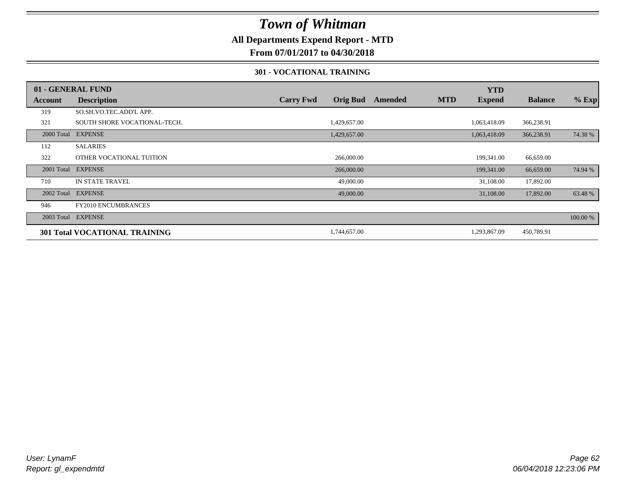### **All Departments Expend Report - MTD**

**From 07/01/2017 to 04/30/2018**

#### **301 - VOCATIONAL TRAINING**

|         | 01 - GENERAL FUND                    |                  |                 |         |            | <b>YTD</b>    |                |          |
|---------|--------------------------------------|------------------|-----------------|---------|------------|---------------|----------------|----------|
| Account | <b>Description</b>                   | <b>Carry Fwd</b> | <b>Orig Bud</b> | Amended | <b>MTD</b> | <b>Expend</b> | <b>Balance</b> | $%$ Exp  |
| 319     | SO.SH.VO.TEC.ADD'L APP.              |                  |                 |         |            |               |                |          |
| 321     | SOUTH SHORE VOCATIONAL-TECH.         |                  | 1,429,657.00    |         |            | 1,063,418.09  | 366,238.91     |          |
|         | 2000 Total EXPENSE                   |                  | 1,429,657.00    |         |            | 1,063,418.09  | 366,238.91     | 74.38 %  |
| 112     | <b>SALARIES</b>                      |                  |                 |         |            |               |                |          |
| 322     | OTHER VOCATIONAL TUITION             |                  | 266,000.00      |         |            | 199,341.00    | 66,659.00      |          |
|         | 2001 Total EXPENSE                   |                  | 266,000.00      |         |            | 199,341.00    | 66,659.00      | 74.94 %  |
| 710     | <b>IN STATE TRAVEL</b>               |                  | 49,000.00       |         |            | 31,108.00     | 17,892.00      |          |
|         | 2002 Total EXPENSE                   |                  | 49,000.00       |         |            | 31,108.00     | 17,892.00      | 63.48 %  |
| 946     | <b>FY2010 ENCUMBRANCES</b>           |                  |                 |         |            |               |                |          |
|         | 2003 Total EXPENSE                   |                  |                 |         |            |               |                | 100.00 % |
|         | <b>301 Total VOCATIONAL TRAINING</b> |                  | 1,744,657.00    |         |            | 1,293,867.09  | 450,789.91     |          |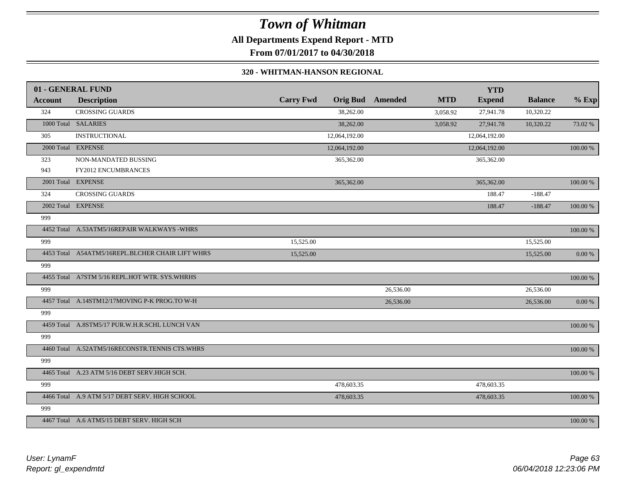## *Town of Whitman* **All Departments Expend Report - MTD**

**From 07/01/2017 to 04/30/2018**

#### **320 - WHITMAN-HANSON REGIONAL**

|                | 01 - GENERAL FUND                                |                  |                 |           |            | <b>YTD</b>    |                |             |
|----------------|--------------------------------------------------|------------------|-----------------|-----------|------------|---------------|----------------|-------------|
| <b>Account</b> | <b>Description</b>                               | <b>Carry Fwd</b> | <b>Orig Bud</b> | Amended   | <b>MTD</b> | <b>Expend</b> | <b>Balance</b> | $%$ Exp     |
| 324            | <b>CROSSING GUARDS</b>                           |                  | 38,262.00       |           | 3,058.92   | 27,941.78     | 10,320.22      |             |
|                | 1000 Total SALARIES                              |                  | 38,262.00       |           | 3,058.92   | 27,941.78     | 10,320.22      | 73.02 %     |
| 305            | <b>INSTRUCTIONAL</b>                             |                  | 12,064,192.00   |           |            | 12,064,192.00 |                |             |
|                | 2000 Total EXPENSE                               |                  | 12,064,192.00   |           |            | 12,064,192.00 |                | 100.00 %    |
| 323            | NON-MANDATED BUSSING                             |                  | 365,362.00      |           |            | 365,362.00    |                |             |
| 943            | FY2012 ENCUMBRANCES                              |                  |                 |           |            |               |                |             |
|                | 2001 Total EXPENSE                               |                  | 365,362.00      |           |            | 365,362.00    |                | $100.00~\%$ |
| 324            | <b>CROSSING GUARDS</b>                           |                  |                 |           |            | 188.47        | $-188.47$      |             |
|                | 2002 Total EXPENSE                               |                  |                 |           |            | 188.47        | $-188.47$      | 100.00 %    |
| 999            |                                                  |                  |                 |           |            |               |                |             |
|                | 4452 Total A.53ATM5/16REPAIR WALKWAYS -WHRS      |                  |                 |           |            |               |                | 100.00 %    |
| 999            |                                                  | 15,525.00        |                 |           |            |               | 15,525.00      |             |
|                | 4453 Total A54ATM5/16REPL.BLCHER CHAIR LIFT WHRS | 15,525.00        |                 |           |            |               | 15,525.00      | $0.00\%$    |
| 999            |                                                  |                  |                 |           |            |               |                |             |
|                | 4455 Total A7STM 5/16 REPL.HOT WTR. SYS.WHRHS    |                  |                 |           |            |               |                | $100.00~\%$ |
| 999            |                                                  |                  |                 | 26,536.00 |            |               | 26,536.00      |             |
|                | 4457 Total A.14STM12/17MOVING P-K PROG.TO W-H    |                  |                 | 26,536.00 |            |               | 26,536.00      | 0.00 %      |
| 999            |                                                  |                  |                 |           |            |               |                |             |
|                | 4459 Total A.8STM5/17 PUR.W.H.R.SCHL LUNCH VAN   |                  |                 |           |            |               |                | $100.00~\%$ |
| 999            |                                                  |                  |                 |           |            |               |                |             |
|                | 4460 Total A.52ATM5/16RECONSTR.TENNIS CTS.WHRS   |                  |                 |           |            |               |                | 100.00 %    |
| 999            |                                                  |                  |                 |           |            |               |                |             |
|                | 4465 Total A.23 ATM 5/16 DEBT SERV.HIGH SCH.     |                  |                 |           |            |               |                | 100.00 %    |
| 999            |                                                  |                  | 478,603.35      |           |            | 478,603.35    |                |             |
|                | 4466 Total A.9 ATM 5/17 DEBT SERV. HIGH SCHOOL   |                  | 478,603.35      |           |            | 478,603.35    |                | 100.00 %    |
| 999            |                                                  |                  |                 |           |            |               |                |             |
|                | 4467 Total A.6 ATM5/15 DEBT SERV. HIGH SCH       |                  |                 |           |            |               |                | 100.00 %    |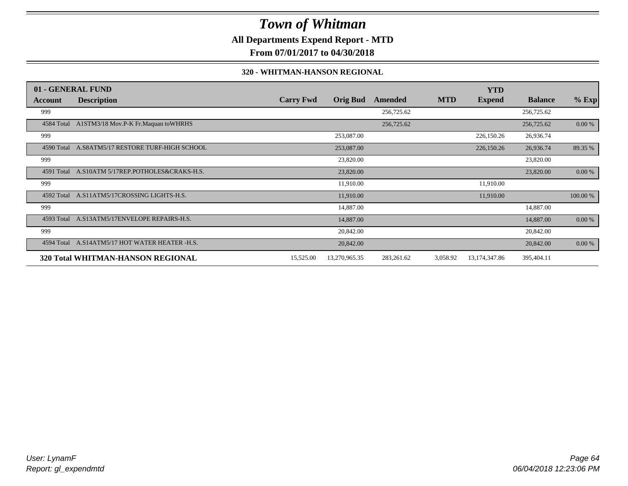**All Departments Expend Report - MTD**

**From 07/01/2017 to 04/30/2018**

#### **320 - WHITMAN-HANSON REGIONAL**

|            | 01 - GENERAL FUND                              |                  |                 |            |            | <b>YTD</b>      |                |          |
|------------|------------------------------------------------|------------------|-----------------|------------|------------|-----------------|----------------|----------|
| Account    | <b>Description</b>                             | <b>Carry Fwd</b> | <b>Orig Bud</b> | Amended    | <b>MTD</b> | <b>Expend</b>   | <b>Balance</b> | $%$ Exp  |
| 999        |                                                |                  |                 | 256,725.62 |            |                 | 256,725.62     |          |
|            | 4584 Total A1STM3/18 Mov.P-K Fr.Maquan toWHRHS |                  |                 | 256,725.62 |            |                 | 256,725.62     | 0.00 %   |
| 999        |                                                |                  | 253,087.00      |            |            | 226,150.26      | 26,936.74      |          |
| 4590 Total | A.S8ATM5/17 RESTORE TURF-HIGH SCHOOL           |                  | 253,087.00      |            |            | 226,150.26      | 26,936.74      | 89.35 %  |
| 999        |                                                |                  | 23,820.00       |            |            |                 | 23,820.00      |          |
| 4591 Total | A.S10ATM 5/17REP.POTHOLES&CRAKS-H.S.           |                  | 23,820.00       |            |            |                 | 23,820.00      | 0.00 %   |
| 999        |                                                |                  | 11,910.00       |            |            | 11,910.00       |                |          |
| 4592 Total | A.S11ATM5/17CROSSING LIGHTS-H.S.               |                  | 11,910.00       |            |            | 11,910.00       |                | 100.00 % |
| 999        |                                                |                  | 14,887.00       |            |            |                 | 14,887.00      |          |
| 4593 Total | A.S13ATM5/17ENVELOPE REPAIRS-H.S.              |                  | 14,887.00       |            |            |                 | 14,887.00      | 0.00 %   |
| 999        |                                                |                  | 20,842.00       |            |            |                 | 20,842.00      |          |
| 4594 Total | A.S14ATM5/17 HOT WATER HEATER -H.S.            |                  | 20,842.00       |            |            |                 | 20,842.00      | 0.00 %   |
|            | <b>320 Total WHITMAN-HANSON REGIONAL</b>       | 15,525.00        | 13,270,965.35   | 283,261.62 | 3,058.92   | 13, 174, 347.86 | 395,404.11     |          |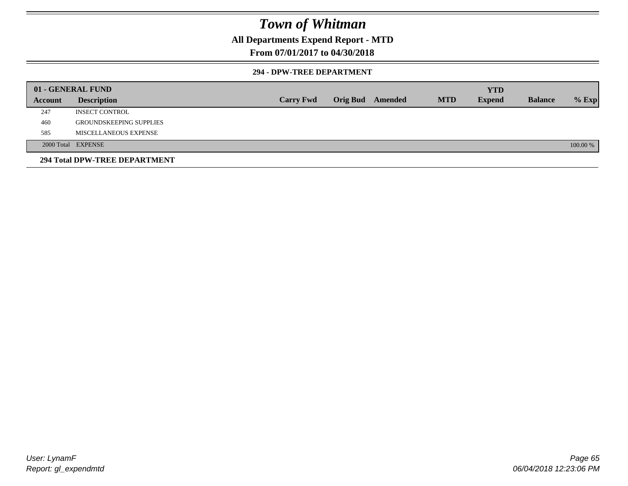### **All Departments Expend Report - MTD**

### **From 07/01/2017 to 04/30/2018**

#### **294 - DPW-TREE DEPARTMENT**

|         | 01 - GENERAL FUND              |                  |                         |            | <b>YTD</b>    |                |          |
|---------|--------------------------------|------------------|-------------------------|------------|---------------|----------------|----------|
| Account | <b>Description</b>             | <b>Carry Fwd</b> | <b>Orig Bud</b> Amended | <b>MTD</b> | <b>Expend</b> | <b>Balance</b> | $%$ Exp  |
| 247     | <b>INSECT CONTROL</b>          |                  |                         |            |               |                |          |
| 460     | <b>GROUNDSKEEPING SUPPLIES</b> |                  |                         |            |               |                |          |
| 585     | MISCELLANEOUS EXPENSE          |                  |                         |            |               |                |          |
|         | 2000 Total EXPENSE             |                  |                         |            |               |                | 100.00 % |
|         | 294 Total DPW-TREE DEPARTMENT  |                  |                         |            |               |                |          |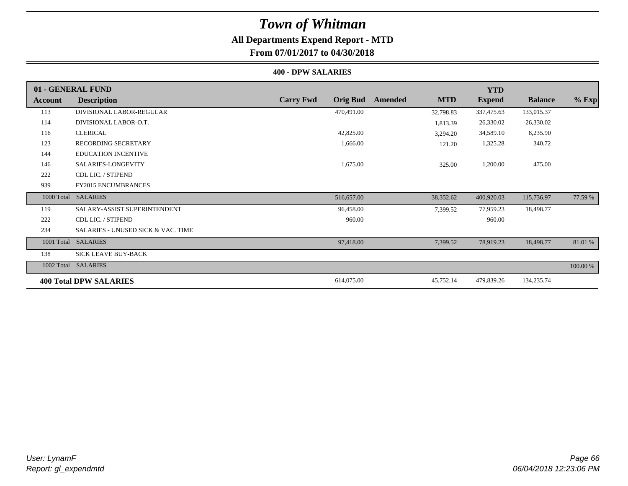### **All Departments Expend Report - MTD**

### **From 07/01/2017 to 04/30/2018**

#### **400 - DPW SALARIES**

|                | 01 - GENERAL FUND                             |                                     |                       | <b>YTD</b>    |                |          |
|----------------|-----------------------------------------------|-------------------------------------|-----------------------|---------------|----------------|----------|
| <b>Account</b> | <b>Description</b>                            | <b>Carry Fwd</b><br><b>Orig Bud</b> | <b>MTD</b><br>Amended | <b>Expend</b> | <b>Balance</b> | $%$ Exp  |
| 113            | DIVISIONAL LABOR-REGULAR                      | 470,491.00                          | 32,798.83             | 337,475.63    | 133,015.37     |          |
| 114            | DIVISIONAL LABOR-O.T.                         |                                     | 1,813.39              | 26,330.02     | $-26,330.02$   |          |
| 116            | <b>CLERICAL</b>                               | 42,825.00                           | 3,294.20              | 34,589.10     | 8,235.90       |          |
| 123            | <b>RECORDING SECRETARY</b>                    | 1,666.00                            | 121.20                | 1,325.28      | 340.72         |          |
| 144            | <b>EDUCATION INCENTIVE</b>                    |                                     |                       |               |                |          |
| 146            | SALARIES-LONGEVITY                            | 1,675.00                            | 325.00                | 1,200.00      | 475.00         |          |
| 222            | CDL LIC. / STIPEND                            |                                     |                       |               |                |          |
| 939            | <b>FY2015 ENCUMBRANCES</b>                    |                                     |                       |               |                |          |
| 1000 Total     | <b>SALARIES</b>                               | 516,657.00                          | 38,352.62             | 400,920.03    | 115,736.97     | 77.59 %  |
| 119            | SALARY-ASSIST.SUPERINTENDENT                  | 96,458.00                           | 7,399.52              | 77,959.23     | 18,498.77      |          |
| 222            | CDL LIC. / STIPEND                            | 960.00                              |                       | 960.00        |                |          |
| 234            | <b>SALARIES - UNUSED SICK &amp; VAC. TIME</b> |                                     |                       |               |                |          |
| 1001 Total     | <b>SALARIES</b>                               | 97,418.00                           | 7,399.52              | 78,919.23     | 18,498.77      | 81.01 %  |
| 138            | <b>SICK LEAVE BUY-BACK</b>                    |                                     |                       |               |                |          |
| 1002 Total     | <b>SALARIES</b>                               |                                     |                       |               |                | 100.00 % |
|                | <b>400 Total DPW SALARIES</b>                 | 614,075.00                          | 45,752.14             | 479,839.26    | 134,235.74     |          |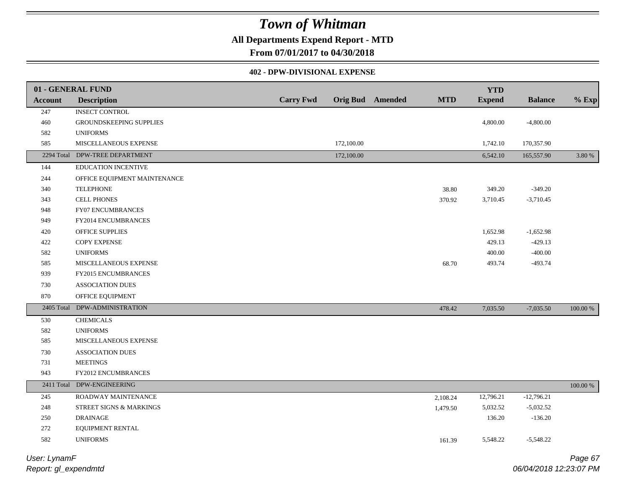### **All Departments Expend Report - MTD**

**From 07/01/2017 to 04/30/2018**

#### **402 - DPW-DIVISIONAL EXPENSE**

|                | 01 - GENERAL FUND              |                  |            |                         |            | <b>YTD</b>    |                |             |
|----------------|--------------------------------|------------------|------------|-------------------------|------------|---------------|----------------|-------------|
| <b>Account</b> | <b>Description</b>             | <b>Carry Fwd</b> |            | <b>Orig Bud</b> Amended | <b>MTD</b> | <b>Expend</b> | <b>Balance</b> | $%$ Exp     |
| 247            | <b>INSECT CONTROL</b>          |                  |            |                         |            |               |                |             |
| 460            | GROUNDSKEEPING SUPPLIES        |                  |            |                         |            | 4,800.00      | $-4,800.00$    |             |
| 582            | <b>UNIFORMS</b>                |                  |            |                         |            |               |                |             |
| 585            | MISCELLANEOUS EXPENSE          |                  | 172,100.00 |                         |            | 1,742.10      | 170,357.90     |             |
|                | 2294 Total DPW-TREE DEPARTMENT |                  | 172,100.00 |                         |            | 6,542.10      | 165,557.90     | 3.80 %      |
| 144            | EDUCATION INCENTIVE            |                  |            |                         |            |               |                |             |
| 244            | OFFICE EQUIPMENT MAINTENANCE   |                  |            |                         |            |               |                |             |
| 340            | <b>TELEPHONE</b>               |                  |            |                         | 38.80      | 349.20        | $-349.20$      |             |
| 343            | <b>CELL PHONES</b>             |                  |            |                         | 370.92     | 3,710.45      | $-3,710.45$    |             |
| 948            | FY07 ENCUMBRANCES              |                  |            |                         |            |               |                |             |
| 949            | FY2014 ENCUMBRANCES            |                  |            |                         |            |               |                |             |
| 420            | OFFICE SUPPLIES                |                  |            |                         |            | 1,652.98      | $-1,652.98$    |             |
| 422            | <b>COPY EXPENSE</b>            |                  |            |                         |            | 429.13        | $-429.13$      |             |
| 582            | <b>UNIFORMS</b>                |                  |            |                         |            | 400.00        | $-400.00$      |             |
| 585            | MISCELLANEOUS EXPENSE          |                  |            |                         | 68.70      | 493.74        | $-493.74$      |             |
| 939            | <b>FY2015 ENCUMBRANCES</b>     |                  |            |                         |            |               |                |             |
| 730            | <b>ASSOCIATION DUES</b>        |                  |            |                         |            |               |                |             |
| 870            | OFFICE EQUIPMENT               |                  |            |                         |            |               |                |             |
| 2405 Total     | DPW-ADMINISTRATION             |                  |            |                         | 478.42     | 7,035.50      | $-7,035.50$    | $100.00~\%$ |
| 530            | <b>CHEMICALS</b>               |                  |            |                         |            |               |                |             |
| 582            | <b>UNIFORMS</b>                |                  |            |                         |            |               |                |             |
| 585            | MISCELLANEOUS EXPENSE          |                  |            |                         |            |               |                |             |
| 730            | <b>ASSOCIATION DUES</b>        |                  |            |                         |            |               |                |             |
| 731            | <b>MEETINGS</b>                |                  |            |                         |            |               |                |             |
| 943            | FY2012 ENCUMBRANCES            |                  |            |                         |            |               |                |             |
|                | 2411 Total DPW-ENGINEERING     |                  |            |                         |            |               |                | 100.00 %    |
| 245            | ROADWAY MAINTENANCE            |                  |            |                         | 2,108.24   | 12,796.21     | $-12,796.21$   |             |
| 248            | STREET SIGNS & MARKINGS        |                  |            |                         | 1,479.50   | 5,032.52      | $-5,032.52$    |             |
| 250            | <b>DRAINAGE</b>                |                  |            |                         |            | 136.20        | $-136.20$      |             |
| 272            | EQUIPMENT RENTAL               |                  |            |                         |            |               |                |             |
| 582            | <b>UNIFORMS</b>                |                  |            |                         | 161.39     | 5,548.22      | $-5,548.22$    |             |
|                |                                |                  |            |                         |            |               |                |             |

*Report: gl\_expendmtd User: LynamF*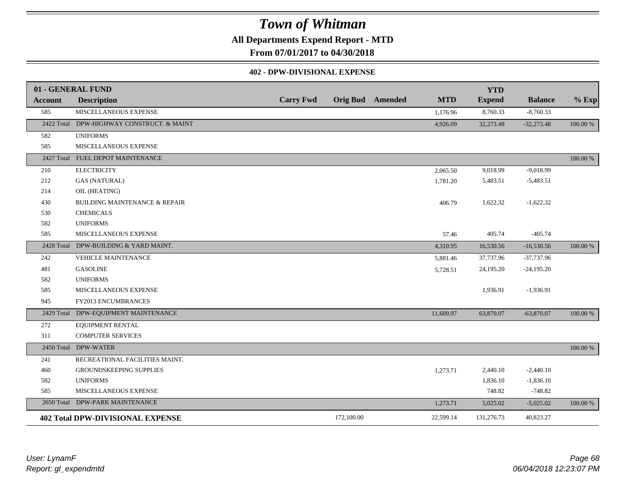**All Departments Expend Report - MTD**

**From 07/01/2017 to 04/30/2018**

#### **402 - DPW-DIVISIONAL EXPENSE**

|                | 01 - GENERAL FUND                        |                  |            |                         |            | <b>YTD</b>    |                |          |
|----------------|------------------------------------------|------------------|------------|-------------------------|------------|---------------|----------------|----------|
| <b>Account</b> | <b>Description</b>                       | <b>Carry Fwd</b> |            | <b>Orig Bud</b> Amended | <b>MTD</b> | <b>Expend</b> | <b>Balance</b> | $%$ Exp  |
| 585            | MISCELLANEOUS EXPENSE                    |                  |            |                         | 1,176.96   | 8,760.33      | $-8,760.33$    |          |
| 2422 Total     | DPW-HIGHWAY CONSTRUCT. & MAINT           |                  |            |                         | 4,926.09   | 32,273.48     | $-32,273.48$   | 100.00 % |
| 582            | <b>UNIFORMS</b>                          |                  |            |                         |            |               |                |          |
| 585            | MISCELLANEOUS EXPENSE                    |                  |            |                         |            |               |                |          |
|                | 2427 Total FUEL DEPOT MAINTENANCE        |                  |            |                         |            |               |                | 100.00 % |
| 210            | <b>ELECTRICITY</b>                       |                  |            |                         | 2,065.50   | 9,018.99      | $-9,018.99$    |          |
| 212            | <b>GAS (NATURAL)</b>                     |                  |            |                         | 1,781.20   | 5,483.51      | $-5,483.51$    |          |
| 214            | OIL (HEATING)                            |                  |            |                         |            |               |                |          |
| 430            | <b>BUILDING MAINTENANCE &amp; REPAIR</b> |                  |            |                         | 406.79     | 1,622.32      | $-1,622.32$    |          |
| 530            | <b>CHEMICALS</b>                         |                  |            |                         |            |               |                |          |
| 582            | <b>UNIFORMS</b>                          |                  |            |                         |            |               |                |          |
| 585            | MISCELLANEOUS EXPENSE                    |                  |            |                         | 57.46      | 405.74        | $-405.74$      |          |
|                | 2428 Total DPW-BUILDING & YARD MAINT.    |                  |            |                         | 4,310.95   | 16,530.56     | $-16,530.56$   | 100.00 % |
| 242            | <b>VEHICLE MAINTENANCE</b>               |                  |            |                         | 5,881.46   | 37,737.96     | $-37,737.96$   |          |
| 481            | <b>GASOLINE</b>                          |                  |            |                         | 5,728.51   | 24,195.20     | $-24,195.20$   |          |
| 582            | <b>UNIFORMS</b>                          |                  |            |                         |            |               |                |          |
| 585            | MISCELLANEOUS EXPENSE                    |                  |            |                         |            | 1,936.91      | $-1,936.91$    |          |
| 945            | FY2013 ENCUMBRANCES                      |                  |            |                         |            |               |                |          |
|                | 2429 Total DPW-EQUIPMENT MAINTENANCE     |                  |            |                         | 11,609.97  | 63,870.07     | $-63,870.07$   | 100.00 % |
| 272            | EQUIPMENT RENTAL                         |                  |            |                         |            |               |                |          |
| 311            | <b>COMPUTER SERVICES</b>                 |                  |            |                         |            |               |                |          |
| 2450 Total     | <b>DPW-WATER</b>                         |                  |            |                         |            |               |                | 100.00 % |
| 241            | RECREATIONAL FACILITIES MAINT.           |                  |            |                         |            |               |                |          |
| 460            | GROUNDSKEEPING SUPPLIES                  |                  |            |                         | 1,273.71   | 2,440.10      | $-2,440.10$    |          |
| 582            | <b>UNIFORMS</b>                          |                  |            |                         |            | 1,836.10      | $-1,836.10$    |          |
| 585            | MISCELLANEOUS EXPENSE                    |                  |            |                         |            | 748.82        | $-748.82$      |          |
|                | 2650 Total DPW-PARK MAINTENANCE          |                  |            |                         | 1,273.71   | 5,025.02      | $-5,025.02$    | 100.00 % |
|                | <b>402 Total DPW-DIVISIONAL EXPENSE</b>  |                  | 172,100.00 |                         | 22,599.14  | 131,276.73    | 40,823.27      |          |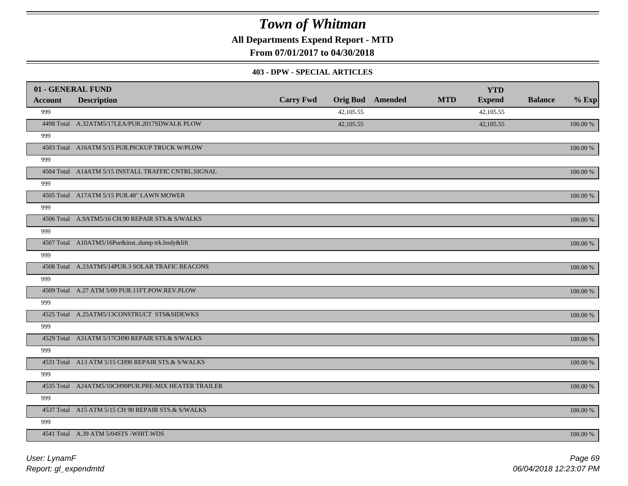**All Departments Expend Report - MTD**

**From 07/01/2017 to 04/30/2018**

#### **403 - DPW - SPECIAL ARTICLES**

| 01 - GENERAL FUND |                                                     |                  |           |                         |            | <b>YTD</b>    |                |             |
|-------------------|-----------------------------------------------------|------------------|-----------|-------------------------|------------|---------------|----------------|-------------|
| <b>Account</b>    | <b>Description</b>                                  | <b>Carry Fwd</b> |           | <b>Orig Bud</b> Amended | <b>MTD</b> | <b>Expend</b> | <b>Balance</b> | $%$ Exp     |
| 999               |                                                     |                  | 42,105.55 |                         |            | 42,105.55     |                |             |
|                   | 4498 Total A.32ATM5/17LEA/PUR.2017SDWALK PLOW       |                  | 42,105.55 |                         |            | 42,105.55     |                | 100.00 %    |
| 999               |                                                     |                  |           |                         |            |               |                |             |
|                   | 4503 Total A16ATM 5/15 PUR.PICKUP TRUCK W/PLOW      |                  |           |                         |            |               |                | 100.00 %    |
| 999               |                                                     |                  |           |                         |            |               |                |             |
|                   | 4504 Total A14ATM 5/15 INSTALL TRAFFIC CNTRL.SIGNAL |                  |           |                         |            |               |                | 100.00 %    |
| 999               |                                                     |                  |           |                         |            |               |                |             |
|                   | 4505 Total A17ATM 5/15 PUR.48" LAWN MOWER           |                  |           |                         |            |               |                | 100.00 %    |
| 999               |                                                     |                  |           |                         |            |               |                |             |
|                   | 4506 Total A.9ATM5/16 CH.90 REPAIR STS.& S/WALKS    |                  |           |                         |            |               |                | 100.00 %    |
| 999               |                                                     |                  |           |                         |            |               |                |             |
|                   | 4507 Total A10ATM5/16Pur&instdump trk.body&lift     |                  |           |                         |            |               |                | 100.00 %    |
| 999               |                                                     |                  |           |                         |            |               |                |             |
|                   | 4508 Total A.23ATM5/14PUR.3 SOLAR TRAFIC BEACONS    |                  |           |                         |            |               |                | 100.00 %    |
| 999               |                                                     |                  |           |                         |            |               |                |             |
|                   | 4509 Total A.27 ATM 5/09 PUR.11FT.POW.REV.PLOW      |                  |           |                         |            |               |                | 100.00 %    |
| 999               |                                                     |                  |           |                         |            |               |                |             |
|                   | 4525 Total A.25ATM5/13CONSTRUCT STS&SIDEWKS         |                  |           |                         |            |               |                | 100.00 %    |
| 999               |                                                     |                  |           |                         |            |               |                |             |
|                   | 4529 Total A31ATM 5/17CH90 REPAIR STS.& S/WALKS     |                  |           |                         |            |               |                | 100.00 %    |
| 999               |                                                     |                  |           |                         |            |               |                |             |
|                   | 4531 Total A13 ATM 5/15 CH90 REPAIR STS.& S/WALKS   |                  |           |                         |            |               |                | 100.00 %    |
| 999               |                                                     |                  |           |                         |            |               |                |             |
|                   | 4535 Total A24ATM5/10CH90PUR.PRE-MIX HEATER TRAILER |                  |           |                         |            |               |                | $100.00~\%$ |
| 999               |                                                     |                  |           |                         |            |               |                |             |
|                   | 4537 Total A15 ATM 5/15 CH 90 REPAIR STS.& S/WALKS  |                  |           |                         |            |               |                | 100.00 %    |
| 999               |                                                     |                  |           |                         |            |               |                |             |
|                   | 4541 Total A.39 ATM 5/04STS -WHIT.WDS               |                  |           |                         |            |               |                | 100.00 %    |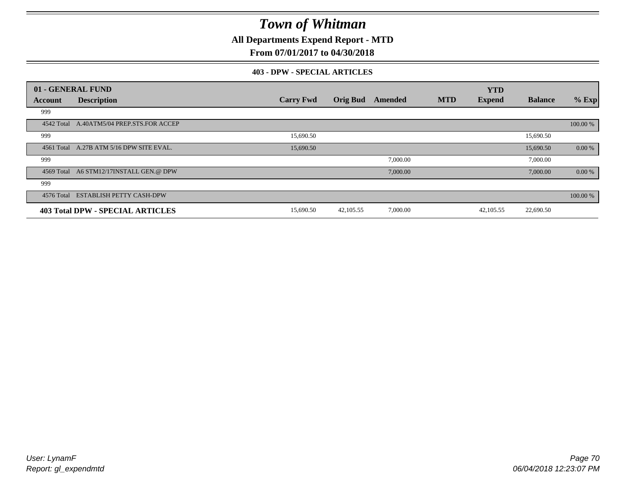**All Departments Expend Report - MTD**

### **From 07/01/2017 to 04/30/2018**

#### **403 - DPW - SPECIAL ARTICLES**

| 01 - GENERAL FUND |                                           |                  |                 |          |            | <b>YTD</b>    |                |          |
|-------------------|-------------------------------------------|------------------|-----------------|----------|------------|---------------|----------------|----------|
| Account           | <b>Description</b>                        | <b>Carry Fwd</b> | <b>Orig Bud</b> | Amended  | <b>MTD</b> | <b>Expend</b> | <b>Balance</b> | $%$ Exp  |
| 999               |                                           |                  |                 |          |            |               |                |          |
|                   | 4542 Total A.40ATM5/04 PREP.STS.FOR ACCEP |                  |                 |          |            |               |                | 100.00 % |
| 999               |                                           | 15,690.50        |                 |          |            |               | 15,690.50      |          |
|                   | 4561 Total A.27B ATM 5/16 DPW SITE EVAL.  | 15,690.50        |                 |          |            |               | 15,690.50      | 0.00 %   |
| 999               |                                           |                  |                 | 7,000.00 |            |               | 7,000.00       |          |
|                   | 4569 Total A6 STM12/17INSTALL GEN.@ DPW   |                  |                 | 7,000.00 |            |               | 7,000.00       | 0.00 %   |
| 999               |                                           |                  |                 |          |            |               |                |          |
| 4576 Total        | <b>ESTABLISH PETTY CASH-DPW</b>           |                  |                 |          |            |               |                | 100.00 % |
|                   | 403 Total DPW - SPECIAL ARTICLES          | 15,690.50        | 42,105.55       | 7,000.00 |            | 42,105.55     | 22,690.50      |          |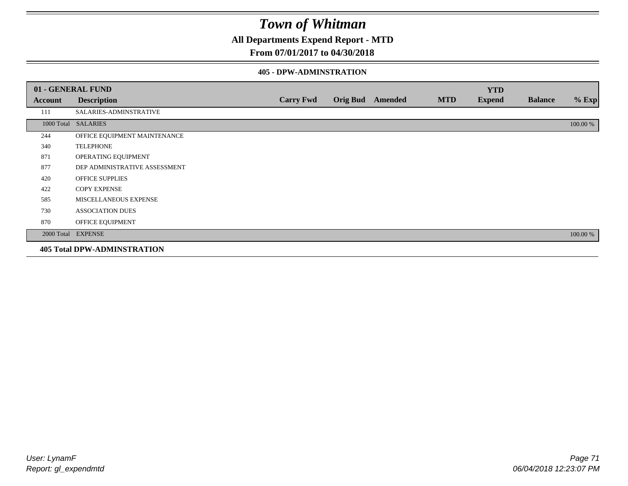**All Departments Expend Report - MTD**

### **From 07/01/2017 to 04/30/2018**

#### **405 - DPW-ADMINSTRATION**

|         | 01 - GENERAL FUND                  |                  |                  |            | <b>YTD</b>    |                |          |
|---------|------------------------------------|------------------|------------------|------------|---------------|----------------|----------|
| Account | <b>Description</b>                 | <b>Carry Fwd</b> | Orig Bud Amended | <b>MTD</b> | <b>Expend</b> | <b>Balance</b> | $%$ Exp  |
| 111     | SALARIES-ADMINSTRATIVE             |                  |                  |            |               |                |          |
|         | 1000 Total SALARIES                |                  |                  |            |               |                | 100.00 % |
| 244     | OFFICE EQUIPMENT MAINTENANCE       |                  |                  |            |               |                |          |
| 340     | <b>TELEPHONE</b>                   |                  |                  |            |               |                |          |
| 871     | OPERATING EQUIPMENT                |                  |                  |            |               |                |          |
| 877     | DEP ADMINISTRATIVE ASSESSMENT      |                  |                  |            |               |                |          |
| 420     | <b>OFFICE SUPPLIES</b>             |                  |                  |            |               |                |          |
| 422     | <b>COPY EXPENSE</b>                |                  |                  |            |               |                |          |
| 585     | MISCELLANEOUS EXPENSE              |                  |                  |            |               |                |          |
| 730     | <b>ASSOCIATION DUES</b>            |                  |                  |            |               |                |          |
| 870     | OFFICE EQUIPMENT                   |                  |                  |            |               |                |          |
|         | 2000 Total EXPENSE                 |                  |                  |            |               |                | 100.00 % |
|         | <b>405 Total DPW-ADMINSTRATION</b> |                  |                  |            |               |                |          |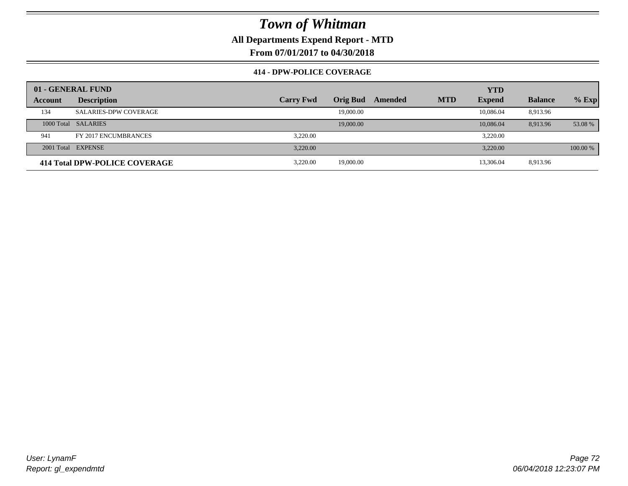**All Departments Expend Report - MTD**

**From 07/01/2017 to 04/30/2018**

### **414 - DPW-POLICE COVERAGE**

|         | 01 - GENERAL FUND             |                  |                 |         |            | <b>YTD</b>    |                |          |
|---------|-------------------------------|------------------|-----------------|---------|------------|---------------|----------------|----------|
| Account | <b>Description</b>            | <b>Carry Fwd</b> | <b>Orig Bud</b> | Amended | <b>MTD</b> | <b>Expend</b> | <b>Balance</b> | $%$ Exp  |
| 134     | <b>SALARIES-DPW COVERAGE</b>  |                  | 19,000.00       |         |            | 10.086.04     | 8,913.96       |          |
|         | 1000 Total SALARIES           |                  | 19,000.00       |         |            | 10,086.04     | 8,913.96       | 53.08 %  |
| 941     | FY 2017 ENCUMBRANCES          | 3.220.00         |                 |         |            | 3,220.00      |                |          |
|         | 2001 Total EXPENSE            | 3.220.00         |                 |         |            | 3,220.00      |                | 100.00 % |
|         | 414 Total DPW-POLICE COVERAGE | 3.220.00         | 19,000.00       |         |            | 13,306.04     | 8,913.96       |          |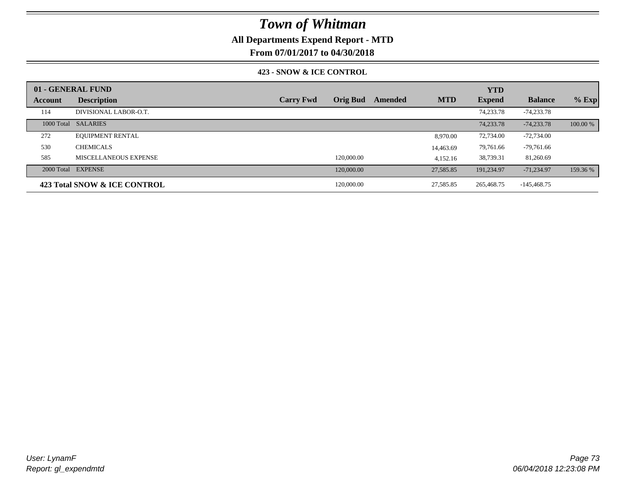## **All Departments Expend Report - MTD**

**From 07/01/2017 to 04/30/2018**

### **423 - SNOW & ICE CONTROL**

|         | 01 - GENERAL FUND            |                  |                 |         |            | <b>YTD</b>    |                |          |
|---------|------------------------------|------------------|-----------------|---------|------------|---------------|----------------|----------|
| Account | <b>Description</b>           | <b>Carry Fwd</b> | <b>Orig Bud</b> | Amended | <b>MTD</b> | <b>Expend</b> | <b>Balance</b> | $%$ Exp  |
| 114     | DIVISIONAL LABOR-O.T.        |                  |                 |         |            | 74,233.78     | -74,233.78     |          |
|         | 1000 Total SALARIES          |                  |                 |         |            | 74,233.78     | $-74,233.78$   | 100.00 % |
| 272     | <b>EQUIPMENT RENTAL</b>      |                  |                 |         | 8,970.00   | 72,734.00     | $-72,734.00$   |          |
| 530     | <b>CHEMICALS</b>             |                  |                 |         | 14,463.69  | 79,761.66     | $-79,761.66$   |          |
| 585     | MISCELLANEOUS EXPENSE        |                  | 120,000.00      |         | 4,152.16   | 38,739.31     | 81,260.69      |          |
|         | 2000 Total EXPENSE           |                  | 120,000.00      |         | 27,585.85  | 191.234.97    | $-71,234.97$   | 159.36 % |
|         | 423 Total SNOW & ICE CONTROL |                  | 120,000.00      |         | 27,585.85  | 265,468.75    | -145,468.75    |          |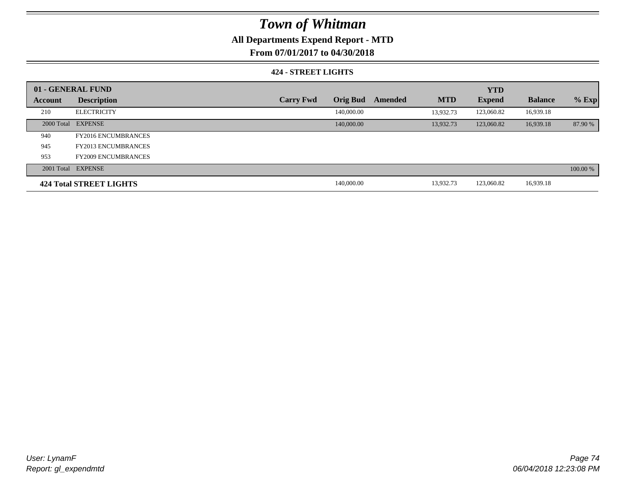## **All Departments Expend Report - MTD**

**From 07/01/2017 to 04/30/2018**

### **424 - STREET LIGHTS**

|         | 01 - GENERAL FUND          |                  |                 |         | <b>YTD</b> |               |                |          |  |
|---------|----------------------------|------------------|-----------------|---------|------------|---------------|----------------|----------|--|
| Account | <b>Description</b>         | <b>Carry Fwd</b> | <b>Orig Bud</b> | Amended | <b>MTD</b> | <b>Expend</b> | <b>Balance</b> | $%$ Exp  |  |
| 210     | <b>ELECTRICITY</b>         |                  | 140,000.00      |         | 13.932.73  | 123,060.82    | 16,939.18      |          |  |
|         | 2000 Total EXPENSE         |                  | 140,000.00      |         | 13.932.73  | 123,060.82    | 16,939.18      | 87.90 %  |  |
| 940     | <b>FY2016 ENCUMBRANCES</b> |                  |                 |         |            |               |                |          |  |
| 945     | <b>FY2013 ENCUMBRANCES</b> |                  |                 |         |            |               |                |          |  |
| 953     | <b>FY2009 ENCUMBRANCES</b> |                  |                 |         |            |               |                |          |  |
|         | 2001 Total EXPENSE         |                  |                 |         |            |               |                | 100.00 % |  |
|         | 424 Total STREET LIGHTS    |                  | 140,000.00      |         | 13,932.73  | 123,060.82    | 16,939.18      |          |  |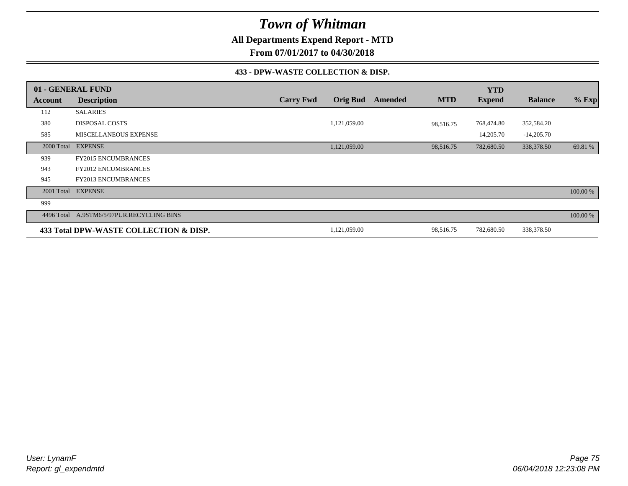**All Departments Expend Report - MTD**

**From 07/01/2017 to 04/30/2018**

### **433 - DPW-WASTE COLLECTION & DISP.**

|         | 01 - GENERAL FUND                         |                  |                 |                |            | <b>YTD</b>    |                |          |
|---------|-------------------------------------------|------------------|-----------------|----------------|------------|---------------|----------------|----------|
| Account | <b>Description</b>                        | <b>Carry Fwd</b> | <b>Orig Bud</b> | <b>Amended</b> | <b>MTD</b> | <b>Expend</b> | <b>Balance</b> | $%$ Exp  |
| 112     | <b>SALARIES</b>                           |                  |                 |                |            |               |                |          |
| 380     | <b>DISPOSAL COSTS</b>                     |                  | 1,121,059.00    |                | 98,516.75  | 768,474.80    | 352,584.20     |          |
| 585     | <b>MISCELLANEOUS EXPENSE</b>              |                  |                 |                |            | 14,205.70     | $-14,205.70$   |          |
|         | 2000 Total EXPENSE                        |                  | 1,121,059.00    |                | 98,516.75  | 782,680.50    | 338,378.50     | 69.81 %  |
| 939     | <b>FY2015 ENCUMBRANCES</b>                |                  |                 |                |            |               |                |          |
| 943     | <b>FY2012 ENCUMBRANCES</b>                |                  |                 |                |            |               |                |          |
| 945     | <b>FY2013 ENCUMBRANCES</b>                |                  |                 |                |            |               |                |          |
|         | 2001 Total EXPENSE                        |                  |                 |                |            |               |                | 100.00 % |
| 999     |                                           |                  |                 |                |            |               |                |          |
|         | 4496 Total A.9STM6/5/97PUR.RECYCLING BINS |                  |                 |                |            |               |                | 100.00 % |
|         | 433 Total DPW-WASTE COLLECTION & DISP.    |                  | 1,121,059.00    |                | 98,516.75  | 782,680.50    | 338,378.50     |          |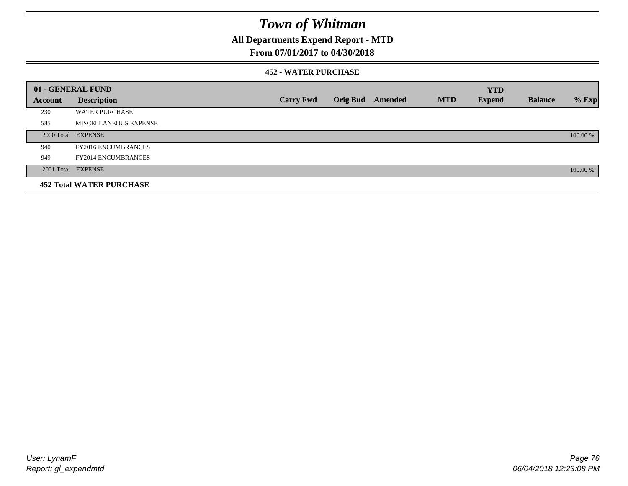**All Departments Expend Report - MTD**

## **From 07/01/2017 to 04/30/2018**

### **452 - WATER PURCHASE**

|         | 01 - GENERAL FUND               |                  |                 |         |            | <b>YTD</b>    |                |          |
|---------|---------------------------------|------------------|-----------------|---------|------------|---------------|----------------|----------|
| Account | <b>Description</b>              | <b>Carry Fwd</b> | <b>Orig Bud</b> | Amended | <b>MTD</b> | <b>Expend</b> | <b>Balance</b> | $%$ Exp  |
| 230     | <b>WATER PURCHASE</b>           |                  |                 |         |            |               |                |          |
| 585     | MISCELLANEOUS EXPENSE           |                  |                 |         |            |               |                |          |
|         | 2000 Total EXPENSE              |                  |                 |         |            |               |                | 100.00 % |
| 940     | <b>FY2016 ENCUMBRANCES</b>      |                  |                 |         |            |               |                |          |
| 949     | <b>FY2014 ENCUMBRANCES</b>      |                  |                 |         |            |               |                |          |
|         | 2001 Total EXPENSE              |                  |                 |         |            |               |                | 100.00 % |
|         | <b>452 Total WATER PURCHASE</b> |                  |                 |         |            |               |                |          |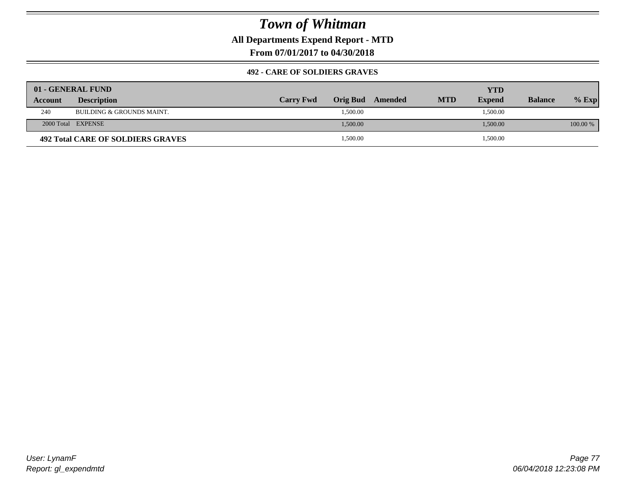**All Departments Expend Report - MTD**

**From 07/01/2017 to 04/30/2018**

### **492 - CARE OF SOLDIERS GRAVES**

|                | 01 - GENERAL FUND                 |                  |                  |            | YTD           |                |          |
|----------------|-----------------------------------|------------------|------------------|------------|---------------|----------------|----------|
| <b>Account</b> | <b>Description</b>                | <b>Carry Fwd</b> | Orig Bud Amended | <b>MTD</b> | <b>Expend</b> | <b>Balance</b> | $%$ Exp  |
| 240            | BUILDING & GROUNDS MAINT.         |                  | 1,500.00         |            | 1,500.00      |                |          |
|                | 2000 Total EXPENSE                |                  | 1,500.00         |            | 1,500.00      |                | 100.00 % |
|                | 492 Total CARE OF SOLDIERS GRAVES |                  | 1,500.00         |            | 1,500.00      |                |          |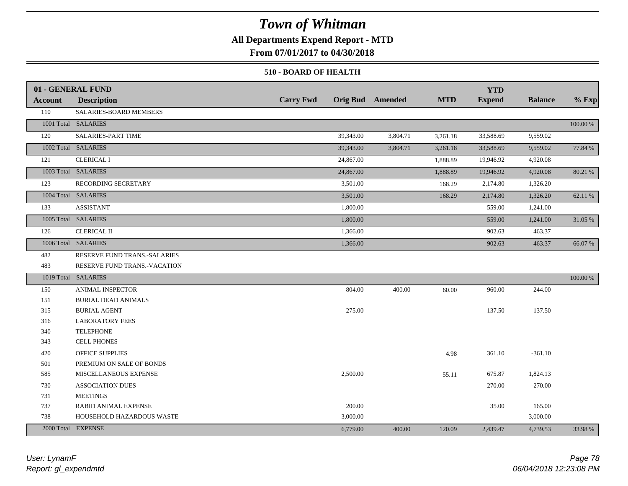## **All Departments Expend Report - MTD**

**From 07/01/2017 to 04/30/2018**

### **510 - BOARD OF HEALTH**

|         | 01 - GENERAL FUND            |                  |                         |            | <b>YTD</b>    |                |             |
|---------|------------------------------|------------------|-------------------------|------------|---------------|----------------|-------------|
| Account | <b>Description</b>           | <b>Carry Fwd</b> | <b>Orig Bud</b> Amended | <b>MTD</b> | <b>Expend</b> | <b>Balance</b> | $%$ Exp     |
| 110     | SALARIES-BOARD MEMBERS       |                  |                         |            |               |                |             |
|         | 1001 Total SALARIES          |                  |                         |            |               |                | 100.00 %    |
| 120     | SALARIES-PART TIME           | 39,343.00        | 3,804.71                | 3,261.18   | 33,588.69     | 9,559.02       |             |
|         | 1002 Total SALARIES          | 39,343.00        | 3,804.71                | 3,261.18   | 33,588.69     | 9,559.02       | 77.84 %     |
| 121     | <b>CLERICAL I</b>            | 24,867.00        |                         | 1,888.89   | 19,946.92     | 4,920.08       |             |
|         | 1003 Total SALARIES          | 24,867.00        |                         | 1,888.89   | 19,946.92     | 4,920.08       | 80.21 %     |
| 123     | RECORDING SECRETARY          | 3,501.00         |                         | 168.29     | 2,174.80      | 1,326.20       |             |
|         | 1004 Total SALARIES          | 3,501.00         |                         | 168.29     | 2,174.80      | 1,326.20       | 62.11 %     |
| 133     | <b>ASSISTANT</b>             | 1,800.00         |                         |            | 559.00        | 1,241.00       |             |
|         | 1005 Total SALARIES          | 1,800.00         |                         |            | 559.00        | 1,241.00       | 31.05 %     |
| 126     | <b>CLERICAL II</b>           | 1,366.00         |                         |            | 902.63        | 463.37         |             |
|         | 1006 Total SALARIES          | 1,366.00         |                         |            | 902.63        | 463.37         | 66.07 %     |
| 482     | RESERVE FUND TRANS.-SALARIES |                  |                         |            |               |                |             |
| 483     | RESERVE FUND TRANS.-VACATION |                  |                         |            |               |                |             |
|         | 1019 Total SALARIES          |                  |                         |            |               |                | $100.00~\%$ |
| 150     | <b>ANIMAL INSPECTOR</b>      | 804.00           | 400.00                  | 60.00      | 960.00        | 244.00         |             |
| 151     | <b>BURIAL DEAD ANIMALS</b>   |                  |                         |            |               |                |             |
| 315     | <b>BURIAL AGENT</b>          | 275.00           |                         |            | 137.50        | 137.50         |             |
| 316     | <b>LABORATORY FEES</b>       |                  |                         |            |               |                |             |
| 340     | <b>TELEPHONE</b>             |                  |                         |            |               |                |             |
| 343     | <b>CELL PHONES</b>           |                  |                         |            |               |                |             |
| 420     | <b>OFFICE SUPPLIES</b>       |                  |                         | 4.98       | 361.10        | $-361.10$      |             |
| 501     | PREMIUM ON SALE OF BONDS     |                  |                         |            |               |                |             |
| 585     | MISCELLANEOUS EXPENSE        | 2,500.00         |                         | 55.11      | 675.87        | 1,824.13       |             |
| 730     | <b>ASSOCIATION DUES</b>      |                  |                         |            | 270.00        | $-270.00$      |             |
| 731     | <b>MEETINGS</b>              |                  |                         |            |               |                |             |
| 737     | <b>RABID ANIMAL EXPENSE</b>  | 200.00           |                         |            | 35.00         | 165.00         |             |
| 738     | HOUSEHOLD HAZARDOUS WASTE    | 3,000.00         |                         |            |               | 3,000.00       |             |
|         | 2000 Total EXPENSE           | 6,779.00         | 400.00                  | 120.09     | 2,439.47      | 4,739.53       | 33.98 %     |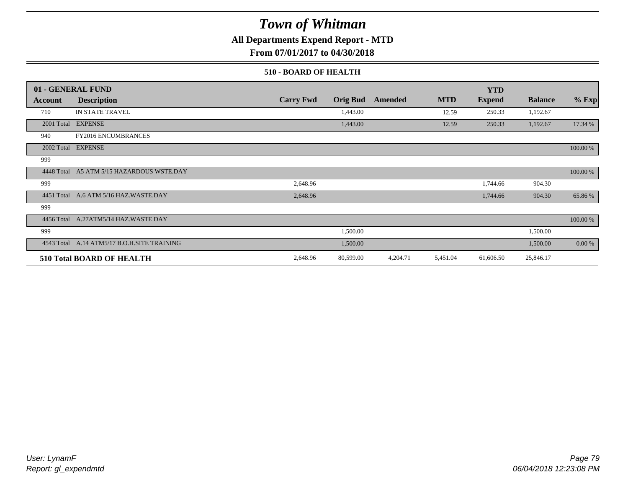**All Departments Expend Report - MTD**

**From 07/01/2017 to 04/30/2018**

### **510 - BOARD OF HEALTH**

|            | 01 - GENERAL FUND                           |                  |                 |          |            | <b>YTD</b>    |                |          |
|------------|---------------------------------------------|------------------|-----------------|----------|------------|---------------|----------------|----------|
| Account    | <b>Description</b>                          | <b>Carry Fwd</b> | <b>Orig Bud</b> | Amended  | <b>MTD</b> | <b>Expend</b> | <b>Balance</b> | $%$ Exp  |
| 710        | <b>IN STATE TRAVEL</b>                      |                  | 1,443.00        |          | 12.59      | 250.33        | 1,192.67       |          |
|            | 2001 Total EXPENSE                          |                  | 1,443.00        |          | 12.59      | 250.33        | 1,192.67       | 17.34 %  |
| 940        | <b>FY2016 ENCUMBRANCES</b>                  |                  |                 |          |            |               |                |          |
|            | 2002 Total EXPENSE                          |                  |                 |          |            |               |                | 100.00 % |
| 999        |                                             |                  |                 |          |            |               |                |          |
|            | 4448 Total A5 ATM 5/15 HAZARDOUS WSTE.DAY   |                  |                 |          |            |               |                | 100.00 % |
| 999        |                                             | 2,648.96         |                 |          |            | 1,744.66      | 904.30         |          |
| 4451 Total | A.6 ATM 5/16 HAZ.WASTE.DAY                  | 2,648.96         |                 |          |            | 1,744.66      | 904.30         | 65.86%   |
| 999        |                                             |                  |                 |          |            |               |                |          |
|            | 4456 Total A.27ATM5/14 HAZ.WASTE DAY        |                  |                 |          |            |               |                | 100.00 % |
| 999        |                                             |                  | 1,500.00        |          |            |               | 1,500.00       |          |
|            | 4543 Total A.14 ATM5/17 B.O.H.SITE TRAINING |                  | 1,500.00        |          |            |               | 1,500.00       | 0.00 %   |
|            | <b>510 Total BOARD OF HEALTH</b>            | 2,648.96         | 80,599.00       | 4,204.71 | 5,451.04   | 61,606.50     | 25,846.17      |          |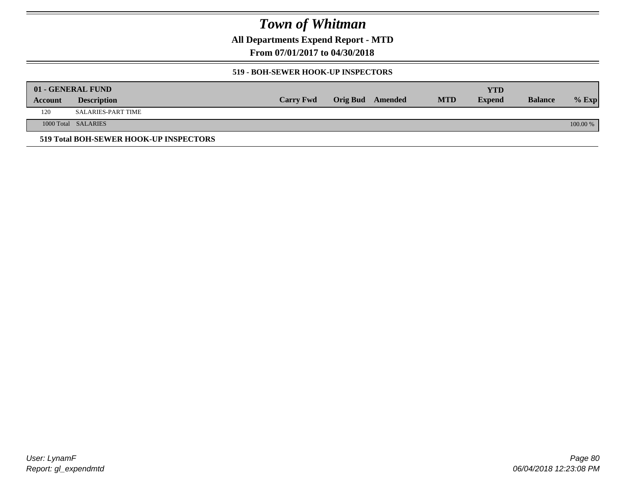**All Departments Expend Report - MTD**

**From 07/01/2017 to 04/30/2018**

### **519 - BOH-SEWER HOOK-UP INSPECTORS**

|         | 01 - GENERAL FUND                      |                  |                         |            | YTD           |                |          |
|---------|----------------------------------------|------------------|-------------------------|------------|---------------|----------------|----------|
| Account | <b>Description</b>                     | <b>Carry Fwd</b> | <b>Orig Bud</b> Amended | <b>MTD</b> | <b>Expend</b> | <b>Balance</b> | $%$ Exp  |
| 120     | SALARIES-PART TIME                     |                  |                         |            |               |                |          |
|         | 1000 Total SALARIES                    |                  |                         |            |               |                | 100.00 % |
|         | 519 Total BOH-SEWER HOOK-UP INSPECTORS |                  |                         |            |               |                |          |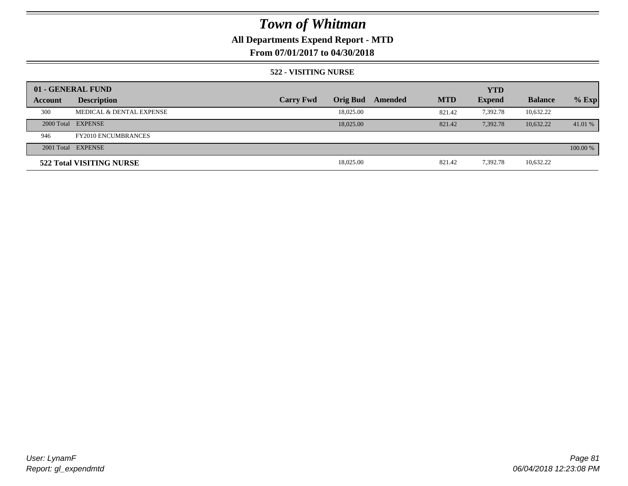## **All Departments Expend Report - MTD**

## **From 07/01/2017 to 04/30/2018**

### **522 - VISITING NURSE**

|         | 01 - GENERAL FUND          |                  |                 |         |            | <b>YTD</b>    |                |          |
|---------|----------------------------|------------------|-----------------|---------|------------|---------------|----------------|----------|
| Account | <b>Description</b>         | <b>Carry Fwd</b> | <b>Orig Bud</b> | Amended | <b>MTD</b> | <b>Expend</b> | <b>Balance</b> | $%$ Exp  |
| 300     | MEDICAL & DENTAL EXPENSE   |                  | 18,025.00       |         | 821.42     | 7.392.78      | 10,632.22      |          |
|         | 2000 Total EXPENSE         |                  | 18,025,00       |         | 821.42     | 7.392.78      | 10.632.22      | 41.01 %  |
| 946     | <b>FY2010 ENCUMBRANCES</b> |                  |                 |         |            |               |                |          |
|         | 2001 Total EXPENSE         |                  |                 |         |            |               |                | 100.00 % |
|         | 522 Total VISITING NURSE   |                  | 18,025.00       |         | 821.42     | 7,392.78      | 10,632.22      |          |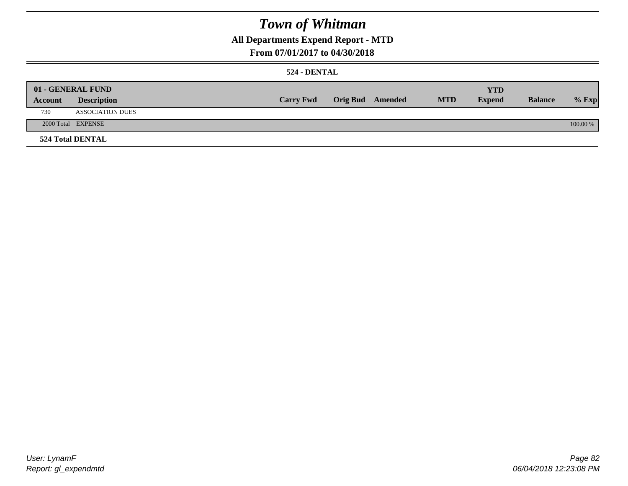## **All Departments Expend Report - MTD**

### **From 07/01/2017 to 04/30/2018**

### **524 - DENTAL**

|         | 01 - GENERAL FUND       |                  |                  |            | <b>YTD</b>    |                |          |
|---------|-------------------------|------------------|------------------|------------|---------------|----------------|----------|
| Account | <b>Description</b>      | <b>Carry Fwd</b> | Orig Bud Amended | <b>MTD</b> | <b>Expend</b> | <b>Balance</b> | $%$ Exp  |
| 730     | <b>ASSOCIATION DUES</b> |                  |                  |            |               |                |          |
|         | 2000 Total EXPENSE      |                  |                  |            |               |                | 100.00 % |
|         | <b>524 Total DENTAL</b> |                  |                  |            |               |                |          |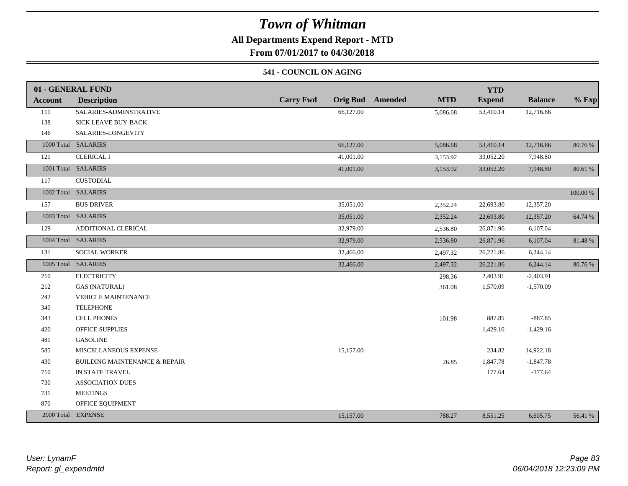## **All Departments Expend Report - MTD**

**From 07/01/2017 to 04/30/2018**

### **541 - COUNCIL ON AGING**

|         | 01 - GENERAL FUND                        |                                     |                              | <b>YTD</b>    |                |          |
|---------|------------------------------------------|-------------------------------------|------------------------------|---------------|----------------|----------|
| Account | <b>Description</b>                       | <b>Carry Fwd</b><br><b>Orig Bud</b> | <b>MTD</b><br><b>Amended</b> | <b>Expend</b> | <b>Balance</b> | $%$ Exp  |
| 111     | SALARIES-ADMINSTRATIVE                   | 66,127.00                           | 5,086.68                     | 53,410.14     | 12,716.86      |          |
| 138     | SICK LEAVE BUY-BACK                      |                                     |                              |               |                |          |
| 146     | SALARIES-LONGEVITY                       |                                     |                              |               |                |          |
|         | 1000 Total SALARIES                      | 66,127.00                           | 5,086.68                     | 53,410.14     | 12,716.86      | 80.76 %  |
| 121     | <b>CLERICAL I</b>                        | 41,001.00                           | 3,153.92                     | 33,052.20     | 7,948.80       |          |
|         | 1001 Total SALARIES                      | 41,001.00                           | 3,153.92                     | 33,052.20     | 7,948.80       | 80.61 %  |
| 117     | <b>CUSTODIAL</b>                         |                                     |                              |               |                |          |
|         | 1002 Total SALARIES                      |                                     |                              |               |                | 100.00 % |
| 157     | <b>BUS DRIVER</b>                        | 35,051.00                           | 2,352.24                     | 22,693.80     | 12,357.20      |          |
|         | 1003 Total SALARIES                      | 35,051.00                           | 2,352.24                     | 22,693.80     | 12,357.20      | 64.74 %  |
| 129     | ADDITIONAL CLERICAL                      | 32,979.00                           | 2,536.80                     | 26,871.96     | 6,107.04       |          |
|         | 1004 Total SALARIES                      | 32,979.00                           | 2,536.80                     | 26,871.96     | 6,107.04       | 81.48%   |
| 131     | <b>SOCIAL WORKER</b>                     | 32,466.00                           | 2,497.32                     | 26,221.86     | 6,244.14       |          |
|         | 1005 Total SALARIES                      | 32,466.00                           | 2,497.32                     | 26,221.86     | 6,244.14       | 80.76%   |
| 210     | <b>ELECTRICITY</b>                       |                                     | 298.36                       | 2,403.91      | $-2,403.91$    |          |
| 212     | <b>GAS (NATURAL)</b>                     |                                     | 361.08                       | 1,570.09      | $-1,570.09$    |          |
| 242     | <b>VEHICLE MAINTENANCE</b>               |                                     |                              |               |                |          |
| 340     | <b>TELEPHONE</b>                         |                                     |                              |               |                |          |
| 343     | <b>CELL PHONES</b>                       |                                     | 101.98                       | 887.85        | $-887.85$      |          |
| 420     | <b>OFFICE SUPPLIES</b>                   |                                     |                              | 1,429.16      | $-1,429.16$    |          |
| 481     | <b>GASOLINE</b>                          |                                     |                              |               |                |          |
| 585     | MISCELLANEOUS EXPENSE                    | 15,157.00                           |                              | 234.82        | 14,922.18      |          |
| 430     | <b>BUILDING MAINTENANCE &amp; REPAIR</b> |                                     | 26.85                        | 1,847.78      | $-1,847.78$    |          |
| 710     | IN STATE TRAVEL                          |                                     |                              | 177.64        | $-177.64$      |          |
| 730     | <b>ASSOCIATION DUES</b>                  |                                     |                              |               |                |          |
| 731     | <b>MEETINGS</b>                          |                                     |                              |               |                |          |
| 870     | OFFICE EQUIPMENT                         |                                     |                              |               |                |          |
|         | 2000 Total EXPENSE                       | 15,157.00                           | 788.27                       | 8,551.25      | 6,605.75       | 56.41 %  |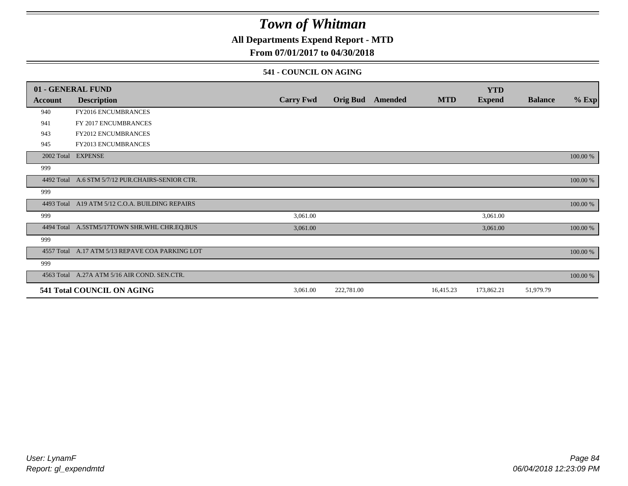## **All Departments Expend Report - MTD**

## **From 07/01/2017 to 04/30/2018**

### **541 - COUNCIL ON AGING**

|         | 01 - GENERAL FUND                                |                  |                 |         |            | <b>YTD</b>    |                |          |
|---------|--------------------------------------------------|------------------|-----------------|---------|------------|---------------|----------------|----------|
| Account | <b>Description</b>                               | <b>Carry Fwd</b> | <b>Orig Bud</b> | Amended | <b>MTD</b> | <b>Expend</b> | <b>Balance</b> | $%$ Exp  |
| 940     | <b>FY2016 ENCUMBRANCES</b>                       |                  |                 |         |            |               |                |          |
| 941     | FY 2017 ENCUMBRANCES                             |                  |                 |         |            |               |                |          |
| 943     | <b>FY2012 ENCUMBRANCES</b>                       |                  |                 |         |            |               |                |          |
| 945     | <b>FY2013 ENCUMBRANCES</b>                       |                  |                 |         |            |               |                |          |
|         | 2002 Total EXPENSE                               |                  |                 |         |            |               |                | 100.00 % |
| 999     |                                                  |                  |                 |         |            |               |                |          |
|         | 4492 Total A.6 STM 5/7/12 PUR.CHAIRS-SENIOR CTR. |                  |                 |         |            |               |                | 100.00 % |
| 999     |                                                  |                  |                 |         |            |               |                |          |
|         | 4493 Total A19 ATM 5/12 C.O.A. BUILDING REPAIRS  |                  |                 |         |            |               |                | 100.00 % |
| 999     |                                                  | 3,061.00         |                 |         |            | 3,061.00      |                |          |
|         | 4494 Total A.5STM5/17TOWN SHR.WHL CHR.EQ.BUS     | 3,061.00         |                 |         |            | 3,061.00      |                | 100.00 % |
| 999     |                                                  |                  |                 |         |            |               |                |          |
|         | 4557 Total A.17 ATM 5/13 REPAVE COA PARKING LOT  |                  |                 |         |            |               |                | 100.00 % |
| 999     |                                                  |                  |                 |         |            |               |                |          |
|         | 4563 Total A.27A ATM 5/16 AIR COND. SEN.CTR.     |                  |                 |         |            |               |                | 100.00 % |
|         | 541 Total COUNCIL ON AGING                       | 3,061.00         | 222,781.00      |         | 16,415.23  | 173,862.21    | 51,979.79      |          |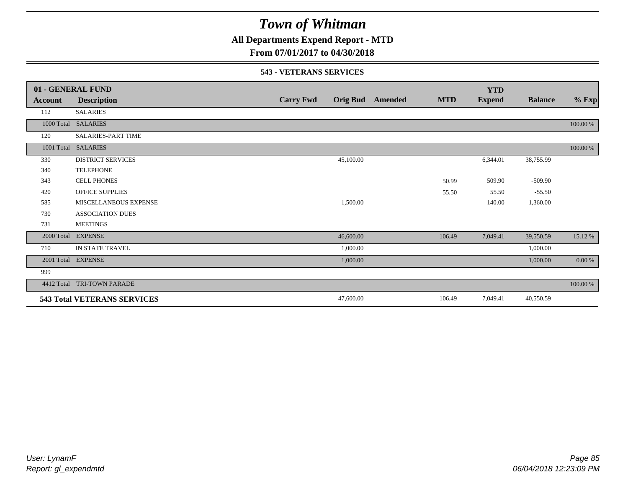**All Departments Expend Report - MTD**

## **From 07/01/2017 to 04/30/2018**

### **543 - VETERANS SERVICES**

|            | 01 - GENERAL FUND                  |                  |                 |         |            | <b>YTD</b>    |                |           |
|------------|------------------------------------|------------------|-----------------|---------|------------|---------------|----------------|-----------|
| Account    | <b>Description</b>                 | <b>Carry Fwd</b> | <b>Orig Bud</b> | Amended | <b>MTD</b> | <b>Expend</b> | <b>Balance</b> | $%$ Exp   |
| 112        | <b>SALARIES</b>                    |                  |                 |         |            |               |                |           |
| 1000 Total | <b>SALARIES</b>                    |                  |                 |         |            |               |                | 100.00 %  |
| 120        | <b>SALARIES-PART TIME</b>          |                  |                 |         |            |               |                |           |
| 1001 Total | <b>SALARIES</b>                    |                  |                 |         |            |               |                | 100.00 %  |
| 330        | <b>DISTRICT SERVICES</b>           |                  | 45,100.00       |         |            | 6,344.01      | 38,755.99      |           |
| 340        | <b>TELEPHONE</b>                   |                  |                 |         |            |               |                |           |
| 343        | <b>CELL PHONES</b>                 |                  |                 |         | 50.99      | 509.90        | $-509.90$      |           |
| 420        | <b>OFFICE SUPPLIES</b>             |                  |                 |         | 55.50      | 55.50         | $-55.50$       |           |
| 585        | MISCELLANEOUS EXPENSE              |                  | 1,500.00        |         |            | 140.00        | 1,360.00       |           |
| 730        | <b>ASSOCIATION DUES</b>            |                  |                 |         |            |               |                |           |
| 731        | <b>MEETINGS</b>                    |                  |                 |         |            |               |                |           |
| 2000 Total | <b>EXPENSE</b>                     |                  | 46,600.00       |         | 106.49     | 7,049.41      | 39,550.59      | 15.12 %   |
| 710        | IN STATE TRAVEL                    |                  | 1,000.00        |         |            |               | 1,000.00       |           |
| 2001 Total | <b>EXPENSE</b>                     |                  | 1,000.00        |         |            |               | 1,000.00       | $0.00 \%$ |
| 999        |                                    |                  |                 |         |            |               |                |           |
| 4412 Total | <b>TRI-TOWN PARADE</b>             |                  |                 |         |            |               |                | 100.00 %  |
|            | <b>543 Total VETERANS SERVICES</b> |                  | 47,600.00       |         | 106.49     | 7,049.41      | 40,550.59      |           |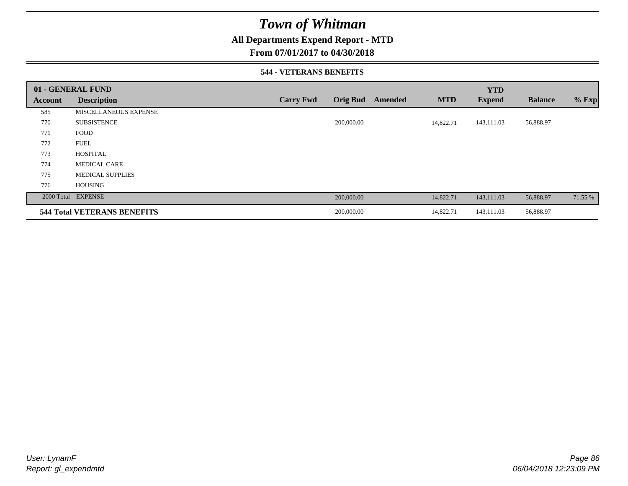## **All Departments Expend Report - MTD**

### **From 07/01/2017 to 04/30/2018**

### **544 - VETERANS BENEFITS**

|         | 01 - GENERAL FUND                  |                  |                 |         |            | <b>YTD</b>    |                |         |
|---------|------------------------------------|------------------|-----------------|---------|------------|---------------|----------------|---------|
| Account | <b>Description</b>                 | <b>Carry Fwd</b> | <b>Orig Bud</b> | Amended | <b>MTD</b> | <b>Expend</b> | <b>Balance</b> | $%$ Exp |
| 585     | MISCELLANEOUS EXPENSE              |                  |                 |         |            |               |                |         |
| 770     | <b>SUBSISTENCE</b>                 |                  | 200,000.00      |         | 14,822.71  | 143,111.03    | 56,888.97      |         |
| 771     | <b>FOOD</b>                        |                  |                 |         |            |               |                |         |
| 772     | <b>FUEL</b>                        |                  |                 |         |            |               |                |         |
| 773     | <b>HOSPITAL</b>                    |                  |                 |         |            |               |                |         |
| 774     | <b>MEDICAL CARE</b>                |                  |                 |         |            |               |                |         |
| 775     | <b>MEDICAL SUPPLIES</b>            |                  |                 |         |            |               |                |         |
| 776     | <b>HOUSING</b>                     |                  |                 |         |            |               |                |         |
|         | 2000 Total EXPENSE                 |                  | 200,000.00      |         | 14,822.71  | 143,111.03    | 56,888.97      | 71.55 % |
|         | <b>544 Total VETERANS BENEFITS</b> |                  | 200,000.00      |         | 14,822.71  | 143,111.03    | 56,888.97      |         |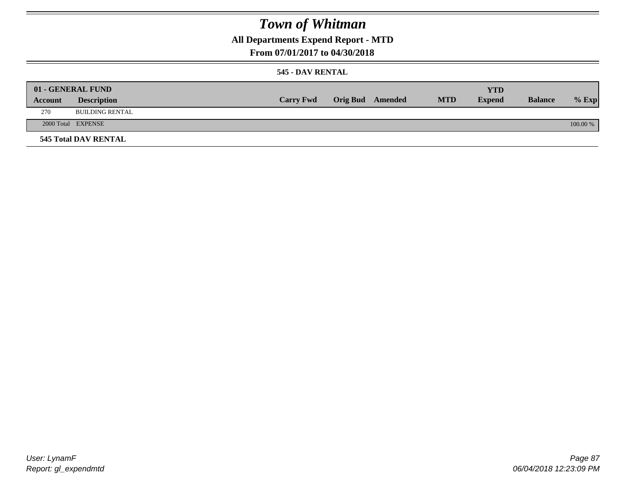## **All Departments Expend Report - MTD**

### **From 07/01/2017 to 04/30/2018**

### **545 - DAV RENTAL**

|         | 01 - GENERAL FUND           |                  |                         |            | <b>YTD</b>    |                |          |
|---------|-----------------------------|------------------|-------------------------|------------|---------------|----------------|----------|
| Account | <b>Description</b>          | <b>Carry Fwd</b> | <b>Orig Bud</b> Amended | <b>MTD</b> | <b>Expend</b> | <b>Balance</b> | $%$ Exp  |
| 270     | <b>BUILDING RENTAL</b>      |                  |                         |            |               |                |          |
|         | 2000 Total EXPENSE          |                  |                         |            |               |                | 100.00 % |
|         | <b>545 Total DAV RENTAL</b> |                  |                         |            |               |                |          |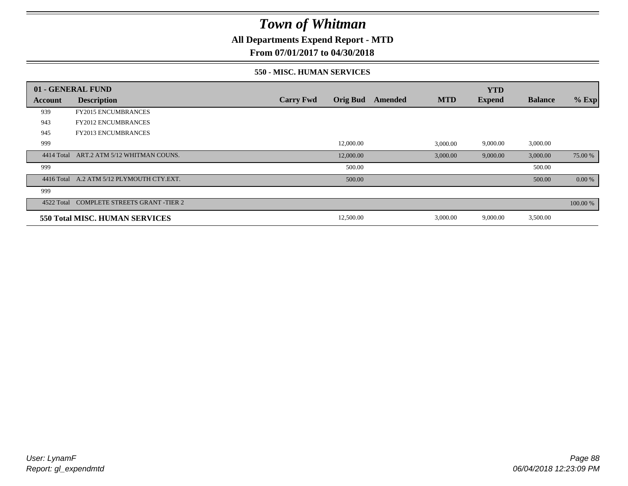**All Departments Expend Report - MTD**

**From 07/01/2017 to 04/30/2018**

### **550 - MISC. HUMAN SERVICES**

|            | 01 - GENERAL FUND                         |                  |                 |         |            | <b>YTD</b>    |                |          |
|------------|-------------------------------------------|------------------|-----------------|---------|------------|---------------|----------------|----------|
| Account    | <b>Description</b>                        | <b>Carry Fwd</b> | <b>Orig Bud</b> | Amended | <b>MTD</b> | <b>Expend</b> | <b>Balance</b> | $%$ Exp  |
| 939        | <b>FY2015 ENCUMBRANCES</b>                |                  |                 |         |            |               |                |          |
| 943        | <b>FY2012 ENCUMBRANCES</b>                |                  |                 |         |            |               |                |          |
| 945        | <b>FY2013 ENCUMBRANCES</b>                |                  |                 |         |            |               |                |          |
| 999        |                                           |                  | 12,000.00       |         | 3,000.00   | 9,000.00      | 3,000.00       |          |
| 4414 Total | ART.2 ATM 5/12 WHITMAN COUNS.             |                  | 12,000.00       |         | 3,000.00   | 9,000.00      | 3,000.00       | 75.00 %  |
| 999        |                                           |                  | 500.00          |         |            |               | 500.00         |          |
|            | 4416 Total A.2 ATM 5/12 PLYMOUTH CTY.EXT. |                  | 500.00          |         |            |               | 500.00         | 0.00 %   |
| 999        |                                           |                  |                 |         |            |               |                |          |
| 4522 Total | <b>COMPLETE STREETS GRANT -TIER 2</b>     |                  |                 |         |            |               |                | 100.00 % |
|            | <b>550 Total MISC. HUMAN SERVICES</b>     |                  | 12,500.00       |         | 3,000.00   | 9,000.00      | 3,500.00       |          |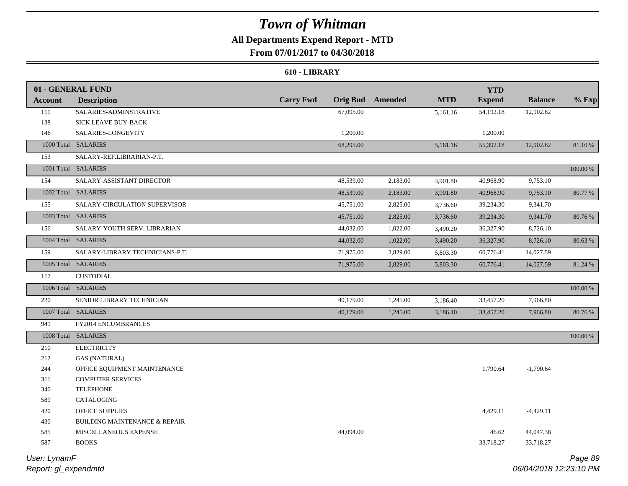## **All Departments Expend Report - MTD**

**From 07/01/2017 to 04/30/2018**

### **610 - LIBRARY**

|                | 01 - GENERAL FUND                        |                  |                 |          |            | <b>YTD</b>    |                |          |
|----------------|------------------------------------------|------------------|-----------------|----------|------------|---------------|----------------|----------|
| <b>Account</b> | <b>Description</b>                       | <b>Carry Fwd</b> | <b>Orig Bud</b> | Amended  | <b>MTD</b> | <b>Expend</b> | <b>Balance</b> | $%$ Exp  |
| 111            | SALARIES-ADMINSTRATIVE                   |                  | 67,095.00       |          | 5,161.16   | 54,192.18     | 12,902.82      |          |
| 138            | SICK LEAVE BUY-BACK                      |                  |                 |          |            |               |                |          |
| 146            | SALARIES-LONGEVITY                       |                  | 1,200.00        |          |            | 1,200.00      |                |          |
|                | 1000 Total SALARIES                      |                  | 68,295.00       |          | 5,161.16   | 55,392.18     | 12,902.82      | 81.10 %  |
| 153            | SALARY-REF.LIBRARIAN-P.T.                |                  |                 |          |            |               |                |          |
|                | 1001 Total SALARIES                      |                  |                 |          |            |               |                | 100.00 % |
| 154            | SALARY-ASSISTANT DIRECTOR                |                  | 48,539.00       | 2,183.00 | 3,901.80   | 40,968.90     | 9,753.10       |          |
|                | 1002 Total SALARIES                      |                  | 48,539.00       | 2,183.00 | 3,901.80   | 40,968.90     | 9,753.10       | 80.77 %  |
| 155            | SALARY-CIRCULATION SUPERVISOR            |                  | 45,751.00       | 2,825.00 | 3,736.60   | 39,234.30     | 9,341.70       |          |
|                | 1003 Total SALARIES                      |                  | 45,751.00       | 2,825.00 | 3,736.60   | 39,234.30     | 9,341.70       | 80.76 %  |
| 156            | SALARY-YOUTH SERV. LIBRARIAN             |                  | 44,032.00       | 1,022.00 | 3,490.20   | 36,327.90     | 8,726.10       |          |
|                | 1004 Total SALARIES                      |                  | 44,032.00       | 1,022.00 | 3,490.20   | 36,327.90     | 8,726.10       | 80.63 %  |
| 159            | SALARY-LIBRARY TECHNICIANS-P.T.          |                  | 71,975.00       | 2,829.00 | 5,803.30   | 60,776.41     | 14,027.59      |          |
|                | 1005 Total SALARIES                      |                  | 71,975.00       | 2,829.00 | 5,803.30   | 60,776.41     | 14,027.59      | 81.24 %  |
| 117            | <b>CUSTODIAL</b>                         |                  |                 |          |            |               |                |          |
|                | 1006 Total SALARIES                      |                  |                 |          |            |               |                | 100.00 % |
| 220            | SENIOR LIBRARY TECHNICIAN                |                  | 40,179.00       | 1,245.00 | 3,186.40   | 33,457.20     | 7,966.80       |          |
|                | 1007 Total SALARIES                      |                  | 40,179.00       | 1,245.00 | 3,186.40   | 33,457.20     | 7,966.80       | 80.76 %  |
| 949            | FY2014 ENCUMBRANCES                      |                  |                 |          |            |               |                |          |
|                | 1008 Total SALARIES                      |                  |                 |          |            |               |                | 100.00 % |
| 210            | <b>ELECTRICITY</b>                       |                  |                 |          |            |               |                |          |
| 212            | <b>GAS (NATURAL)</b>                     |                  |                 |          |            |               |                |          |
| 244            | OFFICE EQUIPMENT MAINTENANCE             |                  |                 |          |            | 1,790.64      | $-1,790.64$    |          |
| 311            | <b>COMPUTER SERVICES</b>                 |                  |                 |          |            |               |                |          |
| 340            | <b>TELEPHONE</b>                         |                  |                 |          |            |               |                |          |
| 589            | CATALOGING                               |                  |                 |          |            |               |                |          |
| 420            | OFFICE SUPPLIES                          |                  |                 |          |            | 4,429.11      | $-4,429.11$    |          |
| 430            | <b>BUILDING MAINTENANCE &amp; REPAIR</b> |                  |                 |          |            |               |                |          |
| 585            | MISCELLANEOUS EXPENSE                    |                  | 44,094.00       |          |            | 46.62         | 44,047.38      |          |
| 587            | <b>BOOKS</b>                             |                  |                 |          |            | 33,718.27     | $-33,718.27$   |          |
|                |                                          |                  |                 |          |            |               |                |          |

*Report: gl\_expendmtd User: LynamF*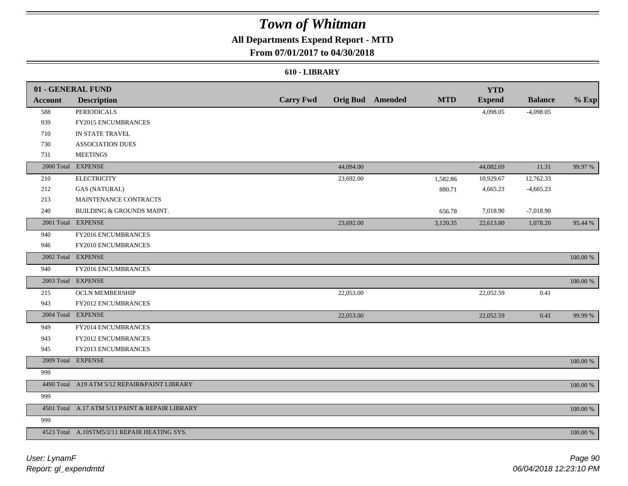## **All Departments Expend Report - MTD**

## **From 07/01/2017 to 04/30/2018**

### **610 - LIBRARY**

|                | 01 - GENERAL FUND                               |                  |           |                         |            | <b>YTD</b>    |                |          |
|----------------|-------------------------------------------------|------------------|-----------|-------------------------|------------|---------------|----------------|----------|
| <b>Account</b> | <b>Description</b>                              | <b>Carry Fwd</b> |           | <b>Orig Bud</b> Amended | <b>MTD</b> | <b>Expend</b> | <b>Balance</b> | $%$ Exp  |
| 588            | <b>PERIODICALS</b>                              |                  |           |                         |            | 4,098.05      | $-4,098.05$    |          |
| 939            | FY2015 ENCUMBRANCES                             |                  |           |                         |            |               |                |          |
| 710            | IN STATE TRAVEL                                 |                  |           |                         |            |               |                |          |
| 730            | <b>ASSOCIATION DUES</b>                         |                  |           |                         |            |               |                |          |
| 731            | <b>MEETINGS</b>                                 |                  |           |                         |            |               |                |          |
|                | 2000 Total EXPENSE                              |                  | 44,094.00 |                         |            | 44,082.69     | 11.31          | 99.97 %  |
| 210            | <b>ELECTRICITY</b>                              |                  | 23,692.00 |                         | 1,582.86   | 10,929.67     | 12,762.33      |          |
| 212            | <b>GAS (NATURAL)</b>                            |                  |           |                         | 880.71     | 4,665.23      | $-4,665.23$    |          |
| 213            | MAINTENANCE CONTRACTS                           |                  |           |                         |            |               |                |          |
| 240            | BUILDING & GROUNDS MAINT.                       |                  |           |                         | 656.78     | 7,018.90      | $-7,018.90$    |          |
| 2001 Total     | <b>EXPENSE</b>                                  |                  | 23,692.00 |                         | 3,120.35   | 22,613.80     | 1,078.20       | 95.44 %  |
| 940            | FY2016 ENCUMBRANCES                             |                  |           |                         |            |               |                |          |
| 946            | FY2010 ENCUMBRANCES                             |                  |           |                         |            |               |                |          |
|                | 2002 Total EXPENSE                              |                  |           |                         |            |               |                | 100.00 % |
| 940            | FY2016 ENCUMBRANCES                             |                  |           |                         |            |               |                |          |
|                | 2003 Total EXPENSE                              |                  |           |                         |            |               |                | 100.00 % |
| 215            | <b>OCLN MEMBERSHIP</b>                          |                  | 22,053.00 |                         |            | 22,052.59     | 0.41           |          |
| 943            | FY2012 ENCUMBRANCES                             |                  |           |                         |            |               |                |          |
|                | 2004 Total EXPENSE                              |                  | 22,053.00 |                         |            | 22,052.59     | 0.41           | 99.99 %  |
| 949            | FY2014 ENCUMBRANCES                             |                  |           |                         |            |               |                |          |
| 943            | FY2012 ENCUMBRANCES                             |                  |           |                         |            |               |                |          |
| 945            | FY2013 ENCUMBRANCES                             |                  |           |                         |            |               |                |          |
|                | 2009 Total EXPENSE                              |                  |           |                         |            |               |                | 100.00 % |
| 999            |                                                 |                  |           |                         |            |               |                |          |
|                | 4490 Total A19 ATM 5/12 REPAIR&PAINT LIBRARY    |                  |           |                         |            |               |                | 100.00 % |
| 999            |                                                 |                  |           |                         |            |               |                |          |
|                | 4501 Total A.17 ATM 5/13 PAINT & REPAIR LIBRARY |                  |           |                         |            |               |                | 100.00 % |
| 999            |                                                 |                  |           |                         |            |               |                |          |
|                | 4523 Total A.10STM5/2/11 REPAIR HEATING SYS.    |                  |           |                         |            |               |                | 100.00 % |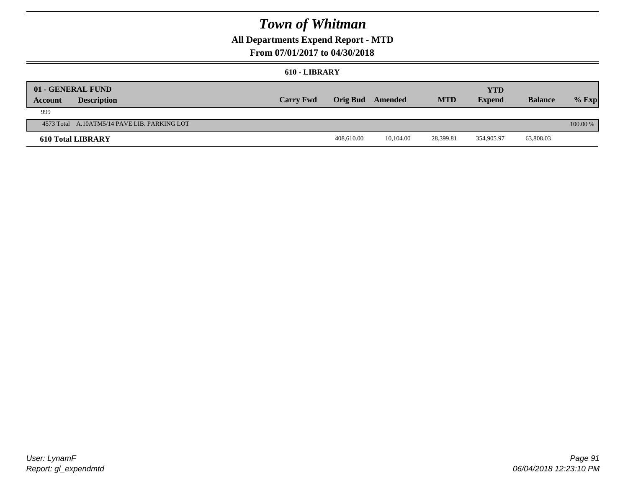## **All Departments Expend Report - MTD**

## **From 07/01/2017 to 04/30/2018**

#### **610 - LIBRARY**

| <b>Account</b> | 01 - GENERAL FUND<br><b>Description</b>      | <b>Carry Fwd</b> | Orig Bud Amended |           | <b>MTD</b> | <b>YTD</b><br><b>Expend</b> | <b>Balance</b> | $%$ Exp    |
|----------------|----------------------------------------------|------------------|------------------|-----------|------------|-----------------------------|----------------|------------|
| 999            |                                              |                  |                  |           |            |                             |                |            |
|                | 4573 Total A.10ATM5/14 PAVE LIB. PARKING LOT |                  |                  |           |            |                             |                | $100.00\%$ |
|                | <b>610 Total LIBRARY</b>                     |                  | 408,610.00       | 10.104.00 | 28,399.81  | 354,905.97                  | 63,808.03      |            |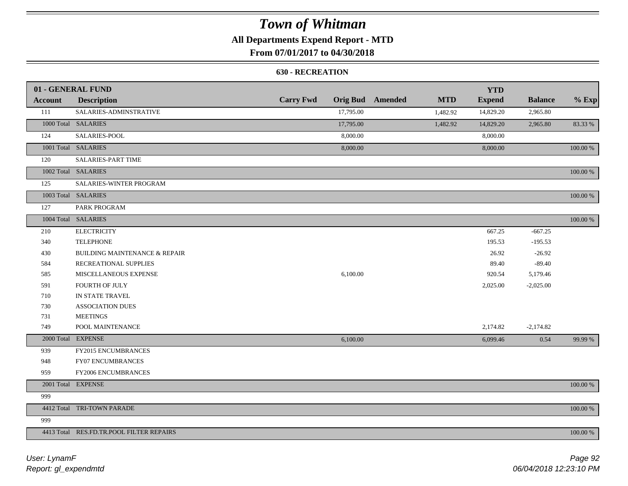## **All Departments Expend Report - MTD**

## **From 07/01/2017 to 04/30/2018**

### **630 - RECREATION**

|         | 01 - GENERAL FUND                        |                  |           |                         |            | <b>YTD</b>    |                |             |
|---------|------------------------------------------|------------------|-----------|-------------------------|------------|---------------|----------------|-------------|
| Account | <b>Description</b>                       | <b>Carry Fwd</b> |           | <b>Orig Bud</b> Amended | <b>MTD</b> | <b>Expend</b> | <b>Balance</b> | $%$ Exp     |
| 111     | SALARIES-ADMINSTRATIVE                   |                  | 17,795.00 |                         | 1,482.92   | 14,829.20     | 2,965.80       |             |
|         | 1000 Total SALARIES                      |                  | 17,795.00 |                         | 1,482.92   | 14,829.20     | 2,965.80       | 83.33 %     |
| 124     | SALARIES-POOL                            |                  | 8,000.00  |                         |            | 8,000.00      |                |             |
|         | 1001 Total SALARIES                      |                  | 8,000.00  |                         |            | 8,000.00      |                | 100.00 %    |
| 120     | <b>SALARIES-PART TIME</b>                |                  |           |                         |            |               |                |             |
|         | 1002 Total SALARIES                      |                  |           |                         |            |               |                | $100.00~\%$ |
| 125     | SALARIES-WINTER PROGRAM                  |                  |           |                         |            |               |                |             |
|         | 1003 Total SALARIES                      |                  |           |                         |            |               |                | 100.00 %    |
| 127     | PARK PROGRAM                             |                  |           |                         |            |               |                |             |
|         | 1004 Total SALARIES                      |                  |           |                         |            |               |                | 100.00 %    |
| 210     | <b>ELECTRICITY</b>                       |                  |           |                         |            | 667.25        | $-667.25$      |             |
| 340     | <b>TELEPHONE</b>                         |                  |           |                         |            | 195.53        | $-195.53$      |             |
| 430     | <b>BUILDING MAINTENANCE &amp; REPAIR</b> |                  |           |                         |            | 26.92         | $-26.92$       |             |
| 584     | RECREATIONAL SUPPLIES                    |                  |           |                         |            | 89.40         | $-89.40$       |             |
| 585     | MISCELLANEOUS EXPENSE                    |                  | 6,100.00  |                         |            | 920.54        | 5,179.46       |             |
| 591     | <b>FOURTH OF JULY</b>                    |                  |           |                         |            | 2,025.00      | $-2,025.00$    |             |
| 710     | IN STATE TRAVEL                          |                  |           |                         |            |               |                |             |
| 730     | <b>ASSOCIATION DUES</b>                  |                  |           |                         |            |               |                |             |
| 731     | <b>MEETINGS</b>                          |                  |           |                         |            |               |                |             |
| 749     | POOL MAINTENANCE                         |                  |           |                         |            | 2,174.82      | $-2,174.82$    |             |
|         | 2000 Total EXPENSE                       |                  | 6,100.00  |                         |            | 6,099.46      | 0.54           | 99.99 %     |
| 939     | FY2015 ENCUMBRANCES                      |                  |           |                         |            |               |                |             |
| 948     | FY07 ENCUMBRANCES                        |                  |           |                         |            |               |                |             |
| 959     | FY2006 ENCUMBRANCES                      |                  |           |                         |            |               |                |             |
|         | 2001 Total EXPENSE                       |                  |           |                         |            |               |                | 100.00 %    |
| 999     |                                          |                  |           |                         |            |               |                |             |
|         | 4412 Total TRI-TOWN PARADE               |                  |           |                         |            |               |                | 100.00 %    |
| 999     |                                          |                  |           |                         |            |               |                |             |
|         | 4413 Total RES.FD.TR.POOL FILTER REPAIRS |                  |           |                         |            |               |                | 100.00 %    |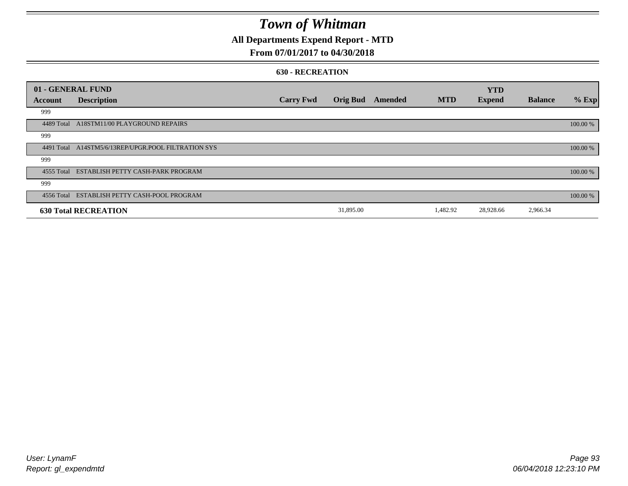## **All Departments Expend Report - MTD**

## **From 07/01/2017 to 04/30/2018**

#### **630 - RECREATION**

| 01 - GENERAL FUND |                                              |                  |                 |         |            | <b>YTD</b>    |                |          |
|-------------------|----------------------------------------------|------------------|-----------------|---------|------------|---------------|----------------|----------|
| Account           | <b>Description</b>                           | <b>Carry Fwd</b> | <b>Orig Bud</b> | Amended | <b>MTD</b> | <b>Expend</b> | <b>Balance</b> | % Exp    |
| 999               |                                              |                  |                 |         |            |               |                |          |
| 4489 Total        | A18STM11/00 PLAYGROUND REPAIRS               |                  |                 |         |            |               |                | 100.00 % |
| 999               |                                              |                  |                 |         |            |               |                |          |
| 4491 Total        | A14STM5/6/13REP/UPGR.POOL FILTRATION SYS     |                  |                 |         |            |               |                | 100.00 % |
| 999               |                                              |                  |                 |         |            |               |                |          |
|                   | 4555 Total ESTABLISH PETTY CASH-PARK PROGRAM |                  |                 |         |            |               |                | 100.00 % |
| 999               |                                              |                  |                 |         |            |               |                |          |
|                   | 4556 Total ESTABLISH PETTY CASH-POOL PROGRAM |                  |                 |         |            |               |                | 100.00 % |
|                   | <b>630 Total RECREATION</b>                  |                  | 31,895.00       |         | 1,482.92   | 28,928.66     | 2,966.34       |          |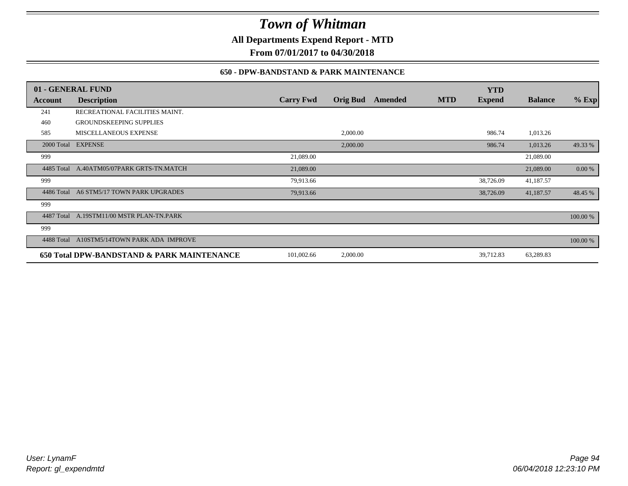**All Departments Expend Report - MTD**

**From 07/01/2017 to 04/30/2018**

### **650 - DPW-BANDSTAND & PARK MAINTENANCE**

|            | 01 - GENERAL FUND                          |                  |                 |         |            | <b>YTD</b>    |                |          |
|------------|--------------------------------------------|------------------|-----------------|---------|------------|---------------|----------------|----------|
| Account    | <b>Description</b>                         | <b>Carry Fwd</b> | <b>Orig Bud</b> | Amended | <b>MTD</b> | <b>Expend</b> | <b>Balance</b> | $%$ Exp  |
| 241        | RECREATIONAL FACILITIES MAINT.             |                  |                 |         |            |               |                |          |
| 460        | <b>GROUNDSKEEPING SUPPLIES</b>             |                  |                 |         |            |               |                |          |
| 585        | <b>MISCELLANEOUS EXPENSE</b>               |                  | 2,000.00        |         |            | 986.74        | 1,013.26       |          |
| 2000 Total | <b>EXPENSE</b>                             |                  | 2,000.00        |         |            | 986.74        | 1,013.26       | 49.33 %  |
| 999        |                                            | 21,089.00        |                 |         |            |               | 21,089.00      |          |
|            | 4485 Total A.40ATM05/07PARK GRTS-TN.MATCH  | 21,089.00        |                 |         |            |               | 21,089.00      | 0.00 %   |
| 999        |                                            | 79,913.66        |                 |         |            | 38,726.09     | 41,187.57      |          |
| 4486 Total | A6 STM5/17 TOWN PARK UPGRADES              | 79,913.66        |                 |         |            | 38,726.09     | 41,187.57      | 48.45 %  |
| 999        |                                            |                  |                 |         |            |               |                |          |
| 4487 Total | A.19STM11/00 MSTR PLAN-TN.PARK             |                  |                 |         |            |               |                | 100.00 % |
| 999        |                                            |                  |                 |         |            |               |                |          |
| 4488 Total | A10STM5/14TOWN PARK ADA IMPROVE            |                  |                 |         |            |               |                | 100.00 % |
|            | 650 Total DPW-BANDSTAND & PARK MAINTENANCE | 101,002.66       | 2,000.00        |         |            | 39,712.83     | 63,289.83      |          |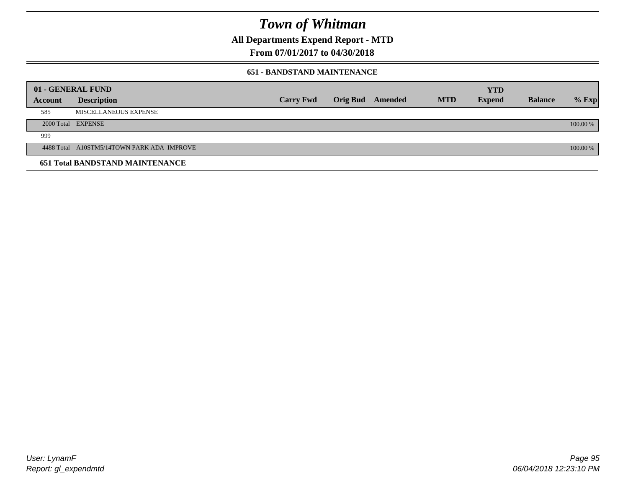**All Departments Expend Report - MTD**

**From 07/01/2017 to 04/30/2018**

### **651 - BANDSTAND MAINTENANCE**

| 01 - GENERAL FUND |                                            |                  |                         |            | <b>YTD</b>    |                |          |
|-------------------|--------------------------------------------|------------------|-------------------------|------------|---------------|----------------|----------|
| <b>Account</b>    | <b>Description</b>                         | <b>Carry Fwd</b> | <b>Orig Bud</b> Amended | <b>MTD</b> | <b>Expend</b> | <b>Balance</b> | $%$ Exp  |
| 585               | MISCELLANEOUS EXPENSE                      |                  |                         |            |               |                |          |
|                   | 2000 Total EXPENSE                         |                  |                         |            |               |                | 100.00 % |
| 999               |                                            |                  |                         |            |               |                |          |
|                   | 4488 Total A10STM5/14TOWN PARK ADA IMPROVE |                  |                         |            |               |                | 100.00 % |
|                   | <b>651 Total BANDSTAND MAINTENANCE</b>     |                  |                         |            |               |                |          |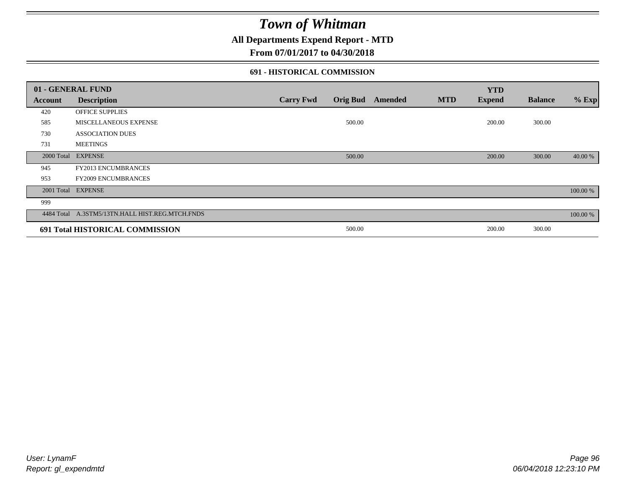**All Departments Expend Report - MTD**

## **From 07/01/2017 to 04/30/2018**

### **691 - HISTORICAL COMMISSION**

|            | 01 - GENERAL FUND                               |                  |                 |         |            | <b>YTD</b>    |                |          |
|------------|-------------------------------------------------|------------------|-----------------|---------|------------|---------------|----------------|----------|
| Account    | <b>Description</b>                              | <b>Carry Fwd</b> | <b>Orig Bud</b> | Amended | <b>MTD</b> | <b>Expend</b> | <b>Balance</b> | $%$ Exp  |
| 420        | <b>OFFICE SUPPLIES</b>                          |                  |                 |         |            |               |                |          |
| 585        | MISCELLANEOUS EXPENSE                           |                  | 500.00          |         |            | 200.00        | 300.00         |          |
| 730        | <b>ASSOCIATION DUES</b>                         |                  |                 |         |            |               |                |          |
| 731        | <b>MEETINGS</b>                                 |                  |                 |         |            |               |                |          |
| 2000 Total | <b>EXPENSE</b>                                  |                  | 500.00          |         |            | 200.00        | 300.00         | 40.00 %  |
| 945        | <b>FY2013 ENCUMBRANCES</b>                      |                  |                 |         |            |               |                |          |
| 953        | <b>FY2009 ENCUMBRANCES</b>                      |                  |                 |         |            |               |                |          |
| 2001 Total | <b>EXPENSE</b>                                  |                  |                 |         |            |               |                | 100.00 % |
| 999        |                                                 |                  |                 |         |            |               |                |          |
|            | 4484 Total A.3STM5/13TN.HALL HIST.REG.MTCH.FNDS |                  |                 |         |            |               |                | 100.00 % |
|            | 691 Total HISTORICAL COMMISSION                 |                  | 500.00          |         |            | 200.00        | 300.00         |          |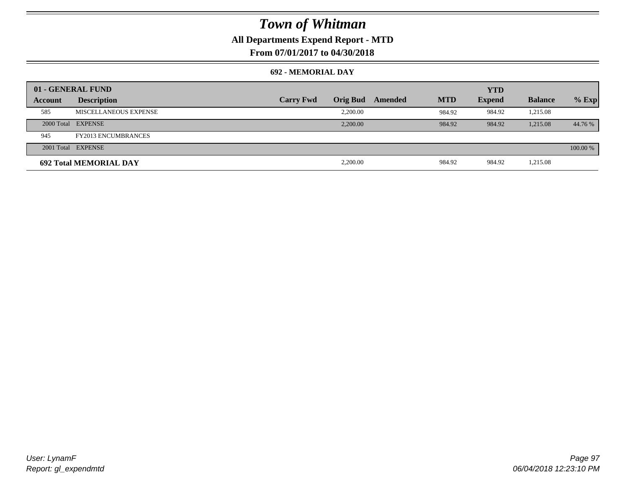## **All Departments Expend Report - MTD**

**From 07/01/2017 to 04/30/2018**

### **692 - MEMORIAL DAY**

|         | 01 - GENERAL FUND             |                  | <b>YTD</b>      |         |            |               |                |          |
|---------|-------------------------------|------------------|-----------------|---------|------------|---------------|----------------|----------|
| Account | <b>Description</b>            | <b>Carry Fwd</b> | <b>Orig Bud</b> | Amended | <b>MTD</b> | <b>Expend</b> | <b>Balance</b> | $%$ Exp  |
| 585     | MISCELLANEOUS EXPENSE         |                  | 2,200.00        |         | 984.92     | 984.92        | 1,215.08       |          |
|         | 2000 Total EXPENSE            |                  | 2,200,00        |         | 984.92     | 984.92        | 1,215.08       | 44.76 %  |
| 945     | <b>FY2013 ENCUMBRANCES</b>    |                  |                 |         |            |               |                |          |
|         | 2001 Total EXPENSE            |                  |                 |         |            |               |                | 100.00 % |
|         | <b>692 Total MEMORIAL DAY</b> |                  | 2,200.00        |         | 984.92     | 984.92        | 1,215.08       |          |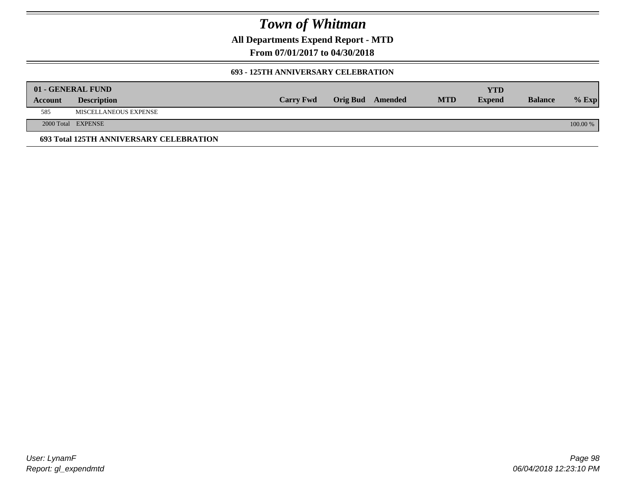**All Departments Expend Report - MTD**

**From 07/01/2017 to 04/30/2018**

### **693 - 125TH ANNIVERSARY CELEBRATION**

|         | 01 - GENERAL FUND                       |                  |                         |            | YTD           |                |          |
|---------|-----------------------------------------|------------------|-------------------------|------------|---------------|----------------|----------|
| Account | <b>Description</b>                      | <b>Carry Fwd</b> | <b>Orig Bud</b> Amended | <b>MTD</b> | <b>Expend</b> | <b>Balance</b> | $%$ Exp  |
| 585     | MISCELLANEOUS EXPENSE                   |                  |                         |            |               |                |          |
|         | 2000 Total EXPENSE                      |                  |                         |            |               |                | 100.00 % |
|         | 693 Total 125TH ANNIVERSARY CELEBRATION |                  |                         |            |               |                |          |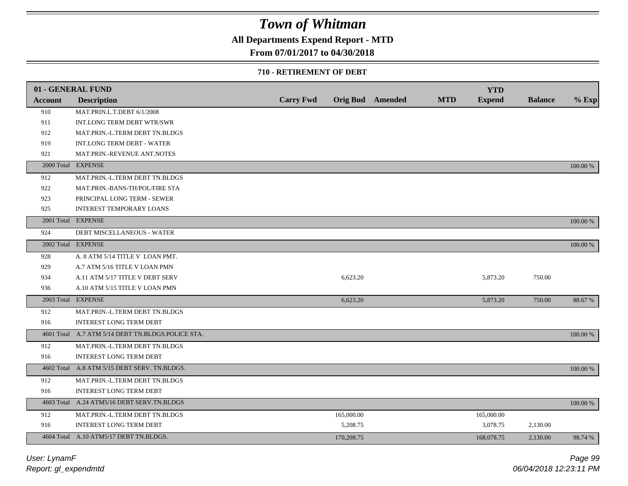## **All Departments Expend Report - MTD**

## **From 07/01/2017 to 04/30/2018**

### **710 - RETIREMENT OF DEBT**

|                | 01 - GENERAL FUND                                 |                  |            |                  |            | <b>YTD</b>    |                |          |
|----------------|---------------------------------------------------|------------------|------------|------------------|------------|---------------|----------------|----------|
| <b>Account</b> | <b>Description</b>                                | <b>Carry Fwd</b> |            | Orig Bud Amended | <b>MTD</b> | <b>Expend</b> | <b>Balance</b> | $%$ Exp  |
| 910            | MAT.PRIN.L.T.DEBT 6/1/2008                        |                  |            |                  |            |               |                |          |
| 911            | INT.LONG TERM DEBT WTR/SWR                        |                  |            |                  |            |               |                |          |
| 912            | MAT.PRIN.-L.TERM DEBT TN.BLDGS                    |                  |            |                  |            |               |                |          |
| 919            | <b>INT.LONG TERM DEBT - WATER</b>                 |                  |            |                  |            |               |                |          |
| 921            | MAT.PRIN.-REVENUE ANT.NOTES                       |                  |            |                  |            |               |                |          |
| 2000 Total     | <b>EXPENSE</b>                                    |                  |            |                  |            |               |                | 100.00 % |
| 912            | MAT.PRIN.-L.TERM DEBT TN.BLDGS                    |                  |            |                  |            |               |                |          |
| 922            | MAT.PRIN.-BANS-TH/POL/FIRE STA                    |                  |            |                  |            |               |                |          |
| 923            | PRINCIPAL LONG TERM - SEWER                       |                  |            |                  |            |               |                |          |
| 925            | <b>INTEREST TEMPORARY LOANS</b>                   |                  |            |                  |            |               |                |          |
|                | 2001 Total EXPENSE                                |                  |            |                  |            |               |                | 100.00 % |
| 924            | DEBT MISCELLANEOUS - WATER                        |                  |            |                  |            |               |                |          |
|                | 2002 Total EXPENSE                                |                  |            |                  |            |               |                | 100.00 % |
| 928            | A. 8 ATM 5/14 TITLE V LOAN PMT.                   |                  |            |                  |            |               |                |          |
| 929            | A.7 ATM 5/16 TITLE V LOAN PMN                     |                  |            |                  |            |               |                |          |
| 934            | A.11 ATM 5/17 TITLE V DEBT SERV                   |                  | 6,623.20   |                  |            | 5,873.20      | 750.00         |          |
| 936            | A.10 ATM 5/15 TITLE V LOAN PMN                    |                  |            |                  |            |               |                |          |
|                | 2003 Total EXPENSE                                |                  | 6,623.20   |                  |            | 5,873.20      | 750.00         | 88.67 %  |
| 912            | MAT.PRIN.-L.TERM DEBT TN.BLDGS                    |                  |            |                  |            |               |                |          |
| 916            | <b>INTEREST LONG TERM DEBT</b>                    |                  |            |                  |            |               |                |          |
|                | 4601 Total A.7 ATM 5/14 DEBT TN.BLDGS.POLICE STA. |                  |            |                  |            |               |                | 100.00 % |
| 912            | MAT.PRIN.-L.TERM DEBT TN.BLDGS                    |                  |            |                  |            |               |                |          |
| 916            | <b>INTEREST LONG TERM DEBT</b>                    |                  |            |                  |            |               |                |          |
|                | 4602 Total A.8 ATM 5/15 DEBT SERV. TN.BLDGS.      |                  |            |                  |            |               |                | 100.00 % |
| 912            | MAT.PRIN.-L.TERM DEBT TN.BLDGS                    |                  |            |                  |            |               |                |          |
| 916            | <b>INTEREST LONG TERM DEBT</b>                    |                  |            |                  |            |               |                |          |
|                | 4603 Total A.24 ATM5/16 DEBT SERV.TN.BLDGS        |                  |            |                  |            |               |                | 100.00 % |
| 912            | MAT.PRIN.-L.TERM DEBT TN.BLDGS                    |                  | 165,000.00 |                  |            | 165,000.00    |                |          |
| 916            | <b>INTEREST LONG TERM DEBT</b>                    |                  | 5,208.75   |                  |            | 3,078.75      | 2,130.00       |          |
|                | 4604 Total A.10 ATM5/17 DEBT TN.BLDGS.            |                  | 170,208.75 |                  |            | 168,078.75    | 2,130.00       | 98.74 %  |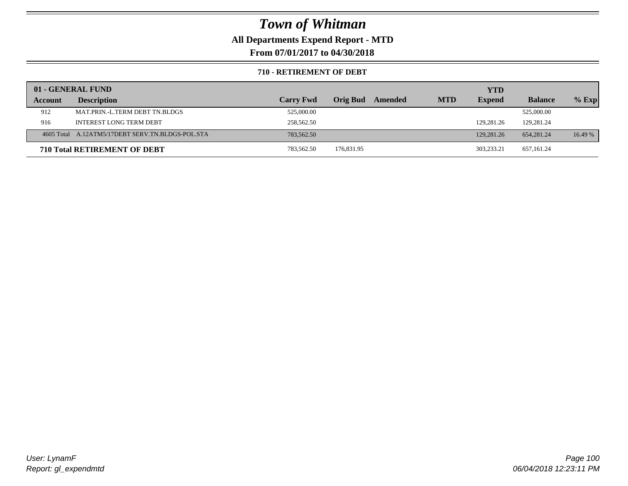**All Departments Expend Report - MTD**

**From 07/01/2017 to 04/30/2018**

### **710 - RETIREMENT OF DEBT**

|         | 01 - GENERAL FUND                                |                  |                     |            | <b>YTD</b>    |                |         |
|---------|--------------------------------------------------|------------------|---------------------|------------|---------------|----------------|---------|
| Account | <b>Description</b>                               | <b>Carry Fwd</b> | Orig Bud<br>Amended | <b>MTD</b> | <b>Expend</b> | <b>Balance</b> | $%$ Exp |
| 912     | MAT.PRIN.-L.TERM DEBT TN.BLDGS                   | 525,000.00       |                     |            |               | 525,000.00     |         |
| 916     | <b>INTEREST LONG TERM DEBT</b>                   | 258,562.50       |                     |            | 129,281.26    | 129,281.24     |         |
|         | 4605 Total A.12ATM5/17DEBT SERV.TN.BLDGS-POL.STA | 783,562.50       |                     |            | 129,281.26    | 654,281.24     | 16.49 % |
|         | <b>710 Total RETIREMENT OF DEBT</b>              | 783,562.50       | 176,831.95          |            | 303.233.21    | 657,161.24     |         |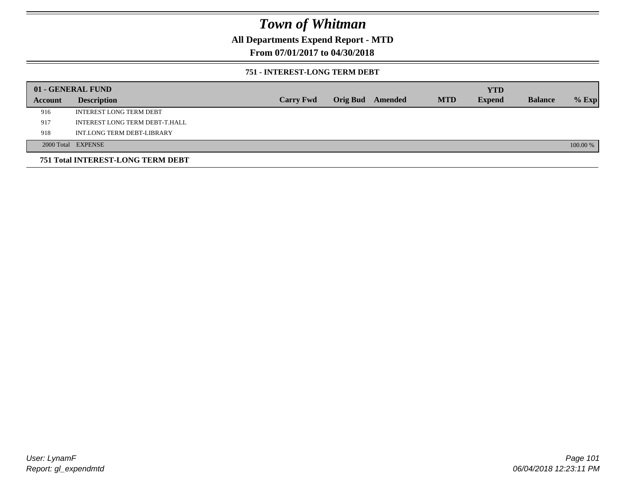## **All Departments Expend Report - MTD**

## **From 07/01/2017 to 04/30/2018**

### **751 - INTEREST-LONG TERM DEBT**

|         | 01 - GENERAL FUND                 |                  |  |                  |            | <b>YTD</b>    |                |          |
|---------|-----------------------------------|------------------|--|------------------|------------|---------------|----------------|----------|
| Account | <b>Description</b>                | <b>Carry Fwd</b> |  | Orig Bud Amended | <b>MTD</b> | <b>Expend</b> | <b>Balance</b> | $%$ Exp  |
| 916     | <b>INTEREST LONG TERM DEBT</b>    |                  |  |                  |            |               |                |          |
| 917     | INTEREST LONG TERM DEBT-T.HALL    |                  |  |                  |            |               |                |          |
| 918     | INT.LONG TERM DEBT-LIBRARY        |                  |  |                  |            |               |                |          |
|         | 2000 Total EXPENSE                |                  |  |                  |            |               |                | 100.00 % |
|         | 751 Total INTEREST-LONG TERM DEBT |                  |  |                  |            |               |                |          |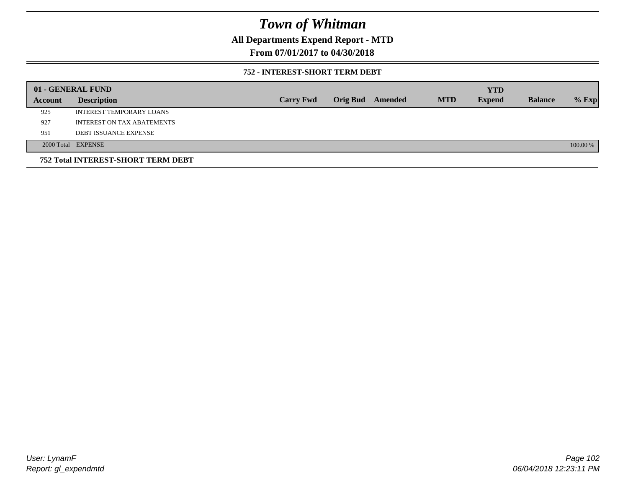## **All Departments Expend Report - MTD**

## **From 07/01/2017 to 04/30/2018**

### **752 - INTEREST-SHORT TERM DEBT**

|         | 01 - GENERAL FUND                         |                  |                 |         |            | <b>YTD</b>    |                |          |
|---------|-------------------------------------------|------------------|-----------------|---------|------------|---------------|----------------|----------|
| Account | <b>Description</b>                        | <b>Carry Fwd</b> | <b>Orig Bud</b> | Amended | <b>MTD</b> | <b>Expend</b> | <b>Balance</b> | $%$ Exp  |
| 925     | INTEREST TEMPORARY LOANS                  |                  |                 |         |            |               |                |          |
| 927     | INTEREST ON TAX ABATEMENTS                |                  |                 |         |            |               |                |          |
| 951     | <b>DEBT ISSUANCE EXPENSE</b>              |                  |                 |         |            |               |                |          |
|         | 2000 Total EXPENSE                        |                  |                 |         |            |               |                | 100.00 % |
|         | <b>752 Total INTEREST-SHORT TERM DEBT</b> |                  |                 |         |            |               |                |          |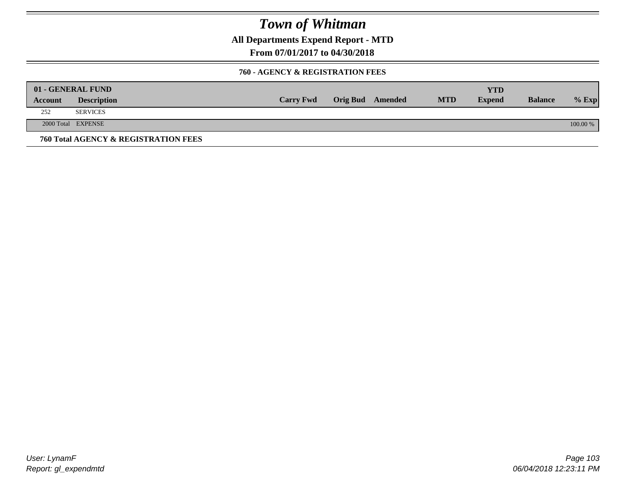**All Departments Expend Report - MTD**

**From 07/01/2017 to 04/30/2018**

### **760 - AGENCY & REGISTRATION FEES**

|         | 01 - GENERAL FUND                    |                  |                         |            | YTD           |                |          |
|---------|--------------------------------------|------------------|-------------------------|------------|---------------|----------------|----------|
| Account | <b>Description</b>                   | <b>Carry Fwd</b> | <b>Orig Bud</b> Amended | <b>MTD</b> | <b>Expend</b> | <b>Balance</b> | $%$ Exp  |
| 252     | <b>SERVICES</b>                      |                  |                         |            |               |                |          |
|         | 2000 Total EXPENSE                   |                  |                         |            |               |                | 100.00 % |
|         | 760 Total AGENCY & REGISTRATION FEES |                  |                         |            |               |                |          |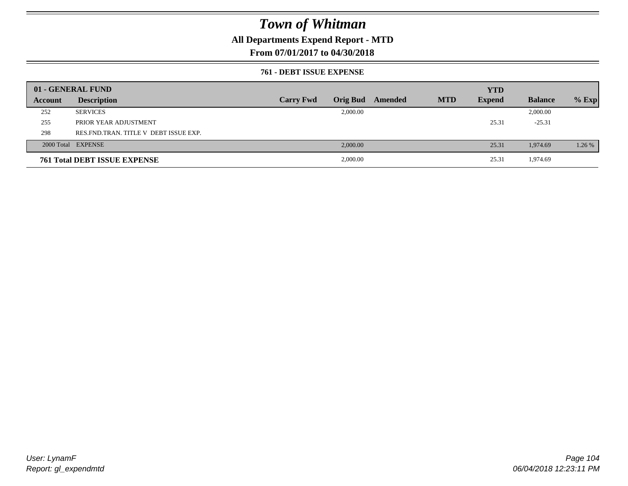## **All Departments Expend Report - MTD**

## **From 07/01/2017 to 04/30/2018**

### **761 - DEBT ISSUE EXPENSE**

|         | 01 - GENERAL FUND                       |                  |          |                         |            | <b>YTD</b>    |                |         |
|---------|-----------------------------------------|------------------|----------|-------------------------|------------|---------------|----------------|---------|
| Account | <b>Description</b>                      | <b>Carry Fwd</b> |          | <b>Orig Bud</b> Amended | <b>MTD</b> | <b>Expend</b> | <b>Balance</b> | $%$ Exp |
| 252     | <b>SERVICES</b>                         |                  | 2,000.00 |                         |            |               | 2,000.00       |         |
| 255     | PRIOR YEAR ADJUSTMENT                   |                  |          |                         |            | 25.31         | $-25.31$       |         |
| 298     | RES. FND. TRAN. TITLE V DEBT ISSUE EXP. |                  |          |                         |            |               |                |         |
|         | 2000 Total EXPENSE                      |                  | 2,000.00 |                         |            | 25.31         | 1,974.69       | 1.26 %  |
|         | <b>761 Total DEBT ISSUE EXPENSE</b>     |                  | 2,000.00 |                         |            | 25.31         | 1,974.69       |         |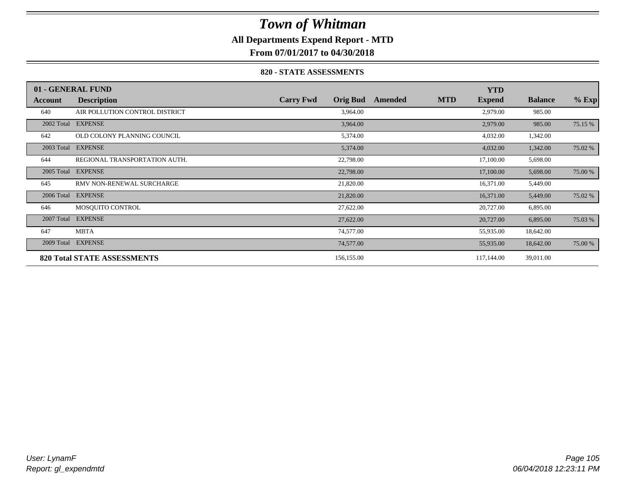## **All Departments Expend Report - MTD**

**From 07/01/2017 to 04/30/2018**

### **820 - STATE ASSESSMENTS**

|            | 01 - GENERAL FUND                  |                  |                 |         |            | <b>YTD</b>    |                |         |
|------------|------------------------------------|------------------|-----------------|---------|------------|---------------|----------------|---------|
| Account    | <b>Description</b>                 | <b>Carry Fwd</b> | <b>Orig Bud</b> | Amended | <b>MTD</b> | <b>Expend</b> | <b>Balance</b> | $%$ Exp |
| 640        | AIR POLLUTION CONTROL DISTRICT     |                  | 3,964.00        |         |            | 2,979.00      | 985.00         |         |
| 2002 Total | <b>EXPENSE</b>                     |                  | 3,964.00        |         |            | 2,979.00      | 985.00         | 75.15 % |
| 642        | OLD COLONY PLANNING COUNCIL        |                  | 5,374.00        |         |            | 4,032.00      | 1,342.00       |         |
| 2003 Total | <b>EXPENSE</b>                     |                  | 5,374.00        |         |            | 4,032.00      | 1,342.00       | 75.02 % |
| 644        | REGIONAL TRANSPORTATION AUTH.      |                  | 22,798.00       |         |            | 17,100.00     | 5,698.00       |         |
| 2005 Total | <b>EXPENSE</b>                     |                  | 22,798.00       |         |            | 17,100.00     | 5,698.00       | 75.00 % |
| 645        | RMV NON-RENEWAL SURCHARGE          |                  | 21,820.00       |         |            | 16,371.00     | 5,449.00       |         |
| 2006 Total | <b>EXPENSE</b>                     |                  | 21,820.00       |         |            | 16,371.00     | 5,449.00       | 75.02 % |
| 646        | MOSQUITO CONTROL                   |                  | 27,622.00       |         |            | 20,727.00     | 6,895.00       |         |
| 2007 Total | <b>EXPENSE</b>                     |                  | 27,622.00       |         |            | 20,727.00     | 6,895.00       | 75.03 % |
| 647        | <b>MBTA</b>                        |                  | 74,577.00       |         |            | 55,935.00     | 18,642.00      |         |
| 2009 Total | <b>EXPENSE</b>                     |                  | 74,577.00       |         |            | 55,935.00     | 18,642.00      | 75.00 % |
|            | <b>820 Total STATE ASSESSMENTS</b> |                  | 156,155.00      |         |            | 117,144.00    | 39,011.00      |         |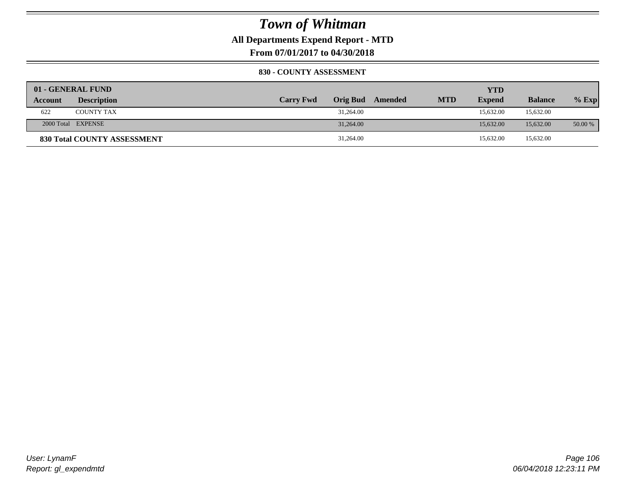**All Departments Expend Report - MTD**

**From 07/01/2017 to 04/30/2018**

### **830 - COUNTY ASSESSMENT**

|                | 01 - GENERAL FUND           |                  |                 |         |            | YTD           |                |         |
|----------------|-----------------------------|------------------|-----------------|---------|------------|---------------|----------------|---------|
| <b>Account</b> | <b>Description</b>          | <b>Carry Fwd</b> | <b>Orig Bud</b> | Amended | <b>MTD</b> | <b>Expend</b> | <b>Balance</b> | $%$ Exp |
| 622            | <b>COUNTY TAX</b>           |                  | 31,264.00       |         |            | 15.632.00     | 15,632.00      |         |
|                | 2000 Total EXPENSE          |                  | 31,264.00       |         |            | 15,632.00     | 15,632.00      | 50.00 % |
|                | 830 Total COUNTY ASSESSMENT |                  | 31,264.00       |         |            | 15,632.00     | 15,632.00      |         |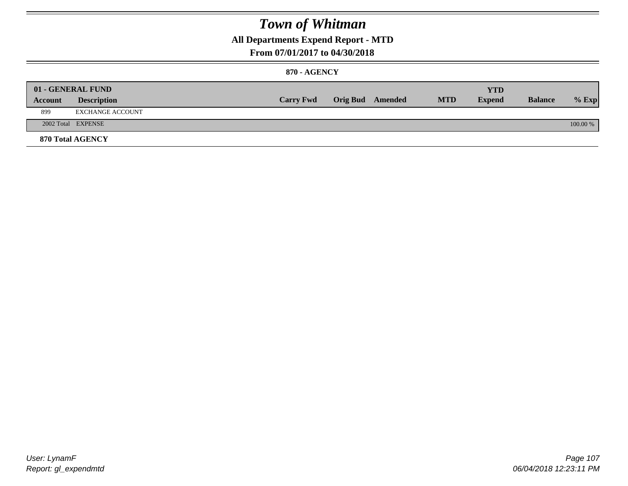## **All Departments Expend Report - MTD**

### **From 07/01/2017 to 04/30/2018**

### **870 - AGENCY**

| Account | 01 - GENERAL FUND<br><b>Description</b> | <b>Carry Fwd</b> | <b>Orig Bud</b> Amended | <b>MTD</b> | <b>YTD</b><br><b>Expend</b> | <b>Balance</b> | $%$ Exp  |
|---------|-----------------------------------------|------------------|-------------------------|------------|-----------------------------|----------------|----------|
| 899     | EXCHANGE ACCOUNT                        |                  |                         |            |                             |                |          |
|         | 2002 Total EXPENSE                      |                  |                         |            |                             |                | 100.00 % |
|         | <b>870 Total AGENCY</b>                 |                  |                         |            |                             |                |          |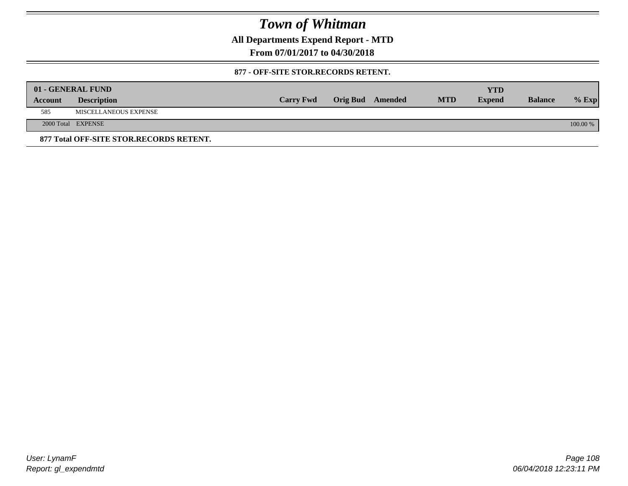**All Departments Expend Report - MTD**

**From 07/01/2017 to 04/30/2018**

### **877 - OFF-SITE STOR.RECORDS RETENT.**

|                | 01 - GENERAL FUND                       |                  |                         |            | YTD           |                |          |
|----------------|-----------------------------------------|------------------|-------------------------|------------|---------------|----------------|----------|
| <b>Account</b> | <b>Description</b>                      | <b>Carry Fwd</b> | <b>Orig Bud</b> Amended | <b>MTD</b> | <b>Expend</b> | <b>Balance</b> | $%$ Exp  |
| 585            | MISCELLANEOUS EXPENSE                   |                  |                         |            |               |                |          |
|                | 2000 Total EXPENSE                      |                  |                         |            |               |                | 100.00 % |
|                | 877 Total OFF-SITE STOR.RECORDS RETENT. |                  |                         |            |               |                |          |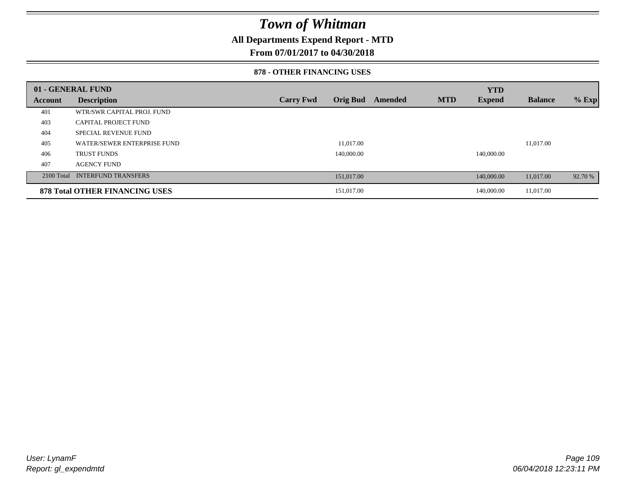### **All Departments Expend Report - MTD**

### **From 07/01/2017 to 04/30/2018**

#### **878 - OTHER FINANCING USES**

|         | 01 - GENERAL FUND                     |                  |                 |         |            | <b>YTD</b>    |                |         |
|---------|---------------------------------------|------------------|-----------------|---------|------------|---------------|----------------|---------|
| Account | <b>Description</b>                    | <b>Carry Fwd</b> | <b>Orig Bud</b> | Amended | <b>MTD</b> | <b>Expend</b> | <b>Balance</b> | $%$ Exp |
| 401     | WTR/SWR CAPITAL PROJ. FUND            |                  |                 |         |            |               |                |         |
| 403     | <b>CAPITAL PROJECT FUND</b>           |                  |                 |         |            |               |                |         |
| 404     | <b>SPECIAL REVENUE FUND</b>           |                  |                 |         |            |               |                |         |
| 405     | WATER/SEWER ENTERPRISE FUND           |                  | 11.017.00       |         |            |               | 11.017.00      |         |
| 406     | <b>TRUST FUNDS</b>                    |                  | 140,000.00      |         |            | 140,000.00    |                |         |
| 407     | <b>AGENCY FUND</b>                    |                  |                 |         |            |               |                |         |
|         | 2100 Total INTERFUND TRANSFERS        |                  | 151,017.00      |         |            | 140,000.00    | 11,017.00      | 92.70 % |
|         | <b>878 Total OTHER FINANCING USES</b> |                  | 151,017.00      |         |            | 140,000.00    | 11,017.00      |         |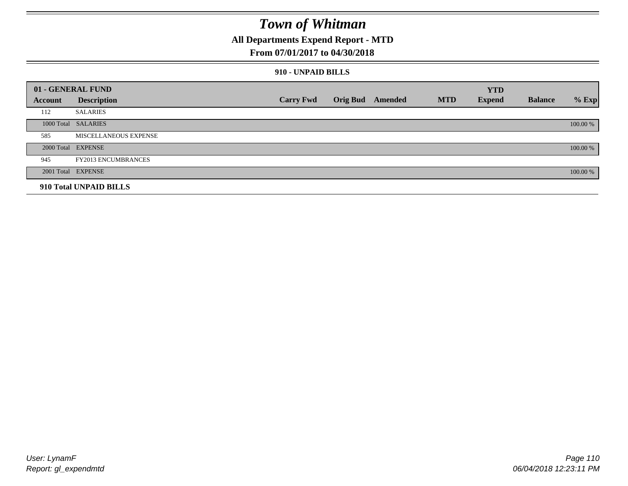### **All Departments Expend Report - MTD**

### **From 07/01/2017 to 04/30/2018**

#### **910 - UNPAID BILLS**

|         | 01 - GENERAL FUND          |                  |                 |         |            | <b>YTD</b>    |                |          |
|---------|----------------------------|------------------|-----------------|---------|------------|---------------|----------------|----------|
| Account | <b>Description</b>         | <b>Carry Fwd</b> | <b>Orig Bud</b> | Amended | <b>MTD</b> | <b>Expend</b> | <b>Balance</b> | $%$ Exp  |
| 112     | <b>SALARIES</b>            |                  |                 |         |            |               |                |          |
|         | 1000 Total SALARIES        |                  |                 |         |            |               |                | 100.00 % |
| 585     | MISCELLANEOUS EXPENSE      |                  |                 |         |            |               |                |          |
|         | 2000 Total EXPENSE         |                  |                 |         |            |               |                | 100.00 % |
| 945     | <b>FY2013 ENCUMBRANCES</b> |                  |                 |         |            |               |                |          |
|         | 2001 Total EXPENSE         |                  |                 |         |            |               |                | 100.00 % |
|         | 910 Total UNPAID BILLS     |                  |                 |         |            |               |                |          |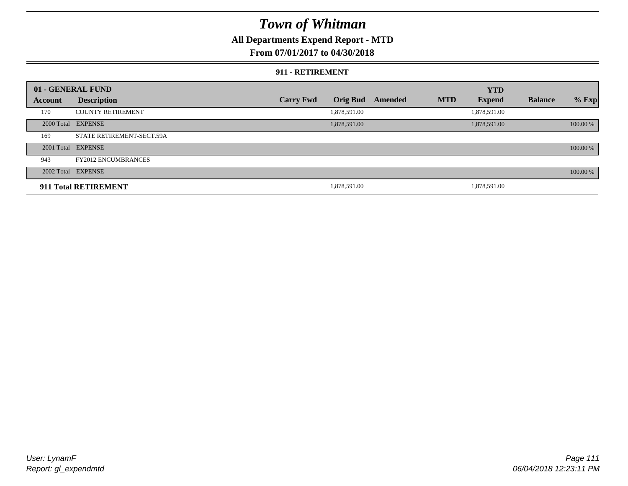### **All Departments Expend Report - MTD**

### **From 07/01/2017 to 04/30/2018**

#### **911 - RETIREMENT**

|         | 01 - GENERAL FUND          |                  |                 |         |            | <b>YTD</b>    |                |          |
|---------|----------------------------|------------------|-----------------|---------|------------|---------------|----------------|----------|
| Account | <b>Description</b>         | <b>Carry Fwd</b> | <b>Orig Bud</b> | Amended | <b>MTD</b> | <b>Expend</b> | <b>Balance</b> | $%$ Exp  |
| 170     | <b>COUNTY RETIREMENT</b>   |                  | 1,878,591.00    |         |            | 1,878,591.00  |                |          |
|         | 2000 Total EXPENSE         |                  | 1,878,591.00    |         |            | 1,878,591.00  |                | 100.00 % |
| 169     | STATE RETIREMENT-SECT.59A  |                  |                 |         |            |               |                |          |
|         | 2001 Total EXPENSE         |                  |                 |         |            |               |                | 100.00 % |
| 943     | <b>FY2012 ENCUMBRANCES</b> |                  |                 |         |            |               |                |          |
|         | 2002 Total EXPENSE         |                  |                 |         |            |               |                | 100.00 % |
|         | 911 Total RETIREMENT       |                  | 1,878,591.00    |         |            | 1.878.591.00  |                |          |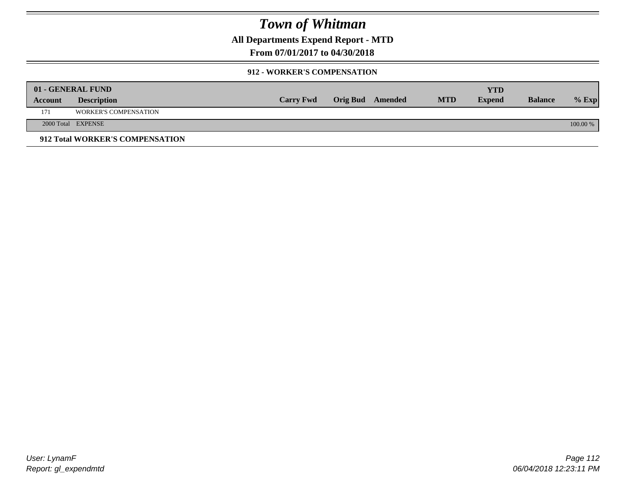**All Departments Expend Report - MTD**

**From 07/01/2017 to 04/30/2018**

#### **912 - WORKER'S COMPENSATION**

|         | 01 - GENERAL FUND               |                  |                         |            | <b>YTD</b>    |                |          |
|---------|---------------------------------|------------------|-------------------------|------------|---------------|----------------|----------|
| Account | <b>Description</b>              | <b>Carry Fwd</b> | <b>Orig Bud</b> Amended | <b>MTD</b> | <b>Expend</b> | <b>Balance</b> | $%$ Exp  |
| 171     | <b>WORKER'S COMPENSATION</b>    |                  |                         |            |               |                |          |
|         | 2000 Total EXPENSE              |                  |                         |            |               |                | 100.00 % |
|         | 912 Total WORKER'S COMPENSATION |                  |                         |            |               |                |          |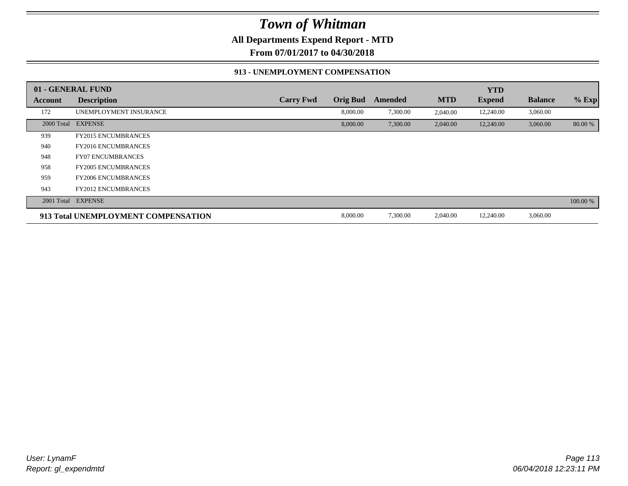**All Departments Expend Report - MTD**

**From 07/01/2017 to 04/30/2018**

#### **913 - UNEMPLOYMENT COMPENSATION**

|            | 01 - GENERAL FUND                   |                  |                 |                |            | <b>YTD</b>    |                |          |
|------------|-------------------------------------|------------------|-----------------|----------------|------------|---------------|----------------|----------|
| Account    | <b>Description</b>                  | <b>Carry Fwd</b> | <b>Orig Bud</b> | <b>Amended</b> | <b>MTD</b> | <b>Expend</b> | <b>Balance</b> | $%$ Exp  |
| 172        | UNEMPLOYMENT INSURANCE              |                  | 8,000.00        | 7,300.00       | 2,040.00   | 12,240.00     | 3,060.00       |          |
| 2000 Total | <b>EXPENSE</b>                      |                  | 8,000.00        | 7,300.00       | 2,040.00   | 12,240.00     | 3,060.00       | 80.00 %  |
| 939        | <b>FY2015 ENCUMBRANCES</b>          |                  |                 |                |            |               |                |          |
| 940        | <b>FY2016 ENCUMBRANCES</b>          |                  |                 |                |            |               |                |          |
| 948        | <b>FY07 ENCUMBRANCES</b>            |                  |                 |                |            |               |                |          |
| 958        | <b>FY2005 ENCUMBRANCES</b>          |                  |                 |                |            |               |                |          |
| 959        | <b>FY2006 ENCUMBRANCES</b>          |                  |                 |                |            |               |                |          |
| 943        | <b>FY2012 ENCUMBRANCES</b>          |                  |                 |                |            |               |                |          |
|            | 2001 Total EXPENSE                  |                  |                 |                |            |               |                | 100.00 % |
|            | 913 Total UNEMPLOYMENT COMPENSATION |                  | 8,000.00        | 7,300.00       | 2,040.00   | 12,240.00     | 3,060.00       |          |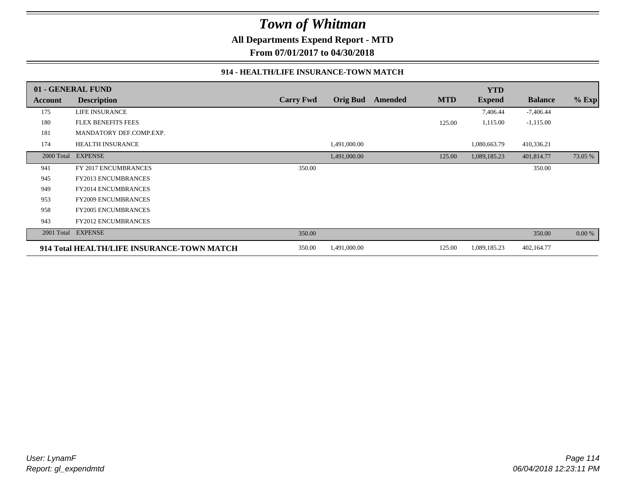**All Departments Expend Report - MTD**

**From 07/01/2017 to 04/30/2018**

#### **914 - HEALTH/LIFE INSURANCE-TOWN MATCH**

|            | 01 - GENERAL FUND                          |                  |                 |         |            | <b>YTD</b>    |                |         |
|------------|--------------------------------------------|------------------|-----------------|---------|------------|---------------|----------------|---------|
| Account    | <b>Description</b>                         | <b>Carry Fwd</b> | <b>Orig Bud</b> | Amended | <b>MTD</b> | <b>Expend</b> | <b>Balance</b> | $%$ Exp |
| 175        | LIFE INSURANCE                             |                  |                 |         |            | 7,406.44      | $-7,406.44$    |         |
| 180        | <b>FLEX BENEFITS FEES</b>                  |                  |                 |         | 125.00     | 1,115.00      | $-1,115.00$    |         |
| 181        | MANDATORY DEF.COMP.EXP.                    |                  |                 |         |            |               |                |         |
| 174        | <b>HEALTH INSURANCE</b>                    |                  | 1,491,000.00    |         |            | 1,080,663.79  | 410,336.21     |         |
| 2000 Total | <b>EXPENSE</b>                             |                  | 1,491,000.00    |         | 125.00     | 1,089,185.23  | 401,814.77     | 73.05 % |
| 941        | FY 2017 ENCUMBRANCES                       | 350.00           |                 |         |            |               | 350.00         |         |
| 945        | <b>FY2013 ENCUMBRANCES</b>                 |                  |                 |         |            |               |                |         |
| 949        | <b>FY2014 ENCUMBRANCES</b>                 |                  |                 |         |            |               |                |         |
| 953        | <b>FY2009 ENCUMBRANCES</b>                 |                  |                 |         |            |               |                |         |
| 958        | <b>FY2005 ENCUMBRANCES</b>                 |                  |                 |         |            |               |                |         |
| 943        | <b>FY2012 ENCUMBRANCES</b>                 |                  |                 |         |            |               |                |         |
| 2001 Total | <b>EXPENSE</b>                             | 350.00           |                 |         |            |               | 350.00         | 0.00 %  |
|            | 914 Total HEALTH/LIFE INSURANCE-TOWN MATCH | 350.00           | 1,491,000.00    |         | 125.00     | 1,089,185.23  | 402,164.77     |         |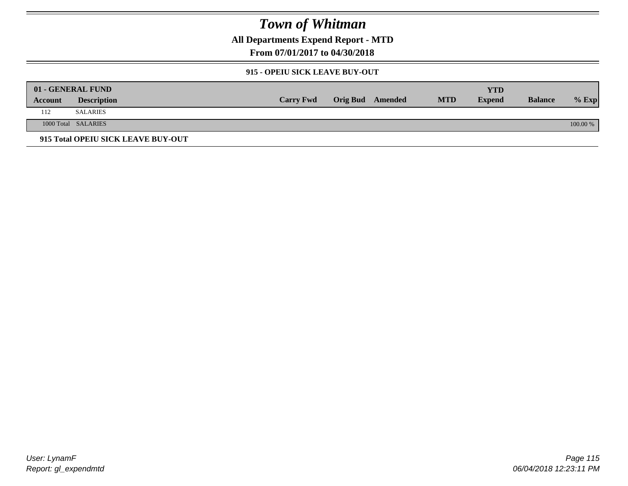**All Departments Expend Report - MTD**

**From 07/01/2017 to 04/30/2018**

#### **915 - OPEIU SICK LEAVE BUY-OUT**

|         | 01 - GENERAL FUND                  |                  |                  |            | YTD           |                |          |
|---------|------------------------------------|------------------|------------------|------------|---------------|----------------|----------|
| Account | <b>Description</b>                 | <b>Carry Fwd</b> | Orig Bud Amended | <b>MTD</b> | <b>Expend</b> | <b>Balance</b> | $%$ Exp  |
| 112     | SALARIES                           |                  |                  |            |               |                |          |
|         | 1000 Total SALARIES                |                  |                  |            |               |                | 100.00 % |
|         | 915 Total OPEIU SICK LEAVE BUY-OUT |                  |                  |            |               |                |          |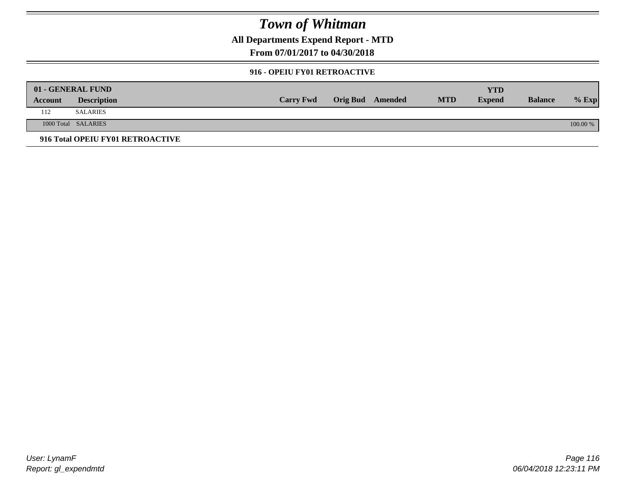**All Departments Expend Report - MTD**

**From 07/01/2017 to 04/30/2018**

#### **916 - OPEIU FY01 RETROACTIVE**

|         | 01 - GENERAL FUND                |                  |                         |            | YTD           |                |          |
|---------|----------------------------------|------------------|-------------------------|------------|---------------|----------------|----------|
| Account | <b>Description</b>               | <b>Carry Fwd</b> | <b>Orig Bud</b> Amended | <b>MTD</b> | <b>Expend</b> | <b>Balance</b> | $%$ Exp  |
| 112     | <b>SALARIES</b>                  |                  |                         |            |               |                |          |
|         | 1000 Total SALARIES              |                  |                         |            |               |                | 100.00 % |
|         | 916 Total OPEIU FY01 RETROACTIVE |                  |                         |            |               |                |          |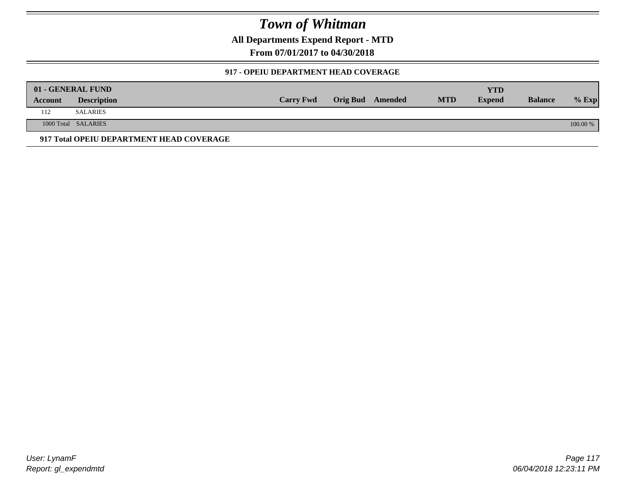**All Departments Expend Report - MTD**

**From 07/01/2017 to 04/30/2018**

### **917 - OPEIU DEPARTMENT HEAD COVERAGE**

|         | 01 - GENERAL FUND                        |                  |                  |            | YTD           |                |            |
|---------|------------------------------------------|------------------|------------------|------------|---------------|----------------|------------|
| Account | <b>Description</b>                       | <b>Carry Fwd</b> | Orig Bud Amended | <b>MTD</b> | <b>Expend</b> | <b>Balance</b> | $%$ Exp    |
| 112     | SALARIES                                 |                  |                  |            |               |                |            |
|         | 1000 Total SALARIES                      |                  |                  |            |               |                | $100.00\%$ |
|         | 917 Total OPEIU DEPARTMENT HEAD COVERAGE |                  |                  |            |               |                |            |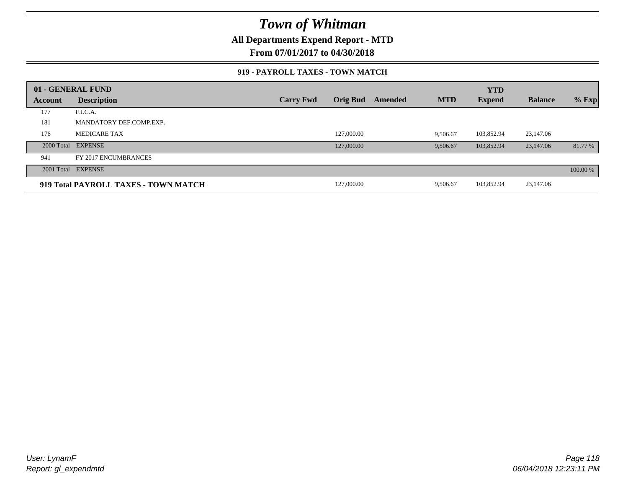**All Departments Expend Report - MTD**

**From 07/01/2017 to 04/30/2018**

#### **919 - PAYROLL TAXES - TOWN MATCH**

|         | 01 - GENERAL FUND                    |                  |                 |         |            | <b>YTD</b>    |                |          |
|---------|--------------------------------------|------------------|-----------------|---------|------------|---------------|----------------|----------|
| Account | <b>Description</b>                   | <b>Carry Fwd</b> | <b>Orig Bud</b> | Amended | <b>MTD</b> | <b>Expend</b> | <b>Balance</b> | $%$ Exp  |
| 177     | F.I.C.A.                             |                  |                 |         |            |               |                |          |
| 181     | MANDATORY DEF.COMP.EXP.              |                  |                 |         |            |               |                |          |
| 176     | <b>MEDICARE TAX</b>                  |                  | 127,000.00      |         | 9.506.67   | 103,852.94    | 23.147.06      |          |
|         | 2000 Total EXPENSE                   |                  | 127,000.00      |         | 9.506.67   | 103,852.94    | 23,147.06      | 81.77 %  |
| 941     | FY 2017 ENCUMBRANCES                 |                  |                 |         |            |               |                |          |
|         | 2001 Total EXPENSE                   |                  |                 |         |            |               |                | 100.00 % |
|         | 919 Total PAYROLL TAXES - TOWN MATCH |                  | 127,000.00      |         | 9,506.67   | 103,852.94    | 23,147.06      |          |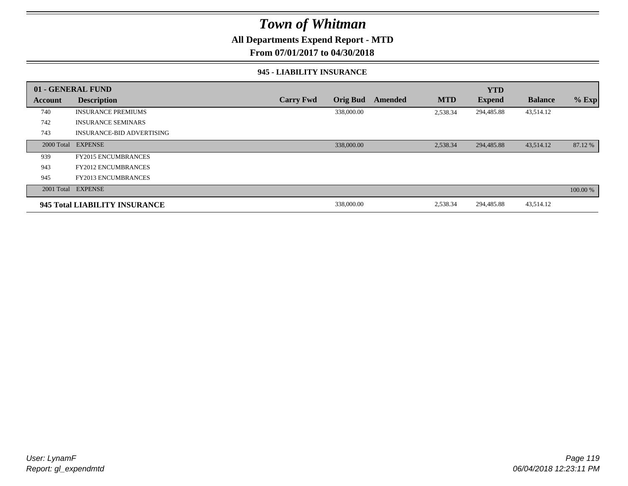### **All Departments Expend Report - MTD**

**From 07/01/2017 to 04/30/2018**

#### **945 - LIABILITY INSURANCE**

|         | 01 - GENERAL FUND                |                  |                 |                |            | <b>YTD</b>    |                |          |
|---------|----------------------------------|------------------|-----------------|----------------|------------|---------------|----------------|----------|
| Account | <b>Description</b>               | <b>Carry Fwd</b> | <b>Orig Bud</b> | <b>Amended</b> | <b>MTD</b> | <b>Expend</b> | <b>Balance</b> | $%$ Exp  |
| 740     | <b>INSURANCE PREMIUMS</b>        |                  | 338,000.00      |                | 2,538.34   | 294,485.88    | 43,514.12      |          |
| 742     | <b>INSURANCE SEMINARS</b>        |                  |                 |                |            |               |                |          |
| 743     | <b>INSURANCE-BID ADVERTISING</b> |                  |                 |                |            |               |                |          |
|         | 2000 Total EXPENSE               |                  | 338,000.00      |                | 2,538.34   | 294,485.88    | 43,514.12      | 87.12 %  |
| 939     | <b>FY2015 ENCUMBRANCES</b>       |                  |                 |                |            |               |                |          |
| 943     | <b>FY2012 ENCUMBRANCES</b>       |                  |                 |                |            |               |                |          |
| 945     | <b>FY2013 ENCUMBRANCES</b>       |                  |                 |                |            |               |                |          |
|         | 2001 Total EXPENSE               |                  |                 |                |            |               |                | 100.00 % |
|         | 945 Total LIABILITY INSURANCE    |                  | 338,000.00      |                | 2,538.34   | 294,485.88    | 43,514.12      |          |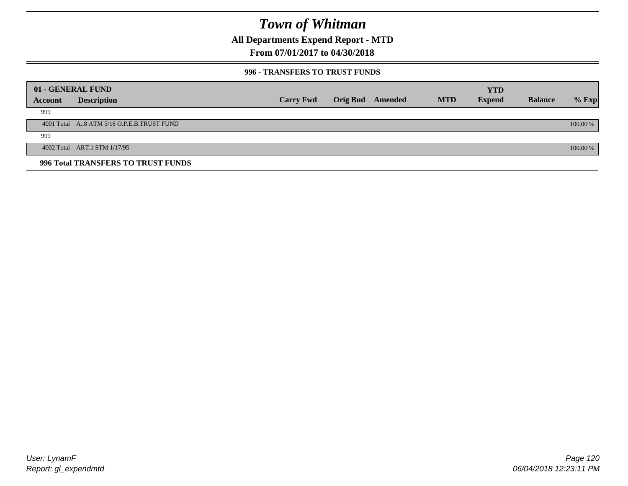**All Departments Expend Report - MTD**

## **From 07/01/2017 to 04/30/2018**

#### **996 - TRANSFERS TO TRUST FUNDS**

|         | 01 - GENERAL FUND                         |                  |                 |         |            | <b>YTD</b>    |                |            |
|---------|-------------------------------------------|------------------|-----------------|---------|------------|---------------|----------------|------------|
| Account | <b>Description</b>                        | <b>Carry Fwd</b> | <b>Orig Bud</b> | Amended | <b>MTD</b> | <b>Expend</b> | <b>Balance</b> | $%$ Exp    |
| 999     |                                           |                  |                 |         |            |               |                |            |
|         | 4001 Total A8 ATM 5/16 O.P.E.B.TRUST FUND |                  |                 |         |            |               |                | $100.00\%$ |
| 999     |                                           |                  |                 |         |            |               |                |            |
|         | 4002 Total ART.1 STM 1/17/95              |                  |                 |         |            |               |                | 100.00 %   |
|         | 996 Total TRANSFERS TO TRUST FUNDS        |                  |                 |         |            |               |                |            |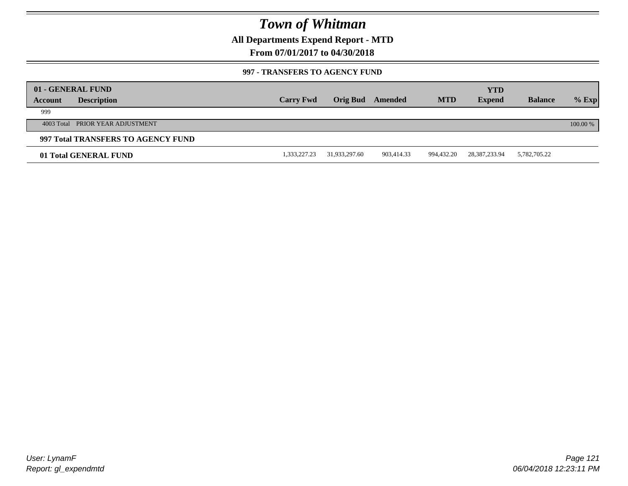**All Departments Expend Report - MTD**

### **From 07/01/2017 to 04/30/2018**

#### **997 - TRANSFERS TO AGENCY FUND**

|         | 01 - GENERAL FUND                  |                  |               |            |            | <b>YTD</b>       |                |          |
|---------|------------------------------------|------------------|---------------|------------|------------|------------------|----------------|----------|
| Account | <b>Description</b>                 | <b>Carry Fwd</b> | Orig Bud      | Amended    | <b>MTD</b> | <b>Expend</b>    | <b>Balance</b> | $%$ Exp  |
| 999     |                                    |                  |               |            |            |                  |                |          |
|         | 4003 Total PRIOR YEAR ADJUSTMENT   |                  |               |            |            |                  |                | 100.00 % |
|         | 997 Total TRANSFERS TO AGENCY FUND |                  |               |            |            |                  |                |          |
|         | 01 Total GENERAL FUND              | 1,333,227.23     | 31,933,297.60 | 903,414.33 | 994,432.20 | 28, 387, 233. 94 | 5,782,705.22   |          |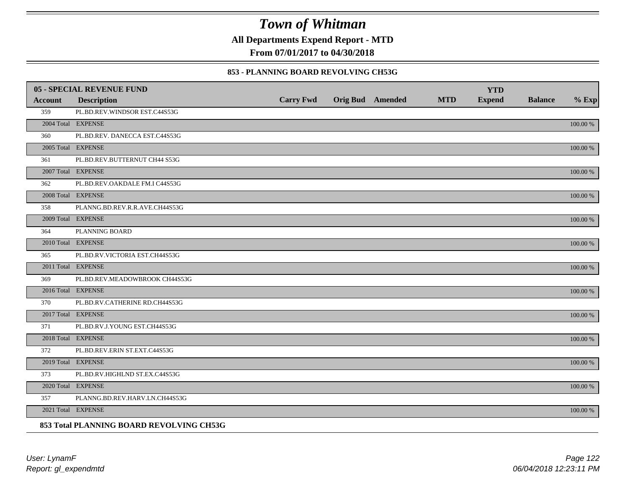**All Departments Expend Report - MTD**

**From 07/01/2017 to 04/30/2018**

#### **853 - PLANNING BOARD REVOLVING CH53G**

|         | 05 - SPECIAL REVENUE FUND                |                  |                         |            | <b>YTD</b>    |                |             |
|---------|------------------------------------------|------------------|-------------------------|------------|---------------|----------------|-------------|
| Account | <b>Description</b>                       | <b>Carry Fwd</b> | <b>Orig Bud</b> Amended | <b>MTD</b> | <b>Expend</b> | <b>Balance</b> | $%$ Exp     |
| 359     | PL.BD.REV.WINDSOR EST.C44S53G            |                  |                         |            |               |                |             |
|         | 2004 Total EXPENSE                       |                  |                         |            |               |                | 100.00 %    |
| 360     | PL.BD.REV. DANECCA EST.C44S53G           |                  |                         |            |               |                |             |
|         | 2005 Total EXPENSE                       |                  |                         |            |               |                | 100.00 %    |
| 361     | PL.BD.REV.BUTTERNUT CH44 S53G            |                  |                         |            |               |                |             |
|         | 2007 Total EXPENSE                       |                  |                         |            |               |                | 100.00 %    |
| 362     | PL.BD.REV.OAKDALE FM.I C44S53G           |                  |                         |            |               |                |             |
|         | 2008 Total EXPENSE                       |                  |                         |            |               |                | $100.00~\%$ |
| 358     | PLANNG.BD.REV.R.R.AVE.CH44S53G           |                  |                         |            |               |                |             |
|         | 2009 Total EXPENSE                       |                  |                         |            |               |                | 100.00 %    |
| 364     | PLANNING BOARD                           |                  |                         |            |               |                |             |
|         | 2010 Total EXPENSE                       |                  |                         |            |               |                | $100.00~\%$ |
| 365     | PL.BD.RV.VICTORIA EST.CH44S53G           |                  |                         |            |               |                |             |
|         | 2011 Total EXPENSE                       |                  |                         |            |               |                | 100.00 %    |
| 369     | PL.BD.REV.MEADOWBROOK CH44S53G           |                  |                         |            |               |                |             |
|         | 2016 Total EXPENSE                       |                  |                         |            |               |                | 100.00 %    |
| 370     | PL.BD.RV.CATHERINE RD.CH44S53G           |                  |                         |            |               |                |             |
|         | 2017 Total EXPENSE                       |                  |                         |            |               |                | 100.00 %    |
| 371     | PL.BD.RV.J.YOUNG EST.CH44S53G            |                  |                         |            |               |                |             |
|         | 2018 Total EXPENSE                       |                  |                         |            |               |                | $100.00~\%$ |
| 372     | PL.BD.REV.ERIN ST.EXT.C44S53G            |                  |                         |            |               |                |             |
|         | 2019 Total EXPENSE                       |                  |                         |            |               |                | 100.00 %    |
| 373     | PL.BD.RV.HIGHLND ST.EX.C44S53G           |                  |                         |            |               |                |             |
|         | 2020 Total EXPENSE                       |                  |                         |            |               |                | 100.00 %    |
| 357     | PLANNG.BD.REV.HARV.LN.CH44S53G           |                  |                         |            |               |                |             |
|         | 2021 Total EXPENSE                       |                  |                         |            |               |                | 100.00 %    |
|         | 853 Total PLANNING BOARD REVOLVING CH53G |                  |                         |            |               |                |             |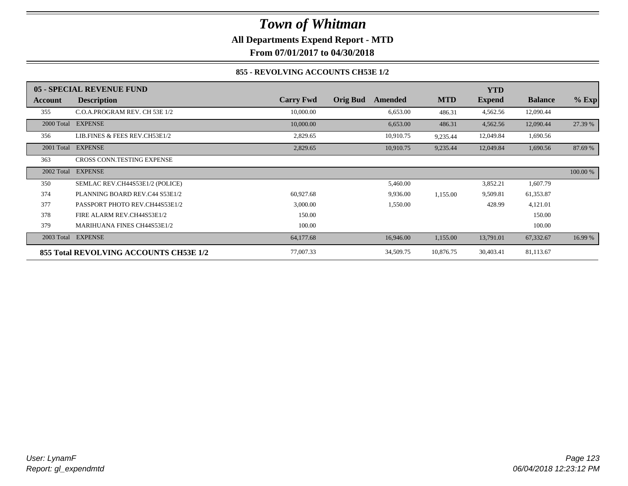**All Departments Expend Report - MTD**

**From 07/01/2017 to 04/30/2018**

### **855 - REVOLVING ACCOUNTS CH53E 1/2**

|            | 05 - SPECIAL REVENUE FUND              |                  |                            |            | <b>YTD</b>    |                |          |
|------------|----------------------------------------|------------------|----------------------------|------------|---------------|----------------|----------|
| Account    | <b>Description</b>                     | <b>Carry Fwd</b> | <b>Orig Bud</b><br>Amended | <b>MTD</b> | <b>Expend</b> | <b>Balance</b> | $%$ Exp  |
| 355        | C.O.A.PROGRAM REV. CH 53E 1/2          | 10,000.00        | 6,653.00                   | 486.31     | 4,562.56      | 12,090.44      |          |
| 2000 Total | <b>EXPENSE</b>                         | 10,000.00        | 6,653.00                   | 486.31     | 4,562.56      | 12,090.44      | 27.39 %  |
| 356        | LIB.FINES & FEES REV.CH53E1/2          | 2,829.65         | 10,910.75                  | 9,235.44   | 12,049.84     | 1,690.56       |          |
| 2001 Total | <b>EXPENSE</b>                         | 2,829.65         | 10,910.75                  | 9,235.44   | 12,049.84     | 1,690.56       | 87.69 %  |
| 363        | <b>CROSS CONN.TESTING EXPENSE</b>      |                  |                            |            |               |                |          |
| 2002 Total | <b>EXPENSE</b>                         |                  |                            |            |               |                | 100.00 % |
| 350        | SEMLAC REV.CH44S53E1/2 (POLICE)        |                  | 5,460.00                   |            | 3,852.21      | 1,607.79       |          |
| 374        | PLANNING BOARD REV.C44 S53E1/2         | 60,927.68        | 9,936.00                   | 1,155.00   | 9,509.81      | 61,353.87      |          |
| 377        | PASSPORT PHOTO REV.CH44S53E1/2         | 3,000.00         | 1,550.00                   |            | 428.99        | 4,121.01       |          |
| 378        | FIRE ALARM REV.CH44S53E1/2             | 150.00           |                            |            |               | 150.00         |          |
| 379        | <b>MARIHUANA FINES CH44S53E1/2</b>     | 100.00           |                            |            |               | 100.00         |          |
|            | 2003 Total EXPENSE                     | 64,177.68        | 16,946.00                  | 1,155.00   | 13,791.01     | 67,332.67      | 16.99 %  |
|            | 855 Total REVOLVING ACCOUNTS CH53E 1/2 | 77,007.33        | 34,509.75                  | 10,876.75  | 30,403.41     | 81,113.67      |          |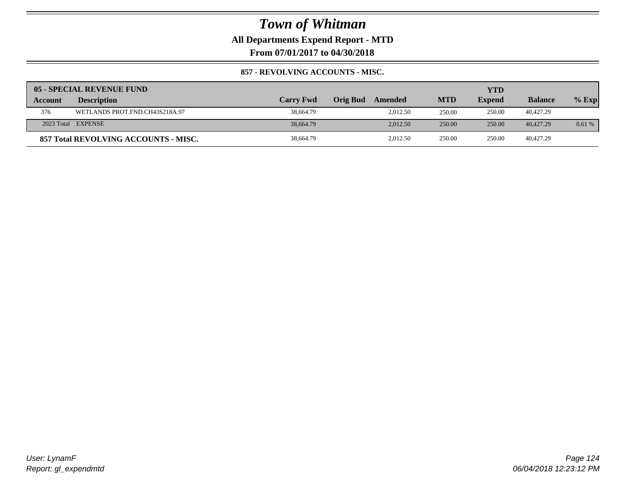**All Departments Expend Report - MTD**

**From 07/01/2017 to 04/30/2018**

### **857 - REVOLVING ACCOUNTS - MISC.**

|         | 05 - SPECIAL REVENUE FUND            |                  |                 |          |            | YTD           |                |         |
|---------|--------------------------------------|------------------|-----------------|----------|------------|---------------|----------------|---------|
| Account | <b>Description</b>                   | <b>Carry Fwd</b> | <b>Orig Bud</b> | Amended  | <b>MTD</b> | <b>Expend</b> | <b>Balance</b> | $%$ Exp |
| 376     | WETLANDS PROT.FND.CH43S218A.97       | 38,664.79        |                 | 2.012.50 | 250.00     | 250.00        | 40,427.29      |         |
|         | 2023 Total EXPENSE                   | 38,664.79        |                 | 2.012.50 | 250.00     | 250.00        | 40,427.29      | 0.61%   |
|         | 857 Total REVOLVING ACCOUNTS - MISC. | 38,664.79        |                 | 2,012.50 | 250.00     | 250.00        | 40,427.29      |         |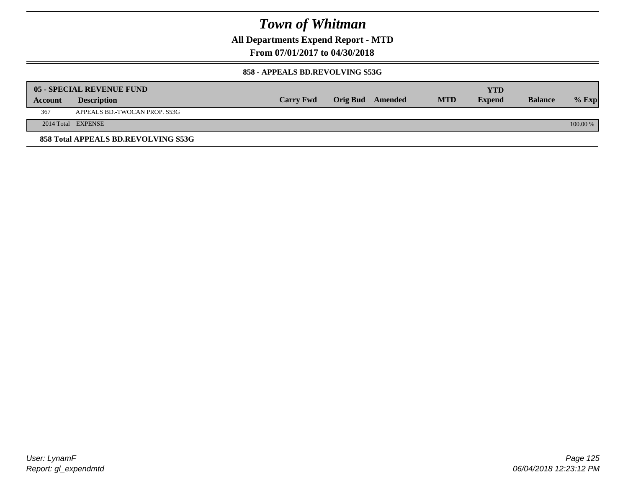**All Departments Expend Report - MTD**

**From 07/01/2017 to 04/30/2018**

#### **858 - APPEALS BD.REVOLVING S53G**

|         | 05 - SPECIAL REVENUE FUND           |                  |                  |            | YTD           |                |            |
|---------|-------------------------------------|------------------|------------------|------------|---------------|----------------|------------|
| Account | <b>Description</b>                  | <b>Carry Fwd</b> | Orig Bud Amended | <b>MTD</b> | <b>Expend</b> | <b>Balance</b> | $\%$ Exp   |
| 367     | APPEALS BD.-TWOCAN PROP. S53G       |                  |                  |            |               |                |            |
|         | 2014 Total EXPENSE                  |                  |                  |            |               |                | $100.00\%$ |
|         | 858 Total APPEALS BD.REVOLVING S53G |                  |                  |            |               |                |            |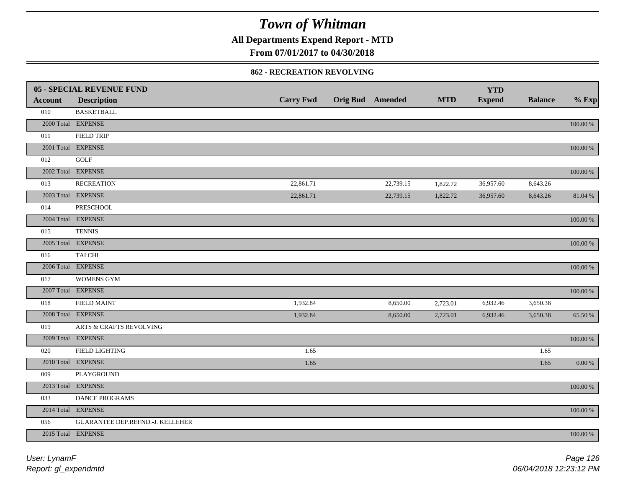**All Departments Expend Report - MTD**

## **From 07/01/2017 to 04/30/2018**

#### **862 - RECREATION REVOLVING**

|                | 05 - SPECIAL REVENUE FUND        |                  |                         |            | <b>YTD</b>    |                |             |
|----------------|----------------------------------|------------------|-------------------------|------------|---------------|----------------|-------------|
| <b>Account</b> | <b>Description</b>               | <b>Carry Fwd</b> | <b>Orig Bud Amended</b> | <b>MTD</b> | <b>Expend</b> | <b>Balance</b> | $%$ Exp     |
| 010            | <b>BASKETBALL</b>                |                  |                         |            |               |                |             |
|                | 2000 Total EXPENSE               |                  |                         |            |               |                | $100.00~\%$ |
| 011            | <b>FIELD TRIP</b>                |                  |                         |            |               |                |             |
|                | 2001 Total EXPENSE               |                  |                         |            |               |                | 100.00 %    |
| 012            | <b>GOLF</b>                      |                  |                         |            |               |                |             |
|                | 2002 Total EXPENSE               |                  |                         |            |               |                | 100.00 %    |
| 013            | <b>RECREATION</b>                | 22,861.71        | 22,739.15               | 1,822.72   | 36,957.60     | 8,643.26       |             |
|                | 2003 Total EXPENSE               | 22,861.71        | 22,739.15               | 1,822.72   | 36,957.60     | 8,643.26       | 81.04 %     |
| 014            | PRESCHOOL                        |                  |                         |            |               |                |             |
|                | 2004 Total EXPENSE               |                  |                         |            |               |                | 100.00 %    |
| 015            | <b>TENNIS</b>                    |                  |                         |            |               |                |             |
|                | 2005 Total EXPENSE               |                  |                         |            |               |                | 100.00 %    |
| 016            | TAI CHI                          |                  |                         |            |               |                |             |
|                | 2006 Total EXPENSE               |                  |                         |            |               |                | 100.00 %    |
| 017            | <b>WOMENS GYM</b>                |                  |                         |            |               |                |             |
|                | 2007 Total EXPENSE               |                  |                         |            |               |                | $100.00~\%$ |
| 018            | <b>FIELD MAINT</b>               | 1,932.84         | 8,650.00                | 2,723.01   | 6,932.46      | 3,650.38       |             |
|                | 2008 Total EXPENSE               | 1,932.84         | 8,650.00                | 2,723.01   | 6,932.46      | 3,650.38       | 65.50 %     |
| 019            | ARTS & CRAFTS REVOLVING          |                  |                         |            |               |                |             |
|                | 2009 Total EXPENSE               |                  |                         |            |               |                | $100.00~\%$ |
| 020            | FIELD LIGHTING                   | 1.65             |                         |            |               | 1.65           |             |
|                | 2010 Total EXPENSE               | 1.65             |                         |            |               | 1.65           | 0.00 %      |
| 009            | PLAYGROUND                       |                  |                         |            |               |                |             |
|                | 2013 Total EXPENSE               |                  |                         |            |               |                | $100.00~\%$ |
| 033            | DANCE PROGRAMS                   |                  |                         |            |               |                |             |
|                | 2014 Total EXPENSE               |                  |                         |            |               |                | 100.00 %    |
| 056            | GUARANTEE DEP.REFND.-J. KELLEHER |                  |                         |            |               |                |             |
|                | 2015 Total EXPENSE               |                  |                         |            |               |                | 100.00 %    |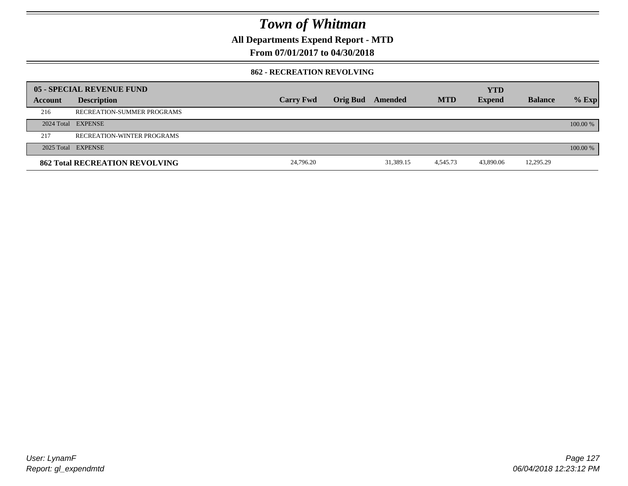**All Departments Expend Report - MTD**

### **From 07/01/2017 to 04/30/2018**

#### **862 - RECREATION REVOLVING**

|         | 05 - SPECIAL REVENUE FUND             |                  |          |           |            | <b>YTD</b>    |                |          |
|---------|---------------------------------------|------------------|----------|-----------|------------|---------------|----------------|----------|
| Account | <b>Description</b>                    | <b>Carry Fwd</b> | Orig Bud | Amended   | <b>MTD</b> | <b>Expend</b> | <b>Balance</b> | $%$ Exp  |
| 216     | RECREATION-SUMMER PROGRAMS            |                  |          |           |            |               |                |          |
|         | 2024 Total EXPENSE                    |                  |          |           |            |               |                | 100.00 % |
| 217     | <b>RECREATION-WINTER PROGRAMS</b>     |                  |          |           |            |               |                |          |
|         | 2025 Total EXPENSE                    |                  |          |           |            |               |                | 100.00 % |
|         | <b>862 Total RECREATION REVOLVING</b> | 24,796.20        |          | 31,389.15 | 4,545.73   | 43,890.06     | 12,295.29      |          |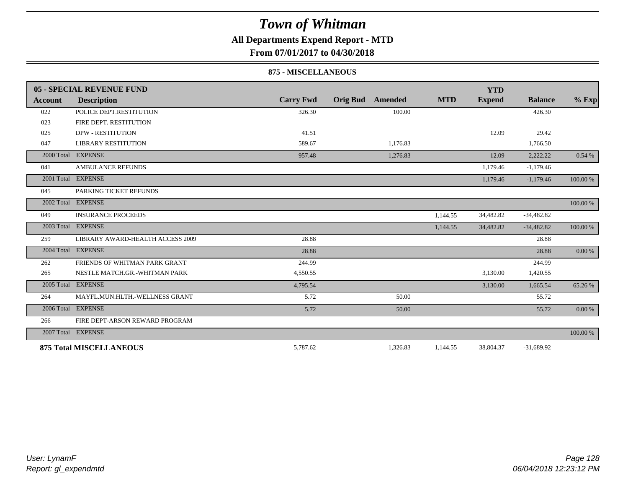## **All Departments Expend Report - MTD**

**From 07/01/2017 to 04/30/2018**

#### **875 - MISCELLANEOUS**

|            | 05 - SPECIAL REVENUE FUND        |                  |                            |            | <b>YTD</b>    |                |          |
|------------|----------------------------------|------------------|----------------------------|------------|---------------|----------------|----------|
| Account    | <b>Description</b>               | <b>Carry Fwd</b> | <b>Orig Bud</b><br>Amended | <b>MTD</b> | <b>Expend</b> | <b>Balance</b> | $%$ Exp  |
| 022        | POLICE DEPT.RESTITUTION          | 326.30           | 100.00                     |            |               | 426.30         |          |
| 023        | FIRE DEPT. RESTITUTION           |                  |                            |            |               |                |          |
| 025        | <b>DPW - RESTITUTION</b>         | 41.51            |                            |            | 12.09         | 29.42          |          |
| 047        | <b>LIBRARY RESTITUTION</b>       | 589.67           | 1,176.83                   |            |               | 1,766.50       |          |
| 2000 Total | <b>EXPENSE</b>                   | 957.48           | 1,276.83                   |            | 12.09         | 2,222.22       | 0.54%    |
| 041        | <b>AMBULANCE REFUNDS</b>         |                  |                            |            | 1,179.46      | $-1,179.46$    |          |
| 2001 Total | <b>EXPENSE</b>                   |                  |                            |            | 1,179.46      | $-1,179.46$    | 100.00 % |
| 045        | PARKING TICKET REFUNDS           |                  |                            |            |               |                |          |
|            | 2002 Total EXPENSE               |                  |                            |            |               |                | 100.00 % |
| 049        | <b>INSURANCE PROCEEDS</b>        |                  |                            | 1,144.55   | 34,482.82     | $-34,482.82$   |          |
|            | 2003 Total EXPENSE               |                  |                            | 1,144.55   | 34,482.82     | $-34,482.82$   | 100.00 % |
| 259        | LIBRARY AWARD-HEALTH ACCESS 2009 | 28.88            |                            |            |               | 28.88          |          |
|            | 2004 Total EXPENSE               | 28.88            |                            |            |               | 28.88          | 0.00 %   |
| 262        | FRIENDS OF WHITMAN PARK GRANT    | 244.99           |                            |            |               | 244.99         |          |
| 265        | NESTLE MATCH.GR.-WHITMAN PARK    | 4,550.55         |                            |            | 3,130.00      | 1,420.55       |          |
| 2005 Total | <b>EXPENSE</b>                   | 4,795.54         |                            |            | 3,130.00      | 1,665.54       | 65.26 %  |
| 264        | MAYFL.MUN.HLTH.-WELLNESS GRANT   | 5.72             | 50.00                      |            |               | 55.72          |          |
|            | 2006 Total EXPENSE               | 5.72             | 50.00                      |            |               | 55.72          | 0.00 %   |
| 266        | FIRE DEPT-ARSON REWARD PROGRAM   |                  |                            |            |               |                |          |
|            | 2007 Total EXPENSE               |                  |                            |            |               |                | 100.00 % |
|            | <b>875 Total MISCELLANEOUS</b>   | 5,787.62         | 1,326.83                   | 1,144.55   | 38,804.37     | $-31,689.92$   |          |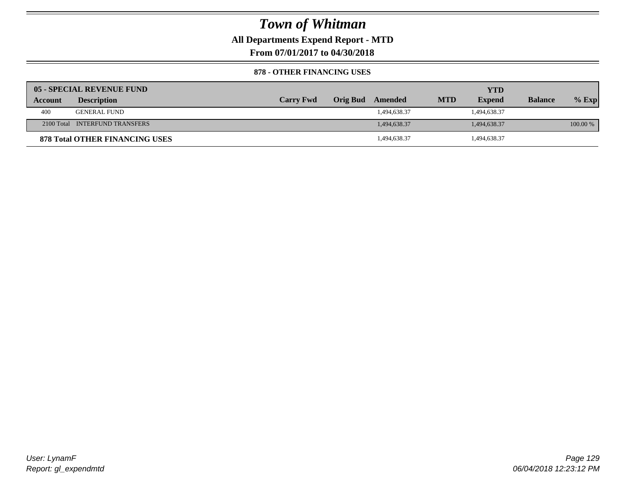**All Departments Expend Report - MTD**

**From 07/01/2017 to 04/30/2018**

#### **878 - OTHER FINANCING USES**

|         | 05 - SPECIAL REVENUE FUND             |                  |                  |            | YTD           |                |          |
|---------|---------------------------------------|------------------|------------------|------------|---------------|----------------|----------|
| Account | <b>Description</b>                    | <b>Carry Fwd</b> | Orig Bud Amended | <b>MTD</b> | <b>Expend</b> | <b>Balance</b> | $%$ Exp  |
| 400     | <b>GENERAL FUND</b>                   |                  | 1,494,638.37     |            | 1,494,638.37  |                |          |
|         | 2100 Total INTERFUND TRANSFERS        |                  | 1,494,638.37     |            | 1,494,638.37  |                | 100.00 % |
|         | <b>878 Total OTHER FINANCING USES</b> |                  | 1,494,638.37     |            | 494,638.37    |                |          |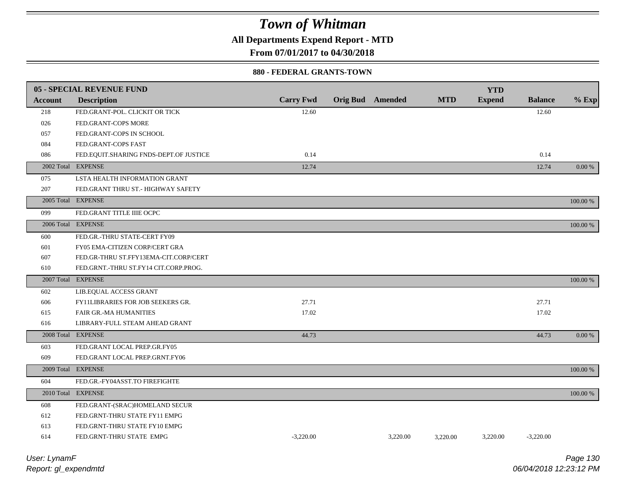**All Departments Expend Report - MTD**

**From 07/01/2017 to 04/30/2018**

#### **880 - FEDERAL GRANTS-TOWN**

|                | 05 - SPECIAL REVENUE FUND              |                  |                         |          |            | <b>YTD</b>    |                |            |
|----------------|----------------------------------------|------------------|-------------------------|----------|------------|---------------|----------------|------------|
| <b>Account</b> | <b>Description</b>                     | <b>Carry Fwd</b> | <b>Orig Bud</b> Amended |          | <b>MTD</b> | <b>Expend</b> | <b>Balance</b> | $%$ Exp    |
| 218            | FED.GRANT-POL. CLICKIT OR TICK         | 12.60            |                         |          |            |               | 12.60          |            |
| 026            | FED.GRANT-COPS MORE                    |                  |                         |          |            |               |                |            |
| 057            | FED.GRANT-COPS IN SCHOOL               |                  |                         |          |            |               |                |            |
| 084            | FED.GRANT-COPS FAST                    |                  |                         |          |            |               |                |            |
| 086            | FED.EQUIT.SHARING FNDS-DEPT.OF JUSTICE | 0.14             |                         |          |            |               | 0.14           |            |
|                | 2002 Total EXPENSE                     | 12.74            |                         |          |            |               | 12.74          | 0.00 %     |
| 075            | LSTA HEALTH INFORMATION GRANT          |                  |                         |          |            |               |                |            |
| 207            | FED.GRANT THRU ST.- HIGHWAY SAFETY     |                  |                         |          |            |               |                |            |
|                | 2005 Total EXPENSE                     |                  |                         |          |            |               |                | 100.00 %   |
| 099            | FED.GRANT TITLE IIIE OCPC              |                  |                         |          |            |               |                |            |
|                | 2006 Total EXPENSE                     |                  |                         |          |            |               |                | 100.00 %   |
| 600            | FED.GR.-THRU STATE-CERT FY09           |                  |                         |          |            |               |                |            |
| 601            | FY05 EMA-CITIZEN CORP/CERT GRA         |                  |                         |          |            |               |                |            |
| 607            | FED.GR-THRU ST.FFY13EMA-CIT.CORP/CERT  |                  |                         |          |            |               |                |            |
| 610            | FED.GRNT.-THRU ST.FY14 CIT.CORP.PROG.  |                  |                         |          |            |               |                |            |
|                | 2007 Total EXPENSE                     |                  |                         |          |            |               |                | 100.00 %   |
| 602            | LIB.EQUAL ACCESS GRANT                 |                  |                         |          |            |               |                |            |
| 606            | FY11LIBRARIES FOR JOB SEEKERS GR.      | 27.71            |                         |          |            |               | 27.71          |            |
| 615            | FAIR GR.-MA HUMANITIES                 | 17.02            |                         |          |            |               | 17.02          |            |
| 616            | LIBRARY-FULL STEAM AHEAD GRANT         |                  |                         |          |            |               |                |            |
|                | 2008 Total EXPENSE                     | 44.73            |                         |          |            |               | 44.73          | $0.00\ \%$ |
| 603            | FED.GRANT LOCAL PREP.GR.FY05           |                  |                         |          |            |               |                |            |
| 609            | FED.GRANT LOCAL PREP.GRNT.FY06         |                  |                         |          |            |               |                |            |
|                | 2009 Total EXPENSE                     |                  |                         |          |            |               |                | 100.00 %   |
| 604            | FED.GR.-FY04ASST.TO FIREFIGHTE         |                  |                         |          |            |               |                |            |
|                | 2010 Total EXPENSE                     |                  |                         |          |            |               |                | 100.00 %   |
| 608            | FED.GRANT-(SRAC)HOMELAND SECUR         |                  |                         |          |            |               |                |            |
| 612            | FED.GRNT-THRU STATE FY11 EMPG          |                  |                         |          |            |               |                |            |
| 613            | FED.GRNT-THRU STATE FY10 EMPG          |                  |                         |          |            |               |                |            |
| 614            | FED.GRNT-THRU STATE EMPG               | $-3,220.00$      |                         | 3,220.00 | 3,220.00   | 3,220.00      | $-3,220.00$    |            |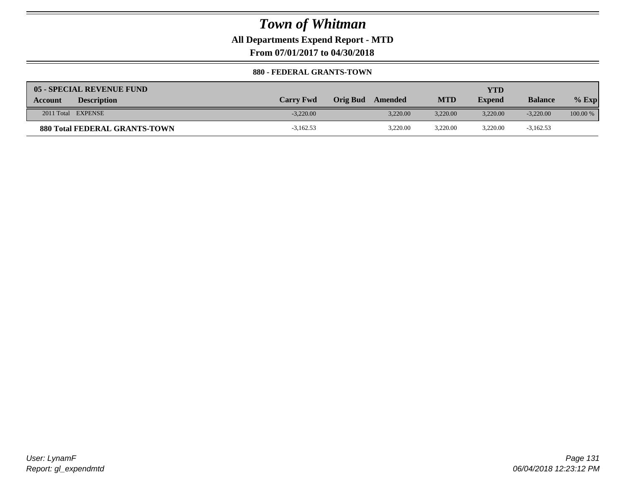### **All Departments Expend Report - MTD**

**From 07/01/2017 to 04/30/2018**

#### **880 - FEDERAL GRANTS-TOWN**

| 05 - SPECIAL REVENUE FUND            |                  |                     |            | YTD           |                |            |
|--------------------------------------|------------------|---------------------|------------|---------------|----------------|------------|
| <b>Description</b><br><b>Account</b> | <b>Carry Fwd</b> | Orig Bud<br>Amended | <b>MTD</b> | <b>Expend</b> | <b>Balance</b> | $%$ Exp    |
| 2011 Total EXPENSE                   | $-3.220.00$      | 3.220.00            | 3.220.00   | 3.220.00      | $-3,220,00$    | $100.00\%$ |
| <b>880 Total FEDERAL GRANTS-TOWN</b> | $-3,162.53$      | 3,220.00            | 3,220.00   | 3,220.00      | $-3,162.53$    |            |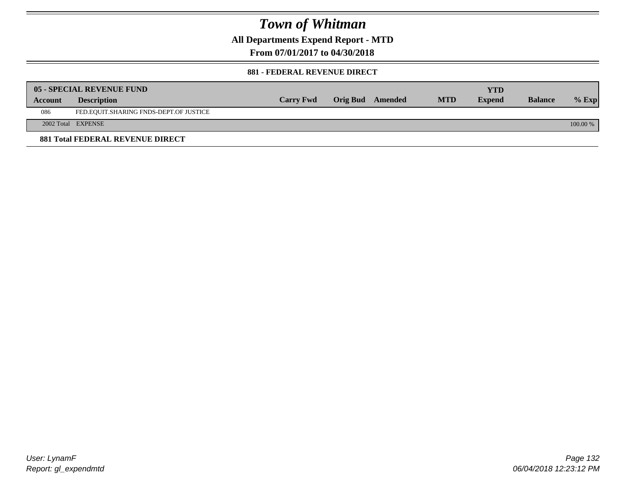**All Departments Expend Report - MTD**

**From 07/01/2017 to 04/30/2018**

#### **881 - FEDERAL REVENUE DIRECT**

|         | <b>05 - SPECIAL REVENUE FUND</b>        |                  |                  |            | YTD           |                |            |
|---------|-----------------------------------------|------------------|------------------|------------|---------------|----------------|------------|
| Account | <b>Description</b>                      | <b>Carry Fwd</b> | Orig Bud Amended | <b>MTD</b> | <b>Expend</b> | <b>Balance</b> | $%$ Exp    |
| 086     | FED.EQUIT.SHARING FNDS-DEPT.OF JUSTICE  |                  |                  |            |               |                |            |
|         | 2002 Total EXPENSE                      |                  |                  |            |               |                | $100.00\%$ |
|         | <b>881 Total FEDERAL REVENUE DIRECT</b> |                  |                  |            |               |                |            |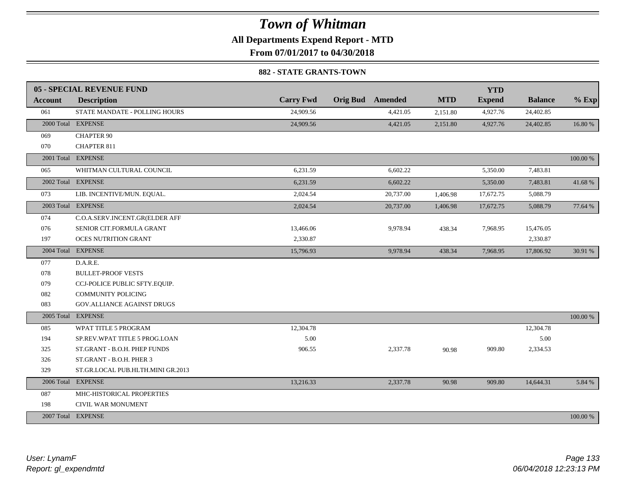**All Departments Expend Report - MTD**

**From 07/01/2017 to 04/30/2018**

#### **882 - STATE GRANTS-TOWN**

|                | 05 - SPECIAL REVENUE FUND         |                  |                         |            | <b>YTD</b>    |                |          |
|----------------|-----------------------------------|------------------|-------------------------|------------|---------------|----------------|----------|
| <b>Account</b> | <b>Description</b>                | <b>Carry Fwd</b> | <b>Orig Bud</b> Amended | <b>MTD</b> | <b>Expend</b> | <b>Balance</b> | $%$ Exp  |
| 061            | STATE MANDATE - POLLING HOURS     | 24,909.56        | 4,421.05                | 2,151.80   | 4,927.76      | 24,402.85      |          |
|                | 2000 Total EXPENSE                | 24,909.56        | 4,421.05                | 2,151.80   | 4,927.76      | 24,402.85      | 16.80 %  |
| 069            | <b>CHAPTER 90</b>                 |                  |                         |            |               |                |          |
| 070            | <b>CHAPTER 811</b>                |                  |                         |            |               |                |          |
|                | 2001 Total EXPENSE                |                  |                         |            |               |                | 100.00 % |
| 065            | WHITMAN CULTURAL COUNCIL          | 6,231.59         | 6,602.22                |            | 5,350.00      | 7,483.81       |          |
|                | 2002 Total EXPENSE                | 6,231.59         | 6,602.22                |            | 5,350.00      | 7,483.81       | 41.68%   |
| 073            | LIB. INCENTIVE/MUN. EQUAL.        | 2,024.54         | 20,737.00               | 1,406.98   | 17,672.75     | 5,088.79       |          |
|                | 2003 Total EXPENSE                | 2,024.54         | 20,737.00               | 1,406.98   | 17,672.75     | 5,088.79       | 77.64 %  |
| 074            | C.O.A.SERV.INCENT.GR(ELDER AFF    |                  |                         |            |               |                |          |
| 076            | SENIOR CIT.FORMULA GRANT          | 13,466.06        | 9,978.94                | 438.34     | 7,968.95      | 15,476.05      |          |
| 197            | <b>OCES NUTRITION GRANT</b>       | 2,330.87         |                         |            |               | 2,330.87       |          |
|                | 2004 Total EXPENSE                | 15,796.93        | 9,978.94                | 438.34     | 7,968.95      | 17,806.92      | 30.91 %  |
| 077            | D.A.R.E.                          |                  |                         |            |               |                |          |
| 078            | <b>BULLET-PROOF VESTS</b>         |                  |                         |            |               |                |          |
| 079            | CCJ-POLICE PUBLIC SFTY.EQUIP.     |                  |                         |            |               |                |          |
| 082            | <b>COMMUNITY POLICING</b>         |                  |                         |            |               |                |          |
| 083            | <b>GOV.ALLIANCE AGAINST DRUGS</b> |                  |                         |            |               |                |          |
| 2005 Total     | <b>EXPENSE</b>                    |                  |                         |            |               |                | 100.00 % |
| 085            | WPAT TITLE 5 PROGRAM              | 12,304.78        |                         |            |               | 12,304.78      |          |
| 194            | SP.REV.WPAT TITLE 5 PROG.LOAN     | 5.00             |                         |            |               | 5.00           |          |
| 325            | ST.GRANT - B.O.H. PHEP FUNDS      | 906.55           | 2,337.78                | 90.98      | 909.80        | 2,334.53       |          |
| 326            | ST.GRANT - B.O.H. PHER 3          |                  |                         |            |               |                |          |
| 329            | ST.GR.LOCAL PUB.HLTH.MINI GR.2013 |                  |                         |            |               |                |          |
|                | 2006 Total EXPENSE                | 13,216.33        | 2,337.78                | 90.98      | 909.80        | 14,644.31      | 5.84 %   |
| 087            | MHC-HISTORICAL PROPERTIES         |                  |                         |            |               |                |          |
| 198            | CIVIL WAR MONUMENT                |                  |                         |            |               |                |          |
|                | 2007 Total EXPENSE                |                  |                         |            |               |                | 100.00 % |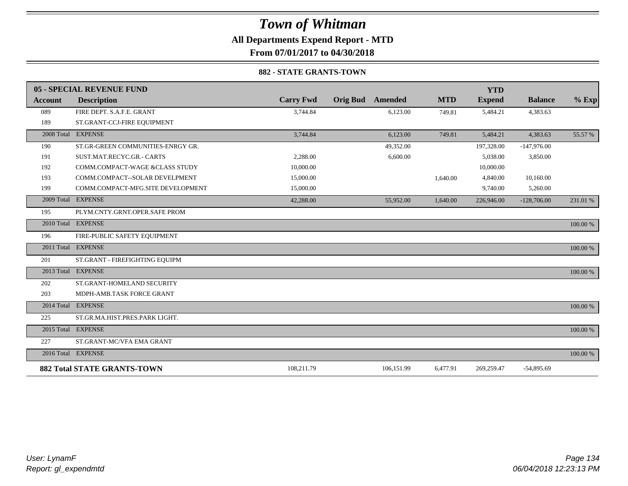## **All Departments Expend Report - MTD**

**From 07/01/2017 to 04/30/2018**

#### **882 - STATE GRANTS-TOWN**

|                | 05 - SPECIAL REVENUE FUND          |                  |                 |            |            | <b>YTD</b>    |                |          |
|----------------|------------------------------------|------------------|-----------------|------------|------------|---------------|----------------|----------|
| <b>Account</b> | <b>Description</b>                 | <b>Carry Fwd</b> | <b>Orig Bud</b> | Amended    | <b>MTD</b> | <b>Expend</b> | <b>Balance</b> | $%$ Exp  |
| 089            | FIRE DEPT. S.A.F.E. GRANT          | 3,744.84         |                 | 6,123.00   | 749.81     | 5,484.21      | 4,383.63       |          |
| 189            | ST.GRANT-CCJ-FIRE EQUIPMENT        |                  |                 |            |            |               |                |          |
|                | 2008 Total EXPENSE                 | 3,744.84         |                 | 6,123.00   | 749.81     | 5,484.21      | 4,383.63       | 55.57 %  |
| 190            | ST.GR-GREEN COMMUNITIES-ENRGY GR.  |                  |                 | 49,352.00  |            | 197,328.00    | $-147,976.00$  |          |
| 191            | SUST.MAT.RECYC.GR.- CARTS          | 2.288.00         |                 | 6,600.00   |            | 5,038.00      | 3,850.00       |          |
| 192            | COMM.COMPACT-WAGE &CLASS STUDY     | 10,000.00        |                 |            |            | 10,000.00     |                |          |
| 193            | COMM.COMPACT--SOLAR DEVELPMENT     | 15,000.00        |                 |            | 1,640.00   | 4,840.00      | 10,160.00      |          |
| 199            | COMM.COMPACT-MFG.SITE DEVELOPMENT  | 15,000.00        |                 |            |            | 9,740.00      | 5,260.00       |          |
| 2009 Total     | <b>EXPENSE</b>                     | 42,288.00        |                 | 55,952.00  | 1,640.00   | 226,946.00    | $-128,706.00$  | 231.01 % |
| 195            | PLYM.CNTY.GRNT.OPER.SAFE PROM      |                  |                 |            |            |               |                |          |
|                | 2010 Total EXPENSE                 |                  |                 |            |            |               |                | 100.00 % |
| 196            | FIRE-PUBLIC SAFETY EQUIPMENT       |                  |                 |            |            |               |                |          |
|                | 2011 Total EXPENSE                 |                  |                 |            |            |               |                | 100.00 % |
| 201            | ST.GRANT - FIREFIGHTING EQUIPM     |                  |                 |            |            |               |                |          |
|                | 2013 Total EXPENSE                 |                  |                 |            |            |               |                | 100.00 % |
| 202            | ST.GRANT-HOMELAND SECURITY         |                  |                 |            |            |               |                |          |
| 203            | MDPH-AMB.TASK FORCE GRANT          |                  |                 |            |            |               |                |          |
| 2014 Total     | <b>EXPENSE</b>                     |                  |                 |            |            |               |                | 100.00 % |
| 225            | ST.GR.MA.HIST.PRES.PARK LIGHT.     |                  |                 |            |            |               |                |          |
|                | 2015 Total EXPENSE                 |                  |                 |            |            |               |                | 100.00 % |
| 227            | ST.GRANT-MC/VFA EMA GRANT          |                  |                 |            |            |               |                |          |
|                | 2016 Total EXPENSE                 |                  |                 |            |            |               |                | 100.00 % |
|                | <b>882 Total STATE GRANTS-TOWN</b> | 108,211.79       |                 | 106,151.99 | 6,477.91   | 269,259.47    | $-54,895.69$   |          |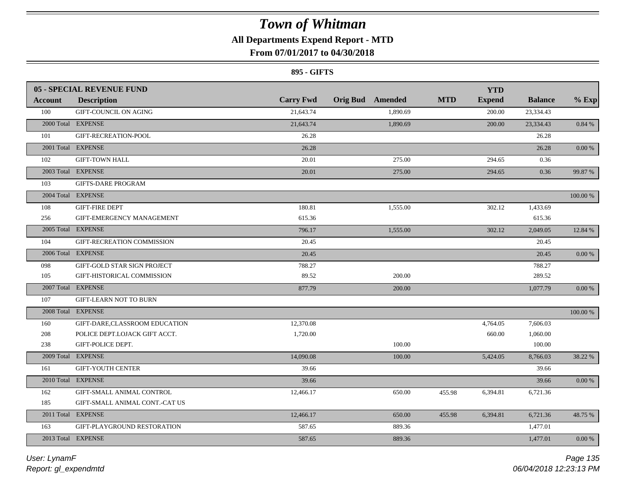## **All Departments Expend Report - MTD**

## **From 07/01/2017 to 04/30/2018**

#### **895 - GIFTS**

|         | <b>05 - SPECIAL REVENUE FUND</b> |                  |                         |            | <b>YTD</b>    |                |             |
|---------|----------------------------------|------------------|-------------------------|------------|---------------|----------------|-------------|
| Account | <b>Description</b>               | <b>Carry Fwd</b> | <b>Orig Bud Amended</b> | <b>MTD</b> | <b>Expend</b> | <b>Balance</b> | $%$ Exp     |
| 100     | <b>GIFT-COUNCIL ON AGING</b>     | 21,643.74        | 1,890.69                |            | 200.00        | 23,334.43      |             |
|         | 2000 Total EXPENSE               | 21,643.74        | 1,890.69                |            | 200.00        | 23,334.43      | 0.84 %      |
| 101     | GIFT-RECREATION-POOL             | 26.28            |                         |            |               | 26.28          |             |
|         | 2001 Total EXPENSE               | 26.28            |                         |            |               | 26.28          | $0.00\ \%$  |
| 102     | <b>GIFT-TOWN HALL</b>            | 20.01            | 275.00                  |            | 294.65        | 0.36           |             |
|         | 2003 Total EXPENSE               | 20.01            | 275.00                  |            | 294.65        | 0.36           | 99.87 %     |
| 103     | <b>GIFTS-DARE PROGRAM</b>        |                  |                         |            |               |                |             |
|         | 2004 Total EXPENSE               |                  |                         |            |               |                | 100.00 %    |
| 108     | <b>GIFT-FIRE DEPT</b>            | 180.81           | 1,555.00                |            | 302.12        | 1,433.69       |             |
| 256     | GIFT-EMERGENCY MANAGEMENT        | 615.36           |                         |            |               | 615.36         |             |
|         | 2005 Total EXPENSE               | 796.17           | 1,555.00                |            | 302.12        | 2,049.05       | 12.84 %     |
| 104     | GIFT-RECREATION COMMISSION       | 20.45            |                         |            |               | 20.45          |             |
|         | 2006 Total EXPENSE               | 20.45            |                         |            |               | 20.45          | 0.00 %      |
| 098     | GIFT-GOLD STAR SIGN PROJECT      | 788.27           |                         |            |               | 788.27         |             |
| 105     | GIFT-HISTORICAL COMMISSION       | 89.52            | 200.00                  |            |               | 289.52         |             |
|         | 2007 Total EXPENSE               | 877.79           | 200.00                  |            |               | 1,077.79       | $0.00\,\%$  |
| 107     | <b>GIFT-LEARN NOT TO BURN</b>    |                  |                         |            |               |                |             |
|         | 2008 Total EXPENSE               |                  |                         |            |               |                | $100.00~\%$ |
| 160     | GIFT-DARE,CLASSROOM EDUCATION    | 12,370.08        |                         |            | 4,764.05      | 7,606.03       |             |
| 208     | POLICE DEPT.LOJACK GIFT ACCT.    | 1,720.00         |                         |            | 660.00        | 1,060.00       |             |
| 238     | GIFT-POLICE DEPT.                |                  | 100.00                  |            |               | 100.00         |             |
|         | 2009 Total EXPENSE               | 14,090.08        | 100.00                  |            | 5,424.05      | 8,766.03       | 38.22 %     |
| 161     | <b>GIFT-YOUTH CENTER</b>         | 39.66            |                         |            |               | 39.66          |             |
|         | 2010 Total EXPENSE               | 39.66            |                         |            |               | 39.66          | $0.00\,\%$  |
| 162     | GIFT-SMALL ANIMAL CONTROL        | 12,466.17        | 650.00                  | 455.98     | 6,394.81      | 6,721.36       |             |
| 185     | GIFT-SMALL ANIMAL CONT.-CAT US   |                  |                         |            |               |                |             |
|         | 2011 Total EXPENSE               | 12,466.17        | 650.00                  | 455.98     | 6,394.81      | 6,721.36       | 48.75 %     |
| 163     | GIFT-PLAYGROUND RESTORATION      | 587.65           | 889.36                  |            |               | 1,477.01       |             |
|         | 2013 Total EXPENSE               | 587.65           | 889.36                  |            |               | 1,477.01       | 0.00 %      |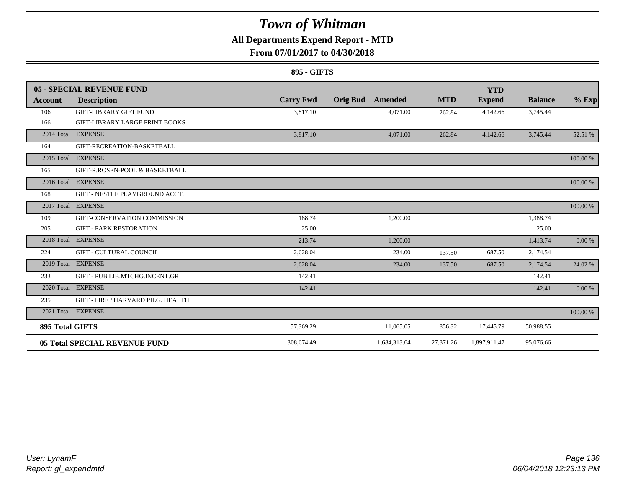## **All Departments Expend Report - MTD**

### **From 07/01/2017 to 04/30/2018**

#### **895 - GIFTS**

|                        | 05 - SPECIAL REVENUE FUND             |                  |                            |            | <b>YTD</b>    |                |          |
|------------------------|---------------------------------------|------------------|----------------------------|------------|---------------|----------------|----------|
| Account                | <b>Description</b>                    | <b>Carry Fwd</b> | <b>Orig Bud</b><br>Amended | <b>MTD</b> | <b>Expend</b> | <b>Balance</b> | $%$ Exp  |
| 106                    | <b>GIFT-LIBRARY GIFT FUND</b>         | 3,817.10         | 4,071.00                   | 262.84     | 4,142.66      | 3,745.44       |          |
| 166                    | <b>GIFT-LIBRARY LARGE PRINT BOOKS</b> |                  |                            |            |               |                |          |
|                        | 2014 Total EXPENSE                    | 3,817.10         | 4,071.00                   | 262.84     | 4,142.66      | 3,745.44       | 52.51 %  |
| 164                    | GIFT-RECREATION-BASKETBALL            |                  |                            |            |               |                |          |
|                        | 2015 Total EXPENSE                    |                  |                            |            |               |                | 100.00 % |
| 165                    | GIFT-R.ROSEN-POOL & BASKETBALL        |                  |                            |            |               |                |          |
|                        | 2016 Total EXPENSE                    |                  |                            |            |               |                | 100.00 % |
| 168                    | GIFT - NESTLE PLAYGROUND ACCT.        |                  |                            |            |               |                |          |
| 2017 Total             | <b>EXPENSE</b>                        |                  |                            |            |               |                | 100.00 % |
| 109                    | GIFT-CONSERVATION COMMISSION          | 188.74           | 1,200.00                   |            |               | 1,388.74       |          |
| 205                    | <b>GIFT - PARK RESTORATION</b>        | 25.00            |                            |            |               | 25.00          |          |
| 2018 Total             | <b>EXPENSE</b>                        | 213.74           | 1,200.00                   |            |               | 1,413.74       | 0.00 %   |
| 224                    | <b>GIFT - CULTURAL COUNCIL</b>        | 2,628.04         | 234.00                     | 137.50     | 687.50        | 2,174.54       |          |
|                        | 2019 Total EXPENSE                    | 2,628.04         | 234.00                     | 137.50     | 687.50        | 2,174.54       | 24.02 %  |
| 233                    | GIFT - PUB.LIB.MTCHG.INCENT.GR        | 142.41           |                            |            |               | 142.41         |          |
|                        | 2020 Total EXPENSE                    | 142.41           |                            |            |               | 142.41         | 0.00 %   |
| 235                    | GIFT - FIRE / HARVARD PILG. HEALTH    |                  |                            |            |               |                |          |
|                        | 2021 Total EXPENSE                    |                  |                            |            |               |                | 100.00 % |
| <b>895 Total GIFTS</b> |                                       | 57,369.29        | 11,065.05                  | 856.32     | 17,445.79     | 50,988.55      |          |
|                        | <b>05 Total SPECIAL REVENUE FUND</b>  | 308,674.49       | 1,684,313.64               | 27,371.26  | 1,897,911.47  | 95,076.66      |          |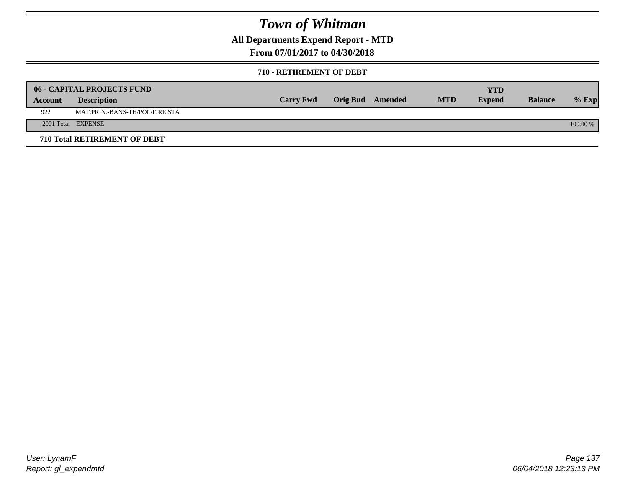**All Departments Expend Report - MTD**

**From 07/01/2017 to 04/30/2018**

#### **710 - RETIREMENT OF DEBT**

|         | <b>06 - CAPITAL PROJECTS FUND</b>   | <b>Carry Fwd</b> | Orig Bud Amended | <b>MTD</b> | <b>YTD</b><br><b>Expend</b> | <b>Balance</b> |            |
|---------|-------------------------------------|------------------|------------------|------------|-----------------------------|----------------|------------|
| Account | <b>Description</b>                  |                  |                  |            |                             |                | $%$ Exp    |
| 922     | MAT.PRIN.-BANS-TH/POL/FIRE STA      |                  |                  |            |                             |                |            |
|         | 2001 Total EXPENSE                  |                  |                  |            |                             |                | $100.00\%$ |
|         | <b>710 Total RETIREMENT OF DEBT</b> |                  |                  |            |                             |                |            |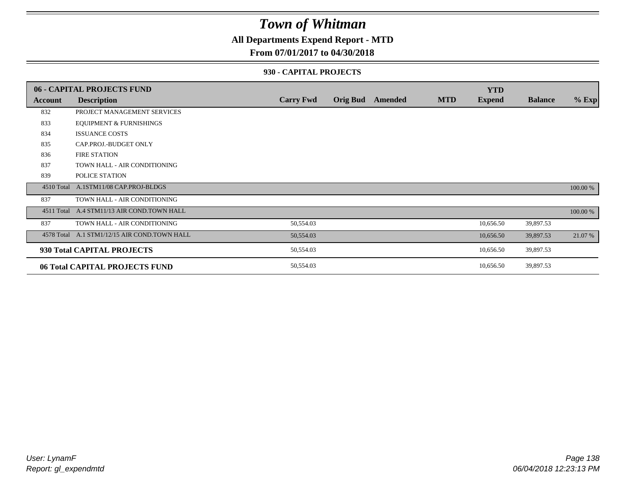### **All Departments Expend Report - MTD**

### **From 07/01/2017 to 04/30/2018**

#### **930 - CAPITAL PROJECTS**

|            | 06 - CAPITAL PROJECTS FUND                   |                  |                 |         |            | <b>YTD</b>    |                |          |
|------------|----------------------------------------------|------------------|-----------------|---------|------------|---------------|----------------|----------|
| Account    | <b>Description</b>                           | <b>Carry Fwd</b> | <b>Orig Bud</b> | Amended | <b>MTD</b> | <b>Expend</b> | <b>Balance</b> | $%$ Exp  |
| 832        | PROJECT MANAGEMENT SERVICES                  |                  |                 |         |            |               |                |          |
| 833        | <b>EQUIPMENT &amp; FURNISHINGS</b>           |                  |                 |         |            |               |                |          |
| 834        | <b>ISSUANCE COSTS</b>                        |                  |                 |         |            |               |                |          |
| 835        | CAP.PROJ.-BUDGET ONLY                        |                  |                 |         |            |               |                |          |
| 836        | <b>FIRE STATION</b>                          |                  |                 |         |            |               |                |          |
| 837        | TOWN HALL - AIR CONDITIONING                 |                  |                 |         |            |               |                |          |
| 839        | POLICE STATION                               |                  |                 |         |            |               |                |          |
|            | 4510 Total A.1STM11/08 CAP.PROJ-BLDGS        |                  |                 |         |            |               |                | 100.00 % |
| 837        | TOWN HALL - AIR CONDITIONING                 |                  |                 |         |            |               |                |          |
| 4511 Total | A.4 STM11/13 AIR COND.TOWN HALL              |                  |                 |         |            |               |                | 100.00 % |
| 837        | TOWN HALL - AIR CONDITIONING                 | 50,554.03        |                 |         |            | 10,656.50     | 39,897.53      |          |
|            | 4578 Total A.1 STM1/12/15 AIR COND.TOWN HALL | 50,554.03        |                 |         |            | 10,656.50     | 39,897.53      | 21.07 %  |
|            | 930 Total CAPITAL PROJECTS                   | 50,554.03        |                 |         |            | 10,656.50     | 39,897.53      |          |
|            | 06 Total CAPITAL PROJECTS FUND               | 50,554.03        |                 |         |            | 10,656.50     | 39,897.53      |          |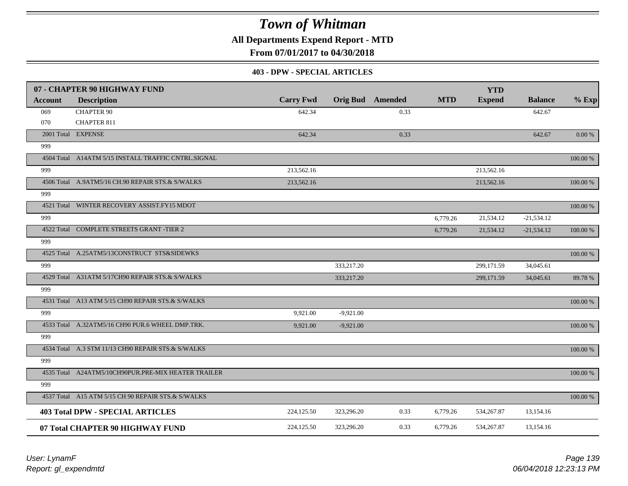**All Departments Expend Report - MTD**

**From 07/01/2017 to 04/30/2018**

#### **403 - DPW - SPECIAL ARTICLES**

|                | 07 - CHAPTER 90 HIGHWAY FUND                        |                  |             |                         |            | <b>YTD</b>    |                |             |
|----------------|-----------------------------------------------------|------------------|-------------|-------------------------|------------|---------------|----------------|-------------|
| <b>Account</b> | <b>Description</b>                                  | <b>Carry Fwd</b> |             | <b>Orig Bud</b> Amended | <b>MTD</b> | <b>Expend</b> | <b>Balance</b> | $%$ Exp     |
| 069            | <b>CHAPTER 90</b>                                   | 642.34           |             | 0.33                    |            |               | 642.67         |             |
| 070            | <b>CHAPTER 811</b>                                  |                  |             |                         |            |               |                |             |
|                | 2001 Total EXPENSE                                  | 642.34           |             | 0.33                    |            |               | 642.67         | $0.00\ \%$  |
| 999            |                                                     |                  |             |                         |            |               |                |             |
|                | 4504 Total A14ATM 5/15 INSTALL TRAFFIC CNTRL.SIGNAL |                  |             |                         |            |               |                | 100.00 %    |
| 999            |                                                     | 213,562.16       |             |                         |            | 213,562.16    |                |             |
|                | 4506 Total A.9ATM5/16 CH.90 REPAIR STS.& S/WALKS    | 213,562.16       |             |                         |            | 213,562.16    |                | $100.00~\%$ |
| 999            |                                                     |                  |             |                         |            |               |                |             |
|                | 4521 Total WINTER RECOVERY ASSIST.FY15 MDOT         |                  |             |                         |            |               |                | 100.00 %    |
| 999            |                                                     |                  |             |                         | 6,779.26   | 21,534.12     | $-21,534.12$   |             |
|                | 4522 Total COMPLETE STREETS GRANT -TIER 2           |                  |             |                         | 6,779.26   | 21,534.12     | $-21,534.12$   | 100.00 %    |
| 999            |                                                     |                  |             |                         |            |               |                |             |
|                | 4525 Total A.25ATM5/13CONSTRUCT STS&SIDEWKS         |                  |             |                         |            |               |                | 100.00 %    |
| 999            |                                                     |                  | 333,217.20  |                         |            | 299,171.59    | 34,045.61      |             |
|                | 4529 Total A31ATM 5/17CH90 REPAIR STS.& S/WALKS     |                  | 333,217.20  |                         |            | 299,171.59    | 34,045.61      | 89.78%      |
| 999            |                                                     |                  |             |                         |            |               |                |             |
|                | 4531 Total A13 ATM 5/15 CH90 REPAIR STS.& S/WALKS   |                  |             |                         |            |               |                | 100.00 %    |
| 999            |                                                     | 9,921.00         | $-9,921.00$ |                         |            |               |                |             |
|                | 4533 Total A.32ATM5/16 CH90 PUR.6 WHEEL DMP.TRK.    | 9.921.00         | $-9,921.00$ |                         |            |               |                | 100.00 %    |
| 999            |                                                     |                  |             |                         |            |               |                |             |
|                | 4534 Total A.3 STM 11/13 CH90 REPAIR STS.& S/WALKS  |                  |             |                         |            |               |                | 100.00 %    |
| 999            |                                                     |                  |             |                         |            |               |                |             |
|                | 4535 Total A24ATM5/10CH90PUR.PRE-MIX HEATER TRAILER |                  |             |                         |            |               |                | 100.00 %    |
| 999            |                                                     |                  |             |                         |            |               |                |             |
|                | 4537 Total A15 ATM 5/15 CH 90 REPAIR STS.& S/WALKS  |                  |             |                         |            |               |                | 100.00 %    |
|                | <b>403 Total DPW - SPECIAL ARTICLES</b>             | 224,125.50       | 323,296.20  | 0.33                    | 6,779.26   | 534,267.87    | 13,154.16      |             |
|                | 07 Total CHAPTER 90 HIGHWAY FUND                    | 224,125.50       | 323,296.20  | 0.33                    | 6,779.26   | 534,267.87    | 13,154.16      |             |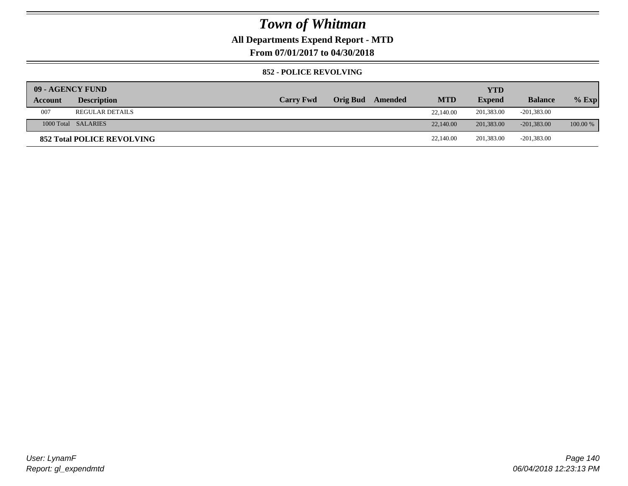### **All Departments Expend Report - MTD**

**From 07/01/2017 to 04/30/2018**

#### **852 - POLICE REVOLVING**

| 09 - AGENCY FUND |                                   |                  |          |         |            | YTD           |                |            |
|------------------|-----------------------------------|------------------|----------|---------|------------|---------------|----------------|------------|
| Account          | <b>Description</b>                | <b>Carry Fwd</b> | Orig Bud | Amended | <b>MTD</b> | <b>Expend</b> | <b>Balance</b> | $%$ Exp    |
| 007              | <b>REGULAR DETAILS</b>            |                  |          |         | 22,140.00  | 201,383.00    | $-201,383.00$  |            |
|                  | 1000 Total SALARIES               |                  |          |         | 22,140.00  | 201,383,00    | $-201,383,00$  | $100.00\%$ |
|                  | <b>852 Total POLICE REVOLVING</b> |                  |          |         | 22,140.00  | 201,383.00    | $-201,383.00$  |            |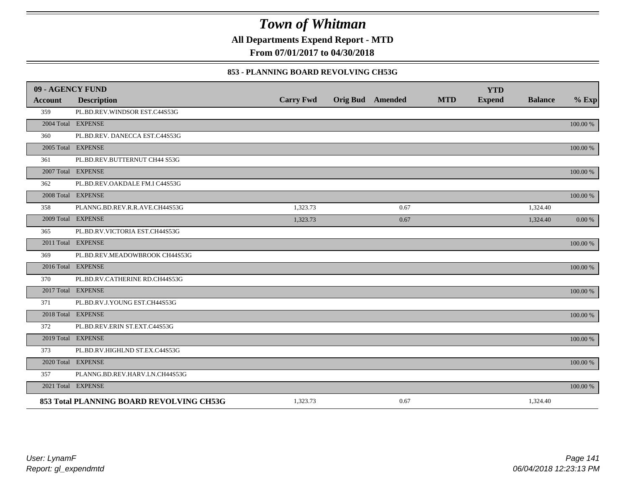**All Departments Expend Report - MTD**

**From 07/01/2017 to 04/30/2018**

#### **853 - PLANNING BOARD REVOLVING CH53G**

| 09 - AGENCY FUND |                                          |                  |                         |            | <b>YTD</b>    |                |             |
|------------------|------------------------------------------|------------------|-------------------------|------------|---------------|----------------|-------------|
| <b>Account</b>   | <b>Description</b>                       | <b>Carry Fwd</b> | <b>Orig Bud</b> Amended | <b>MTD</b> | <b>Expend</b> | <b>Balance</b> | $%$ Exp     |
| 359              | PL.BD.REV.WINDSOR EST.C44S53G            |                  |                         |            |               |                |             |
|                  | 2004 Total EXPENSE                       |                  |                         |            |               |                | 100.00 %    |
| 360              | PL.BD.REV. DANECCA EST.C44S53G           |                  |                         |            |               |                |             |
|                  | 2005 Total EXPENSE                       |                  |                         |            |               |                | 100.00 %    |
| 361              | PL.BD.REV.BUTTERNUT CH44 S53G            |                  |                         |            |               |                |             |
|                  | 2007 Total EXPENSE                       |                  |                         |            |               |                | 100.00 %    |
| 362              | PL.BD.REV.OAKDALE FM.I C44S53G           |                  |                         |            |               |                |             |
|                  | 2008 Total EXPENSE                       |                  |                         |            |               |                | 100.00 %    |
| 358              | PLANNG.BD.REV.R.R.AVE.CH44S53G           | 1,323.73         | 0.67                    |            |               | 1,324.40       |             |
|                  | 2009 Total EXPENSE                       | 1,323.73         | 0.67                    |            |               | 1,324.40       | 0.00 %      |
| 365              | PL.BD.RV.VICTORIA EST.CH44S53G           |                  |                         |            |               |                |             |
|                  | 2011 Total EXPENSE                       |                  |                         |            |               |                | 100.00 %    |
| 369              | PL.BD.REV.MEADOWBROOK CH44S53G           |                  |                         |            |               |                |             |
|                  | 2016 Total EXPENSE                       |                  |                         |            |               |                | $100.00~\%$ |
| 370              | PL.BD.RV.CATHERINE RD.CH44S53G           |                  |                         |            |               |                |             |
|                  | 2017 Total EXPENSE                       |                  |                         |            |               |                | 100.00 %    |
| 371              | PL.BD.RV.J.YOUNG EST.CH44S53G            |                  |                         |            |               |                |             |
|                  | 2018 Total EXPENSE                       |                  |                         |            |               |                | 100.00 %    |
| 372              | PL.BD.REV.ERIN ST.EXT.C44S53G            |                  |                         |            |               |                |             |
|                  | 2019 Total EXPENSE                       |                  |                         |            |               |                | 100.00 %    |
| 373              | PL.BD.RV.HIGHLND ST.EX.C44S53G           |                  |                         |            |               |                |             |
|                  | 2020 Total EXPENSE                       |                  |                         |            |               |                | 100.00 %    |
| 357              | PLANNG.BD.REV.HARV.LN.CH44S53G           |                  |                         |            |               |                |             |
|                  | 2021 Total EXPENSE                       |                  |                         |            |               |                | 100.00 %    |
|                  | 853 Total PLANNING BOARD REVOLVING CH53G | 1,323.73         | 0.67                    |            |               | 1,324.40       |             |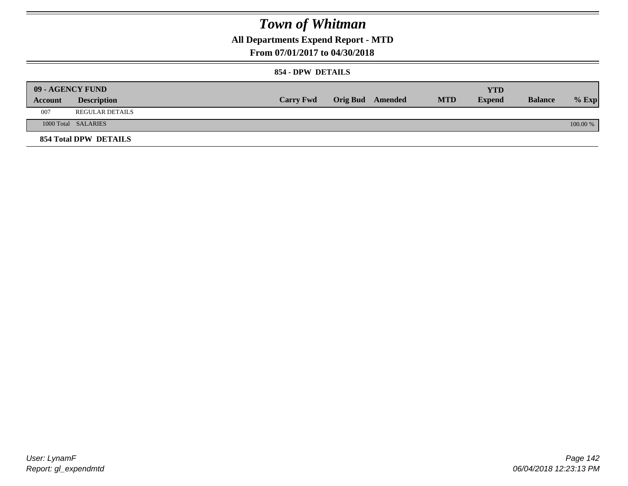**All Departments Expend Report - MTD**

### **From 07/01/2017 to 04/30/2018**

#### **854 - DPW DETAILS**

|         | 09 - AGENCY FUND      |                  |                         |            | YTD           |                |            |
|---------|-----------------------|------------------|-------------------------|------------|---------------|----------------|------------|
| Account | <b>Description</b>    | <b>Carry Fwd</b> | <b>Orig Bud</b> Amended | <b>MTD</b> | <b>Expend</b> | <b>Balance</b> | $%$ Exp    |
| 007     | REGULAR DETAILS       |                  |                         |            |               |                |            |
|         | 1000 Total SALARIES   |                  |                         |            |               |                | $100.00\%$ |
|         | 854 Total DPW DETAILS |                  |                         |            |               |                |            |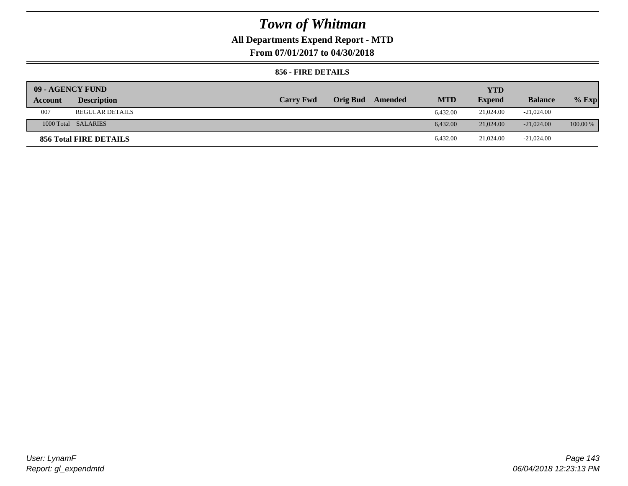### **All Departments Expend Report - MTD**

**From 07/01/2017 to 04/30/2018**

#### **856 - FIRE DETAILS**

| 09 - AGENCY FUND |                        |                  |                 |         |            | <b>YTD</b>    |                |            |
|------------------|------------------------|------------------|-----------------|---------|------------|---------------|----------------|------------|
| Account          | <b>Description</b>     | <b>Carry Fwd</b> | <b>Orig Bud</b> | Amended | <b>MTD</b> | <b>Expend</b> | <b>Balance</b> | $%$ Exp    |
| 007              | <b>REGULAR DETAILS</b> |                  |                 |         | 6.432.00   | 21,024.00     | $-21,024.00$   |            |
|                  | 1000 Total SALARIES    |                  |                 |         | 6.432.00   | 21,024.00     | $-21,024,00$   | $100.00\%$ |
|                  | 856 Total FIRE DETAILS |                  |                 |         | 6.432.00   | 21,024.00     | $-21,024.00$   |            |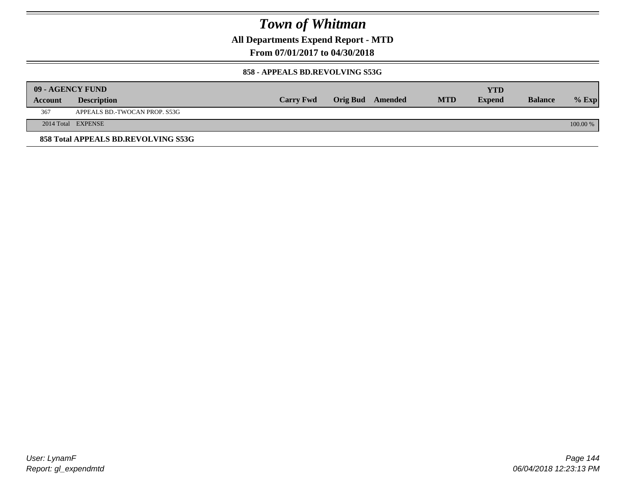**All Departments Expend Report - MTD**

**From 07/01/2017 to 04/30/2018**

#### **858 - APPEALS BD.REVOLVING S53G**

|         | 09 - AGENCY FUND                    |                  |                         |            | YTD           |                |            |
|---------|-------------------------------------|------------------|-------------------------|------------|---------------|----------------|------------|
| Account | <b>Description</b>                  | <b>Carry Fwd</b> | <b>Orig Bud</b> Amended | <b>MTD</b> | <b>Expend</b> | <b>Balance</b> | $%$ Exp    |
| 367     | APPEALS BD.-TWOCAN PROP. S53G       |                  |                         |            |               |                |            |
|         | 2014 Total EXPENSE                  |                  |                         |            |               |                | $100.00\%$ |
|         | 858 Total APPEALS BD.REVOLVING S53G |                  |                         |            |               |                |            |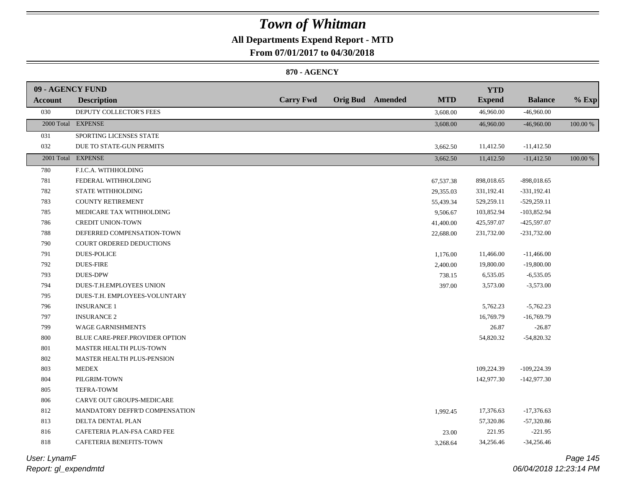## **All Departments Expend Report - MTD**

**From 07/01/2017 to 04/30/2018**

### **870 - AGENCY**

| 09 - AGENCY FUND |                                |                  |                         |            | <b>YTD</b>    |                |          |
|------------------|--------------------------------|------------------|-------------------------|------------|---------------|----------------|----------|
| Account          | <b>Description</b>             | <b>Carry Fwd</b> | <b>Orig Bud</b> Amended | <b>MTD</b> | <b>Expend</b> | <b>Balance</b> | $%$ Exp  |
| 030              | DEPUTY COLLECTOR'S FEES        |                  |                         | 3,608.00   | 46,960.00     | $-46,960.00$   |          |
|                  | 2000 Total EXPENSE             |                  |                         | 3,608.00   | 46,960.00     | $-46,960.00$   | 100.00 % |
| 031              | SPORTING LICENSES STATE        |                  |                         |            |               |                |          |
| 032              | DUE TO STATE-GUN PERMITS       |                  |                         | 3,662.50   | 11,412.50     | $-11,412.50$   |          |
|                  | 2001 Total EXPENSE             |                  |                         | 3,662.50   | 11,412.50     | $-11,412.50$   | 100.00 % |
| 780              | F.I.C.A. WITHHOLDING           |                  |                         |            |               |                |          |
| 781              | FEDERAL WITHHOLDING            |                  |                         | 67,537.38  | 898,018.65    | $-898,018.65$  |          |
| 782              | STATE WITHHOLDING              |                  |                         | 29,355.03  | 331,192.41    | $-331,192.41$  |          |
| 783              | <b>COUNTY RETIREMENT</b>       |                  |                         | 55,439.34  | 529,259.11    | $-529,259.11$  |          |
| 785              | MEDICARE TAX WITHHOLDING       |                  |                         | 9,506.67   | 103,852.94    | $-103,852.94$  |          |
| 786              | <b>CREDIT UNION-TOWN</b>       |                  |                         | 41,400.00  | 425,597.07    | -425,597.07    |          |
| 788              | DEFERRED COMPENSATION-TOWN     |                  |                         | 22,688.00  | 231,732.00    | $-231,732.00$  |          |
| 790              | COURT ORDERED DEDUCTIONS       |                  |                         |            |               |                |          |
| 791              | <b>DUES-POLICE</b>             |                  |                         | 1,176.00   | 11,466.00     | $-11,466.00$   |          |
| 792              | <b>DUES-FIRE</b>               |                  |                         | 2,400.00   | 19,800.00     | $-19,800.00$   |          |
| 793              | <b>DUES-DPW</b>                |                  |                         | 738.15     | 6,535.05      | $-6,535.05$    |          |
| 794              | DUES-T.H.EMPLOYEES UNION       |                  |                         | 397.00     | 3,573.00      | $-3,573.00$    |          |
| 795              | DUES-T.H. EMPLOYEES-VOLUNTARY  |                  |                         |            |               |                |          |
| 796              | <b>INSURANCE 1</b>             |                  |                         |            | 5,762.23      | $-5,762.23$    |          |
| 797              | <b>INSURANCE 2</b>             |                  |                         |            | 16,769.79     | $-16,769.79$   |          |
| 799              | WAGE GARNISHMENTS              |                  |                         |            | 26.87         | $-26.87$       |          |
| 800              | BLUE CARE-PREF.PROVIDER OPTION |                  |                         |            | 54,820.32     | $-54,820.32$   |          |
| 801              | MASTER HEALTH PLUS-TOWN        |                  |                         |            |               |                |          |
| 802              | MASTER HEALTH PLUS-PENSION     |                  |                         |            |               |                |          |
| 803              | <b>MEDEX</b>                   |                  |                         |            | 109,224.39    | $-109,224.39$  |          |
| 804              | PILGRIM-TOWN                   |                  |                         |            | 142,977.30    | $-142,977.30$  |          |
| 805              | <b>TEFRA-TOWM</b>              |                  |                         |            |               |                |          |
| 806              | CARVE OUT GROUPS-MEDICARE      |                  |                         |            |               |                |          |
| 812              | MANDATORY DEFFR'D COMPENSATION |                  |                         | 1,992.45   | 17,376.63     | $-17,376.63$   |          |
| 813              | DELTA DENTAL PLAN              |                  |                         |            | 57,320.86     | $-57,320.86$   |          |
| 816              | CAFETERIA PLAN-FSA CARD FEE    |                  |                         | 23.00      | 221.95        | $-221.95$      |          |
| 818              | CAFETERIA BENEFITS-TOWN        |                  |                         | 3,268.64   | 34,256.46     | $-34,256.46$   |          |
|                  |                                |                  |                         |            |               |                |          |

*Report: gl\_expendmtd User: LynamF*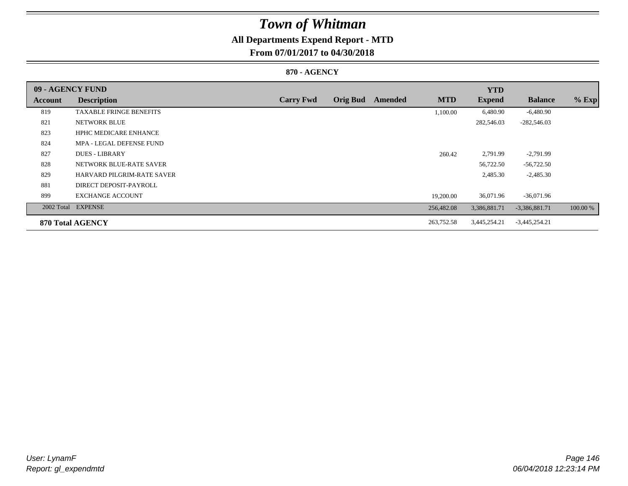## **All Departments Expend Report - MTD**

## **From 07/01/2017 to 04/30/2018**

### **870 - AGENCY**

| 09 - AGENCY FUND |                                |                  |                 |         |            | <b>YTD</b>    |                 |          |
|------------------|--------------------------------|------------------|-----------------|---------|------------|---------------|-----------------|----------|
| Account          | <b>Description</b>             | <b>Carry Fwd</b> | <b>Orig Bud</b> | Amended | <b>MTD</b> | <b>Expend</b> | <b>Balance</b>  | $%$ Exp  |
| 819              | <b>TAXABLE FRINGE BENEFITS</b> |                  |                 |         | 1,100.00   | 6,480.90      | $-6,480.90$     |          |
| 821              | NETWORK BLUE                   |                  |                 |         |            | 282,546.03    | $-282,546.03$   |          |
| 823              | <b>HPHC MEDICARE ENHANCE</b>   |                  |                 |         |            |               |                 |          |
| 824              | MPA - LEGAL DEFENSE FUND       |                  |                 |         |            |               |                 |          |
| 827              | <b>DUES - LIBRARY</b>          |                  |                 |         | 260.42     | 2,791.99      | $-2,791.99$     |          |
| 828              | NETWORK BLUE-RATE SAVER        |                  |                 |         |            | 56,722.50     | $-56,722.50$    |          |
| 829              | HARVARD PILGRIM-RATE SAVER     |                  |                 |         |            | 2,485.30      | $-2,485.30$     |          |
| 881              | DIRECT DEPOSIT-PAYROLL         |                  |                 |         |            |               |                 |          |
| 899              | <b>EXCHANGE ACCOUNT</b>        |                  |                 |         | 19,200.00  | 36,071.96     | $-36,071.96$    |          |
|                  | 2002 Total EXPENSE             |                  |                 |         | 256,482.08 | 3,386,881.71  | $-3,386,881.71$ | 100.00 % |
|                  | 870 Total AGENCY               |                  |                 |         | 263,752.58 | 3,445,254.21  | $-3,445,254.21$ |          |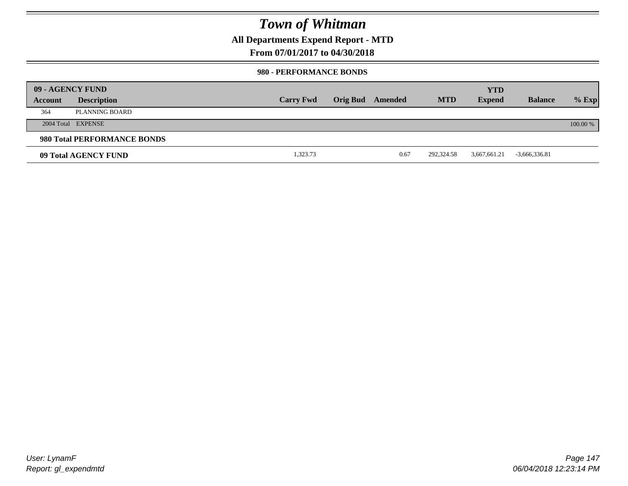**All Departments Expend Report - MTD**

### **From 07/01/2017 to 04/30/2018**

#### **980 - PERFORMANCE BONDS**

|         | 09 - AGENCY FUND            |                  |                 |         |            | <b>YTD</b>    |                 |          |
|---------|-----------------------------|------------------|-----------------|---------|------------|---------------|-----------------|----------|
| Account | <b>Description</b>          | <b>Carry Fwd</b> | <b>Orig Bud</b> | Amended | <b>MTD</b> | <b>Expend</b> | <b>Balance</b>  | $%$ Exp  |
| 364     | PLANNING BOARD              |                  |                 |         |            |               |                 |          |
|         | 2004 Total EXPENSE          |                  |                 |         |            |               |                 | 100.00 % |
|         | 980 Total PERFORMANCE BONDS |                  |                 |         |            |               |                 |          |
|         | 09 Total AGENCY FUND        | 1,323.73         |                 | 0.67    | 292,324.58 | 3,667,661.21  | $-3,666,336.81$ |          |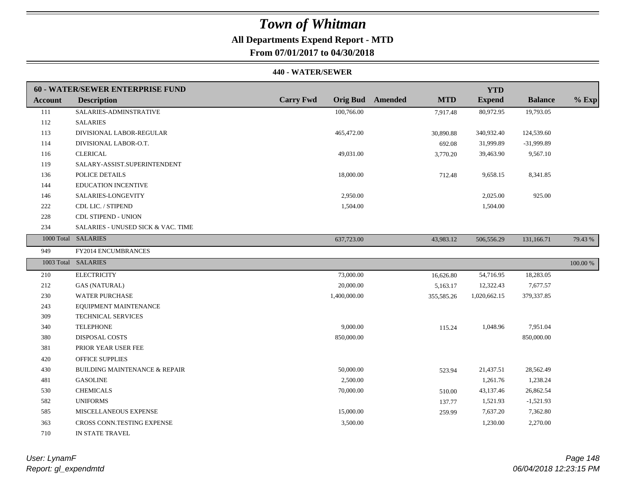## **All Departments Expend Report - MTD**

**From 07/01/2017 to 04/30/2018**

#### **440 - WATER/SEWER**

|                | <b>60 - WATER/SEWER ENTERPRISE FUND</b>  |                  |                                       | <b>YTD</b>    |                |             |
|----------------|------------------------------------------|------------------|---------------------------------------|---------------|----------------|-------------|
| <b>Account</b> | <b>Description</b>                       | <b>Carry Fwd</b> | <b>Orig Bud</b> Amended<br><b>MTD</b> | <b>Expend</b> | <b>Balance</b> | $%$ Exp     |
| 111            | SALARIES-ADMINSTRATIVE                   | 100,766.00       | 7,917.48                              | 80,972.95     | 19,793.05      |             |
| 112            | <b>SALARIES</b>                          |                  |                                       |               |                |             |
| 113            | DIVISIONAL LABOR-REGULAR                 | 465,472.00       | 30,890.88                             | 340,932.40    | 124,539.60     |             |
| 114            | DIVISIONAL LABOR-O.T.                    |                  | 692.08                                | 31,999.89     | -31,999.89     |             |
| 116            | <b>CLERICAL</b>                          | 49,031.00        | 3,770.20                              | 39,463.90     | 9,567.10       |             |
| 119            | SALARY-ASSIST.SUPERINTENDENT             |                  |                                       |               |                |             |
| 136            | POLICE DETAILS                           | 18,000.00        | 712.48                                | 9,658.15      | 8,341.85       |             |
| 144            | <b>EDUCATION INCENTIVE</b>               |                  |                                       |               |                |             |
| 146            | SALARIES-LONGEVITY                       | 2,950.00         |                                       | 2,025.00      | 925.00         |             |
| 222            | CDL LIC. / STIPEND                       | 1,504.00         |                                       | 1,504.00      |                |             |
| 228            | <b>CDL STIPEND - UNION</b>               |                  |                                       |               |                |             |
| 234            | SALARIES - UNUSED SICK & VAC. TIME       |                  |                                       |               |                |             |
|                | 1000 Total SALARIES                      | 637,723.00       | 43,983.12                             | 506,556.29    | 131,166.71     | 79.43 %     |
| 949            | FY2014 ENCUMBRANCES                      |                  |                                       |               |                |             |
|                | 1003 Total SALARIES                      |                  |                                       |               |                | $100.00~\%$ |
| 210            | <b>ELECTRICITY</b>                       | 73,000.00        | 16,626.80                             | 54,716.95     | 18,283.05      |             |
| 212            | <b>GAS (NATURAL)</b>                     | 20,000.00        | 5,163.17                              | 12,322.43     | 7,677.57       |             |
| 230            | <b>WATER PURCHASE</b>                    | 1,400,000.00     | 355,585.26                            | 1,020,662.15  | 379,337.85     |             |
| 243            | EQUIPMENT MAINTENANCE                    |                  |                                       |               |                |             |
| 309            | TECHNICAL SERVICES                       |                  |                                       |               |                |             |
| 340            | <b>TELEPHONE</b>                         | 9,000.00         | 115.24                                | 1,048.96      | 7,951.04       |             |
| 380            | DISPOSAL COSTS                           | 850,000.00       |                                       |               | 850,000.00     |             |
| 381            | PRIOR YEAR USER FEE                      |                  |                                       |               |                |             |
| 420            | <b>OFFICE SUPPLIES</b>                   |                  |                                       |               |                |             |
| 430            | <b>BUILDING MAINTENANCE &amp; REPAIR</b> | 50,000.00        | 523.94                                | 21,437.51     | 28,562.49      |             |
| 481            | <b>GASOLINE</b>                          | 2,500.00         |                                       | 1,261.76      | 1,238.24       |             |
| 530            | <b>CHEMICALS</b>                         | 70,000.00        | 510.00                                | 43,137.46     | 26,862.54      |             |
| 582            | <b>UNIFORMS</b>                          |                  | 137.77                                | 1,521.93      | $-1,521.93$    |             |
| 585            | MISCELLANEOUS EXPENSE                    | 15,000.00        | 259.99                                | 7,637.20      | 7,362.80       |             |
| 363            | CROSS CONN.TESTING EXPENSE               | 3,500.00         |                                       | 1,230.00      | 2,270.00       |             |
| 710            | IN STATE TRAVEL                          |                  |                                       |               |                |             |

*Report: gl\_expendmtd User: LynamF*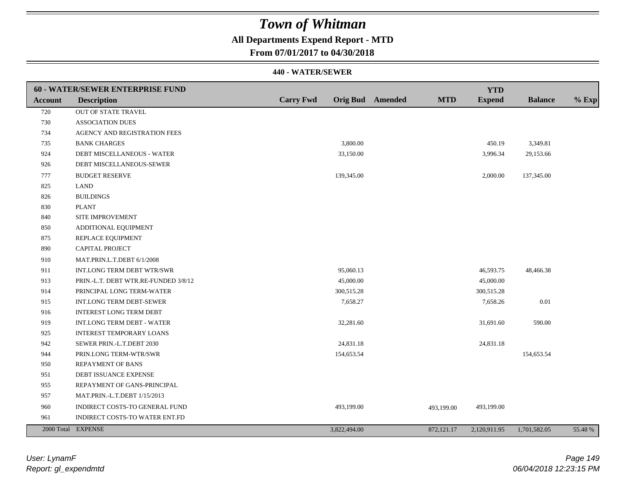## **All Departments Expend Report - MTD**

**From 07/01/2017 to 04/30/2018**

|                | <b>60 - WATER/SEWER ENTERPRISE FUND</b> |                  |              |                         |            | <b>YTD</b>    |                |         |
|----------------|-----------------------------------------|------------------|--------------|-------------------------|------------|---------------|----------------|---------|
| <b>Account</b> | <b>Description</b>                      | <b>Carry Fwd</b> |              | <b>Orig Bud</b> Amended | <b>MTD</b> | <b>Expend</b> | <b>Balance</b> | $%$ Exp |
| 720            | <b>OUT OF STATE TRAVEL</b>              |                  |              |                         |            |               |                |         |
| 730            | <b>ASSOCIATION DUES</b>                 |                  |              |                         |            |               |                |         |
| 734            | AGENCY AND REGISTRATION FEES            |                  |              |                         |            |               |                |         |
| 735            | <b>BANK CHARGES</b>                     |                  | 3,800.00     |                         |            | 450.19        | 3,349.81       |         |
| 924            | DEBT MISCELLANEOUS - WATER              |                  | 33,150.00    |                         |            | 3,996.34      | 29,153.66      |         |
| 926            | DEBT MISCELLANEOUS-SEWER                |                  |              |                         |            |               |                |         |
| 777            | <b>BUDGET RESERVE</b>                   |                  | 139,345.00   |                         |            | 2,000.00      | 137,345.00     |         |
| 825            | <b>LAND</b>                             |                  |              |                         |            |               |                |         |
| 826            | <b>BUILDINGS</b>                        |                  |              |                         |            |               |                |         |
| 830            | <b>PLANT</b>                            |                  |              |                         |            |               |                |         |
| 840            | SITE IMPROVEMENT                        |                  |              |                         |            |               |                |         |
| 850            | ADDITIONAL EQUIPMENT                    |                  |              |                         |            |               |                |         |
| 875            | REPLACE EQUIPMENT                       |                  |              |                         |            |               |                |         |
| 890            | <b>CAPITAL PROJECT</b>                  |                  |              |                         |            |               |                |         |
| 910            | MAT.PRIN.L.T.DEBT 6/1/2008              |                  |              |                         |            |               |                |         |
| 911            | INT.LONG TERM DEBT WTR/SWR              |                  | 95,060.13    |                         |            | 46,593.75     | 48,466.38      |         |
| 913            | PRIN.-L.T. DEBT WTR.RE-FUNDED 3/8/12    |                  | 45,000.00    |                         |            | 45,000.00     |                |         |
| 914            | PRINCIPAL LONG TERM-WATER               |                  | 300,515.28   |                         |            | 300,515.28    |                |         |
| 915            | <b>INT.LONG TERM DEBT-SEWER</b>         |                  | 7,658.27     |                         |            | 7,658.26      | $0.01\,$       |         |
| 916            | <b>INTEREST LONG TERM DEBT</b>          |                  |              |                         |            |               |                |         |
| 919            | INT.LONG TERM DEBT - WATER              |                  | 32,281.60    |                         |            | 31,691.60     | 590.00         |         |
| 925            | <b>INTEREST TEMPORARY LOANS</b>         |                  |              |                         |            |               |                |         |
| 942            | SEWER PRIN.-L.T.DEBT 2030               |                  | 24,831.18    |                         |            | 24,831.18     |                |         |
| 944            | PRIN.LONG TERM-WTR/SWR                  |                  | 154,653.54   |                         |            |               | 154,653.54     |         |
| 950            | <b>REPAYMENT OF BANS</b>                |                  |              |                         |            |               |                |         |
| 951            | DEBT ISSUANCE EXPENSE                   |                  |              |                         |            |               |                |         |
| 955            | REPAYMENT OF GANS-PRINCIPAL             |                  |              |                         |            |               |                |         |
| 957            | MAT.PRIN.-L.T.DEBT 1/15/2013            |                  |              |                         |            |               |                |         |
| 960            | INDIRECT COSTS-TO GENERAL FUND          |                  | 493,199.00   |                         | 493,199.00 | 493,199.00    |                |         |
| 961            | INDIRECT COSTS-TO WATER ENT.FD          |                  |              |                         |            |               |                |         |
|                | 2000 Total EXPENSE                      |                  | 3,822,494.00 |                         | 872,121.17 | 2,120,911.95  | 1,701,582.05   | 55.48 % |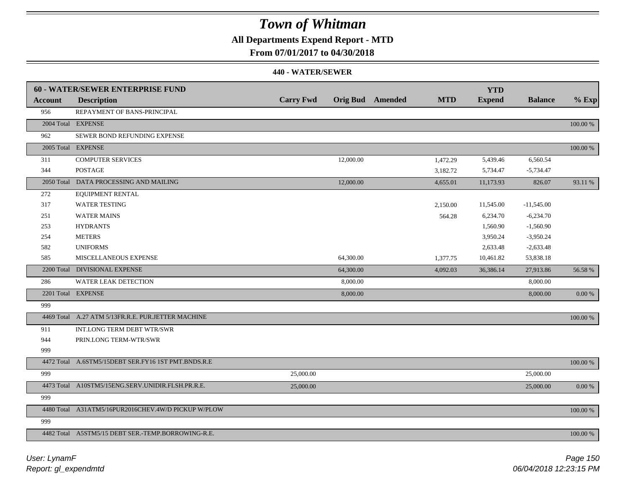## **All Departments Expend Report - MTD**

### **From 07/01/2017 to 04/30/2018**

|                | 60 - WATER/SEWER ENTERPRISE FUND                    |                  |           |                         |            | <b>YTD</b>    |                |            |
|----------------|-----------------------------------------------------|------------------|-----------|-------------------------|------------|---------------|----------------|------------|
| <b>Account</b> | <b>Description</b>                                  | <b>Carry Fwd</b> |           | <b>Orig Bud</b> Amended | <b>MTD</b> | <b>Expend</b> | <b>Balance</b> | $%$ Exp    |
| 956            | REPAYMENT OF BANS-PRINCIPAL                         |                  |           |                         |            |               |                |            |
|                | 2004 Total EXPENSE                                  |                  |           |                         |            |               |                | 100.00 %   |
| 962            | SEWER BOND REFUNDING EXPENSE                        |                  |           |                         |            |               |                |            |
|                | 2005 Total EXPENSE                                  |                  |           |                         |            |               |                | 100.00 %   |
| 311            | <b>COMPUTER SERVICES</b>                            |                  | 12,000.00 |                         | 1,472.29   | 5,439.46      | 6,560.54       |            |
| 344            | <b>POSTAGE</b>                                      |                  |           |                         | 3,182.72   | 5,734.47      | $-5,734.47$    |            |
|                | 2050 Total DATA PROCESSING AND MAILING              |                  | 12,000.00 |                         | 4,655.01   | 11,173.93     | 826.07         | 93.11 %    |
| 272            | <b>EQUIPMENT RENTAL</b>                             |                  |           |                         |            |               |                |            |
| 317            | <b>WATER TESTING</b>                                |                  |           |                         | 2,150.00   | 11,545.00     | $-11,545.00$   |            |
| 251            | <b>WATER MAINS</b>                                  |                  |           |                         | 564.28     | 6,234.70      | $-6,234.70$    |            |
| 253            | <b>HYDRANTS</b>                                     |                  |           |                         |            | 1,560.90      | $-1,560.90$    |            |
| 254            | <b>METERS</b>                                       |                  |           |                         |            | 3,950.24      | $-3,950.24$    |            |
| 582            | <b>UNIFORMS</b>                                     |                  |           |                         |            | 2,633.48      | $-2,633.48$    |            |
| 585            | MISCELLANEOUS EXPENSE                               |                  | 64,300.00 |                         | 1,377.75   | 10,461.82     | 53,838.18      |            |
|                | 2200 Total DIVISIONAL EXPENSE                       |                  | 64,300.00 |                         | 4,092.03   | 36,386.14     | 27,913.86      | 56.58 %    |
| 286            | WATER LEAK DETECTION                                |                  | 8,000.00  |                         |            |               | 8,000.00       |            |
|                | 2201 Total EXPENSE                                  |                  | 8,000.00  |                         |            |               | 8,000.00       | $0.00\,\%$ |
| 999            |                                                     |                  |           |                         |            |               |                |            |
|                | 4469 Total A.27 ATM 5/13FR.R.E. PUR.JETTER MACHINE  |                  |           |                         |            |               |                | 100.00 %   |
| 911            | INT.LONG TERM DEBT WTR/SWR                          |                  |           |                         |            |               |                |            |
| 944            | PRIN.LONG TERM-WTR/SWR                              |                  |           |                         |            |               |                |            |
| 999            |                                                     |                  |           |                         |            |               |                |            |
|                | 4472 Total A.6STM5/15DEBT SER.FY16 1ST PMT.BNDS.R.E |                  |           |                         |            |               |                | 100.00 %   |
| 999            |                                                     | 25,000.00        |           |                         |            |               | 25,000.00      |            |
|                | 4473 Total A10STM5/15ENG.SERV.UNIDIR.FLSH.PR.R.E.   | 25,000.00        |           |                         |            |               | 25,000.00      | $0.00\ \%$ |
| 999            |                                                     |                  |           |                         |            |               |                |            |
|                | 4480 Total A31ATM5/16PUR2016CHEV.4W/D PICKUP W/PLOW |                  |           |                         |            |               |                | 100.00 %   |
| 999            |                                                     |                  |           |                         |            |               |                |            |
|                | 4482 Total A5STM5/15 DEBT SER.-TEMP.BORROWING-R.E.  |                  |           |                         |            |               |                | 100.00 %   |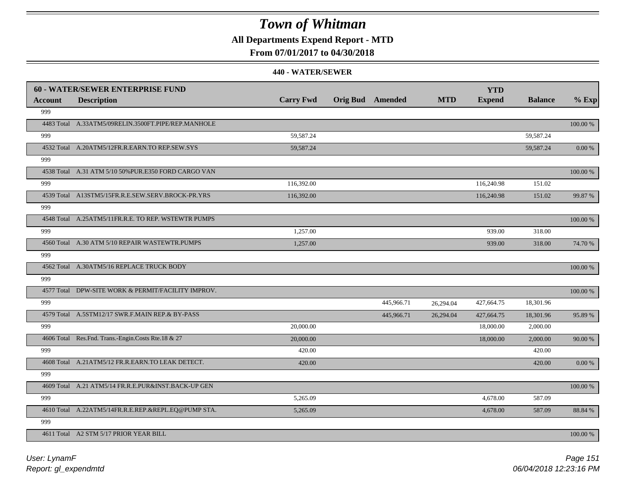**All Departments Expend Report - MTD**

## **From 07/01/2017 to 04/30/2018**

|                | <b>60 - WATER/SEWER ENTERPRISE FUND</b>              |                  |                         |            | <b>YTD</b>    |                |            |
|----------------|------------------------------------------------------|------------------|-------------------------|------------|---------------|----------------|------------|
| <b>Account</b> | <b>Description</b>                                   | <b>Carry Fwd</b> | <b>Orig Bud</b> Amended | <b>MTD</b> | <b>Expend</b> | <b>Balance</b> | $%$ Exp    |
| 999            |                                                      |                  |                         |            |               |                |            |
|                | 4483 Total A.33ATM5/09RELIN.3500FT.PIPE/REP.MANHOLE  |                  |                         |            |               |                | 100.00 %   |
| 999            |                                                      | 59,587.24        |                         |            |               | 59,587.24      |            |
|                | 4532 Total A.20ATM5/12FR.R.EARN.TO REP.SEW.SYS       | 59,587.24        |                         |            |               | 59,587.24      | 0.00 %     |
| 999            |                                                      |                  |                         |            |               |                |            |
|                | 4538 Total A.31 ATM 5/10 50% PUR.E350 FORD CARGO VAN |                  |                         |            |               |                | 100.00 %   |
| 999            |                                                      | 116,392.00       |                         |            | 116,240.98    | 151.02         |            |
|                | 4539 Total A13STM5/15FR.R.E.SEW.SERV.BROCK-PR.YRS    | 116,392.00       |                         |            | 116,240.98    | 151.02         | 99.87%     |
| 999            |                                                      |                  |                         |            |               |                |            |
|                | 4548 Total A.25ATM5/11FR.R.E. TO REP. WSTEWTR PUMPS  |                  |                         |            |               |                | 100.00 %   |
| 999            |                                                      | 1,257.00         |                         |            | 939.00        | 318.00         |            |
|                | 4560 Total A.30 ATM 5/10 REPAIR WASTEWTR.PUMPS       | 1,257.00         |                         |            | 939.00        | 318.00         | 74.70 %    |
| 999            |                                                      |                  |                         |            |               |                |            |
|                | 4562 Total A.30ATM5/16 REPLACE TRUCK BODY            |                  |                         |            |               |                | 100.00 %   |
| 999            |                                                      |                  |                         |            |               |                |            |
|                | 4577 Total DPW-SITE WORK & PERMIT/FACILITY IMPROV.   |                  |                         |            |               |                | 100.00 %   |
| 999            |                                                      |                  | 445,966.71              | 26,294.04  | 427,664.75    | 18,301.96      |            |
|                | 4579 Total A.5STM12/17 SWR.F.MAIN REP.& BY-PASS      |                  | 445,966.71              | 26.294.04  | 427,664.75    | 18,301.96      | 95.89%     |
| 999            |                                                      | 20,000.00        |                         |            | 18,000.00     | 2,000.00       |            |
|                | 4606 Total Res.Fnd. Trans.-Engin.Costs Rte.18 & 27   | 20,000.00        |                         |            | 18,000.00     | 2,000.00       | 90.00 %    |
| 999            |                                                      | 420.00           |                         |            |               | 420.00         |            |
|                | 4608 Total A.21ATM5/12 FR.R.EARN.TO LEAK DETECT.     | 420.00           |                         |            |               | 420.00         | $0.00\,\%$ |
| 999            |                                                      |                  |                         |            |               |                |            |
|                | 4609 Total A.21 ATM5/14 FR.R.E.PUR&INST.BACK-UP GEN  |                  |                         |            |               |                | 100.00 %   |
| 999            |                                                      | 5,265.09         |                         |            | 4,678.00      | 587.09         |            |
|                | 4610 Total A.22ATM5/14FR.R.E.REP.&REPL.EQ@PUMP STA.  | 5,265.09         |                         |            | 4,678.00      | 587.09         | 88.84 %    |
| 999            |                                                      |                  |                         |            |               |                |            |
|                | 4611 Total A2 STM 5/17 PRIOR YEAR BILL               |                  |                         |            |               |                | 100.00 %   |
|                |                                                      |                  |                         |            |               |                |            |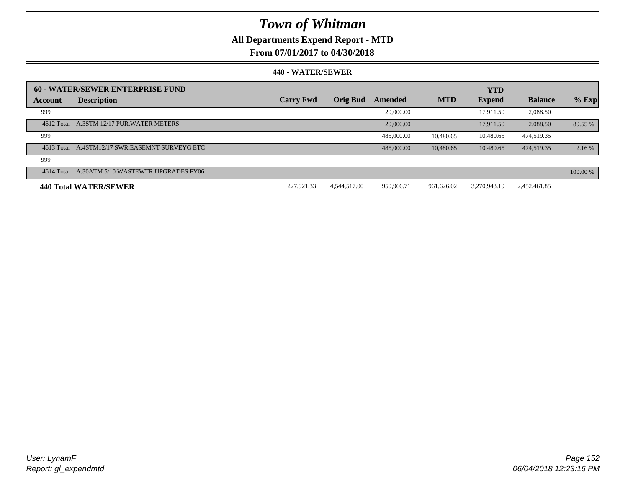## **All Departments Expend Report - MTD**

### **From 07/01/2017 to 04/30/2018**

|            | 60 - WATER/SEWER ENTERPRISE FUND               |                  |                 |            |            | <b>YTD</b>    |                |          |
|------------|------------------------------------------------|------------------|-----------------|------------|------------|---------------|----------------|----------|
| Account    | <b>Description</b>                             | <b>Carry Fwd</b> | <b>Orig Bud</b> | Amended    | <b>MTD</b> | <b>Expend</b> | <b>Balance</b> | $%$ Exp  |
| 999        |                                                |                  |                 | 20,000.00  |            | 17.911.50     | 2,088.50       |          |
|            | 4612 Total A.3STM 12/17 PUR. WATER METERS      |                  |                 | 20,000.00  |            | 17.911.50     | 2.088.50       | 89.55 %  |
| 999        |                                                |                  |                 | 485,000.00 | 10.480.65  | 10,480.65     | 474.519.35     |          |
|            | 4613 Total A.4STM12/17 SWR.EASEMNT SURVEYG ETC |                  |                 | 485,000,00 | 10,480.65  | 10.480.65     | 474.519.35     | 2.16 %   |
| 999        |                                                |                  |                 |            |            |               |                |          |
| 4614 Total | A.30ATM 5/10 WASTEWTR.UPGRADES FY06            |                  |                 |            |            |               |                | 100.00 % |
|            | 440 Total WATER/SEWER                          | 227.921.33       | 4.544.517.00    | 950,966.71 | 961.626.02 | 3.270.943.19  | 2,452,461.85   |          |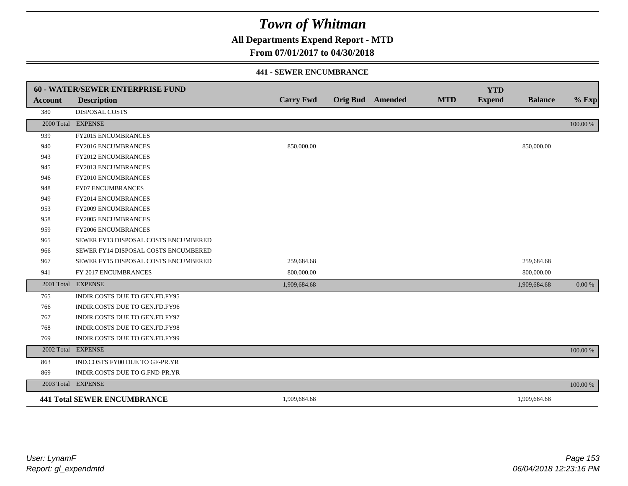**All Departments Expend Report - MTD**

## **From 07/01/2017 to 04/30/2018**

#### **441 - SEWER ENCUMBRANCE**

|                | <b>60 - WATER/SEWER ENTERPRISE FUND</b> |                  |                         |            | <b>YTD</b>    |                |          |
|----------------|-----------------------------------------|------------------|-------------------------|------------|---------------|----------------|----------|
| <b>Account</b> | <b>Description</b>                      | <b>Carry Fwd</b> | <b>Orig Bud</b> Amended | <b>MTD</b> | <b>Expend</b> | <b>Balance</b> | $%$ Exp  |
| 380            | <b>DISPOSAL COSTS</b>                   |                  |                         |            |               |                |          |
|                | 2000 Total EXPENSE                      |                  |                         |            |               |                | 100.00 % |
| 939            | <b>FY2015 ENCUMBRANCES</b>              |                  |                         |            |               |                |          |
| 940            | FY2016 ENCUMBRANCES                     | 850,000.00       |                         |            |               | 850,000.00     |          |
| 943            | FY2012 ENCUMBRANCES                     |                  |                         |            |               |                |          |
| 945            | FY2013 ENCUMBRANCES                     |                  |                         |            |               |                |          |
| 946            | <b>FY2010 ENCUMBRANCES</b>              |                  |                         |            |               |                |          |
| 948            | <b>FY07 ENCUMBRANCES</b>                |                  |                         |            |               |                |          |
| 949            | <b>FY2014 ENCUMBRANCES</b>              |                  |                         |            |               |                |          |
| 953            | <b>FY2009 ENCUMBRANCES</b>              |                  |                         |            |               |                |          |
| 958            | FY2005 ENCUMBRANCES                     |                  |                         |            |               |                |          |
| 959            | <b>FY2006 ENCUMBRANCES</b>              |                  |                         |            |               |                |          |
| 965            | SEWER FY13 DISPOSAL COSTS ENCUMBERED    |                  |                         |            |               |                |          |
| 966            | SEWER FY14 DISPOSAL COSTS ENCUMBERED    |                  |                         |            |               |                |          |
| 967            | SEWER FY15 DISPOSAL COSTS ENCUMBERED    | 259,684.68       |                         |            |               | 259,684.68     |          |
| 941            | FY 2017 ENCUMBRANCES                    | 800,000.00       |                         |            |               | 800,000.00     |          |
|                | 2001 Total EXPENSE                      | 1,909,684.68     |                         |            |               | 1,909,684.68   | 0.00 %   |
| 765            | INDIR.COSTS DUE TO GEN.FD.FY95          |                  |                         |            |               |                |          |
| 766            | INDIR.COSTS DUE TO GEN.FD.FY96          |                  |                         |            |               |                |          |
| 767            | INDIR.COSTS DUE TO GEN.FD FY97          |                  |                         |            |               |                |          |
| 768            | INDIR.COSTS DUE TO GEN.FD.FY98          |                  |                         |            |               |                |          |
| 769            | INDIR.COSTS DUE TO GEN.FD.FY99          |                  |                         |            |               |                |          |
|                | 2002 Total EXPENSE                      |                  |                         |            |               |                | 100.00 % |
| 863            | IND.COSTS FY00 DUE TO GF-PR.YR          |                  |                         |            |               |                |          |
| 869            | INDIR.COSTS DUE TO G.FND-PR.YR          |                  |                         |            |               |                |          |
|                | 2003 Total EXPENSE                      |                  |                         |            |               |                | 100.00 % |
|                | <b>441 Total SEWER ENCUMBRANCE</b>      | 1,909,684.68     |                         |            |               | 1,909,684.68   |          |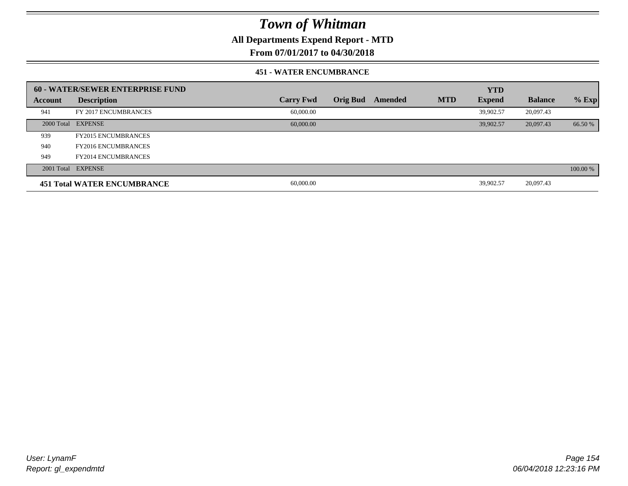**All Departments Expend Report - MTD**

## **From 07/01/2017 to 04/30/2018**

#### **451 - WATER ENCUMBRANCE**

|         | <b>60 - WATER/SEWER ENTERPRISE FUND</b> |                  |          |         |            | <b>YTD</b>    |                |          |
|---------|-----------------------------------------|------------------|----------|---------|------------|---------------|----------------|----------|
| Account | <b>Description</b>                      | <b>Carry Fwd</b> | Orig Bud | Amended | <b>MTD</b> | <b>Expend</b> | <b>Balance</b> | $%$ Exp  |
| 941     | FY 2017 ENCUMBRANCES                    | 60,000.00        |          |         |            | 39.902.57     | 20,097.43      |          |
|         | 2000 Total EXPENSE                      | 60,000,00        |          |         |            | 39.902.57     | 20,097.43      | 66.50 %  |
| 939     | <b>FY2015 ENCUMBRANCES</b>              |                  |          |         |            |               |                |          |
| 940     | <b>FY2016 ENCUMBRANCES</b>              |                  |          |         |            |               |                |          |
| 949     | <b>FY2014 ENCUMBRANCES</b>              |                  |          |         |            |               |                |          |
|         | 2001 Total EXPENSE                      |                  |          |         |            |               |                | 100.00 % |
|         | <b>451 Total WATER ENCUMBRANCE</b>      | 60,000.00        |          |         |            | 39,902.57     | 20,097.43      |          |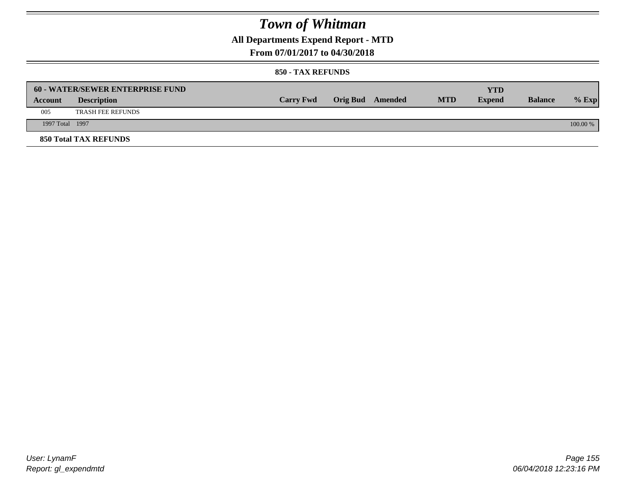**All Departments Expend Report - MTD**

### **From 07/01/2017 to 04/30/2018**

|                 | <b>60 - WATER/SEWER ENTERPRISE FUND</b> |                  |                         |            | YTD           |                |            |
|-----------------|-----------------------------------------|------------------|-------------------------|------------|---------------|----------------|------------|
| Account         | <b>Description</b>                      | <b>Carry Fwd</b> | <b>Orig Bud</b> Amended | <b>MTD</b> | <b>Expend</b> | <b>Balance</b> | $%$ Exp    |
| 005             | <b>TRASH FEE REFUNDS</b>                |                  |                         |            |               |                |            |
| 1997 Total 1997 |                                         |                  |                         |            |               |                | $100.00\%$ |
|                 | <b>850 Total TAX REFUNDS</b>            |                  |                         |            |               |                |            |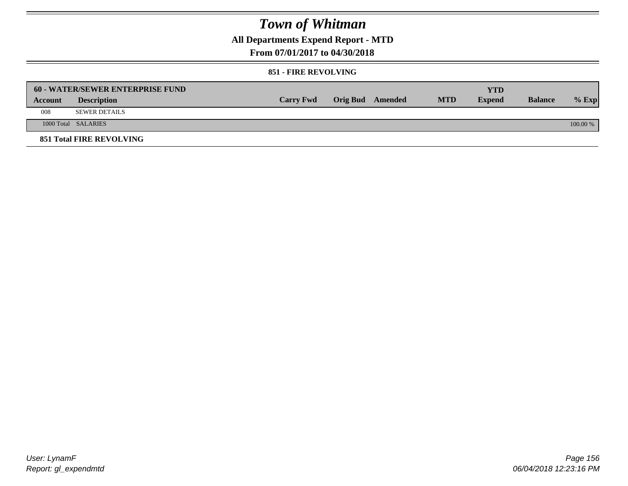**All Departments Expend Report - MTD**

### **From 07/01/2017 to 04/30/2018**

#### **851 - FIRE REVOLVING**

|         | 60 - WATER/SEWER ENTERPRISE FUND |                  |                  |            | YTD           |                |            |
|---------|----------------------------------|------------------|------------------|------------|---------------|----------------|------------|
| Account | <b>Description</b>               | <b>Carry Fwd</b> | Orig Bud Amended | <b>MTD</b> | <b>Expend</b> | <b>Balance</b> | $%$ Exp    |
| 008     | <b>SEWER DETAILS</b>             |                  |                  |            |               |                |            |
|         | 1000 Total SALARIES              |                  |                  |            |               |                | $100.00\%$ |
|         | <b>851 Total FIRE REVOLVING</b>  |                  |                  |            |               |                |            |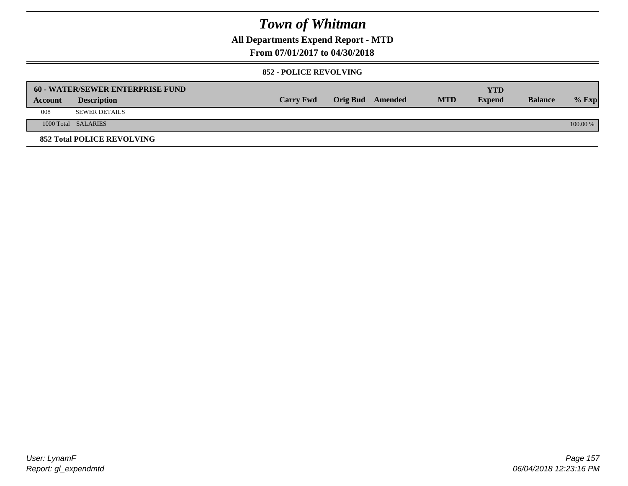**All Departments Expend Report - MTD**

## **From 07/01/2017 to 04/30/2018**

#### **852 - POLICE REVOLVING**

|         | 60 - WATER/SEWER ENTERPRISE FUND  |                  |                  |            | <b>YTD</b>    |                |            |
|---------|-----------------------------------|------------------|------------------|------------|---------------|----------------|------------|
| Account | <b>Description</b>                | <b>Carry Fwd</b> | Orig Bud Amended | <b>MTD</b> | <b>Expend</b> | <b>Balance</b> | $%$ Exp    |
| 008     | <b>SEWER DETAILS</b>              |                  |                  |            |               |                |            |
|         | 1000 Total SALARIES               |                  |                  |            |               |                | $100.00\%$ |
|         | <b>852 Total POLICE REVOLVING</b> |                  |                  |            |               |                |            |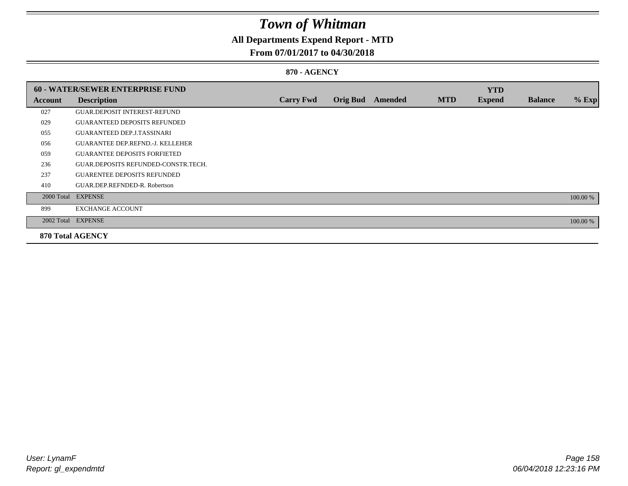## **All Departments Expend Report - MTD**

### **From 07/01/2017 to 04/30/2018**

#### **870 - AGENCY**

|         | <b>60 - WATER/SEWER ENTERPRISE FUND</b> |                  |                 |                |            | <b>YTD</b>    |                |          |
|---------|-----------------------------------------|------------------|-----------------|----------------|------------|---------------|----------------|----------|
| Account | <b>Description</b>                      | <b>Carry Fwd</b> | <b>Orig Bud</b> | <b>Amended</b> | <b>MTD</b> | <b>Expend</b> | <b>Balance</b> | $%$ Exp  |
| 027     | <b>GUAR.DEPOSIT INTEREST-REFUND</b>     |                  |                 |                |            |               |                |          |
| 029     | <b>GUARANTEED DEPOSITS REFUNDED</b>     |                  |                 |                |            |               |                |          |
| 055     | <b>GUARANTEED DEP.J.TASSINARI</b>       |                  |                 |                |            |               |                |          |
| 056     | <b>GUARANTEE DEP.REFND.-J. KELLEHER</b> |                  |                 |                |            |               |                |          |
| 059     | <b>GUARANTEE DEPOSITS FORFIETED</b>     |                  |                 |                |            |               |                |          |
| 236     | GUAR.DEPOSITS REFUNDED-CONSTR.TECH.     |                  |                 |                |            |               |                |          |
| 237     | <b>GUARENTEE DEPOSITS REFUNDED</b>      |                  |                 |                |            |               |                |          |
| 410     | GUAR.DEP.REFNDED-R. Robertson           |                  |                 |                |            |               |                |          |
|         | 2000 Total EXPENSE                      |                  |                 |                |            |               |                | 100.00 % |
| 899     | <b>EXCHANGE ACCOUNT</b>                 |                  |                 |                |            |               |                |          |
|         | 2002 Total EXPENSE                      |                  |                 |                |            |               |                | 100.00 % |
|         | <b>870 Total AGENCY</b>                 |                  |                 |                |            |               |                |          |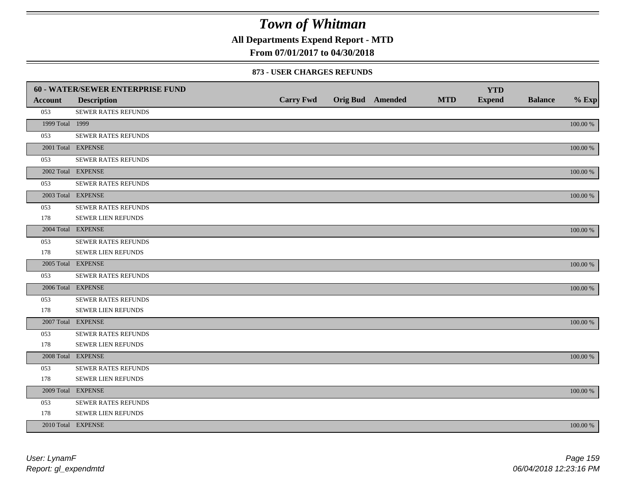**All Departments Expend Report - MTD**

## **From 07/01/2017 to 04/30/2018**

|                 | 60 - WATER/SEWER ENTERPRISE FUND |                  |                         |            | <b>YTD</b>    |                |             |
|-----------------|----------------------------------|------------------|-------------------------|------------|---------------|----------------|-------------|
| <b>Account</b>  | <b>Description</b>               | <b>Carry Fwd</b> | <b>Orig Bud</b> Amended | <b>MTD</b> | <b>Expend</b> | <b>Balance</b> | $%$ Exp     |
| 053             | SEWER RATES REFUNDS              |                  |                         |            |               |                |             |
| 1999 Total 1999 |                                  |                  |                         |            |               |                | 100.00 %    |
| 053             | SEWER RATES REFUNDS              |                  |                         |            |               |                |             |
|                 | 2001 Total EXPENSE               |                  |                         |            |               |                | 100.00 %    |
| 053             | SEWER RATES REFUNDS              |                  |                         |            |               |                |             |
|                 | 2002 Total EXPENSE               |                  |                         |            |               |                | 100.00 %    |
| 053             | <b>SEWER RATES REFUNDS</b>       |                  |                         |            |               |                |             |
|                 | 2003 Total EXPENSE               |                  |                         |            |               |                | 100.00 %    |
| 053             | SEWER RATES REFUNDS              |                  |                         |            |               |                |             |
| 178             | SEWER LIEN REFUNDS               |                  |                         |            |               |                |             |
|                 | 2004 Total EXPENSE               |                  |                         |            |               |                | 100.00 %    |
| 053             | <b>SEWER RATES REFUNDS</b>       |                  |                         |            |               |                |             |
| 178             | SEWER LIEN REFUNDS               |                  |                         |            |               |                |             |
|                 | 2005 Total EXPENSE               |                  |                         |            |               |                | 100.00 %    |
| 053             | SEWER RATES REFUNDS              |                  |                         |            |               |                |             |
|                 | 2006 Total EXPENSE               |                  |                         |            |               |                | 100.00 %    |
| 053             | <b>SEWER RATES REFUNDS</b>       |                  |                         |            |               |                |             |
| 178             | SEWER LIEN REFUNDS               |                  |                         |            |               |                |             |
|                 | 2007 Total EXPENSE               |                  |                         |            |               |                | 100.00 %    |
| 053             | SEWER RATES REFUNDS              |                  |                         |            |               |                |             |
| 178             | SEWER LIEN REFUNDS               |                  |                         |            |               |                |             |
|                 | 2008 Total EXPENSE               |                  |                         |            |               |                | 100.00 %    |
| 053             | SEWER RATES REFUNDS              |                  |                         |            |               |                |             |
| 178             | SEWER LIEN REFUNDS               |                  |                         |            |               |                |             |
|                 | 2009 Total EXPENSE               |                  |                         |            |               |                | 100.00 %    |
| 053             | SEWER RATES REFUNDS              |                  |                         |            |               |                |             |
| 178             | SEWER LIEN REFUNDS               |                  |                         |            |               |                |             |
|                 | 2010 Total EXPENSE               |                  |                         |            |               |                | $100.00~\%$ |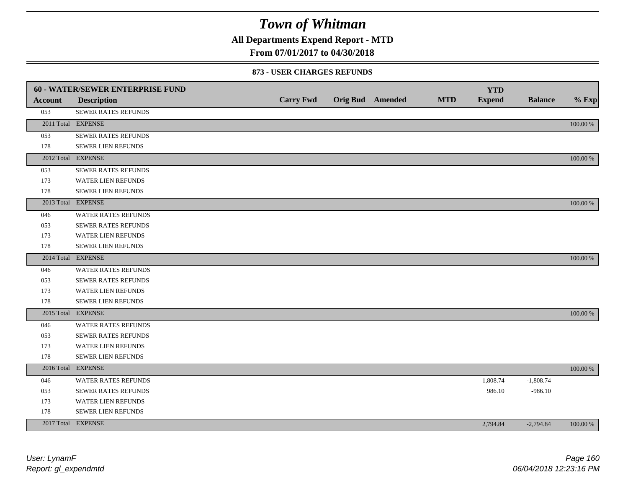**All Departments Expend Report - MTD**

## **From 07/01/2017 to 04/30/2018**

|                | <b>60 - WATER/SEWER ENTERPRISE FUND</b> |                  |                         |            | <b>YTD</b>    |                |          |
|----------------|-----------------------------------------|------------------|-------------------------|------------|---------------|----------------|----------|
| <b>Account</b> | <b>Description</b>                      | <b>Carry Fwd</b> | <b>Orig Bud</b> Amended | <b>MTD</b> | <b>Expend</b> | <b>Balance</b> | $%$ Exp  |
| 053            | SEWER RATES REFUNDS                     |                  |                         |            |               |                |          |
|                | 2011 Total EXPENSE                      |                  |                         |            |               |                | 100.00 % |
| 053            | SEWER RATES REFUNDS                     |                  |                         |            |               |                |          |
| 178            | SEWER LIEN REFUNDS                      |                  |                         |            |               |                |          |
|                | 2012 Total EXPENSE                      |                  |                         |            |               |                | 100.00 % |
| 053            | SEWER RATES REFUNDS                     |                  |                         |            |               |                |          |
| 173            | WATER LIEN REFUNDS                      |                  |                         |            |               |                |          |
| 178            | SEWER LIEN REFUNDS                      |                  |                         |            |               |                |          |
|                | 2013 Total EXPENSE                      |                  |                         |            |               |                | 100.00 % |
| 046            | <b>WATER RATES REFUNDS</b>              |                  |                         |            |               |                |          |
| 053            | SEWER RATES REFUNDS                     |                  |                         |            |               |                |          |
| 173            | WATER LIEN REFUNDS                      |                  |                         |            |               |                |          |
| 178            | <b>SEWER LIEN REFUNDS</b>               |                  |                         |            |               |                |          |
|                | 2014 Total EXPENSE                      |                  |                         |            |               |                | 100.00 % |
| 046            | <b>WATER RATES REFUNDS</b>              |                  |                         |            |               |                |          |
| 053            | SEWER RATES REFUNDS                     |                  |                         |            |               |                |          |
| 173            | <b>WATER LIEN REFUNDS</b>               |                  |                         |            |               |                |          |
| 178            | <b>SEWER LIEN REFUNDS</b>               |                  |                         |            |               |                |          |
|                | 2015 Total EXPENSE                      |                  |                         |            |               |                | 100.00 % |
| 046            | <b>WATER RATES REFUNDS</b>              |                  |                         |            |               |                |          |
| 053            | SEWER RATES REFUNDS                     |                  |                         |            |               |                |          |
| 173            | WATER LIEN REFUNDS                      |                  |                         |            |               |                |          |
| 178            | SEWER LIEN REFUNDS                      |                  |                         |            |               |                |          |
|                | 2016 Total EXPENSE                      |                  |                         |            |               |                | 100.00 % |
| 046            | WATER RATES REFUNDS                     |                  |                         |            | 1,808.74      | $-1,808.74$    |          |
| 053            | SEWER RATES REFUNDS                     |                  |                         |            | 986.10        | $-986.10$      |          |
| 173            | WATER LIEN REFUNDS                      |                  |                         |            |               |                |          |
| 178            | <b>SEWER LIEN REFUNDS</b>               |                  |                         |            |               |                |          |
|                | 2017 Total EXPENSE                      |                  |                         |            | 2,794.84      | $-2,794.84$    | 100.00 % |
|                |                                         |                  |                         |            |               |                |          |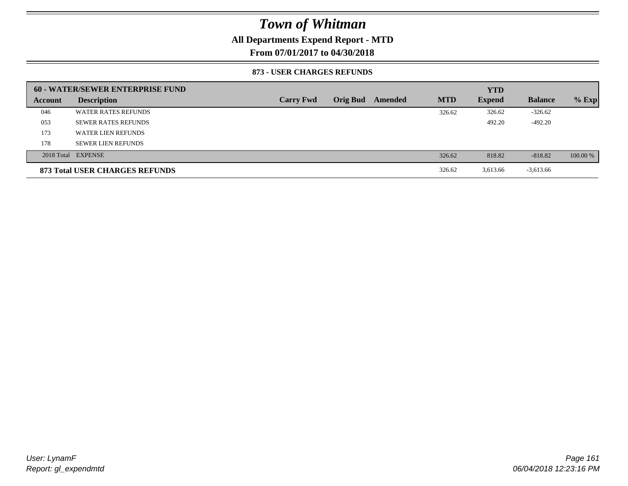## **All Departments Expend Report - MTD**

**From 07/01/2017 to 04/30/2018**

|         | 60 - WATER/SEWER ENTERPRISE FUND |                  |                 |         |            | <b>YTD</b>    |                |          |
|---------|----------------------------------|------------------|-----------------|---------|------------|---------------|----------------|----------|
| Account | <b>Description</b>               | <b>Carry Fwd</b> | <b>Orig Bud</b> | Amended | <b>MTD</b> | <b>Expend</b> | <b>Balance</b> | $%$ Exp  |
| 046     | <b>WATER RATES REFUNDS</b>       |                  |                 |         | 326.62     | 326.62        | $-326.62$      |          |
| 053     | <b>SEWER RATES REFUNDS</b>       |                  |                 |         |            | 492.20        | $-492.20$      |          |
| 173     | WATER LIEN REFUNDS               |                  |                 |         |            |               |                |          |
| 178     | <b>SEWER LIEN REFUNDS</b>        |                  |                 |         |            |               |                |          |
|         | 2018 Total EXPENSE               |                  |                 |         | 326.62     | 818.82        | $-818.82$      | 100.00 % |
|         | 873 Total USER CHARGES REFUNDS   |                  |                 |         | 326.62     | 3,613.66      | $-3,613.66$    |          |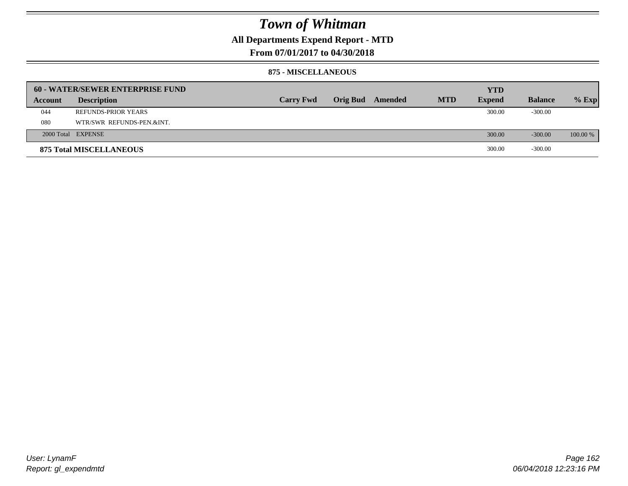## **All Departments Expend Report - MTD**

**From 07/01/2017 to 04/30/2018**

#### **875 - MISCELLANEOUS**

|         | 60 - WATER/SEWER ENTERPRISE FUND |                  |                         |            | <b>YTD</b>    |                |            |
|---------|----------------------------------|------------------|-------------------------|------------|---------------|----------------|------------|
| Account | <b>Description</b>               | <b>Carry Fwd</b> | <b>Orig Bud</b> Amended | <b>MTD</b> | <b>Expend</b> | <b>Balance</b> | $%$ Exp    |
| 044     | <b>REFUNDS-PRIOR YEARS</b>       |                  |                         |            | 300.00        | $-300.00$      |            |
| 080     | WTR/SWR REFUNDS-PEN.&INT.        |                  |                         |            |               |                |            |
|         | 2000 Total EXPENSE               |                  |                         |            | 300.00        | $-300.00$      | $100.00\%$ |
|         | <b>875 Total MISCELLANEOUS</b>   |                  |                         |            | 300.00        | $-300.00$      |            |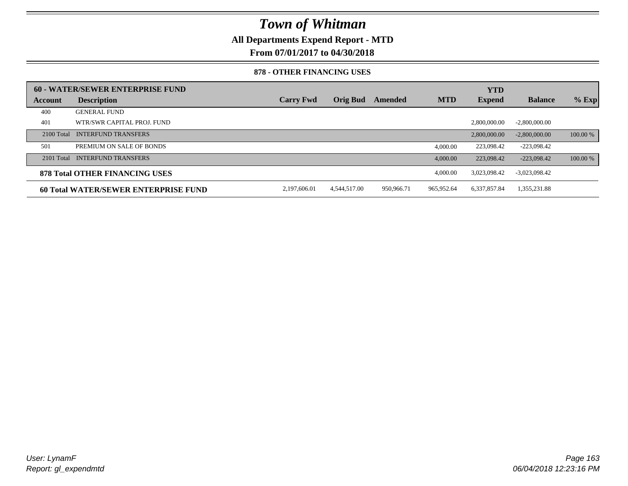**All Departments Expend Report - MTD**

**From 07/01/2017 to 04/30/2018**

#### **878 - OTHER FINANCING USES**

|              | 60 - WATER/SEWER ENTERPRISE FUND     |                  |                 |            |            | <b>YTD</b>    |                 |          |
|--------------|--------------------------------------|------------------|-----------------|------------|------------|---------------|-----------------|----------|
| Account      | <b>Description</b>                   | <b>Carry Fwd</b> | <b>Orig Bud</b> | Amended    | <b>MTD</b> | <b>Expend</b> | <b>Balance</b>  | $%$ Exp  |
| 400          | <b>GENERAL FUND</b>                  |                  |                 |            |            |               |                 |          |
| 401          | WTR/SWR CAPITAL PROJ. FUND           |                  |                 |            |            | 2,800,000,00  | $-2.800,000,00$ |          |
| $2100$ Total | <b>INTERFUND TRANSFERS</b>           |                  |                 |            |            | 2,800,000,00  | $-2,800,000,00$ | 100.00 % |
| 501          | PREMIUM ON SALE OF BONDS             |                  |                 |            | 4.000.00   | 223,098.42    | $-223,098.42$   |          |
|              | 2101 Total INTERFUND TRANSFERS       |                  |                 |            | 4,000.00   | 223,098.42    | $-223.098.42$   | 100.00 % |
|              | 878 Total OTHER FINANCING USES       |                  |                 |            | 4,000.00   | 3.023.098.42  | $-3,023,098.42$ |          |
|              | 60 Total WATER/SEWER ENTERPRISE FUND | 2,197,606.01     | 4.544.517.00    | 950,966.71 | 965,952.64 | 6,337,857.84  | 1,355,231.88    |          |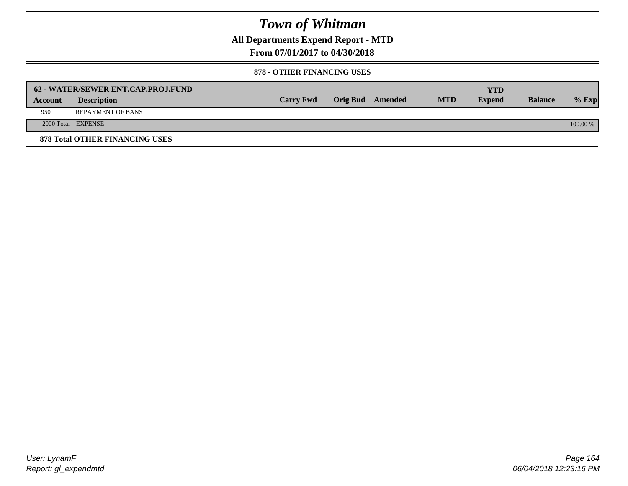**All Departments Expend Report - MTD**

**From 07/01/2017 to 04/30/2018**

#### **878 - OTHER FINANCING USES**

|                | 62 - WATER/SEWER ENT.CAP.PROJ.FUND    |                  |                  |            | <b>YTD</b>    |                |            |
|----------------|---------------------------------------|------------------|------------------|------------|---------------|----------------|------------|
| <b>Account</b> | <b>Description</b>                    | <b>Carry Fwd</b> | Orig Bud Amended | <b>MTD</b> | <b>Expend</b> | <b>Balance</b> | $%$ Exp    |
| 950            | <b>REPAYMENT OF BANS</b>              |                  |                  |            |               |                |            |
|                | 2000 Total EXPENSE                    |                  |                  |            |               |                | $100.00\%$ |
|                | <b>878 Total OTHER FINANCING USES</b> |                  |                  |            |               |                |            |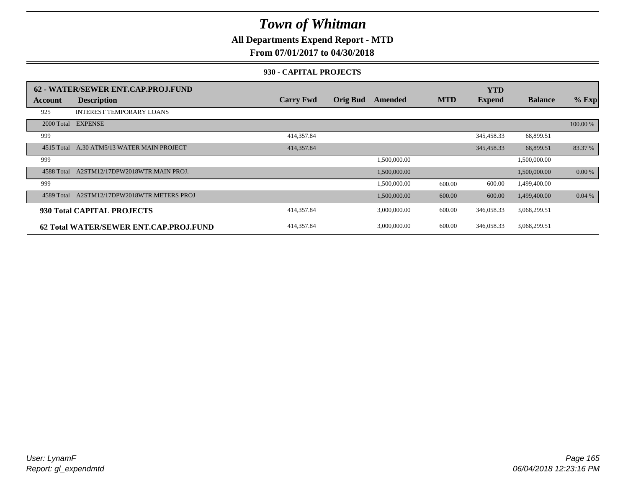**All Departments Expend Report - MTD**

## **From 07/01/2017 to 04/30/2018**

#### **930 - CAPITAL PROJECTS**

|            | 62 - WATER/SEWER ENT.CAP.PROJ.FUND      |                  |                 |              |            | <b>YTD</b>    |                |          |
|------------|-----------------------------------------|------------------|-----------------|--------------|------------|---------------|----------------|----------|
| Account    | <b>Description</b>                      | <b>Carry Fwd</b> | <b>Orig Bud</b> | Amended      | <b>MTD</b> | <b>Expend</b> | <b>Balance</b> | $%$ Exp  |
| 925        | <b>INTEREST TEMPORARY LOANS</b>         |                  |                 |              |            |               |                |          |
| 2000 Total | <b>EXPENSE</b>                          |                  |                 |              |            |               |                | 100.00 % |
| 999        |                                         | 414,357.84       |                 |              |            | 345,458.33    | 68,899.51      |          |
| 4515 Total | A.30 ATM5/13 WATER MAIN PROJECT         | 414,357.84       |                 |              |            | 345,458.33    | 68,899.51      | 83.37 %  |
| 999        |                                         |                  |                 | 1,500,000.00 |            |               | 1,500,000.00   |          |
| 4588 Total | A2STM12/17DPW2018WTR.MAIN PROJ.         |                  |                 | 1,500,000.00 |            |               | 1,500,000.00   | $0.00\%$ |
| 999        |                                         |                  |                 | 1,500,000.00 | 600.00     | 600.00        | 1,499,400.00   |          |
| 4589 Total | A2STM12/17DPW2018WTR.METERS PROJ        |                  |                 | 1,500,000.00 | 600.00     | 600.00        | 1,499,400.00   | 0.04%    |
|            | 930 Total CAPITAL PROJECTS              | 414,357.84       |                 | 3,000,000.00 | 600.00     | 346,058.33    | 3,068,299.51   |          |
|            | 62 Total WATER/SEWER ENT.CAP.PRO.I.FUND | 414,357.84       |                 | 3,000,000.00 | 600.00     | 346,058.33    | 3,068,299.51   |          |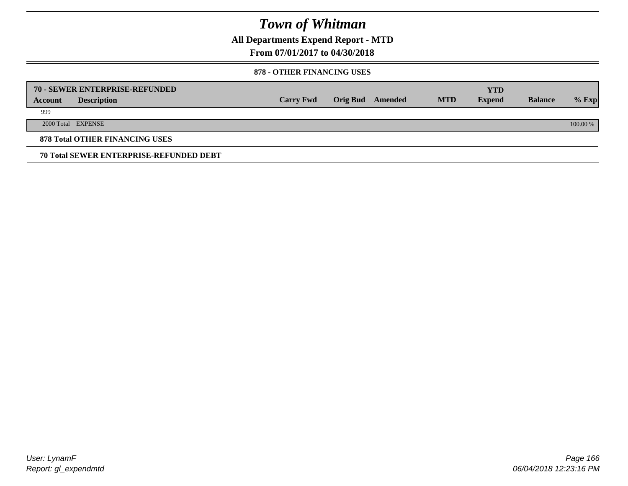**All Departments Expend Report - MTD**

## **From 07/01/2017 to 04/30/2018**

#### **878 - OTHER FINANCING USES**

|         | 70 - SEWER ENTERPRISE-REFUNDED                 |                  |                 |         |            | <b>YTD</b>    |                |          |
|---------|------------------------------------------------|------------------|-----------------|---------|------------|---------------|----------------|----------|
| Account | <b>Description</b>                             | <b>Carry Fwd</b> | <b>Orig Bud</b> | Amended | <b>MTD</b> | <b>Expend</b> | <b>Balance</b> | $%$ Exp  |
| 999     |                                                |                  |                 |         |            |               |                |          |
|         | 2000 Total EXPENSE                             |                  |                 |         |            |               |                | 100.00 % |
|         | <b>878 Total OTHER FINANCING USES</b>          |                  |                 |         |            |               |                |          |
|         | <b>70 Total SEWER ENTERPRISE-REFUNDED DEBT</b> |                  |                 |         |            |               |                |          |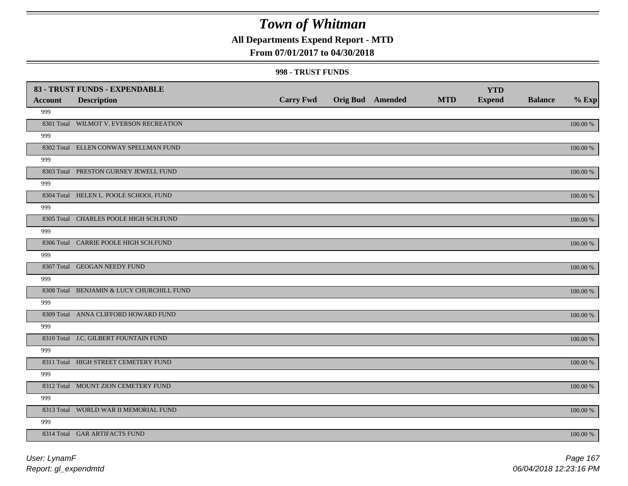## **All Departments Expend Report - MTD**

### **From 07/01/2017 to 04/30/2018**

#### **998 - TRUST FUNDS**

| <b>Account</b> | 83 - TRUST FUNDS - EXPENDABLE<br><b>Description</b> | <b>Carry Fwd</b> | Orig Bud Amended | <b>MTD</b> | <b>YTD</b><br><b>Expend</b> | <b>Balance</b> | $%$ Exp     |
|----------------|-----------------------------------------------------|------------------|------------------|------------|-----------------------------|----------------|-------------|
| 999            |                                                     |                  |                  |            |                             |                |             |
|                | 8301 Total WILMOT V. EVERSON RECREATION             |                  |                  |            |                             |                | 100.00 %    |
| 999            |                                                     |                  |                  |            |                             |                |             |
|                | 8302 Total ELLEN CONWAY SPELLMAN FUND               |                  |                  |            |                             |                | 100.00 %    |
| 999            |                                                     |                  |                  |            |                             |                |             |
|                | 8303 Total PRESTON GURNEY JEWELL FUND               |                  |                  |            |                             |                | 100.00 %    |
| 999            |                                                     |                  |                  |            |                             |                |             |
|                | 8304 Total HELEN L. POOLE SCHOOL FUND               |                  |                  |            |                             |                | 100.00 %    |
| 999            |                                                     |                  |                  |            |                             |                |             |
|                | 8305 Total CHARLES POOLE HIGH SCH.FUND              |                  |                  |            |                             |                | 100.00 %    |
| 999            |                                                     |                  |                  |            |                             |                |             |
|                | 8306 Total CARRIE POOLE HIGH SCH.FUND               |                  |                  |            |                             |                | 100.00 %    |
| 999            |                                                     |                  |                  |            |                             |                |             |
|                | 8307 Total GEOGAN NEEDY FUND                        |                  |                  |            |                             |                | 100.00 %    |
| 999            |                                                     |                  |                  |            |                             |                |             |
|                | 8308 Total BENJAMIN & LUCY CHURCHILL FUND           |                  |                  |            |                             |                | 100.00 %    |
| 999            | 8309 Total ANNA CLIFFORD HOWARD FUND                |                  |                  |            |                             |                |             |
| 999            |                                                     |                  |                  |            |                             |                | 100.00 %    |
|                | 8310 Total J.C. GILBERT FOUNTAIN FUND               |                  |                  |            |                             |                | $100.00~\%$ |
| 999            |                                                     |                  |                  |            |                             |                |             |
|                | 8311 Total HIGH STREET CEMETERY FUND                |                  |                  |            |                             |                | $100.00~\%$ |
| 999            |                                                     |                  |                  |            |                             |                |             |
|                | 8312 Total MOUNT ZION CEMETERY FUND                 |                  |                  |            |                             |                | 100.00 %    |
| 999            |                                                     |                  |                  |            |                             |                |             |
|                | 8313 Total WORLD WAR II MEMORIAL FUND               |                  |                  |            |                             |                | 100.00 %    |
| 999            |                                                     |                  |                  |            |                             |                |             |
|                | 8314 Total GAR ARTIFACTS FUND                       |                  |                  |            |                             |                | 100.00 %    |
|                |                                                     |                  |                  |            |                             |                |             |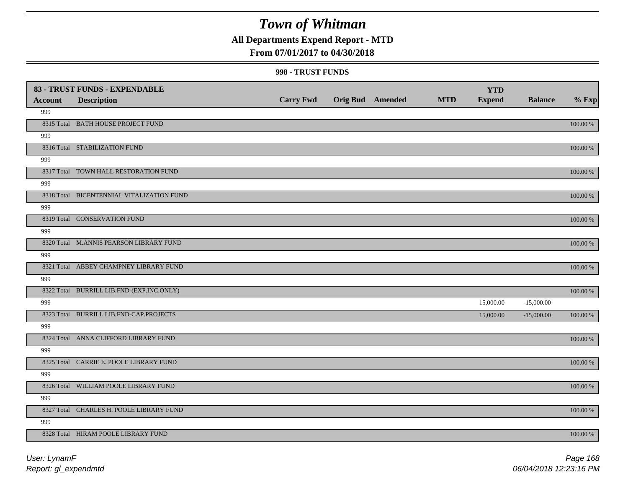## **All Departments Expend Report - MTD**

### **From 07/01/2017 to 04/30/2018**

#### **998 - TRUST FUNDS**

|                | 83 - TRUST FUNDS - EXPENDABLE             |                  |                         |            | <b>YTD</b>    |                |             |
|----------------|-------------------------------------------|------------------|-------------------------|------------|---------------|----------------|-------------|
| <b>Account</b> | <b>Description</b>                        | <b>Carry Fwd</b> | <b>Orig Bud Amended</b> | <b>MTD</b> | <b>Expend</b> | <b>Balance</b> | $%$ Exp     |
| 999            |                                           |                  |                         |            |               |                |             |
|                | 8315 Total BATH HOUSE PROJECT FUND        |                  |                         |            |               |                | $100.00~\%$ |
| 999            |                                           |                  |                         |            |               |                |             |
|                | 8316 Total STABILIZATION FUND             |                  |                         |            |               |                | 100.00 %    |
| 999            |                                           |                  |                         |            |               |                |             |
|                | 8317 Total TOWN HALL RESTORATION FUND     |                  |                         |            |               |                | 100.00 %    |
| 999            |                                           |                  |                         |            |               |                |             |
|                | 8318 Total BICENTENNIAL VITALIZATION FUND |                  |                         |            |               |                | 100.00 %    |
| 999            |                                           |                  |                         |            |               |                |             |
|                | 8319 Total CONSERVATION FUND              |                  |                         |            |               |                | 100.00 %    |
| 999            |                                           |                  |                         |            |               |                |             |
|                | 8320 Total M.ANNIS PEARSON LIBRARY FUND   |                  |                         |            |               |                | 100.00 %    |
| 999            |                                           |                  |                         |            |               |                |             |
|                | 8321 Total ABBEY CHAMPNEY LIBRARY FUND    |                  |                         |            |               |                | 100.00 %    |
| 999            |                                           |                  |                         |            |               |                |             |
|                | 8322 Total BURRILL LIB.FND-(EXP.INC.ONLY) |                  |                         |            |               |                | $100.00~\%$ |
| 999            |                                           |                  |                         |            | 15,000.00     | $-15,000.00$   |             |
|                | 8323 Total BURRILL LIB.FND-CAP.PROJECTS   |                  |                         |            | 15,000.00     | $-15,000.00$   | $100.00~\%$ |
| 999            |                                           |                  |                         |            |               |                |             |
|                | 8324 Total ANNA CLIFFORD LIBRARY FUND     |                  |                         |            |               |                | 100.00 %    |
| 999            |                                           |                  |                         |            |               |                |             |
|                | 8325 Total CARRIE E. POOLE LIBRARY FUND   |                  |                         |            |               |                | 100.00 %    |
| 999            |                                           |                  |                         |            |               |                |             |
|                | 8326 Total WILLIAM POOLE LIBRARY FUND     |                  |                         |            |               |                | 100.00 %    |
| 999            |                                           |                  |                         |            |               |                |             |
|                | 8327 Total CHARLES H. POOLE LIBRARY FUND  |                  |                         |            |               |                | 100.00 %    |
| 999            |                                           |                  |                         |            |               |                |             |
|                | 8328 Total HIRAM POOLE LIBRARY FUND       |                  |                         |            |               |                | 100.00 %    |

*Report: gl\_expendmtd User: LynamF*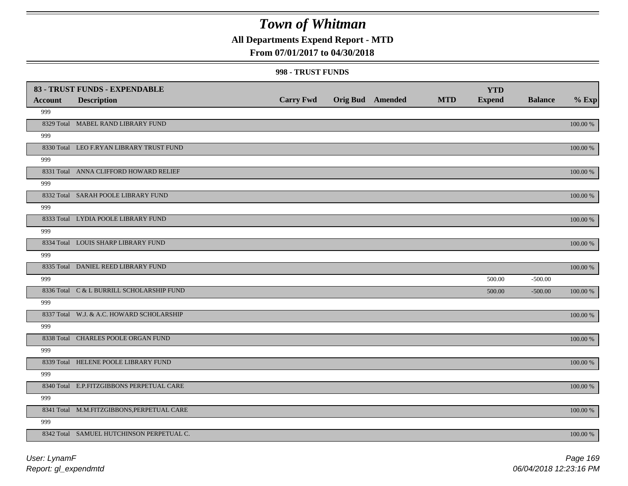## **All Departments Expend Report - MTD**

### **From 07/01/2017 to 04/30/2018**

#### **998 - TRUST FUNDS**

|                | 83 - TRUST FUNDS - EXPENDABLE              |                  |                         |            | <b>YTD</b>    |                |             |
|----------------|--------------------------------------------|------------------|-------------------------|------------|---------------|----------------|-------------|
| <b>Account</b> | <b>Description</b>                         | <b>Carry Fwd</b> | <b>Orig Bud Amended</b> | <b>MTD</b> | <b>Expend</b> | <b>Balance</b> | $%$ Exp     |
| 999            |                                            |                  |                         |            |               |                |             |
|                | 8329 Total MABEL RAND LIBRARY FUND         |                  |                         |            |               |                | $100.00~\%$ |
| 999            |                                            |                  |                         |            |               |                |             |
|                | 8330 Total LEO F.RYAN LIBRARY TRUST FUND   |                  |                         |            |               |                | 100.00 %    |
| 999            |                                            |                  |                         |            |               |                |             |
|                | 8331 Total ANNA CLIFFORD HOWARD RELIEF     |                  |                         |            |               |                | 100.00 %    |
| 999            |                                            |                  |                         |            |               |                |             |
|                | 8332 Total SARAH POOLE LIBRARY FUND        |                  |                         |            |               |                | 100.00 %    |
| 999            |                                            |                  |                         |            |               |                |             |
|                | 8333 Total LYDIA POOLE LIBRARY FUND        |                  |                         |            |               |                | 100.00 %    |
| 999            |                                            |                  |                         |            |               |                |             |
|                | 8334 Total LOUIS SHARP LIBRARY FUND        |                  |                         |            |               |                | 100.00 %    |
| 999            |                                            |                  |                         |            |               |                |             |
|                | 8335 Total DANIEL REED LIBRARY FUND        |                  |                         |            |               |                | 100.00 %    |
| 999            |                                            |                  |                         |            | 500.00        | $-500.00$      |             |
|                | 8336 Total C & L BURRILL SCHOLARSHIP FUND  |                  |                         |            | 500.00        | $-500.00$      | 100.00 %    |
| 999            |                                            |                  |                         |            |               |                |             |
|                | 8337 Total W.J. & A.C. HOWARD SCHOLARSHIP  |                  |                         |            |               |                | $100.00~\%$ |
| 999            |                                            |                  |                         |            |               |                |             |
|                | 8338 Total CHARLES POOLE ORGAN FUND        |                  |                         |            |               |                | 100.00 %    |
| 999            |                                            |                  |                         |            |               |                |             |
|                | 8339 Total HELENE POOLE LIBRARY FUND       |                  |                         |            |               |                | 100.00 %    |
| 999            |                                            |                  |                         |            |               |                |             |
|                | 8340 Total E.P.FITZGIBBONS PERPETUAL CARE  |                  |                         |            |               |                | 100.00 %    |
| 999            |                                            |                  |                         |            |               |                |             |
|                | 8341 Total M.M.FITZGIBBONS, PERPETUAL CARE |                  |                         |            |               |                | 100.00 %    |
| 999            |                                            |                  |                         |            |               |                |             |
|                | 8342 Total SAMUEL HUTCHINSON PERPETUAL C.  |                  |                         |            |               |                | 100.00 %    |
|                |                                            |                  |                         |            |               |                |             |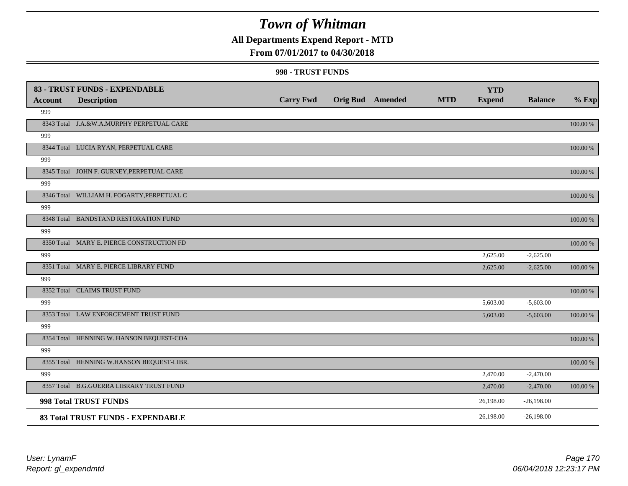## **All Departments Expend Report - MTD**

### **From 07/01/2017 to 04/30/2018**

#### **998 - TRUST FUNDS**

| <b>Account</b> | 83 - TRUST FUNDS - EXPENDABLE<br><b>Description</b> | <b>Carry Fwd</b> | <b>Orig Bud</b> Amended | <b>MTD</b> | <b>YTD</b><br><b>Expend</b> | <b>Balance</b> | $%$ Exp     |
|----------------|-----------------------------------------------------|------------------|-------------------------|------------|-----------------------------|----------------|-------------|
| 999            |                                                     |                  |                         |            |                             |                |             |
|                | 8343 Total J.A.&W.A.MURPHY PERPETUAL CARE           |                  |                         |            |                             |                | 100.00 %    |
| 999            |                                                     |                  |                         |            |                             |                |             |
|                | 8344 Total LUCIA RYAN, PERPETUAL CARE               |                  |                         |            |                             |                | 100.00 %    |
| 999            |                                                     |                  |                         |            |                             |                |             |
|                | 8345 Total JOHN F. GURNEY, PERPETUAL CARE           |                  |                         |            |                             |                | 100.00 %    |
| 999            |                                                     |                  |                         |            |                             |                |             |
|                | 8346 Total WILLIAM H. FOGARTY, PERPETUAL C          |                  |                         |            |                             |                | 100.00 %    |
| 999            |                                                     |                  |                         |            |                             |                |             |
|                | 8348 Total BANDSTAND RESTORATION FUND               |                  |                         |            |                             |                | 100.00 %    |
| 999            |                                                     |                  |                         |            |                             |                |             |
|                | 8350 Total MARY E. PIERCE CONSTRUCTION FD           |                  |                         |            |                             |                | 100.00 %    |
| 999            |                                                     |                  |                         |            | 2,625.00                    | $-2,625.00$    |             |
|                | 8351 Total MARY E. PIERCE LIBRARY FUND              |                  |                         |            | 2,625.00                    | $-2,625.00$    | 100.00 %    |
| 999            |                                                     |                  |                         |            |                             |                |             |
|                | 8352 Total CLAIMS TRUST FUND                        |                  |                         |            |                             |                | 100.00 %    |
| 999            |                                                     |                  |                         |            | 5,603.00                    | $-5,603.00$    |             |
|                | 8353 Total LAW ENFORCEMENT TRUST FUND               |                  |                         |            | 5,603.00                    | $-5,603.00$    | $100.00~\%$ |
| 999            |                                                     |                  |                         |            |                             |                |             |
|                | 8354 Total HENNING W. HANSON BEQUEST-COA            |                  |                         |            |                             |                | 100.00 %    |
| 999            |                                                     |                  |                         |            |                             |                |             |
|                | 8355 Total HENNING W.HANSON BEQUEST-LIBR.           |                  |                         |            |                             |                | 100.00 %    |
| 999            |                                                     |                  |                         |            | 2,470.00                    | $-2,470.00$    |             |
|                | 8357 Total B.G.GUERRA LIBRARY TRUST FUND            |                  |                         |            | 2,470.00                    | $-2,470.00$    | 100.00 %    |
|                | 998 Total TRUST FUNDS                               |                  |                         |            | 26,198.00                   | $-26,198.00$   |             |
|                | 83 Total TRUST FUNDS - EXPENDABLE                   |                  |                         |            | 26,198.00                   | $-26,198.00$   |             |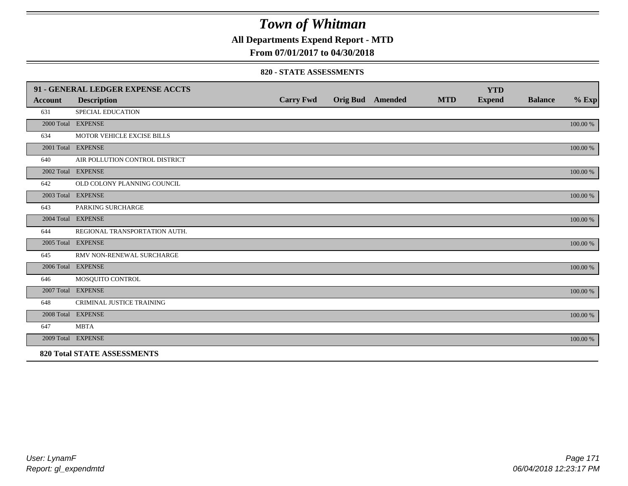**All Departments Expend Report - MTD**

## **From 07/01/2017 to 04/30/2018**

#### **820 - STATE ASSESSMENTS**

|         | 91 - GENERAL LEDGER EXPENSE ACCTS  |                  |                         |            | <b>YTD</b>    |                |          |
|---------|------------------------------------|------------------|-------------------------|------------|---------------|----------------|----------|
| Account | <b>Description</b>                 | <b>Carry Fwd</b> | <b>Orig Bud</b> Amended | <b>MTD</b> | <b>Expend</b> | <b>Balance</b> | $%$ Exp  |
| 631     | <b>SPECIAL EDUCATION</b>           |                  |                         |            |               |                |          |
|         | 2000 Total EXPENSE                 |                  |                         |            |               |                | 100.00 % |
| 634     | MOTOR VEHICLE EXCISE BILLS         |                  |                         |            |               |                |          |
|         | 2001 Total EXPENSE                 |                  |                         |            |               |                | 100.00 % |
| 640     | AIR POLLUTION CONTROL DISTRICT     |                  |                         |            |               |                |          |
|         | 2002 Total EXPENSE                 |                  |                         |            |               |                | 100.00 % |
| 642     | OLD COLONY PLANNING COUNCIL        |                  |                         |            |               |                |          |
|         | 2003 Total EXPENSE                 |                  |                         |            |               |                | 100.00 % |
| 643     | PARKING SURCHARGE                  |                  |                         |            |               |                |          |
|         | 2004 Total EXPENSE                 |                  |                         |            |               |                | 100.00 % |
| 644     | REGIONAL TRANSPORTATION AUTH.      |                  |                         |            |               |                |          |
|         | 2005 Total EXPENSE                 |                  |                         |            |               |                | 100.00 % |
| 645     | RMV NON-RENEWAL SURCHARGE          |                  |                         |            |               |                |          |
|         | 2006 Total EXPENSE                 |                  |                         |            |               |                | 100.00 % |
| 646     | MOSQUITO CONTROL                   |                  |                         |            |               |                |          |
|         | 2007 Total EXPENSE                 |                  |                         |            |               |                | 100.00 % |
| 648     | CRIMINAL JUSTICE TRAINING          |                  |                         |            |               |                |          |
|         | 2008 Total EXPENSE                 |                  |                         |            |               |                | 100.00 % |
| 647     | <b>MBTA</b>                        |                  |                         |            |               |                |          |
|         | 2009 Total EXPENSE                 |                  |                         |            |               |                | 100.00 % |
|         | <b>820 Total STATE ASSESSMENTS</b> |                  |                         |            |               |                |          |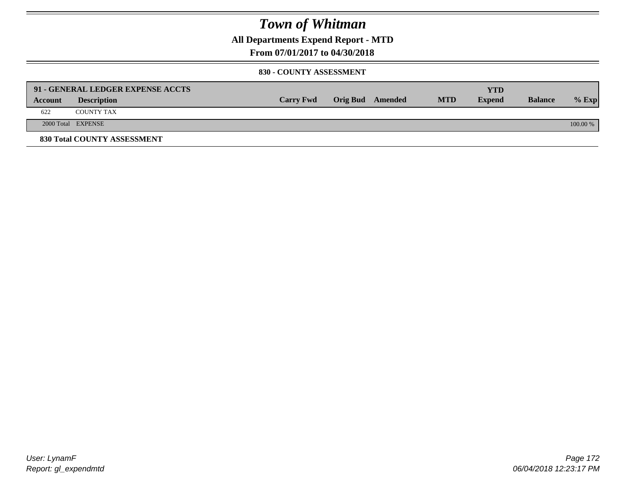**All Departments Expend Report - MTD**

**From 07/01/2017 to 04/30/2018**

#### **830 - COUNTY ASSESSMENT**

|         | 91 - GENERAL LEDGER EXPENSE ACCTS |                  |                  |            | <b>YTD</b>    |                |            |
|---------|-----------------------------------|------------------|------------------|------------|---------------|----------------|------------|
| Account | <b>Description</b>                | <b>Carry Fwd</b> | Orig Bud Amended | <b>MTD</b> | <b>Expend</b> | <b>Balance</b> | $%$ Exp    |
| 622     | <b>COUNTY TAX</b>                 |                  |                  |            |               |                |            |
|         | 2000 Total EXPENSE                |                  |                  |            |               |                | $100.00\%$ |
|         | 830 Total COUNTY ASSESSMENT       |                  |                  |            |               |                |            |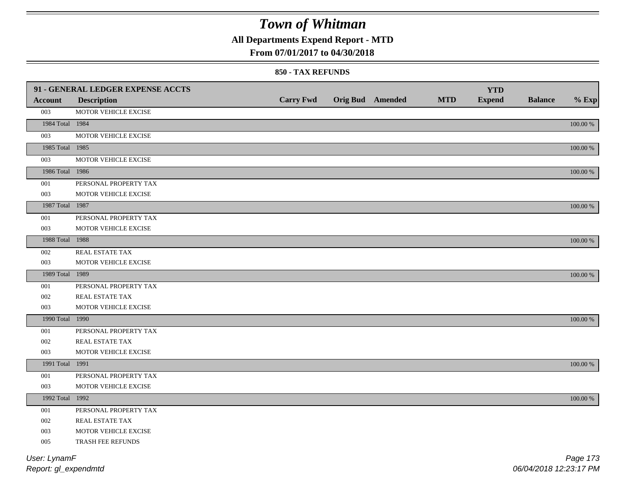**All Departments Expend Report - MTD**

### **From 07/01/2017 to 04/30/2018**

#### **850 - TAX REFUNDS**

|                 | 91 - GENERAL LEDGER EXPENSE ACCTS |                  |                         |            | <b>YTD</b>    |                |             |
|-----------------|-----------------------------------|------------------|-------------------------|------------|---------------|----------------|-------------|
| <b>Account</b>  | <b>Description</b>                | <b>Carry Fwd</b> | <b>Orig Bud Amended</b> | <b>MTD</b> | <b>Expend</b> | <b>Balance</b> | $%$ Exp     |
| 003             | MOTOR VEHICLE EXCISE              |                  |                         |            |               |                |             |
| 1984 Total 1984 |                                   |                  |                         |            |               |                | $100.00~\%$ |
| 003             | MOTOR VEHICLE EXCISE              |                  |                         |            |               |                |             |
| 1985 Total 1985 |                                   |                  |                         |            |               |                | $100.00~\%$ |
| 003             | MOTOR VEHICLE EXCISE              |                  |                         |            |               |                |             |
| 1986 Total 1986 |                                   |                  |                         |            |               |                | $100.00~\%$ |
| 001             | PERSONAL PROPERTY TAX             |                  |                         |            |               |                |             |
| 003             | MOTOR VEHICLE EXCISE              |                  |                         |            |               |                |             |
| 1987 Total 1987 |                                   |                  |                         |            |               |                | 100.00 %    |
| 001             | PERSONAL PROPERTY TAX             |                  |                         |            |               |                |             |
| 003             | MOTOR VEHICLE EXCISE              |                  |                         |            |               |                |             |
| 1988 Total 1988 |                                   |                  |                         |            |               |                | $100.00\%$  |
| 002             | REAL ESTATE TAX                   |                  |                         |            |               |                |             |
| 003             | MOTOR VEHICLE EXCISE              |                  |                         |            |               |                |             |
| 1989 Total 1989 |                                   |                  |                         |            |               |                | 100.00 %    |
| 001             | PERSONAL PROPERTY TAX             |                  |                         |            |               |                |             |
| 002             | REAL ESTATE TAX                   |                  |                         |            |               |                |             |
| 003             | MOTOR VEHICLE EXCISE              |                  |                         |            |               |                |             |
| 1990 Total 1990 |                                   |                  |                         |            |               |                | $100.00~\%$ |
| 001             | PERSONAL PROPERTY TAX             |                  |                         |            |               |                |             |
| 002             | REAL ESTATE TAX                   |                  |                         |            |               |                |             |
| 003             | MOTOR VEHICLE EXCISE              |                  |                         |            |               |                |             |
| 1991 Total 1991 |                                   |                  |                         |            |               |                | 100.00 %    |
| 001             | PERSONAL PROPERTY TAX             |                  |                         |            |               |                |             |
| 003             | MOTOR VEHICLE EXCISE              |                  |                         |            |               |                |             |
| 1992 Total 1992 |                                   |                  |                         |            |               |                | $100.00~\%$ |
| 001             | PERSONAL PROPERTY TAX             |                  |                         |            |               |                |             |
| 002             | REAL ESTATE TAX                   |                  |                         |            |               |                |             |
| 003             | MOTOR VEHICLE EXCISE              |                  |                         |            |               |                |             |
| 005             | TRASH FEE REFUNDS                 |                  |                         |            |               |                |             |
| User: LynamF    |                                   |                  |                         |            |               |                | Page 173    |

*Report: gl\_expendmtd*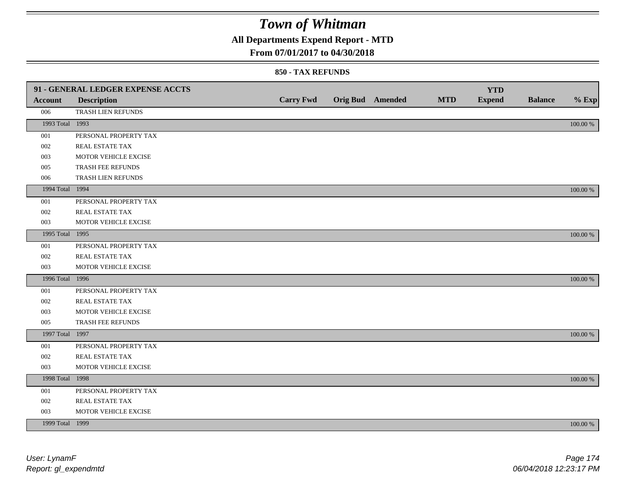## **All Departments Expend Report - MTD**

### **From 07/01/2017 to 04/30/2018**

|                 | 91 - GENERAL LEDGER EXPENSE ACCTS |                  |                         |            | <b>YTD</b>    |                |             |
|-----------------|-----------------------------------|------------------|-------------------------|------------|---------------|----------------|-------------|
| <b>Account</b>  | <b>Description</b>                | <b>Carry Fwd</b> | <b>Orig Bud</b> Amended | <b>MTD</b> | <b>Expend</b> | <b>Balance</b> | $%$ Exp     |
| 006             | TRASH LIEN REFUNDS                |                  |                         |            |               |                |             |
| 1993 Total 1993 |                                   |                  |                         |            |               |                | $100.00~\%$ |
| 001             | PERSONAL PROPERTY TAX             |                  |                         |            |               |                |             |
| 002             | REAL ESTATE TAX                   |                  |                         |            |               |                |             |
| 003             | MOTOR VEHICLE EXCISE              |                  |                         |            |               |                |             |
| 005             | TRASH FEE REFUNDS                 |                  |                         |            |               |                |             |
| 006             | TRASH LIEN REFUNDS                |                  |                         |            |               |                |             |
| 1994 Total 1994 |                                   |                  |                         |            |               |                | 100.00 %    |
| 001             | PERSONAL PROPERTY TAX             |                  |                         |            |               |                |             |
| 002             | REAL ESTATE TAX                   |                  |                         |            |               |                |             |
| 003             | MOTOR VEHICLE EXCISE              |                  |                         |            |               |                |             |
| 1995 Total 1995 |                                   |                  |                         |            |               |                | 100.00 %    |
| 001             | PERSONAL PROPERTY TAX             |                  |                         |            |               |                |             |
| 002             | REAL ESTATE TAX                   |                  |                         |            |               |                |             |
| 003             | MOTOR VEHICLE EXCISE              |                  |                         |            |               |                |             |
| 1996 Total 1996 |                                   |                  |                         |            |               |                | 100.00 %    |
| 001             | PERSONAL PROPERTY TAX             |                  |                         |            |               |                |             |
| 002             | REAL ESTATE TAX                   |                  |                         |            |               |                |             |
| 003             | MOTOR VEHICLE EXCISE              |                  |                         |            |               |                |             |
| 005             | TRASH FEE REFUNDS                 |                  |                         |            |               |                |             |
| 1997 Total 1997 |                                   |                  |                         |            |               |                | 100.00 %    |
| 001             | PERSONAL PROPERTY TAX             |                  |                         |            |               |                |             |
| 002             | REAL ESTATE TAX                   |                  |                         |            |               |                |             |
| 003             | MOTOR VEHICLE EXCISE              |                  |                         |            |               |                |             |
| 1998 Total      | 1998                              |                  |                         |            |               |                | 100.00 %    |
| 001             | PERSONAL PROPERTY TAX             |                  |                         |            |               |                |             |
| 002             | REAL ESTATE TAX                   |                  |                         |            |               |                |             |
| 003             | MOTOR VEHICLE EXCISE              |                  |                         |            |               |                |             |
| 1999 Total 1999 |                                   |                  |                         |            |               |                | 100.00 %    |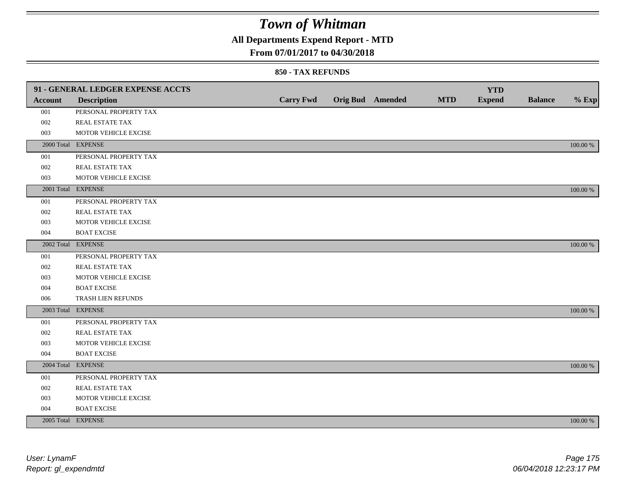## **All Departments Expend Report - MTD**

### **From 07/01/2017 to 04/30/2018**

|                | 91 - GENERAL LEDGER EXPENSE ACCTS |                  |                  |            | <b>YTD</b>    |                |             |
|----------------|-----------------------------------|------------------|------------------|------------|---------------|----------------|-------------|
| <b>Account</b> | <b>Description</b>                | <b>Carry Fwd</b> | Orig Bud Amended | <b>MTD</b> | <b>Expend</b> | <b>Balance</b> | $%$ Exp     |
| 001            | PERSONAL PROPERTY TAX             |                  |                  |            |               |                |             |
| 002            | REAL ESTATE TAX                   |                  |                  |            |               |                |             |
| 003            | MOTOR VEHICLE EXCISE              |                  |                  |            |               |                |             |
|                | 2000 Total EXPENSE                |                  |                  |            |               |                | 100.00 %    |
| 001            | PERSONAL PROPERTY TAX             |                  |                  |            |               |                |             |
| $002\,$        | REAL ESTATE TAX                   |                  |                  |            |               |                |             |
| 003            | MOTOR VEHICLE EXCISE              |                  |                  |            |               |                |             |
|                | 2001 Total EXPENSE                |                  |                  |            |               |                | 100.00 %    |
| 001            | PERSONAL PROPERTY TAX             |                  |                  |            |               |                |             |
| 002            | REAL ESTATE TAX                   |                  |                  |            |               |                |             |
| 003            | MOTOR VEHICLE EXCISE              |                  |                  |            |               |                |             |
| 004            | <b>BOAT EXCISE</b>                |                  |                  |            |               |                |             |
|                | 2002 Total EXPENSE                |                  |                  |            |               |                | 100.00 %    |
| 001            | PERSONAL PROPERTY TAX             |                  |                  |            |               |                |             |
| 002            | REAL ESTATE TAX                   |                  |                  |            |               |                |             |
| 003            | MOTOR VEHICLE EXCISE              |                  |                  |            |               |                |             |
| 004            | <b>BOAT EXCISE</b>                |                  |                  |            |               |                |             |
| 006            | TRASH LIEN REFUNDS                |                  |                  |            |               |                |             |
|                | 2003 Total EXPENSE                |                  |                  |            |               |                | 100.00 %    |
| 001            | PERSONAL PROPERTY TAX             |                  |                  |            |               |                |             |
| 002            | REAL ESTATE TAX                   |                  |                  |            |               |                |             |
| 003            | MOTOR VEHICLE EXCISE              |                  |                  |            |               |                |             |
| 004            | <b>BOAT EXCISE</b>                |                  |                  |            |               |                |             |
|                | 2004 Total EXPENSE                |                  |                  |            |               |                | 100.00 %    |
| 001            | PERSONAL PROPERTY TAX             |                  |                  |            |               |                |             |
| 002            | REAL ESTATE TAX                   |                  |                  |            |               |                |             |
| 003            | MOTOR VEHICLE EXCISE              |                  |                  |            |               |                |             |
| 004            | <b>BOAT EXCISE</b>                |                  |                  |            |               |                |             |
|                | 2005 Total EXPENSE                |                  |                  |            |               |                | $100.00~\%$ |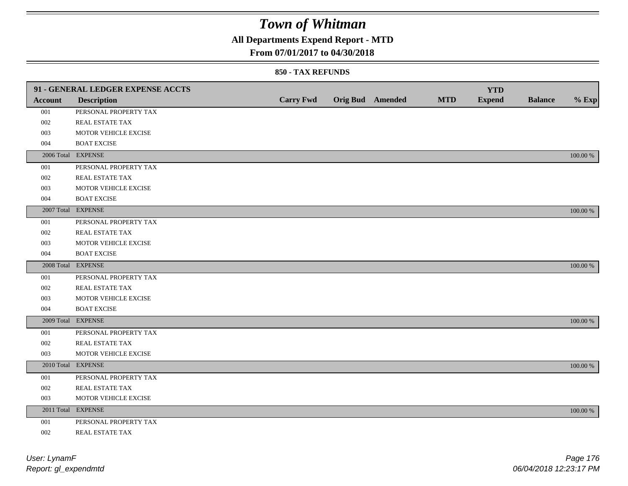## **All Departments Expend Report - MTD**

### **From 07/01/2017 to 04/30/2018**

|         | 91 - GENERAL LEDGER EXPENSE ACCTS |                  |                         |            | <b>YTD</b>    |                |             |
|---------|-----------------------------------|------------------|-------------------------|------------|---------------|----------------|-------------|
| Account | <b>Description</b>                | <b>Carry Fwd</b> | <b>Orig Bud</b> Amended | <b>MTD</b> | <b>Expend</b> | <b>Balance</b> | $%$ Exp     |
| 001     | PERSONAL PROPERTY TAX             |                  |                         |            |               |                |             |
| 002     | REAL ESTATE TAX                   |                  |                         |            |               |                |             |
| 003     | MOTOR VEHICLE EXCISE              |                  |                         |            |               |                |             |
| 004     | <b>BOAT EXCISE</b>                |                  |                         |            |               |                |             |
|         | 2006 Total EXPENSE                |                  |                         |            |               |                | 100.00 %    |
| 001     | PERSONAL PROPERTY TAX             |                  |                         |            |               |                |             |
| 002     | REAL ESTATE TAX                   |                  |                         |            |               |                |             |
| 003     | MOTOR VEHICLE EXCISE              |                  |                         |            |               |                |             |
| 004     | <b>BOAT EXCISE</b>                |                  |                         |            |               |                |             |
|         | 2007 Total EXPENSE                |                  |                         |            |               |                | 100.00 %    |
| 001     | PERSONAL PROPERTY TAX             |                  |                         |            |               |                |             |
| 002     | REAL ESTATE TAX                   |                  |                         |            |               |                |             |
| 003     | MOTOR VEHICLE EXCISE              |                  |                         |            |               |                |             |
| 004     | <b>BOAT EXCISE</b>                |                  |                         |            |               |                |             |
|         | 2008 Total EXPENSE                |                  |                         |            |               |                | 100.00 %    |
| 001     | PERSONAL PROPERTY TAX             |                  |                         |            |               |                |             |
| 002     | <b>REAL ESTATE TAX</b>            |                  |                         |            |               |                |             |
| 003     | MOTOR VEHICLE EXCISE              |                  |                         |            |               |                |             |
| 004     | <b>BOAT EXCISE</b>                |                  |                         |            |               |                |             |
|         | 2009 Total EXPENSE                |                  |                         |            |               |                | 100.00 %    |
| 001     | PERSONAL PROPERTY TAX             |                  |                         |            |               |                |             |
| 002     | REAL ESTATE TAX                   |                  |                         |            |               |                |             |
| 003     | MOTOR VEHICLE EXCISE              |                  |                         |            |               |                |             |
|         | 2010 Total EXPENSE                |                  |                         |            |               |                | 100.00 %    |
| 001     | PERSONAL PROPERTY TAX             |                  |                         |            |               |                |             |
| 002     | REAL ESTATE TAX                   |                  |                         |            |               |                |             |
| 003     | MOTOR VEHICLE EXCISE              |                  |                         |            |               |                |             |
|         | 2011 Total EXPENSE                |                  |                         |            |               |                | $100.00~\%$ |
| 001     | PERSONAL PROPERTY TAX             |                  |                         |            |               |                |             |
| 002     | REAL ESTATE TAX                   |                  |                         |            |               |                |             |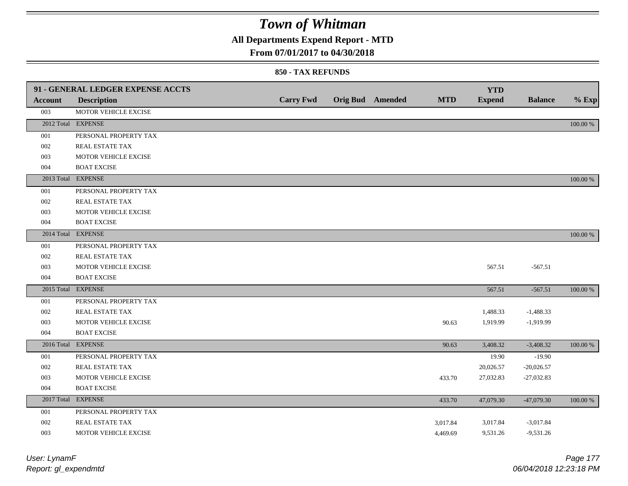## **All Departments Expend Report - MTD**

### **From 07/01/2017 to 04/30/2018**

|                | 91 - GENERAL LEDGER EXPENSE ACCTS | <b>Carry Fwd</b> |                         | <b>MTD</b> | <b>YTD</b>    | <b>Balance</b> |          |
|----------------|-----------------------------------|------------------|-------------------------|------------|---------------|----------------|----------|
| <b>Account</b> | <b>Description</b>                |                  | <b>Orig Bud</b> Amended |            | <b>Expend</b> |                | $%$ Exp  |
| 003            | MOTOR VEHICLE EXCISE              |                  |                         |            |               |                |          |
|                | 2012 Total EXPENSE                |                  |                         |            |               |                | 100.00 % |
| 001            | PERSONAL PROPERTY TAX             |                  |                         |            |               |                |          |
| 002            | REAL ESTATE TAX                   |                  |                         |            |               |                |          |
| 003            | MOTOR VEHICLE EXCISE              |                  |                         |            |               |                |          |
| 004            | <b>BOAT EXCISE</b>                |                  |                         |            |               |                |          |
|                | 2013 Total EXPENSE                |                  |                         |            |               |                | 100.00 % |
| 001            | PERSONAL PROPERTY TAX             |                  |                         |            |               |                |          |
| 002            | REAL ESTATE TAX                   |                  |                         |            |               |                |          |
| 003            | MOTOR VEHICLE EXCISE              |                  |                         |            |               |                |          |
| 004            | <b>BOAT EXCISE</b>                |                  |                         |            |               |                |          |
|                | 2014 Total EXPENSE                |                  |                         |            |               |                | 100.00 % |
| 001            | PERSONAL PROPERTY TAX             |                  |                         |            |               |                |          |
| 002            | REAL ESTATE TAX                   |                  |                         |            |               |                |          |
| 003            | MOTOR VEHICLE EXCISE              |                  |                         |            | 567.51        | $-567.51$      |          |
| 004            | <b>BOAT EXCISE</b>                |                  |                         |            |               |                |          |
|                | 2015 Total EXPENSE                |                  |                         |            | 567.51        | $-567.51$      | 100.00 % |
| 001            | PERSONAL PROPERTY TAX             |                  |                         |            |               |                |          |
| 002            | REAL ESTATE TAX                   |                  |                         |            | 1,488.33      | $-1,488.33$    |          |
| 003            | MOTOR VEHICLE EXCISE              |                  |                         | 90.63      | 1,919.99      | $-1,919.99$    |          |
| 004            | <b>BOAT EXCISE</b>                |                  |                         |            |               |                |          |
|                | 2016 Total EXPENSE                |                  |                         | 90.63      | 3,408.32      | $-3,408.32$    | 100.00 % |
| 001            | PERSONAL PROPERTY TAX             |                  |                         |            | 19.90         | $-19.90$       |          |
| 002            | REAL ESTATE TAX                   |                  |                         |            | 20,026.57     | $-20,026.57$   |          |
| 003            | MOTOR VEHICLE EXCISE              |                  |                         | 433.70     | 27,032.83     | $-27,032.83$   |          |
| 004            | <b>BOAT EXCISE</b>                |                  |                         |            |               |                |          |
|                | 2017 Total EXPENSE                |                  |                         | 433.70     | 47,079.30     | $-47,079.30$   | 100.00 % |
| 001            | PERSONAL PROPERTY TAX             |                  |                         |            |               |                |          |
| 002            | REAL ESTATE TAX                   |                  |                         | 3,017.84   | 3,017.84      | $-3,017.84$    |          |
| 003            | MOTOR VEHICLE EXCISE              |                  |                         | 4,469.69   | 9,531.26      | $-9,531.26$    |          |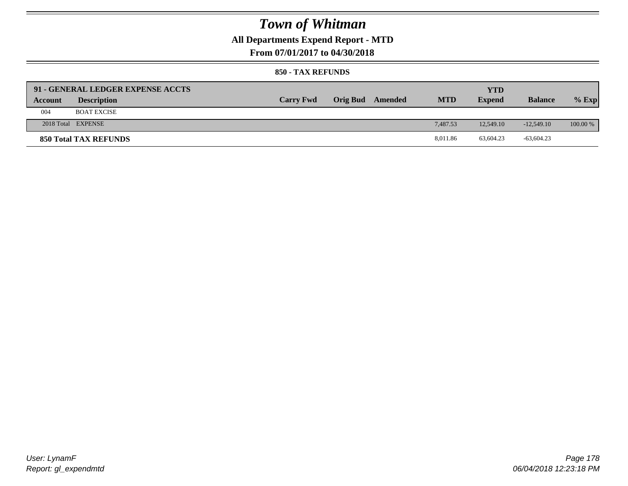## **All Departments Expend Report - MTD**

### **From 07/01/2017 to 04/30/2018**

|         | 91 - GENERAL LEDGER EXPENSE ACCTS |                  |                 |         |            | YTD           |                |            |
|---------|-----------------------------------|------------------|-----------------|---------|------------|---------------|----------------|------------|
| Account | <b>Description</b>                | <b>Carry Fwd</b> | <b>Orig Bud</b> | Amended | <b>MTD</b> | <b>Expend</b> | <b>Balance</b> | $%$ Exp    |
| 004     | <b>BOAT EXCISE</b>                |                  |                 |         |            |               |                |            |
|         | 2018 Total EXPENSE                |                  |                 |         | 7.487.53   | 12.549.10     | $-12.549.10$   | $100.00\%$ |
|         | 850 Total TAX REFUNDS             |                  |                 |         | 8.011.86   | 63,604.23     | $-63,604.23$   |            |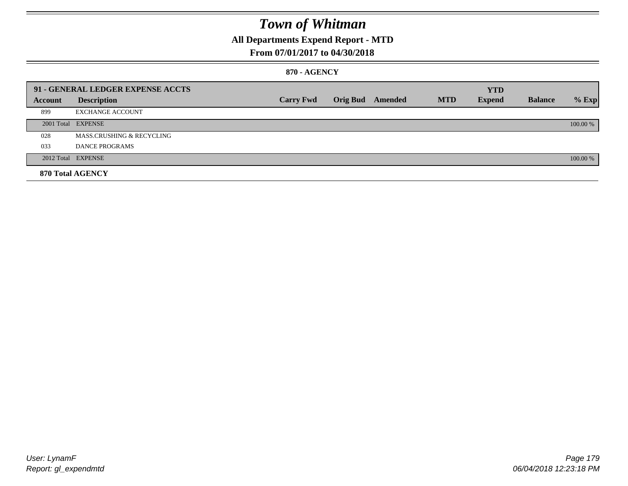## **All Departments Expend Report - MTD**

### **From 07/01/2017 to 04/30/2018**

#### **870 - AGENCY**

|         | 91 - GENERAL LEDGER EXPENSE ACCTS |                  |                         |            | <b>YTD</b>    |                |          |
|---------|-----------------------------------|------------------|-------------------------|------------|---------------|----------------|----------|
| Account | <b>Description</b>                | <b>Carry Fwd</b> | <b>Orig Bud</b> Amended | <b>MTD</b> | <b>Expend</b> | <b>Balance</b> | $%$ Exp  |
| 899     | <b>EXCHANGE ACCOUNT</b>           |                  |                         |            |               |                |          |
|         | 2001 Total EXPENSE                |                  |                         |            |               |                | 100.00 % |
| 028     | MASS.CRUSHING & RECYCLING         |                  |                         |            |               |                |          |
| 033     | <b>DANCE PROGRAMS</b>             |                  |                         |            |               |                |          |
|         | 2012 Total EXPENSE                |                  |                         |            |               |                | 100.00 % |
|         | 870 Total AGENCY                  |                  |                         |            |               |                |          |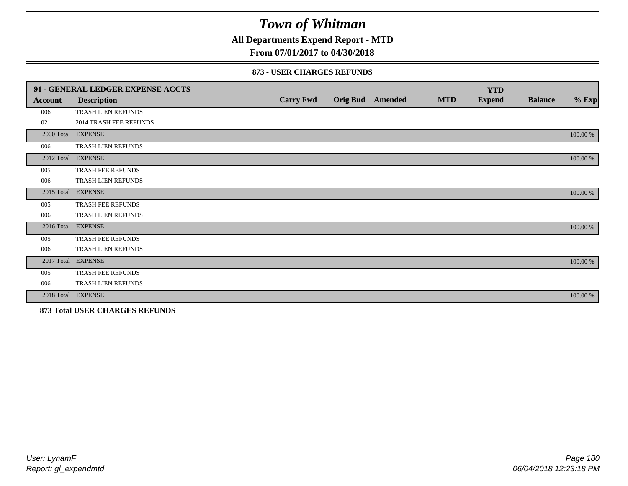**All Departments Expend Report - MTD**

## **From 07/01/2017 to 04/30/2018**

|                | 91 - GENERAL LEDGER EXPENSE ACCTS |                  |                  |            | <b>YTD</b>    |                |          |
|----------------|-----------------------------------|------------------|------------------|------------|---------------|----------------|----------|
| <b>Account</b> | <b>Description</b>                | <b>Carry Fwd</b> | Orig Bud Amended | <b>MTD</b> | <b>Expend</b> | <b>Balance</b> | $%$ Exp  |
| 006            | TRASH LIEN REFUNDS                |                  |                  |            |               |                |          |
| 021            | <b>2014 TRASH FEE REFUNDS</b>     |                  |                  |            |               |                |          |
|                | 2000 Total EXPENSE                |                  |                  |            |               |                | 100.00 % |
| 006            | TRASH LIEN REFUNDS                |                  |                  |            |               |                |          |
|                | 2012 Total EXPENSE                |                  |                  |            |               |                | 100.00 % |
| 005            | <b>TRASH FEE REFUNDS</b>          |                  |                  |            |               |                |          |
| 006            | TRASH LIEN REFUNDS                |                  |                  |            |               |                |          |
| 2015 Total     | <b>EXPENSE</b>                    |                  |                  |            |               |                | 100.00 % |
| 005            | <b>TRASH FEE REFUNDS</b>          |                  |                  |            |               |                |          |
| 006            | TRASH LIEN REFUNDS                |                  |                  |            |               |                |          |
|                | 2016 Total EXPENSE                |                  |                  |            |               |                | 100.00 % |
| 005            | TRASH FEE REFUNDS                 |                  |                  |            |               |                |          |
| 006            | <b>TRASH LIEN REFUNDS</b>         |                  |                  |            |               |                |          |
|                | 2017 Total EXPENSE                |                  |                  |            |               |                | 100.00 % |
| 005            | <b>TRASH FEE REFUNDS</b>          |                  |                  |            |               |                |          |
| 006            | TRASH LIEN REFUNDS                |                  |                  |            |               |                |          |
|                | 2018 Total EXPENSE                |                  |                  |            |               |                | 100.00 % |
|                | 873 Total USER CHARGES REFUNDS    |                  |                  |            |               |                |          |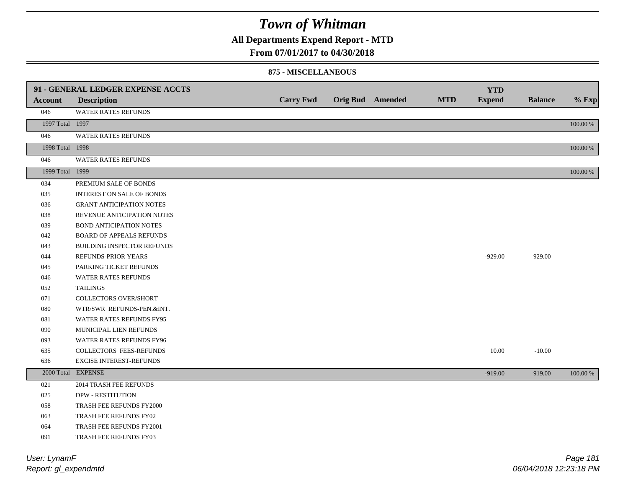**All Departments Expend Report - MTD**

### **From 07/01/2017 to 04/30/2018**

#### **875 - MISCELLANEOUS**

|                 | 91 - GENERAL LEDGER EXPENSE ACCTS |                  |                         |            | <b>YTD</b>    |                |          |
|-----------------|-----------------------------------|------------------|-------------------------|------------|---------------|----------------|----------|
| <b>Account</b>  | <b>Description</b>                | <b>Carry Fwd</b> | <b>Orig Bud</b> Amended | <b>MTD</b> | <b>Expend</b> | <b>Balance</b> | $%$ Exp  |
| 046             | WATER RATES REFUNDS               |                  |                         |            |               |                |          |
| 1997 Total 1997 |                                   |                  |                         |            |               |                | 100.00 % |
| 046             | <b>WATER RATES REFUNDS</b>        |                  |                         |            |               |                |          |
| 1998 Total 1998 |                                   |                  |                         |            |               |                | 100.00 % |
| 046             | WATER RATES REFUNDS               |                  |                         |            |               |                |          |
| 1999 Total 1999 |                                   |                  |                         |            |               |                | 100.00 % |
| 034             | PREMIUM SALE OF BONDS             |                  |                         |            |               |                |          |
| 035             | <b>INTEREST ON SALE OF BONDS</b>  |                  |                         |            |               |                |          |
| 036             | <b>GRANT ANTICIPATION NOTES</b>   |                  |                         |            |               |                |          |
| 038             | REVENUE ANTICIPATION NOTES        |                  |                         |            |               |                |          |
| 039             | <b>BOND ANTICIPATION NOTES</b>    |                  |                         |            |               |                |          |
| 042             | <b>BOARD OF APPEALS REFUNDS</b>   |                  |                         |            |               |                |          |
| 043             | <b>BUILDING INSPECTOR REFUNDS</b> |                  |                         |            |               |                |          |
| 044             | <b>REFUNDS-PRIOR YEARS</b>        |                  |                         |            | $-929.00$     | 929.00         |          |
| 045             | PARKING TICKET REFUNDS            |                  |                         |            |               |                |          |
| 046             | WATER RATES REFUNDS               |                  |                         |            |               |                |          |
| 052             | <b>TAILINGS</b>                   |                  |                         |            |               |                |          |
| 071             | COLLECTORS OVER/SHORT             |                  |                         |            |               |                |          |
| 080             | WTR/SWR REFUNDS-PEN.&INT.         |                  |                         |            |               |                |          |
| 081             | WATER RATES REFUNDS FY95          |                  |                         |            |               |                |          |
| 090             | MUNICIPAL LIEN REFUNDS            |                  |                         |            |               |                |          |
| 093             | WATER RATES REFUNDS FY96          |                  |                         |            |               |                |          |
| 635             | COLLECTORS FEES-REFUNDS           |                  |                         |            | 10.00         | $-10.00$       |          |
| 636             | EXCISE INTEREST-REFUNDS           |                  |                         |            |               |                |          |
|                 | 2000 Total EXPENSE                |                  |                         |            | $-919.00$     | 919.00         | 100.00 % |
| 021             | 2014 TRASH FEE REFUNDS            |                  |                         |            |               |                |          |
| 025             | <b>DPW - RESTITUTION</b>          |                  |                         |            |               |                |          |
| 058             | TRASH FEE REFUNDS FY2000          |                  |                         |            |               |                |          |
| 063             | TRASH FEE REFUNDS FY02            |                  |                         |            |               |                |          |
| 064             | TRASH FEE REFUNDS FY2001          |                  |                         |            |               |                |          |
| 091             | TRASH FEE REFUNDS FY03            |                  |                         |            |               |                |          |

*Report: gl\_expendmtd User: LynamF*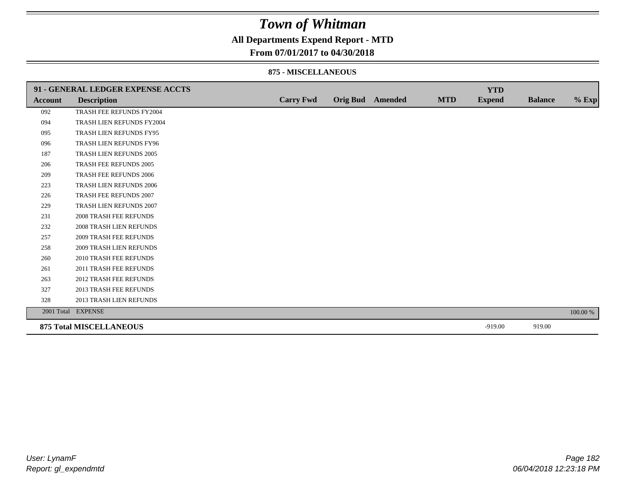**All Departments Expend Report - MTD**

### **From 07/01/2017 to 04/30/2018**

#### **875 - MISCELLANEOUS**

|         | 91 - GENERAL LEDGER EXPENSE ACCTS |                  |                         |            | <b>YTD</b>    |                |          |
|---------|-----------------------------------|------------------|-------------------------|------------|---------------|----------------|----------|
| Account | <b>Description</b>                | <b>Carry Fwd</b> | <b>Orig Bud</b> Amended | <b>MTD</b> | <b>Expend</b> | <b>Balance</b> | $%$ Exp  |
| 092     | TRASH FEE REFUNDS FY2004          |                  |                         |            |               |                |          |
| 094     | TRASH LIEN REFUNDS FY2004         |                  |                         |            |               |                |          |
| 095     | TRASH LIEN REFUNDS FY95           |                  |                         |            |               |                |          |
| 096     | TRASH LIEN REFUNDS FY96           |                  |                         |            |               |                |          |
| 187     | TRASH LIEN REFUNDS 2005           |                  |                         |            |               |                |          |
| 206     | TRASH FEE REFUNDS 2005            |                  |                         |            |               |                |          |
| 209     | <b>TRASH FEE REFUNDS 2006</b>     |                  |                         |            |               |                |          |
| 223     | TRASH LIEN REFUNDS 2006           |                  |                         |            |               |                |          |
| 226     | TRASH FEE REFUNDS 2007            |                  |                         |            |               |                |          |
| 229     | TRASH LIEN REFUNDS 2007           |                  |                         |            |               |                |          |
| 231     | <b>2008 TRASH FEE REFUNDS</b>     |                  |                         |            |               |                |          |
| 232     | 2008 TRASH LIEN REFUNDS           |                  |                         |            |               |                |          |
| 257     | <b>2009 TRASH FEE REFUNDS</b>     |                  |                         |            |               |                |          |
| 258     | <b>2009 TRASH LIEN REFUNDS</b>    |                  |                         |            |               |                |          |
| 260     | 2010 TRASH FEE REFUNDS            |                  |                         |            |               |                |          |
| 261     | 2011 TRASH FEE REFUNDS            |                  |                         |            |               |                |          |
| 263     | <b>2012 TRASH FEE REFUNDS</b>     |                  |                         |            |               |                |          |
| 327     | <b>2013 TRASH FEE REFUNDS</b>     |                  |                         |            |               |                |          |
| 328     | 2013 TRASH LIEN REFUNDS           |                  |                         |            |               |                |          |
|         | 2001 Total EXPENSE                |                  |                         |            |               |                | 100.00 % |
|         | <b>875 Total MISCELLANEOUS</b>    |                  |                         |            | $-919.00$     | 919.00         |          |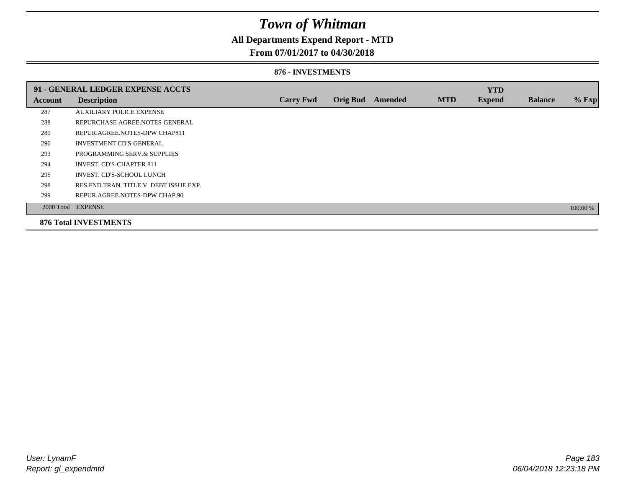### **All Departments Expend Report - MTD**

### **From 07/01/2017 to 04/30/2018**

#### **876 - INVESTMENTS**

|         | 91 - GENERAL LEDGER EXPENSE ACCTS       |                  |                 |                |            | <b>YTD</b>    |                |          |
|---------|-----------------------------------------|------------------|-----------------|----------------|------------|---------------|----------------|----------|
| Account | <b>Description</b>                      | <b>Carry Fwd</b> | <b>Orig Bud</b> | <b>Amended</b> | <b>MTD</b> | <b>Expend</b> | <b>Balance</b> | % Exp    |
| 287     | <b>AUXILIARY POLICE EXPENSE</b>         |                  |                 |                |            |               |                |          |
| 288     | REPURCHASE AGREE.NOTES-GENERAL          |                  |                 |                |            |               |                |          |
| 289     | REPUR.AGREE.NOTES-DPW CHAP811           |                  |                 |                |            |               |                |          |
| 290     | <b>INVESTMENT CD'S-GENERAL</b>          |                  |                 |                |            |               |                |          |
| 293     | PROGRAMMING SERV.& SUPPLIES             |                  |                 |                |            |               |                |          |
| 294     | <b>INVEST. CD'S-CHAPTER 811</b>         |                  |                 |                |            |               |                |          |
| 295     | INVEST. CD'S-SCHOOL LUNCH               |                  |                 |                |            |               |                |          |
| 298     | RES. FND. TRAN. TITLE V DEBT ISSUE EXP. |                  |                 |                |            |               |                |          |
| 299     | REPUR.AGREE.NOTES-DPW CHAP.90           |                  |                 |                |            |               |                |          |
|         | 2000 Total EXPENSE                      |                  |                 |                |            |               |                | 100.00 % |
|         | <b>876 Total INVESTMENTS</b>            |                  |                 |                |            |               |                |          |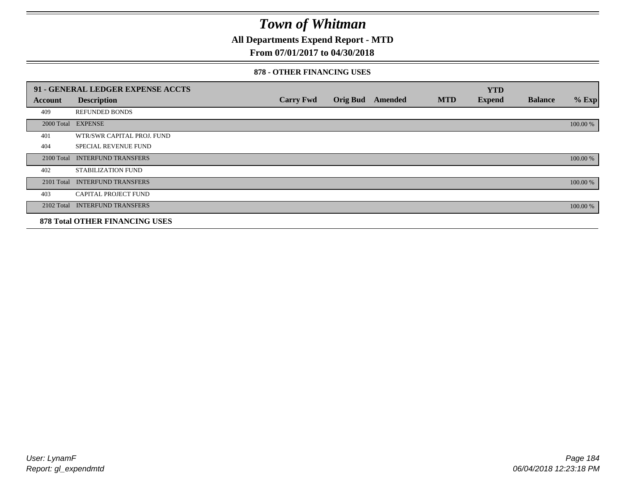**All Departments Expend Report - MTD**

### **From 07/01/2017 to 04/30/2018**

#### **878 - OTHER FINANCING USES**

|                | 91 - GENERAL LEDGER EXPENSE ACCTS     |                  |                 |                |            | <b>YTD</b>    |                |          |
|----------------|---------------------------------------|------------------|-----------------|----------------|------------|---------------|----------------|----------|
| <b>Account</b> | <b>Description</b>                    | <b>Carry Fwd</b> | <b>Orig Bud</b> | <b>Amended</b> | <b>MTD</b> | <b>Expend</b> | <b>Balance</b> | $%$ Exp  |
| 409            | <b>REFUNDED BONDS</b>                 |                  |                 |                |            |               |                |          |
| 2000 Total     | <b>EXPENSE</b>                        |                  |                 |                |            |               |                | 100.00 % |
| 401            | WTR/SWR CAPITAL PROJ. FUND            |                  |                 |                |            |               |                |          |
| 404            | <b>SPECIAL REVENUE FUND</b>           |                  |                 |                |            |               |                |          |
| 2100 Total     | <b>INTERFUND TRANSFERS</b>            |                  |                 |                |            |               |                | 100.00 % |
| 402            | <b>STABILIZATION FUND</b>             |                  |                 |                |            |               |                |          |
| 2101 Total     | <b>INTERFUND TRANSFERS</b>            |                  |                 |                |            |               |                | 100.00 % |
| 403            | <b>CAPITAL PROJECT FUND</b>           |                  |                 |                |            |               |                |          |
|                | 2102 Total INTERFUND TRANSFERS        |                  |                 |                |            |               |                | 100.00 % |
|                | <b>878 Total OTHER FINANCING USES</b> |                  |                 |                |            |               |                |          |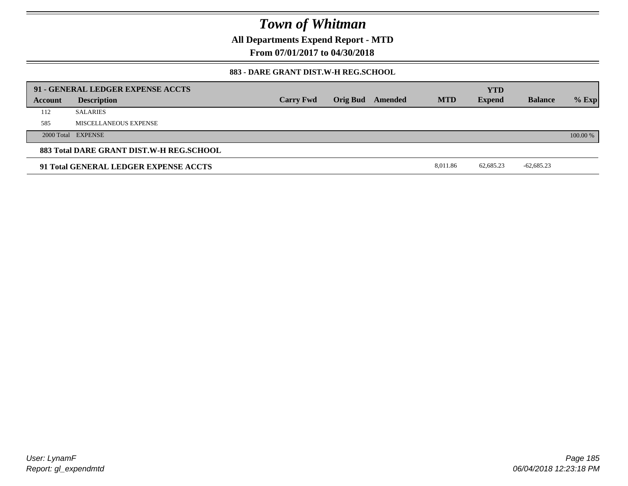**All Departments Expend Report - MTD**

**From 07/01/2017 to 04/30/2018**

#### **883 - DARE GRANT DIST.W-H REG.SCHOOL**

|                                          | 91 - GENERAL LEDGER EXPENSE ACCTS     |                  |  |                         |            | <b>YTD</b>    |                |          |
|------------------------------------------|---------------------------------------|------------------|--|-------------------------|------------|---------------|----------------|----------|
| Account                                  | <b>Description</b>                    | <b>Carry Fwd</b> |  | <b>Orig Bud</b> Amended | <b>MTD</b> | <b>Expend</b> | <b>Balance</b> | $%$ Exp  |
| 112                                      | <b>SALARIES</b>                       |                  |  |                         |            |               |                |          |
| 585                                      | MISCELLANEOUS EXPENSE                 |                  |  |                         |            |               |                |          |
|                                          | 2000 Total EXPENSE                    |                  |  |                         |            |               |                | 100.00 % |
| 883 Total DARE GRANT DIST.W-H REG.SCHOOL |                                       |                  |  |                         |            |               |                |          |
|                                          | 91 Total GENERAL LEDGER EXPENSE ACCTS |                  |  |                         | 8.011.86   | 62.685.23     | $-62,685.23$   |          |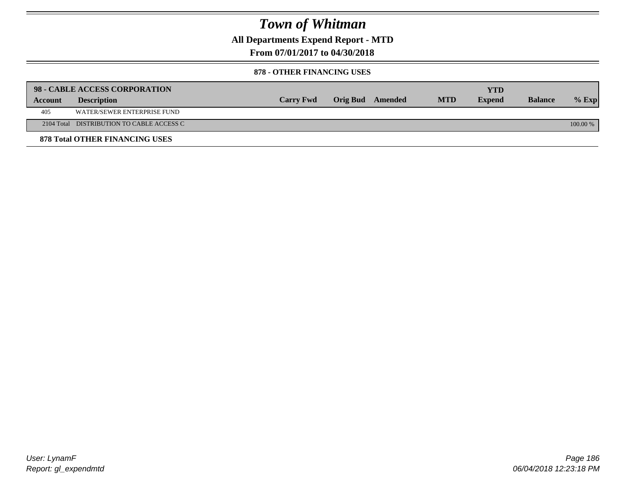**All Departments Expend Report - MTD**

**From 07/01/2017 to 04/30/2018**

#### **878 - OTHER FINANCING USES**

|         | 98 - CABLE ACCESS CORPORATION             |                  |                  |            | <b>YTD</b>    |                |            |
|---------|-------------------------------------------|------------------|------------------|------------|---------------|----------------|------------|
| Account | <b>Description</b>                        | <b>Carry Fwd</b> | Orig Bud Amended | <b>MTD</b> | <b>Expend</b> | <b>Balance</b> | $%$ Exp    |
| 405     | WATER/SEWER ENTERPRISE FUND               |                  |                  |            |               |                |            |
|         | 2104 Total DISTRIBUTION TO CABLE ACCESS C |                  |                  |            |               |                | $100.00\%$ |
|         | <b>878 Total OTHER FINANCING USES</b>     |                  |                  |            |               |                |            |